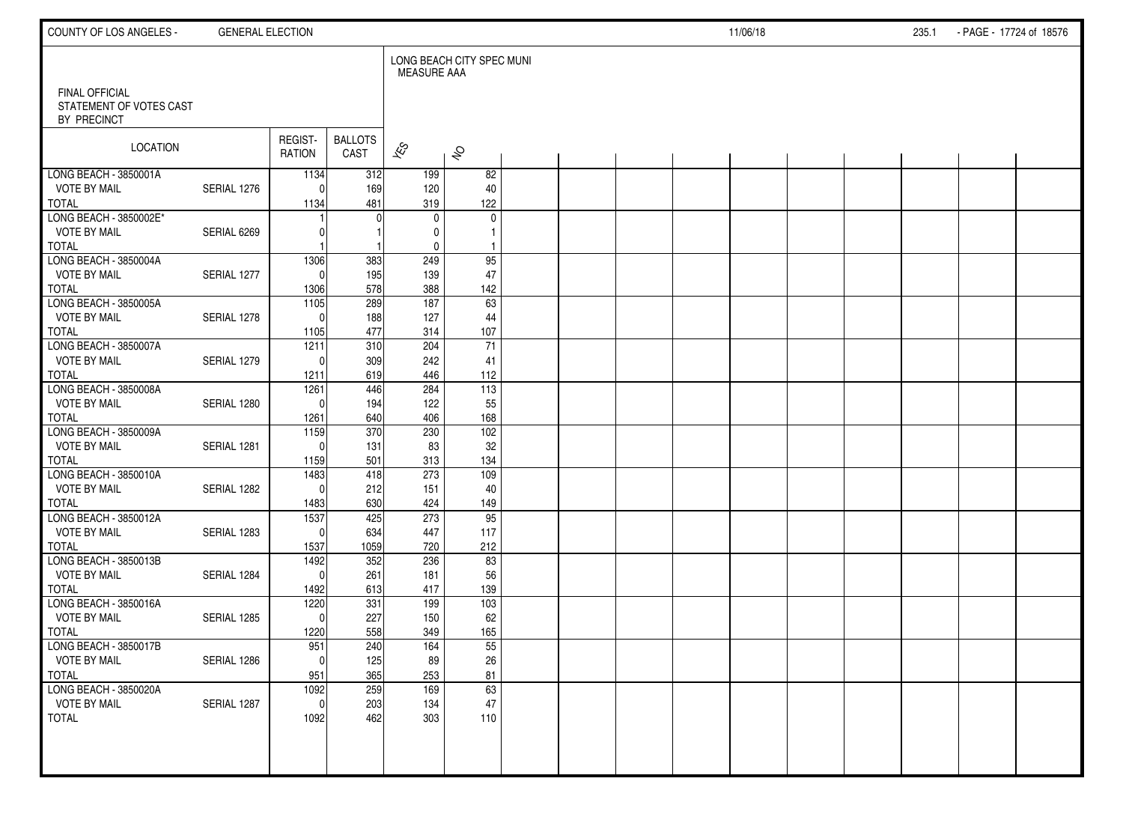| COUNTY OF LOS ANGELES -                                         | <b>GENERAL ELECTION</b> |                   |                        |                          |                           |  |  | 11/06/18 |  | 235.1 | - PAGE - 17724 of 18576 |  |
|-----------------------------------------------------------------|-------------------------|-------------------|------------------------|--------------------------|---------------------------|--|--|----------|--|-------|-------------------------|--|
|                                                                 |                         |                   |                        | <b>MEASURE AAA</b>       | LONG BEACH CITY SPEC MUNI |  |  |          |  |       |                         |  |
| <b>FINAL OFFICIAL</b><br>STATEMENT OF VOTES CAST<br>BY PRECINCT |                         |                   |                        |                          |                           |  |  |          |  |       |                         |  |
| <b>LOCATION</b>                                                 |                         | REGIST-<br>RATION | <b>BALLOTS</b><br>CAST | $\overline{\mathscr{K}}$ | $\hat{\mathcal{S}}$       |  |  |          |  |       |                         |  |
| LONG BEACH - 3850001A                                           |                         | 1134              | 312                    | 199                      | 82                        |  |  |          |  |       |                         |  |
| <b>VOTE BY MAIL</b>                                             | SERIAL 1276             | $\Omega$          | 169                    | 120                      | 40                        |  |  |          |  |       |                         |  |
| <b>TOTAL</b>                                                    |                         | 1134              | 481                    | 319                      | 122                       |  |  |          |  |       |                         |  |
| LONG BEACH - 3850002E*                                          |                         |                   | $\Omega$               | 0                        | $\mathbf 0$               |  |  |          |  |       |                         |  |
| <b>VOTE BY MAIL</b><br><b>TOTAL</b>                             | SERIAL 6269             | U                 |                        | 0                        | $\mathbf{1}$              |  |  |          |  |       |                         |  |
| LONG BEACH - 3850004A                                           |                         | 1306              | 383                    | 0<br>249                 | $\mathbf{1}$<br>95        |  |  |          |  |       |                         |  |
| <b>VOTE BY MAIL</b>                                             | SERIAL 1277             | $\Omega$          | 195                    | 139                      | 47                        |  |  |          |  |       |                         |  |
| <b>TOTAL</b>                                                    |                         | 1306              | 578                    | 388                      | 142                       |  |  |          |  |       |                         |  |
| LONG BEACH - 3850005A                                           |                         | $\frac{1105}{2}$  | 289                    | 187                      | 63                        |  |  |          |  |       |                         |  |
| <b>VOTE BY MAIL</b>                                             | SERIAL 1278             | $\Omega$          | 188                    | 127                      | 44                        |  |  |          |  |       |                         |  |
| <b>TOTAL</b>                                                    |                         | 1105              | 477                    | 314                      | 107                       |  |  |          |  |       |                         |  |
| LONG BEACH - 3850007A                                           |                         | 1211              | 310                    | 204                      | $\overline{71}$           |  |  |          |  |       |                         |  |
| <b>VOTE BY MAIL</b>                                             | SERIAL 1279             | $\Omega$          | 309                    | 242                      | 41                        |  |  |          |  |       |                         |  |
| <b>TOTAL</b>                                                    |                         | 1211              | 619                    | 446                      | 112                       |  |  |          |  |       |                         |  |
| LONG BEACH - 3850008A                                           |                         | 1261              | 446                    | 284                      | $\frac{113}{113}$         |  |  |          |  |       |                         |  |
| <b>VOTE BY MAIL</b>                                             | SERIAL 1280             | $\Omega$          | 194                    | 122                      | 55                        |  |  |          |  |       |                         |  |
| <b>TOTAL</b>                                                    |                         | 1261              | 640                    | 406                      | 168                       |  |  |          |  |       |                         |  |
| LONG BEACH - 3850009A                                           |                         | 1159              | 370                    | 230                      | 102                       |  |  |          |  |       |                         |  |
| <b>VOTE BY MAIL</b>                                             | SERIAL 1281             | $\Omega$          | 131                    | 83                       | 32                        |  |  |          |  |       |                         |  |
| <b>TOTAL</b><br>LONG BEACH - 3850010A                           |                         | 1159<br>1483      | 501<br>418             | 313<br>273               | 134<br>109                |  |  |          |  |       |                         |  |
| <b>VOTE BY MAIL</b>                                             | SERIAL 1282             | $\Omega$          | 212                    | 151                      | 40                        |  |  |          |  |       |                         |  |
| <b>TOTAL</b>                                                    |                         | 1483              | 630                    | 424                      | 149                       |  |  |          |  |       |                         |  |
| LONG BEACH - 3850012A                                           |                         | 1537              | 425                    | 273                      | 95                        |  |  |          |  |       |                         |  |
| <b>VOTE BY MAIL</b>                                             | SERIAL 1283             | $\Omega$          | 634                    | 447                      | 117                       |  |  |          |  |       |                         |  |
| <b>TOTAL</b>                                                    |                         | 1537              | 1059                   | 720                      | 212                       |  |  |          |  |       |                         |  |
| LONG BEACH - 3850013B                                           |                         | 1492              | 352                    | 236                      | 83                        |  |  |          |  |       |                         |  |
| <b>VOTE BY MAIL</b>                                             | SERIAL 1284             | $\Omega$          | 261                    | 181                      | 56                        |  |  |          |  |       |                         |  |
| <b>TOTAL</b>                                                    |                         | 1492              | 613                    | 417                      | 139                       |  |  |          |  |       |                         |  |
| LONG BEACH - 3850016A                                           |                         | 1220              | 331                    | 199                      | 103                       |  |  |          |  |       |                         |  |
| <b>VOTE BY MAIL</b>                                             | SERIAL 1285             | $\mathbf 0$       | 227                    | 150                      | 62                        |  |  |          |  |       |                         |  |
| <b>TOTAL</b>                                                    |                         | 1220              | 558                    | 349                      | 165                       |  |  |          |  |       |                         |  |
| LONG BEACH - 3850017B                                           |                         | 951               | 240                    | 164                      | 55                        |  |  |          |  |       |                         |  |
| <b>VOTE BY MAIL</b><br><b>TOTAL</b>                             | SERIAL 1286             | $\overline{0}$    | 125<br>365             | 89                       | $26\,$                    |  |  |          |  |       |                         |  |
| LONG BEACH - 3850020A                                           |                         | 951<br>1092       | 259                    | 253<br>169               | 81<br>63                  |  |  |          |  |       |                         |  |
| <b>VOTE BY MAIL</b>                                             | SERIAL 1287             | $\mathbf 0$       | 203                    | 134                      | $47\,$                    |  |  |          |  |       |                         |  |
| <b>TOTAL</b>                                                    |                         | 1092              | 462                    | 303                      | 110                       |  |  |          |  |       |                         |  |
|                                                                 |                         |                   |                        |                          |                           |  |  |          |  |       |                         |  |
|                                                                 |                         |                   |                        |                          |                           |  |  |          |  |       |                         |  |
|                                                                 |                         |                   |                        |                          |                           |  |  |          |  |       |                         |  |
|                                                                 |                         |                   |                        |                          |                           |  |  |          |  |       |                         |  |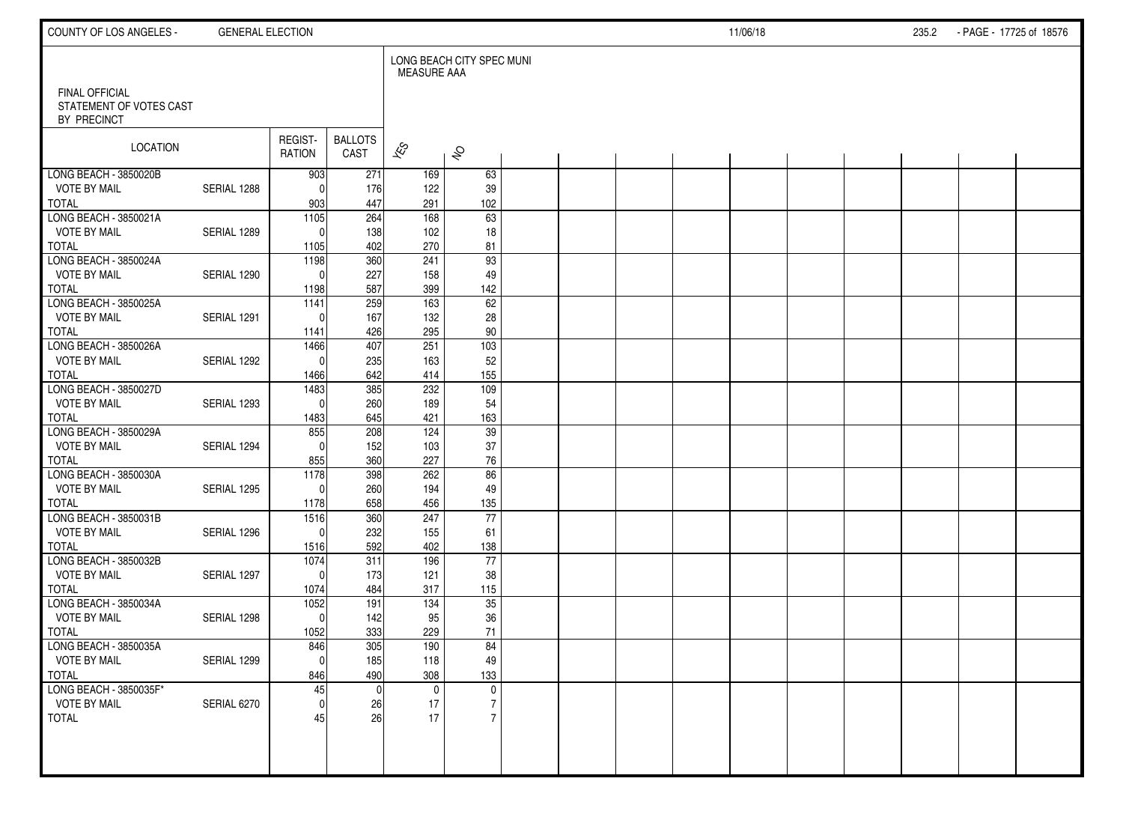| COUNTY OF LOS ANGELES -                                         | <b>GENERAL ELECTION</b> |                   |                        |                          |                           |  |  | 11/06/18 |  | 235.2 | - PAGE - 17725 of 18576 |  |
|-----------------------------------------------------------------|-------------------------|-------------------|------------------------|--------------------------|---------------------------|--|--|----------|--|-------|-------------------------|--|
|                                                                 |                         |                   |                        | <b>MEASURE AAA</b>       | LONG BEACH CITY SPEC MUNI |  |  |          |  |       |                         |  |
| <b>FINAL OFFICIAL</b><br>STATEMENT OF VOTES CAST<br>BY PRECINCT |                         |                   |                        |                          |                           |  |  |          |  |       |                         |  |
| LOCATION                                                        |                         | REGIST-<br>RATION | <b>BALLOTS</b><br>CAST | $\overline{\mathscr{E}}$ | $\hat{\mathcal{S}}$       |  |  |          |  |       |                         |  |
| LONG BEACH - 3850020B                                           |                         | 903               | 271                    | 169                      | 63                        |  |  |          |  |       |                         |  |
| <b>VOTE BY MAIL</b>                                             | SERIAL 1288             | $\Omega$          | 176                    | 122                      | 39                        |  |  |          |  |       |                         |  |
| <b>TOTAL</b><br>LONG BEACH - 3850021A                           |                         | 903<br>1105       | 447<br>264             | 291<br>168               | 102<br>63                 |  |  |          |  |       |                         |  |
| <b>VOTE BY MAIL</b>                                             | SERIAL 1289             | $\Omega$          | 138                    | 102                      | 18                        |  |  |          |  |       |                         |  |
| <b>TOTAL</b>                                                    |                         | 1105              | 402                    | 270                      | 81                        |  |  |          |  |       |                         |  |
| LONG BEACH - 3850024A                                           |                         | 1198              | 360                    | 241                      | 93                        |  |  |          |  |       |                         |  |
| <b>VOTE BY MAIL</b>                                             | SERIAL 1290             | $\Omega$          | 227                    | 158                      | 49                        |  |  |          |  |       |                         |  |
| <b>TOTAL</b>                                                    |                         | 1198              | 587                    | 399                      | 142                       |  |  |          |  |       |                         |  |
| LONG BEACH - 3850025A                                           |                         | 1141              | 259                    | 163                      | 62                        |  |  |          |  |       |                         |  |
| <b>VOTE BY MAIL</b>                                             | SERIAL 1291             | $\Omega$          | 167                    | 132                      | 28                        |  |  |          |  |       |                         |  |
| <b>TOTAL</b><br>LONG BEACH - 3850026A                           |                         | 1141<br>1466      | 426<br>407             | 295<br>251               | 90<br>$\overline{103}$    |  |  |          |  |       |                         |  |
| <b>VOTE BY MAIL</b>                                             | SERIAL 1292             | $\Omega$          | 235                    | 163                      | 52                        |  |  |          |  |       |                         |  |
| <b>TOTAL</b>                                                    |                         | 1466              | 642                    | 414                      | 155                       |  |  |          |  |       |                         |  |
| LONG BEACH - 3850027D                                           |                         | 1483              | 385                    | 232                      | 109                       |  |  |          |  |       |                         |  |
| <b>VOTE BY MAIL</b>                                             | SERIAL 1293             | $\Omega$          | 260                    | 189                      | 54                        |  |  |          |  |       |                         |  |
| <b>TOTAL</b>                                                    |                         | 1483              | 645                    | 421                      | 163                       |  |  |          |  |       |                         |  |
| LONG BEACH - 3850029A                                           |                         | 855               | 208                    | 124                      | 39                        |  |  |          |  |       |                         |  |
| <b>VOTE BY MAIL</b>                                             | SERIAL 1294             | $\Omega$          | 152                    | 103                      | 37                        |  |  |          |  |       |                         |  |
| <b>TOTAL</b>                                                    |                         | 855               | 360                    | 227                      | 76                        |  |  |          |  |       |                         |  |
| LONG BEACH - 3850030A                                           |                         | 1178              | 398                    | 262                      | 86                        |  |  |          |  |       |                         |  |
| <b>VOTE BY MAIL</b><br><b>TOTAL</b>                             | SERIAL 1295             | $\Omega$<br>1178  | 260<br>658             | 194<br>456               | 49<br>135                 |  |  |          |  |       |                         |  |
| LONG BEACH - 3850031B                                           |                         | 1516              | 360                    | 247                      | 77                        |  |  |          |  |       |                         |  |
| <b>VOTE BY MAIL</b>                                             | SERIAL 1296             | $\Omega$          | 232                    | 155                      | 61                        |  |  |          |  |       |                         |  |
| <b>TOTAL</b>                                                    |                         | 1516              | 592                    | 402                      | 138                       |  |  |          |  |       |                         |  |
| LONG BEACH - 3850032B                                           |                         | 1074              | 311                    | 196                      | $\overline{77}$           |  |  |          |  |       |                         |  |
| <b>VOTE BY MAIL</b>                                             | SERIAL 1297             | $\Omega$          | 173                    | 121                      | 38                        |  |  |          |  |       |                         |  |
| <b>TOTAL</b>                                                    |                         | 1074              | 484                    | 317                      | 115                       |  |  |          |  |       |                         |  |
| LONG BEACH - 3850034A                                           |                         | 1052              | 191                    | 134                      | 35                        |  |  |          |  |       |                         |  |
| <b>VOTE BY MAIL</b>                                             | SERIAL 1298             | 0                 | 142                    | 95                       | 36                        |  |  |          |  |       |                         |  |
| <b>TOTAL</b><br>LONG BEACH - 3850035A                           |                         | 1052<br>846       | 333<br>305             | 229<br>190               | 71<br>84                  |  |  |          |  |       |                         |  |
| <b>VOTE BY MAIL</b>                                             | SERIAL 1299             | 0                 | 185                    | 118                      | 49                        |  |  |          |  |       |                         |  |
| <b>TOTAL</b>                                                    |                         | 846               | 490                    | 308                      | 133                       |  |  |          |  |       |                         |  |
| LONG BEACH - 3850035F*                                          |                         | 45                |                        | $\mathbf 0$              | $\mathsf{O}$              |  |  |          |  |       |                         |  |
| <b>VOTE BY MAIL</b>                                             | SERIAL 6270             | οI                | 26                     | 17                       | $\overline{7}$            |  |  |          |  |       |                         |  |
| <b>TOTAL</b>                                                    |                         | 45                | 26                     | 17                       | $\overline{7}$            |  |  |          |  |       |                         |  |
|                                                                 |                         |                   |                        |                          |                           |  |  |          |  |       |                         |  |
|                                                                 |                         |                   |                        |                          |                           |  |  |          |  |       |                         |  |
|                                                                 |                         |                   |                        |                          |                           |  |  |          |  |       |                         |  |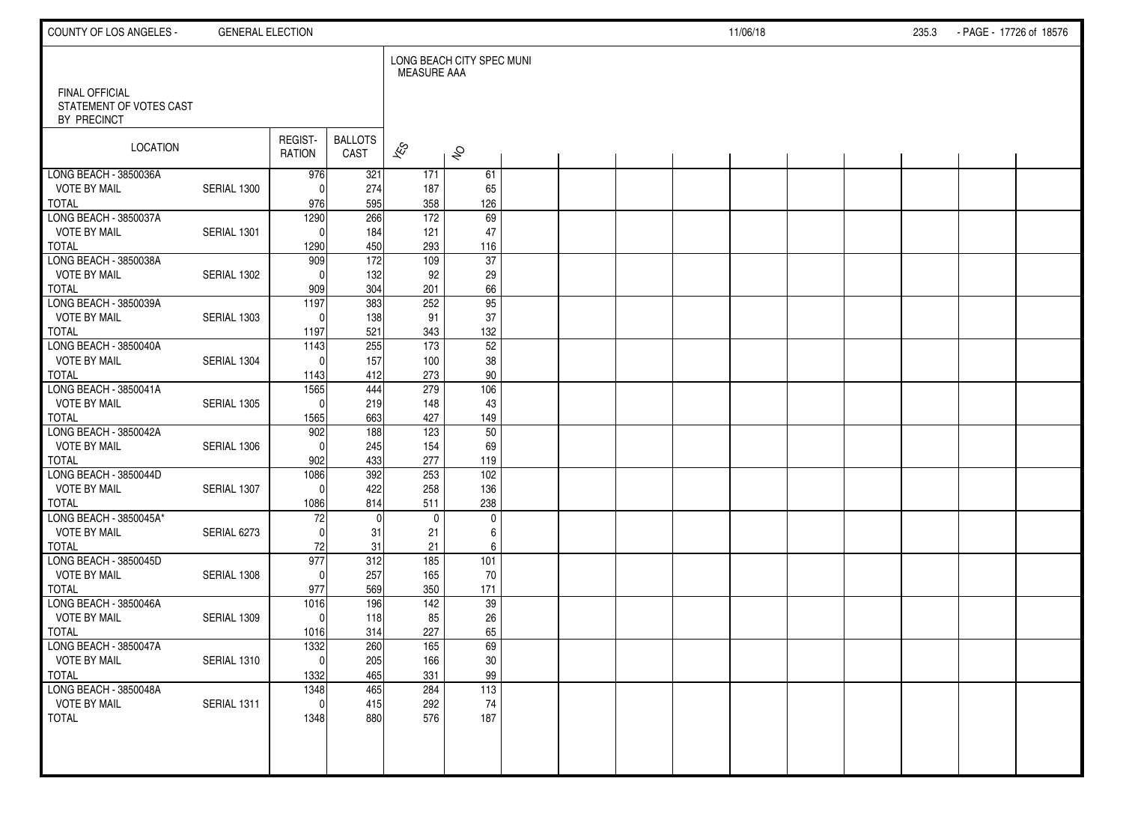| COUNTY OF LOS ANGELES -                      | <b>GENERAL ELECTION</b> |                   |                        |                     |                           |  |  | 11/06/18 |  | 235.3 | - PAGE - 17726 of 18576 |  |
|----------------------------------------------|-------------------------|-------------------|------------------------|---------------------|---------------------------|--|--|----------|--|-------|-------------------------|--|
| FINAL OFFICIAL                               |                         |                   |                        | <b>MEASURE AAA</b>  | LONG BEACH CITY SPEC MUNI |  |  |          |  |       |                         |  |
| STATEMENT OF VOTES CAST<br>BY PRECINCT       |                         |                   |                        |                     |                           |  |  |          |  |       |                         |  |
| <b>LOCATION</b>                              |                         | REGIST-<br>RATION | <b>BALLOTS</b><br>CAST | $\approx$           | $\hat{\mathcal{S}}$       |  |  |          |  |       |                         |  |
| LONG BEACH - 3850036A                        |                         | 976               | 321                    | 171                 | 61                        |  |  |          |  |       |                         |  |
| <b>VOTE BY MAIL</b><br><b>TOTAL</b>          | SERIAL 1300             | $\Omega$<br>976   | 274<br>595             | 187<br>358          | 65<br>126                 |  |  |          |  |       |                         |  |
| LONG BEACH - 3850037A                        |                         | 1290              | 266                    | $\frac{172}{ }$     | 69                        |  |  |          |  |       |                         |  |
| <b>VOTE BY MAIL</b>                          | SERIAL 1301             | $\Omega$          | 184                    | 121                 | 47                        |  |  |          |  |       |                         |  |
| <b>TOTAL</b>                                 |                         | 1290              | 450                    | 293                 | 116                       |  |  |          |  |       |                         |  |
| LONG BEACH - 3850038A                        |                         | 909               | $\frac{1}{172}$        | 109                 | 37                        |  |  |          |  |       |                         |  |
| <b>VOTE BY MAIL</b>                          | SERIAL 1302             | $\Omega$          | 132                    | 92                  | 29                        |  |  |          |  |       |                         |  |
| <b>TOTAL</b><br>LONG BEACH - 3850039A        |                         | 909<br>1197       | 304<br>383             | 201<br>252          | 66<br>$\overline{95}$     |  |  |          |  |       |                         |  |
| <b>VOTE BY MAIL</b>                          | SERIAL 1303             | $\Omega$          | 138                    | 91                  | 37                        |  |  |          |  |       |                         |  |
| <b>TOTAL</b>                                 |                         | 1197              | 521                    | 343                 | 132                       |  |  |          |  |       |                         |  |
| LONG BEACH - 3850040A                        |                         | 1143              | 255                    | 173                 | $\overline{52}$           |  |  |          |  |       |                         |  |
| <b>VOTE BY MAIL</b>                          | SERIAL 1304             | $\Omega$          | 157                    | 100                 | 38                        |  |  |          |  |       |                         |  |
| <b>TOTAL</b>                                 |                         | 1143              | 412                    | 273                 | 90                        |  |  |          |  |       |                         |  |
| LONG BEACH - 3850041A<br><b>VOTE BY MAIL</b> | SERIAL 1305             | 1565<br>$\Omega$  | 444                    | 279<br>148          | $\frac{106}{106}$<br>43   |  |  |          |  |       |                         |  |
| <b>TOTAL</b>                                 |                         | 1565              | 219<br>663             | 427                 | 149                       |  |  |          |  |       |                         |  |
| LONG BEACH - 3850042A                        |                         | 902               | 188                    | 123                 | 50                        |  |  |          |  |       |                         |  |
| <b>VOTE BY MAIL</b>                          | SERIAL 1306             | $\mathbf{0}$      | 245                    | 154                 | 69                        |  |  |          |  |       |                         |  |
| <b>TOTAL</b>                                 |                         | 902               | 433                    | 277                 | 119                       |  |  |          |  |       |                         |  |
| LONG BEACH - 3850044D                        |                         | 1086              | 392                    | 253                 | 102                       |  |  |          |  |       |                         |  |
| <b>VOTE BY MAIL</b>                          | SERIAL 1307             | $\Omega$          | 422                    | 258                 | 136                       |  |  |          |  |       |                         |  |
| <b>TOTAL</b><br>LONG BEACH - 3850045A*       |                         | 1086<br>72        | 814<br>$\mathbf{0}$    | 511<br>$\mathbf{0}$ | 238<br>$\mathbf 0$        |  |  |          |  |       |                         |  |
| <b>VOTE BY MAIL</b>                          | SERIAL 6273             | $\Omega$          | 31                     | 21                  | 6                         |  |  |          |  |       |                         |  |
| <b>TOTAL</b>                                 |                         | 72                | 31                     | 21                  | 6                         |  |  |          |  |       |                         |  |
| LONG BEACH - 3850045D                        |                         | 977               | 312                    | 185                 | 101                       |  |  |          |  |       |                         |  |
| <b>VOTE BY MAIL</b>                          | SERIAL 1308             | $\Omega$          | 257                    | 165                 | 70                        |  |  |          |  |       |                         |  |
| <b>TOTAL</b>                                 |                         | 977               | 569                    | 350                 | 171                       |  |  |          |  |       |                         |  |
| LONG BEACH - 3850046A<br><b>VOTE BY MAIL</b> | SERIAL 1309             | 1016<br>$\Omega$  | 196<br>118             | 142<br>85           | 39<br>26                  |  |  |          |  |       |                         |  |
| <b>TOTAL</b>                                 |                         | 1016              | 314                    | 227                 | 65                        |  |  |          |  |       |                         |  |
| LONG BEACH - 3850047A                        |                         | 1332              | 260                    | 165                 | 69                        |  |  |          |  |       |                         |  |
| <b>VOTE BY MAIL</b>                          | SERIAL 1310             | 0                 | 205                    | 166                 | $30\,$                    |  |  |          |  |       |                         |  |
| <b>TOTAL</b>                                 |                         | 1332              | 465                    | 331                 | 99                        |  |  |          |  |       |                         |  |
| LONG BEACH - 3850048A                        |                         | 1348              | 465                    | 284                 | 113                       |  |  |          |  |       |                         |  |
| <b>VOTE BY MAIL</b>                          | SERIAL 1311             | $\mathbf 0$       | 415                    | 292                 | 74                        |  |  |          |  |       |                         |  |
| <b>TOTAL</b>                                 |                         | 1348              | 880                    | 576                 | 187                       |  |  |          |  |       |                         |  |
|                                              |                         |                   |                        |                     |                           |  |  |          |  |       |                         |  |
|                                              |                         |                   |                        |                     |                           |  |  |          |  |       |                         |  |
|                                              |                         |                   |                        |                     |                           |  |  |          |  |       |                         |  |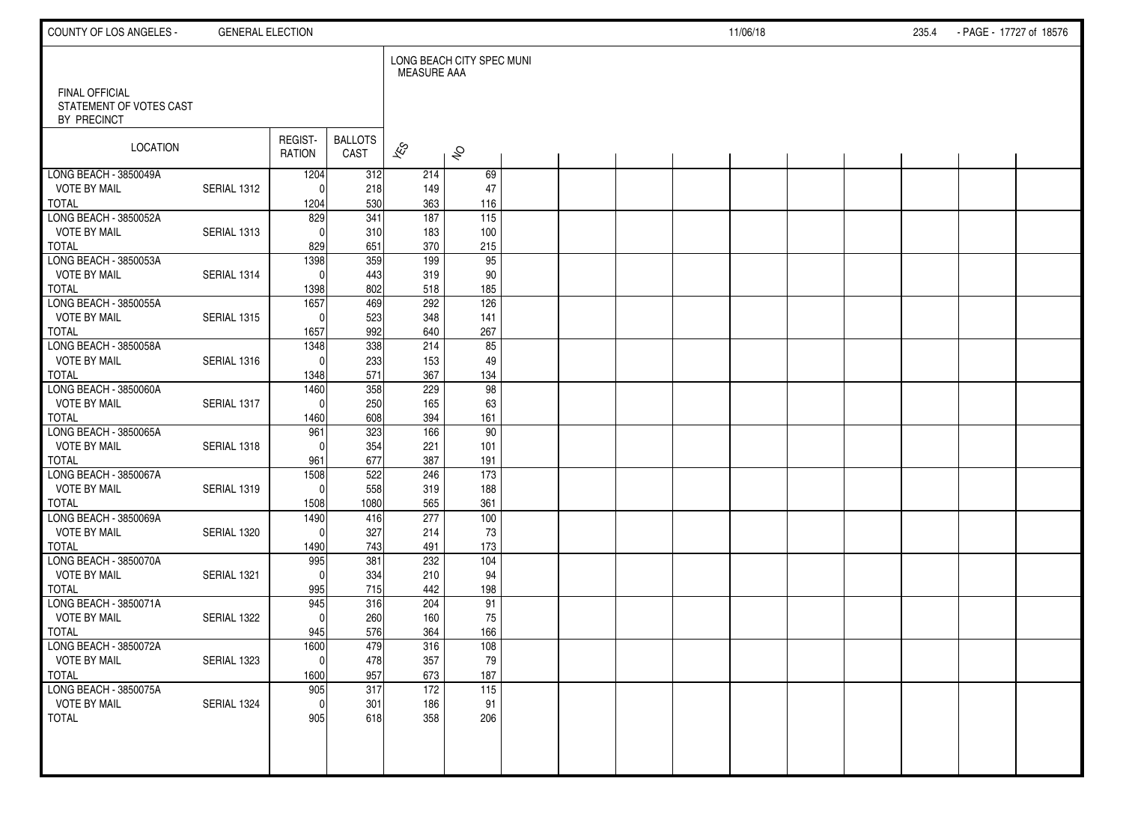| COUNTY OF LOS ANGELES -                      | <b>GENERAL ELECTION</b> |                   |                        |                    |                           |  |  | 11/06/18 |  | 235.4 | - PAGE - 17727 of 18576 |  |
|----------------------------------------------|-------------------------|-------------------|------------------------|--------------------|---------------------------|--|--|----------|--|-------|-------------------------|--|
| <b>FINAL OFFICIAL</b>                        |                         |                   |                        | <b>MEASURE AAA</b> | LONG BEACH CITY SPEC MUNI |  |  |          |  |       |                         |  |
| STATEMENT OF VOTES CAST<br>BY PRECINCT       |                         |                   |                        |                    |                           |  |  |          |  |       |                         |  |
| LOCATION                                     |                         | REGIST-<br>RATION | <b>BALLOTS</b><br>CAST | $\mathbf{\hat{z}}$ | $\hat{\mathcal{S}}$       |  |  |          |  |       |                         |  |
| LONG BEACH - 3850049A                        |                         | 1204              | 312                    | 214                | 69                        |  |  |          |  |       |                         |  |
| <b>VOTE BY MAIL</b><br>TOTAL                 | SERIAL 1312             | $\Omega$<br>1204  | 218<br>530             | 149<br>363         | 47<br>116                 |  |  |          |  |       |                         |  |
| LONG BEACH - 3850052A                        |                         | 829               | 341                    | 187                | 115                       |  |  |          |  |       |                         |  |
| <b>VOTE BY MAIL</b>                          | SERIAL 1313             | $\Omega$          | 310                    | 183                | 100                       |  |  |          |  |       |                         |  |
| <b>TOTAL</b>                                 |                         | 829               | 651                    | 370                | 215                       |  |  |          |  |       |                         |  |
| LONG BEACH - 3850053A                        |                         | 1398              | 359                    | 199                | 95                        |  |  |          |  |       |                         |  |
| <b>VOTE BY MAIL</b>                          | SERIAL 1314             | $\Omega$          | 443                    | 319                | 90                        |  |  |          |  |       |                         |  |
| <b>TOTAL</b>                                 |                         | 1398              | 802                    | 518                | 185                       |  |  |          |  |       |                         |  |
| LONG BEACH - 3850055A                        |                         | 1657              | 469                    | 292                | 126                       |  |  |          |  |       |                         |  |
| <b>VOTE BY MAIL</b>                          | SERIAL 1315             | $\Omega$          | 523                    | 348                | 141                       |  |  |          |  |       |                         |  |
| <b>TOTAL</b><br>LONG BEACH - 3850058A        |                         | 1657<br>1348      | 992<br>338             | 640<br>214         | 267<br>85                 |  |  |          |  |       |                         |  |
| <b>VOTE BY MAIL</b>                          | SERIAL 1316             | $\Omega$          | 233                    | 153                | 49                        |  |  |          |  |       |                         |  |
| <b>TOTAL</b>                                 |                         | 1348              | 571                    | 367                | 134                       |  |  |          |  |       |                         |  |
| LONG BEACH - 3850060A                        |                         | 1460              | 358                    | 229                | 98                        |  |  |          |  |       |                         |  |
| <b>VOTE BY MAIL</b>                          | SERIAL 1317             | $\mathbf{0}$      | 250                    | 165                | 63                        |  |  |          |  |       |                         |  |
| <b>TOTAL</b>                                 |                         | 1460              | 608                    | 394                | 161                       |  |  |          |  |       |                         |  |
| LONG BEACH - 3850065A                        |                         | 961               | 323                    | 166                | 90                        |  |  |          |  |       |                         |  |
| <b>VOTE BY MAIL</b>                          | SERIAL 1318             | $\Omega$          | 354                    | 221                | 101                       |  |  |          |  |       |                         |  |
| <b>TOTAL</b>                                 |                         | 961               | 677                    | 387                | 191                       |  |  |          |  |       |                         |  |
| LONG BEACH - 3850067A                        |                         | 1508              | 522                    | 246                | $\overline{173}$          |  |  |          |  |       |                         |  |
| <b>VOTE BY MAIL</b>                          | SERIAL 1319             | $\mathbf{0}$      | 558                    | 319                | 188                       |  |  |          |  |       |                         |  |
| <b>TOTAL</b>                                 |                         | 1508              | 1080                   | 565<br>277         | 361                       |  |  |          |  |       |                         |  |
| LONG BEACH - 3850069A<br><b>VOTE BY MAIL</b> | SERIAL 1320             | 1490<br>$\Omega$  | 416<br>327             | 214                | 100<br>73                 |  |  |          |  |       |                         |  |
| <b>TOTAL</b>                                 |                         | 1490              | 743                    | 491                | 173                       |  |  |          |  |       |                         |  |
| LONG BEACH - 3850070A                        |                         | 995               | 381                    | 232                | 104                       |  |  |          |  |       |                         |  |
| <b>VOTE BY MAIL</b>                          | SERIAL 1321             | $\Omega$          | 334                    | 210                | 94                        |  |  |          |  |       |                         |  |
| <b>TOTAL</b>                                 |                         | 995               | 715                    | 442                | 198                       |  |  |          |  |       |                         |  |
| LONG BEACH - 3850071A                        |                         | 945               | 316                    | 204                | 91                        |  |  |          |  |       |                         |  |
| <b>VOTE BY MAIL</b>                          | SERIAL 1322             | $\Omega$          | 260                    | 160                | 75                        |  |  |          |  |       |                         |  |
| <b>TOTAL</b>                                 |                         | 945               | 576                    | 364                | 166                       |  |  |          |  |       |                         |  |
| LONG BEACH - 3850072A                        |                         | 1600              | 479                    | 316                | 108                       |  |  |          |  |       |                         |  |
| <b>VOTE BY MAIL</b>                          | SERIAL 1323             | 0                 | 478                    | 357                | 79                        |  |  |          |  |       |                         |  |
| <b>TOTAL</b>                                 |                         | 1600              | 957                    | 673                | 187                       |  |  |          |  |       |                         |  |
| LONG BEACH - 3850075A                        |                         | 905               | 317                    | $\overline{172}$   | $\overline{115}$          |  |  |          |  |       |                         |  |
| <b>VOTE BY MAIL</b><br>TOTAL                 | SERIAL 1324             | 0                 | 301<br>618             | 186<br>358         | 91<br>206                 |  |  |          |  |       |                         |  |
|                                              |                         | 905               |                        |                    |                           |  |  |          |  |       |                         |  |
|                                              |                         |                   |                        |                    |                           |  |  |          |  |       |                         |  |
|                                              |                         |                   |                        |                    |                           |  |  |          |  |       |                         |  |
|                                              |                         |                   |                        |                    |                           |  |  |          |  |       |                         |  |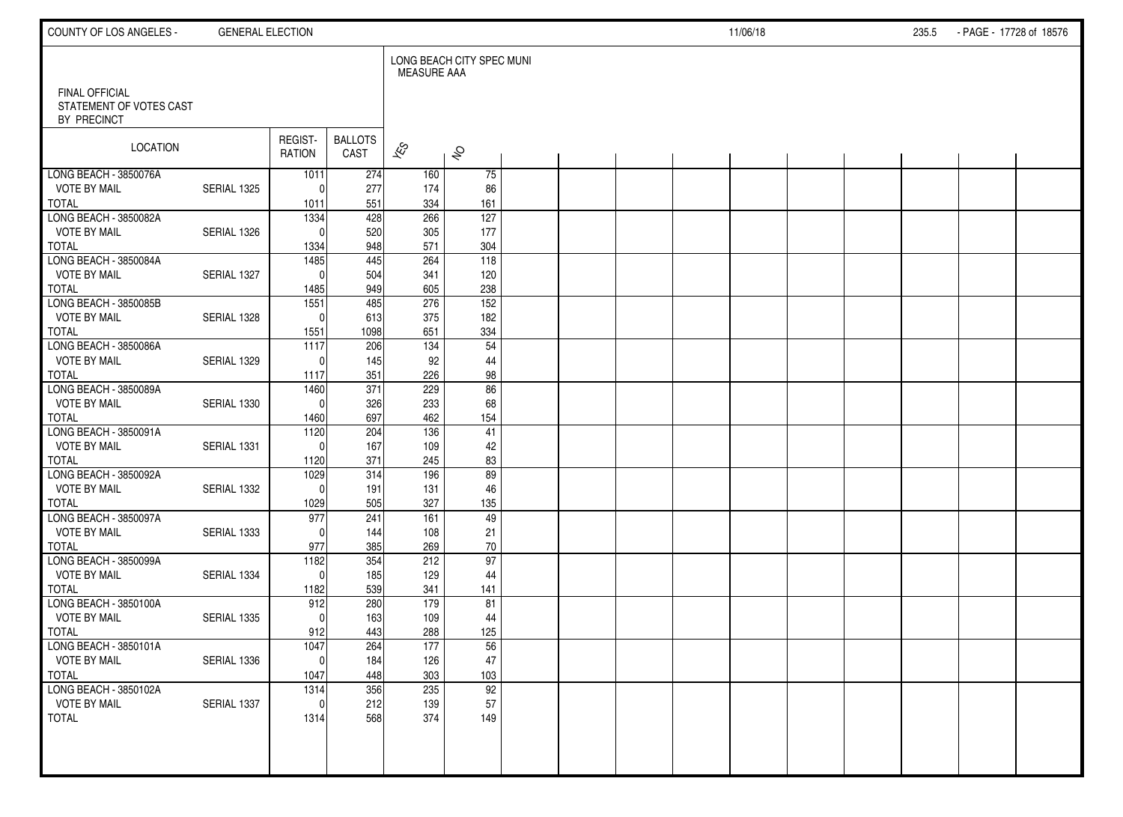| COUNTY OF LOS ANGELES -                                         | <b>GENERAL ELECTION</b> |                          |                        |                    |                           |  |  | 11/06/18 |  | 235.5 | - PAGE - 17728 of 18576 |  |
|-----------------------------------------------------------------|-------------------------|--------------------------|------------------------|--------------------|---------------------------|--|--|----------|--|-------|-------------------------|--|
|                                                                 |                         |                          |                        | <b>MEASURE AAA</b> | LONG BEACH CITY SPEC MUNI |  |  |          |  |       |                         |  |
| <b>FINAL OFFICIAL</b><br>STATEMENT OF VOTES CAST<br>BY PRECINCT |                         |                          |                        |                    |                           |  |  |          |  |       |                         |  |
| LOCATION                                                        |                         | REGIST-<br>RATION        | <b>BALLOTS</b><br>CAST | $\mathbf{\hat{z}}$ | $\hat{\mathcal{S}}$       |  |  |          |  |       |                         |  |
| LONG BEACH - 3850076A                                           |                         | 1011                     | 274                    | 160                | 75                        |  |  |          |  |       |                         |  |
| <b>VOTE BY MAIL</b>                                             | SERIAL 1325             | $\Omega$                 | 277                    | 174                | 86                        |  |  |          |  |       |                         |  |
| TOTAL<br>LONG BEACH - 3850082A                                  |                         | 1011<br>1334             | 551<br>428             | 334<br>266         | 161<br>$\overline{127}$   |  |  |          |  |       |                         |  |
| <b>VOTE BY MAIL</b>                                             | SERIAL 1326             | $\Omega$                 | 520                    | 305                | 177                       |  |  |          |  |       |                         |  |
| <b>TOTAL</b>                                                    |                         | 1334                     | 948                    | 571                | 304                       |  |  |          |  |       |                         |  |
| LONG BEACH - 3850084A                                           |                         | 1485                     | 445                    | 264                | $\frac{118}{ }$           |  |  |          |  |       |                         |  |
| <b>VOTE BY MAIL</b>                                             | SERIAL 1327             | $\Omega$                 | 504                    | 341                | 120                       |  |  |          |  |       |                         |  |
| <b>TOTAL</b>                                                    |                         | 1485                     | 949                    | 605                | 238                       |  |  |          |  |       |                         |  |
| LONG BEACH - 3850085B                                           |                         | 1551                     | 485                    | 276                | 152                       |  |  |          |  |       |                         |  |
| <b>VOTE BY MAIL</b>                                             | SERIAL 1328             | $\mathbf{0}$             | 613                    | 375                | 182                       |  |  |          |  |       |                         |  |
| <b>TOTAL</b>                                                    |                         | 1551                     | 1098                   | 651                | 334                       |  |  |          |  |       |                         |  |
| LONG BEACH - 3850086A                                           |                         | 1117                     | 206                    | 134                | 54                        |  |  |          |  |       |                         |  |
| <b>VOTE BY MAIL</b>                                             | SERIAL 1329             | $\Omega$                 | 145                    | 92                 | 44                        |  |  |          |  |       |                         |  |
| <b>TOTAL</b>                                                    |                         | 1117                     | 351                    | 226                | 98                        |  |  |          |  |       |                         |  |
| LONG BEACH - 3850089A                                           |                         | 1460                     | $\overline{371}$       | 229                | 86                        |  |  |          |  |       |                         |  |
| <b>VOTE BY MAIL</b>                                             | SERIAL 1330             | $\mathbf{0}$             | 326                    | 233                | 68                        |  |  |          |  |       |                         |  |
| <b>TOTAL</b><br>LONG BEACH - 3850091A                           |                         | 1460<br>$\frac{1120}{ }$ | 697<br>204             | 462<br>136         | 154<br>41                 |  |  |          |  |       |                         |  |
| <b>VOTE BY MAIL</b>                                             | SERIAL 1331             | $\Omega$                 | 167                    | 109                | 42                        |  |  |          |  |       |                         |  |
| <b>TOTAL</b>                                                    |                         | 1120                     | 371                    | 245                | 83                        |  |  |          |  |       |                         |  |
| LONG BEACH - 3850092A                                           |                         | 1029                     | 314                    | 196                | 89                        |  |  |          |  |       |                         |  |
| <b>VOTE BY MAIL</b>                                             | SERIAL 1332             | $\Omega$                 | 191                    | 131                | 46                        |  |  |          |  |       |                         |  |
| <b>TOTAL</b>                                                    |                         | 1029                     | 505                    | 327                | 135                       |  |  |          |  |       |                         |  |
| LONG BEACH - 3850097A                                           |                         | 977                      | 241                    | 161                | 49                        |  |  |          |  |       |                         |  |
| <b>VOTE BY MAIL</b>                                             | SERIAL 1333             | $\Omega$                 | 144                    | 108                | 21                        |  |  |          |  |       |                         |  |
| <b>TOTAL</b>                                                    |                         | 977                      | 385                    | 269                | 70                        |  |  |          |  |       |                         |  |
| LONG BEACH - 3850099A                                           |                         | 1182                     | 354                    | 212                | 97                        |  |  |          |  |       |                         |  |
| <b>VOTE BY MAIL</b>                                             | SERIAL 1334             | $\Omega$                 | 185                    | 129                | 44                        |  |  |          |  |       |                         |  |
| <b>TOTAL</b>                                                    |                         | 1182                     | 539                    | 341                | 141                       |  |  |          |  |       |                         |  |
| LONG BEACH - 3850100A                                           |                         | 912                      | 280                    | 179                | 81                        |  |  |          |  |       |                         |  |
| <b>VOTE BY MAIL</b>                                             | SERIAL 1335             | $\Omega$                 | 163                    | 109                | 44                        |  |  |          |  |       |                         |  |
| <b>TOTAL</b><br>LONG BEACH - 3850101A                           |                         | 912<br>1047              | 443<br>264             | 288<br>177         | 125<br>56                 |  |  |          |  |       |                         |  |
| <b>VOTE BY MAIL</b>                                             | SERIAL 1336             | 0                        | 184                    | 126                | $47\,$                    |  |  |          |  |       |                         |  |
| <b>TOTAL</b>                                                    |                         | 1047                     | 448                    | 303                | 103                       |  |  |          |  |       |                         |  |
| LONG BEACH - 3850102A                                           |                         | 1314                     | 356                    | 235                | $\overline{92}$           |  |  |          |  |       |                         |  |
| <b>VOTE BY MAIL</b>                                             | SERIAL 1337             | $\mathbf{0}$             | 212                    | 139                | 57                        |  |  |          |  |       |                         |  |
| TOTAL                                                           |                         | 1314                     | 568                    | 374                | 149                       |  |  |          |  |       |                         |  |
|                                                                 |                         |                          |                        |                    |                           |  |  |          |  |       |                         |  |
|                                                                 |                         |                          |                        |                    |                           |  |  |          |  |       |                         |  |
|                                                                 |                         |                          |                        |                    |                           |  |  |          |  |       |                         |  |
|                                                                 |                         |                          |                        |                    |                           |  |  |          |  |       |                         |  |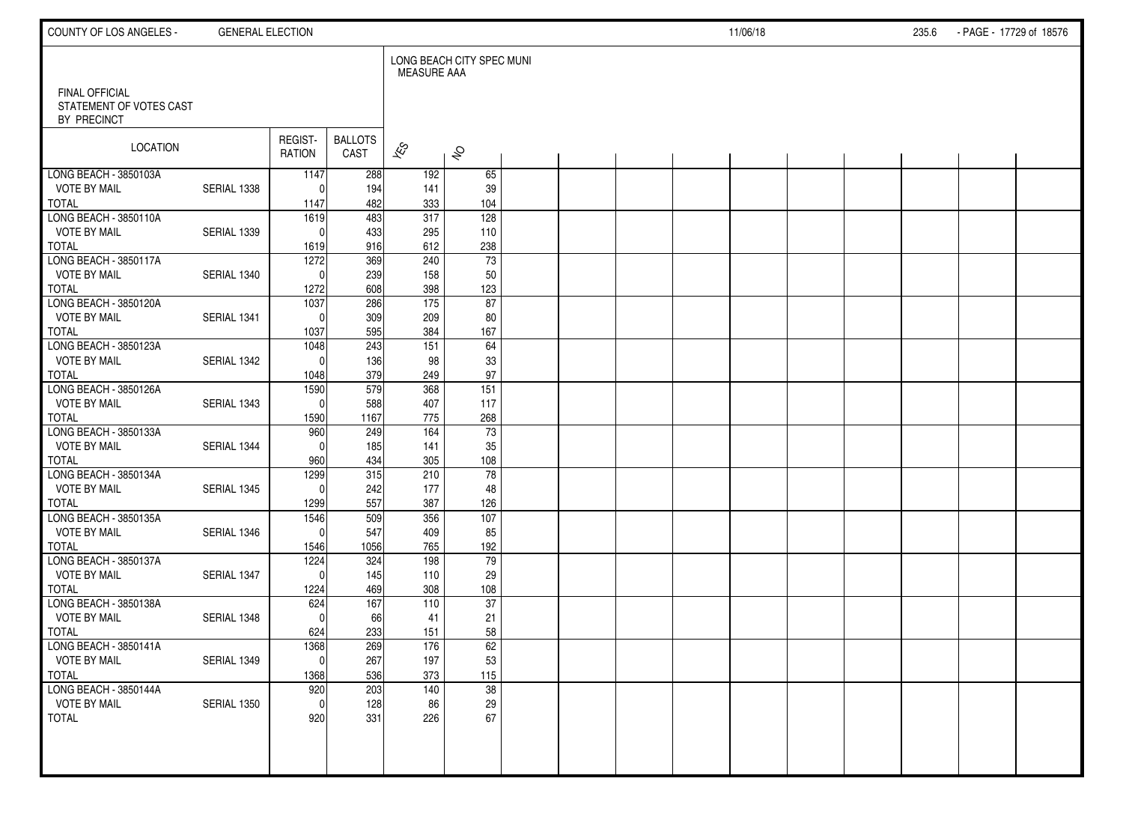| COUNTY OF LOS ANGELES -                      | <b>GENERAL ELECTION</b> |                     |                        |                       |                           |  |  | 11/06/18 |  | 235.6 | - PAGE - 17729 of 18576 |  |
|----------------------------------------------|-------------------------|---------------------|------------------------|-----------------------|---------------------------|--|--|----------|--|-------|-------------------------|--|
| <b>FINAL OFFICIAL</b>                        |                         |                     |                        | <b>MEASURE AAA</b>    | LONG BEACH CITY SPEC MUNI |  |  |          |  |       |                         |  |
| STATEMENT OF VOTES CAST<br>BY PRECINCT       |                         |                     |                        |                       |                           |  |  |          |  |       |                         |  |
| LOCATION                                     |                         | REGIST-<br>RATION   | <b>BALLOTS</b><br>CAST | $\mathbf{\hat{z}}$    | $\hat{\mathcal{S}}$       |  |  |          |  |       |                         |  |
| LONG BEACH - 3850103A<br><b>VOTE BY MAIL</b> | SERIAL 1338             | 1147<br>$\Omega$    | 288<br>194             | 192                   | 65                        |  |  |          |  |       |                         |  |
| TOTAL                                        |                         | 1147                | 482                    | 141<br>333            | 39<br>104                 |  |  |          |  |       |                         |  |
| LONG BEACH - 3850110A                        |                         | 1619                | 483                    | 317                   | 128                       |  |  |          |  |       |                         |  |
| <b>VOTE BY MAIL</b>                          | SERIAL 1339             | $\mathbf{0}$        | 433                    | 295                   | 110                       |  |  |          |  |       |                         |  |
| <b>TOTAL</b>                                 |                         | 1619                | 916                    | 612                   | 238                       |  |  |          |  |       |                         |  |
| LONG BEACH - 3850117A                        |                         | 1272                | 369                    | 240                   | $\overline{73}$           |  |  |          |  |       |                         |  |
| <b>VOTE BY MAIL</b><br><b>TOTAL</b>          | SERIAL 1340             | $\Omega$<br>1272    | 239<br>608             | 158<br>398            | 50<br>123                 |  |  |          |  |       |                         |  |
| LONG BEACH - 3850120A                        |                         | 1037                | 286                    | 175                   | 87                        |  |  |          |  |       |                         |  |
| <b>VOTE BY MAIL</b>                          | SERIAL 1341             | $\Omega$            | 309                    | 209                   | 80                        |  |  |          |  |       |                         |  |
| <b>TOTAL</b>                                 |                         | 1037                | 595                    | 384                   | 167                       |  |  |          |  |       |                         |  |
| LONG BEACH - 3850123A                        |                         | 1048                | 243                    | 151                   | 64                        |  |  |          |  |       |                         |  |
| <b>VOTE BY MAIL</b>                          | SERIAL 1342             | $\Omega$            | 136                    | 98                    | 33                        |  |  |          |  |       |                         |  |
| TOTAL<br>LONG BEACH - 3850126A               |                         | 1048<br>1590        | 379<br>579             | 249<br>368            | 97<br>151                 |  |  |          |  |       |                         |  |
| <b>VOTE BY MAIL</b>                          | SERIAL 1343             | $\mathbf{0}$        | 588                    | 407                   | 117                       |  |  |          |  |       |                         |  |
| TOTAL                                        |                         | 1590                | 1167                   | 775                   | 268                       |  |  |          |  |       |                         |  |
| LONG BEACH - 3850133A                        |                         | 960                 | 249                    | 164                   | $\overline{73}$           |  |  |          |  |       |                         |  |
| <b>VOTE BY MAIL</b>                          | SERIAL 1344             | $\Omega$            | 185                    | 141                   | 35                        |  |  |          |  |       |                         |  |
| <b>TOTAL</b>                                 |                         | 960                 | 434                    | 305                   | 108                       |  |  |          |  |       |                         |  |
| LONG BEACH - 3850134A                        |                         | 1299                | 315                    | 210                   | 78                        |  |  |          |  |       |                         |  |
| <b>VOTE BY MAIL</b><br><b>TOTAL</b>          | SERIAL 1345             | $\Omega$<br>1299    | 242<br>557             | 177<br>387            | 48<br>126                 |  |  |          |  |       |                         |  |
| LONG BEACH - 3850135A                        |                         | 1546                | 509                    | 356                   | 107                       |  |  |          |  |       |                         |  |
| <b>VOTE BY MAIL</b>                          | SERIAL 1346             | $\mathbf{0}$        | 547                    | 409                   | 85                        |  |  |          |  |       |                         |  |
| <b>TOTAL</b>                                 |                         | 1546                | 1056                   | 765                   | 192                       |  |  |          |  |       |                         |  |
| LONG BEACH - 3850137A                        |                         | 1224                | 324                    | 198                   | 79                        |  |  |          |  |       |                         |  |
| <b>VOTE BY MAIL</b>                          | SERIAL 1347             | $\Omega$            | 145                    | 110                   | 29                        |  |  |          |  |       |                         |  |
| <b>TOTAL</b><br>LONG BEACH - 3850138A        |                         | 1224<br>624         | 469<br>167             | 308<br>110            | 108<br>37                 |  |  |          |  |       |                         |  |
| <b>VOTE BY MAIL</b>                          | SERIAL 1348             | $\Omega$            | 66                     | 41                    | 21                        |  |  |          |  |       |                         |  |
| <b>TOTAL</b>                                 |                         | 624                 | 233                    | 151                   | 58                        |  |  |          |  |       |                         |  |
| LONG BEACH - 3850141A                        |                         | 1368                | 269                    | 176                   | 62                        |  |  |          |  |       |                         |  |
| <b>VOTE BY MAIL</b>                          | SERIAL 1349             | 0                   | 267                    | 197                   | 53                        |  |  |          |  |       |                         |  |
| TOTAL                                        |                         | 1368                | 536                    | 373                   | 115                       |  |  |          |  |       |                         |  |
| LONG BEACH - 3850144A<br><b>VOTE BY MAIL</b> | SERIAL 1350             | 920<br>$\mathbf{0}$ | 203<br>128             | $\frac{140}{ }$<br>86 | $\overline{38}$           |  |  |          |  |       |                         |  |
| TOTAL                                        |                         | 920                 | 331                    | 226                   | 29<br>67                  |  |  |          |  |       |                         |  |
|                                              |                         |                     |                        |                       |                           |  |  |          |  |       |                         |  |
|                                              |                         |                     |                        |                       |                           |  |  |          |  |       |                         |  |
|                                              |                         |                     |                        |                       |                           |  |  |          |  |       |                         |  |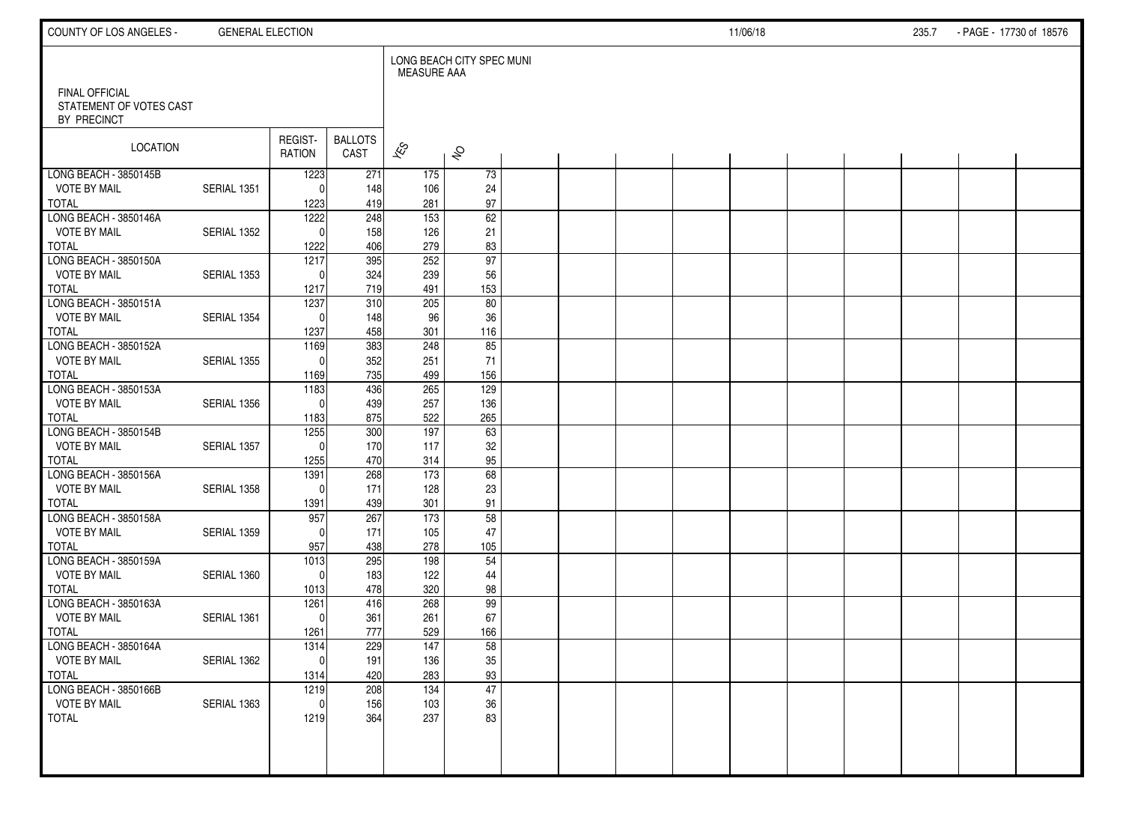| COUNTY OF LOS ANGELES -                                         | <b>GENERAL ELECTION</b> |                          |                        |                          |                           |  |  | 11/06/18 |  | 235.7 | - PAGE - 17730 of 18576 |  |
|-----------------------------------------------------------------|-------------------------|--------------------------|------------------------|--------------------------|---------------------------|--|--|----------|--|-------|-------------------------|--|
|                                                                 |                         |                          |                        | MEASURE AAA              | LONG BEACH CITY SPEC MUNI |  |  |          |  |       |                         |  |
| <b>FINAL OFFICIAL</b><br>STATEMENT OF VOTES CAST<br>BY PRECINCT |                         |                          |                        |                          |                           |  |  |          |  |       |                         |  |
| LOCATION                                                        |                         | REGIST-<br><b>RATION</b> | <b>BALLOTS</b><br>CAST | $\overline{\mathscr{K}}$ | $\hat{\mathcal{S}}$       |  |  |          |  |       |                         |  |
| LONG BEACH - 3850145B                                           |                         | 1223                     | 271                    | 175                      | 73                        |  |  |          |  |       |                         |  |
| <b>VOTE BY MAIL</b>                                             | SERIAL 1351             | $\Omega$                 | 148                    | 106                      | 24                        |  |  |          |  |       |                         |  |
| <b>TOTAL</b>                                                    |                         | 1223                     | 419                    | 281                      | 97                        |  |  |          |  |       |                         |  |
| LONG BEACH - 3850146A                                           |                         | 1222<br>$\Omega$         | 248                    | 153                      | 62                        |  |  |          |  |       |                         |  |
| <b>VOTE BY MAIL</b><br><b>TOTAL</b>                             | SERIAL 1352             | 1222                     | 158<br>406             | 126<br>279               | 21<br>83                  |  |  |          |  |       |                         |  |
| LONG BEACH - 3850150A                                           |                         | 1217                     | 395                    | 252                      | 97                        |  |  |          |  |       |                         |  |
| <b>VOTE BY MAIL</b>                                             | SERIAL 1353             | $\Omega$                 | 324                    | 239                      | 56                        |  |  |          |  |       |                         |  |
| <b>TOTAL</b>                                                    |                         | 1217                     | 719                    | 491                      | 153                       |  |  |          |  |       |                         |  |
| LONG BEACH - 3850151A                                           |                         | 1237                     | 310                    | 205                      | 80                        |  |  |          |  |       |                         |  |
| <b>VOTE BY MAIL</b>                                             | SERIAL 1354             | $\Omega$                 | 148                    | 96                       | 36                        |  |  |          |  |       |                         |  |
| <b>TOTAL</b>                                                    |                         | 1237                     | 458                    | 301                      | 116                       |  |  |          |  |       |                         |  |
| LONG BEACH - 3850152A                                           |                         | 1169                     | 383                    | 248                      | $\overline{85}$           |  |  |          |  |       |                         |  |
| <b>VOTE BY MAIL</b>                                             | SERIAL 1355             | $\Omega$                 | 352                    | 251                      | 71                        |  |  |          |  |       |                         |  |
| <b>TOTAL</b>                                                    |                         | 1169                     | 735                    | 499                      | 156                       |  |  |          |  |       |                         |  |
| LONG BEACH - 3850153A                                           |                         | 1183                     | 436                    | 265                      | 129                       |  |  |          |  |       |                         |  |
| <b>VOTE BY MAIL</b>                                             | SERIAL 1356             | $\Omega$                 | 439                    | 257                      | 136                       |  |  |          |  |       |                         |  |
| <b>TOTAL</b>                                                    |                         | 1183                     | 875                    | 522                      | 265                       |  |  |          |  |       |                         |  |
| LONG BEACH - 3850154B<br><b>VOTE BY MAIL</b>                    |                         | 1255<br>$\Omega$         | 300<br>170             | 197<br>117               | 63                        |  |  |          |  |       |                         |  |
| <b>TOTAL</b>                                                    | SERIAL 1357             | 1255                     | 470                    | 314                      | 32<br>95                  |  |  |          |  |       |                         |  |
| LONG BEACH - 3850156A                                           |                         | 1391                     | 268                    | 173                      | 68                        |  |  |          |  |       |                         |  |
| <b>VOTE BY MAIL</b>                                             | SERIAL 1358             | $\Omega$                 | 171                    | 128                      | 23                        |  |  |          |  |       |                         |  |
| <b>TOTAL</b>                                                    |                         | 1391                     | 439                    | 301                      | 91                        |  |  |          |  |       |                         |  |
| LONG BEACH - 3850158A                                           |                         | 957                      | 267                    | 173                      | 58                        |  |  |          |  |       |                         |  |
| <b>VOTE BY MAIL</b>                                             | SERIAL 1359             | $\Omega$                 | 171                    | 105                      | 47                        |  |  |          |  |       |                         |  |
| <b>TOTAL</b>                                                    |                         | 957                      | 438                    | 278                      | 105                       |  |  |          |  |       |                         |  |
| LONG BEACH - 3850159A                                           |                         | $\frac{1013}{2}$         | 295                    | 198                      | 54                        |  |  |          |  |       |                         |  |
| <b>VOTE BY MAIL</b>                                             | SERIAL 1360             | $\mathbf{0}$             | 183                    | 122                      | 44                        |  |  |          |  |       |                         |  |
| <b>TOTAL</b>                                                    |                         | 1013                     | 478                    | 320                      | 98                        |  |  |          |  |       |                         |  |
| LONG BEACH - 3850163A                                           |                         | 1261                     | 416                    | 268                      | 99                        |  |  |          |  |       |                         |  |
| <b>VOTE BY MAIL</b>                                             | SERIAL 1361             | $\mathbf{0}$             | 361                    | 261                      | 67                        |  |  |          |  |       |                         |  |
| <b>TOTAL</b><br>LONG BEACH - 3850164A                           |                         | 1261                     | 777                    | 529                      | 166                       |  |  |          |  |       |                         |  |
| <b>VOTE BY MAIL</b>                                             | SERIAL 1362             | 1314<br>0                | 229<br>191             | 147<br>136               | 58<br>$35\,$              |  |  |          |  |       |                         |  |
| <b>TOTAL</b>                                                    |                         | 1314                     | 420                    | 283                      | 93                        |  |  |          |  |       |                         |  |
| LONG BEACH - 3850166B                                           |                         | 1219                     | 208                    | 134                      | 47                        |  |  |          |  |       |                         |  |
| <b>VOTE BY MAIL</b>                                             | SERIAL 1363             | $\mathbf{0}$             | 156                    | 103                      | 36                        |  |  |          |  |       |                         |  |
| <b>TOTAL</b>                                                    |                         | 1219                     | 364                    | 237                      | 83                        |  |  |          |  |       |                         |  |
|                                                                 |                         |                          |                        |                          |                           |  |  |          |  |       |                         |  |
|                                                                 |                         |                          |                        |                          |                           |  |  |          |  |       |                         |  |
|                                                                 |                         |                          |                        |                          |                           |  |  |          |  |       |                         |  |
|                                                                 |                         |                          |                        |                          |                           |  |  |          |  |       |                         |  |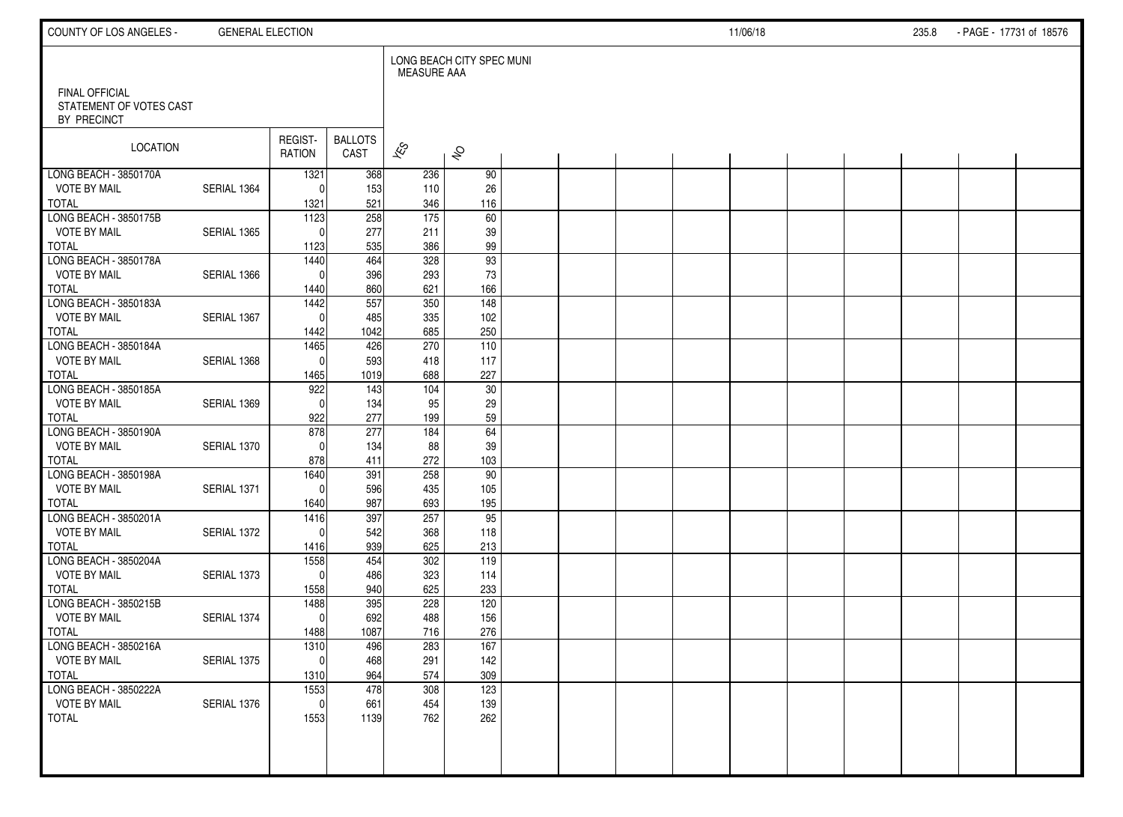| COUNTY OF LOS ANGELES -                | <b>GENERAL ELECTION</b> |                      |                        |                          |                           |  |  | 11/06/18 |  | 235.8 | - PAGE - 17731 of 18576 |  |
|----------------------------------------|-------------------------|----------------------|------------------------|--------------------------|---------------------------|--|--|----------|--|-------|-------------------------|--|
| <b>FINAL OFFICIAL</b>                  |                         |                      |                        | <b>MEASURE AAA</b>       | LONG BEACH CITY SPEC MUNI |  |  |          |  |       |                         |  |
| STATEMENT OF VOTES CAST<br>BY PRECINCT |                         |                      |                        |                          |                           |  |  |          |  |       |                         |  |
| LOCATION                               |                         | REGIST-<br>RATION    | <b>BALLOTS</b><br>CAST | $\overline{\mathscr{K}}$ | $\hat{\mathcal{S}}$       |  |  |          |  |       |                         |  |
| LONG BEACH - 3850170A                  | SERIAL 1364             | 1321                 | 368                    | 236                      | 90                        |  |  |          |  |       |                         |  |
| <b>VOTE BY MAIL</b><br>TOTAL           |                         | $\Omega$<br>1321     | 153<br>521             | 110<br>346               | 26<br>116                 |  |  |          |  |       |                         |  |
| LONG BEACH - 3850175B                  |                         | 1123                 | 258                    | 175                      | 60                        |  |  |          |  |       |                         |  |
| <b>VOTE BY MAIL</b>                    | SERIAL 1365             | $\Omega$             | 277                    | 211                      | 39                        |  |  |          |  |       |                         |  |
| <b>TOTAL</b>                           |                         | 1123                 | 535                    | 386                      | 99                        |  |  |          |  |       |                         |  |
| LONG BEACH - 3850178A                  |                         | 1440                 | 464                    | 328                      | $\overline{93}$           |  |  |          |  |       |                         |  |
| <b>VOTE BY MAIL</b>                    | SERIAL 1366             | $\Omega$             | 396                    | 293                      | 73                        |  |  |          |  |       |                         |  |
| <b>TOTAL</b><br>LONG BEACH - 3850183A  |                         | 1440<br>1442         | 860<br>557             | 621<br>350               | 166<br>148                |  |  |          |  |       |                         |  |
| <b>VOTE BY MAIL</b>                    | SERIAL 1367             | $\mathbf{0}$         | 485                    | 335                      | 102                       |  |  |          |  |       |                         |  |
| <b>TOTAL</b>                           |                         | 1442                 | 1042                   | 685                      | 250                       |  |  |          |  |       |                         |  |
| LONG BEACH - 3850184A                  |                         | 1465                 | 426                    | 270                      | 110                       |  |  |          |  |       |                         |  |
| <b>VOTE BY MAIL</b>                    | SERIAL 1368             | $\mathbf{0}$         | 593                    | 418                      | 117                       |  |  |          |  |       |                         |  |
| TOTAL                                  |                         | 1465                 | 1019                   | 688                      | 227                       |  |  |          |  |       |                         |  |
| LONG BEACH - 3850185A                  |                         | 922                  | 143                    | 104                      | 30                        |  |  |          |  |       |                         |  |
| <b>VOTE BY MAIL</b>                    | SERIAL 1369             | $\mathbf{0}$         | 134                    | 95                       | 29                        |  |  |          |  |       |                         |  |
| TOTAL<br>LONG BEACH - 3850190A         |                         | 922<br>878           | 277<br>277             | 199<br>184               | 59<br>64                  |  |  |          |  |       |                         |  |
| <b>VOTE BY MAIL</b>                    | SERIAL 1370             | $\Omega$             | 134                    | 88                       | 39                        |  |  |          |  |       |                         |  |
| <b>TOTAL</b>                           |                         | 878                  | 411                    | 272                      | 103                       |  |  |          |  |       |                         |  |
| LONG BEACH - 3850198A                  |                         | 1640                 | 391                    | 258                      | 90                        |  |  |          |  |       |                         |  |
| <b>VOTE BY MAIL</b>                    | SERIAL 1371             | $\mathbf{0}$         | 596                    | 435                      | 105                       |  |  |          |  |       |                         |  |
| <b>TOTAL</b>                           |                         | 1640                 | 987                    | 693                      | 195                       |  |  |          |  |       |                         |  |
| LONG BEACH - 3850201A                  |                         | 1416                 | 397                    | 257                      | 95                        |  |  |          |  |       |                         |  |
| <b>VOTE BY MAIL</b>                    | SERIAL 1372             | $\Omega$             | 542                    | 368                      | 118                       |  |  |          |  |       |                         |  |
| <b>TOTAL</b><br>LONG BEACH - 3850204A  |                         | 1416<br>1558         | 939<br>454             | 625<br>302               | 213<br>119                |  |  |          |  |       |                         |  |
| <b>VOTE BY MAIL</b>                    | SERIAL 1373             | $\Omega$             | 486                    | 323                      | 114                       |  |  |          |  |       |                         |  |
| <b>TOTAL</b>                           |                         | 1558                 | 940                    | 625                      | 233                       |  |  |          |  |       |                         |  |
| LONG BEACH - 3850215B                  |                         | 1488                 | 395                    | 228                      | 120                       |  |  |          |  |       |                         |  |
| <b>VOTE BY MAIL</b>                    | SERIAL 1374             | $\mathbf 0$          | 692                    | 488                      | 156                       |  |  |          |  |       |                         |  |
| <b>TOTAL</b>                           |                         | 1488                 | 1087                   | 716                      | 276                       |  |  |          |  |       |                         |  |
| LONG BEACH - 3850216A                  |                         | 1310                 | 496                    | 283                      | 167                       |  |  |          |  |       |                         |  |
| <b>VOTE BY MAIL</b>                    | SERIAL 1375             | -ol                  | 468                    | 291                      | 142                       |  |  |          |  |       |                         |  |
| TOTAL                                  |                         | 1310                 | 964                    | 574                      | 309                       |  |  |          |  |       |                         |  |
| LONG BEACH - 3850222A                  |                         | 1553                 | 478                    | 308                      | 123                       |  |  |          |  |       |                         |  |
| <b>VOTE BY MAIL</b><br>TOTAL           | SERIAL 1376             | $\mathbf{0}$<br>1553 | 661<br>1139            | 454<br>762               | 139<br>262                |  |  |          |  |       |                         |  |
|                                        |                         |                      |                        |                          |                           |  |  |          |  |       |                         |  |
|                                        |                         |                      |                        |                          |                           |  |  |          |  |       |                         |  |
|                                        |                         |                      |                        |                          |                           |  |  |          |  |       |                         |  |
|                                        |                         |                      |                        |                          |                           |  |  |          |  |       |                         |  |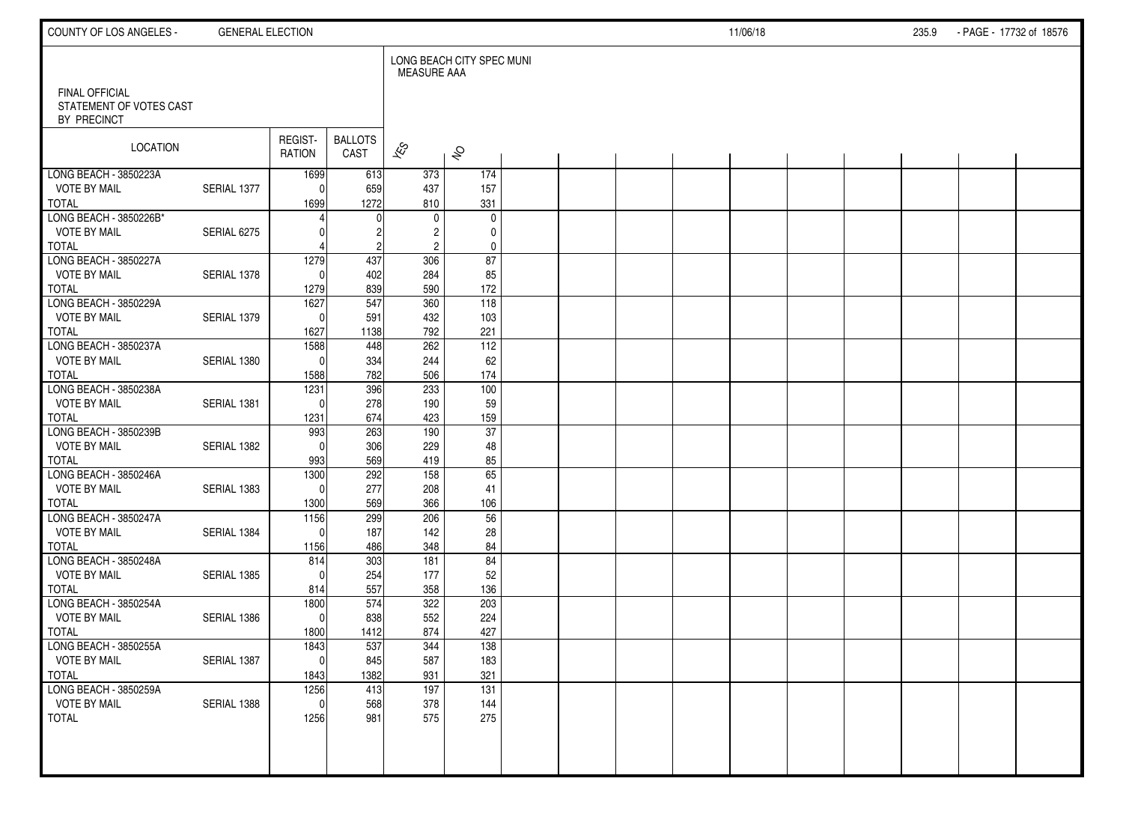| COUNTY OF LOS ANGELES -                      | <b>GENERAL ELECTION</b> |                     |                        |                    |                           |  |  | 11/06/18 |  | 235.9 | - PAGE - 17732 of 18576 |  |
|----------------------------------------------|-------------------------|---------------------|------------------------|--------------------|---------------------------|--|--|----------|--|-------|-------------------------|--|
| <b>FINAL OFFICIAL</b>                        |                         |                     |                        | <b>MEASURE AAA</b> | LONG BEACH CITY SPEC MUNI |  |  |          |  |       |                         |  |
| STATEMENT OF VOTES CAST<br>BY PRECINCT       |                         |                     |                        |                    |                           |  |  |          |  |       |                         |  |
| LOCATION                                     |                         | REGIST-<br>RATION   | <b>BALLOTS</b><br>CAST | $\approx$          | $\hat{\mathcal{S}}$       |  |  |          |  |       |                         |  |
| LONG BEACH - 3850223A                        |                         | 1699                | 613                    | 373                | 174                       |  |  |          |  |       |                         |  |
| <b>VOTE BY MAIL</b><br><b>TOTAL</b>          | SERIAL 1377             | $\Omega$<br>1699    | 659<br>1272            | 437<br>810         | 157<br>331                |  |  |          |  |       |                         |  |
| LONG BEACH - 3850226B*                       |                         |                     |                        | 0                  | $\mathbf 0$               |  |  |          |  |       |                         |  |
| <b>VOTE BY MAIL</b>                          | SERIAL 6275             |                     |                        | $\overline{c}$     | 0                         |  |  |          |  |       |                         |  |
| <b>TOTAL</b><br>LONG BEACH - 3850227A        |                         |                     | $\overline{c}$         | $\overline{c}$     | $\pmb{0}$                 |  |  |          |  |       |                         |  |
| <b>VOTE BY MAIL</b>                          | SERIAL 1378             | 1279<br>$\Omega$    | 437<br>402             | 306<br>284         | 87<br>85                  |  |  |          |  |       |                         |  |
| <b>TOTAL</b>                                 |                         | 1279                | 839                    | 590                | 172                       |  |  |          |  |       |                         |  |
| LONG BEACH - 3850229A                        |                         | 1627                | 547                    | 360                | 118                       |  |  |          |  |       |                         |  |
| <b>VOTE BY MAIL</b>                          | SERIAL 1379             | $\Omega$            | 591                    | 432                | 103                       |  |  |          |  |       |                         |  |
| <b>TOTAL</b><br>LONG BEACH - 3850237A        |                         | 1627<br>1588        | 1138<br>448            | 792<br>262         | 221<br>112                |  |  |          |  |       |                         |  |
| <b>VOTE BY MAIL</b>                          | SERIAL 1380             | $\Omega$            | 334                    | 244                | 62                        |  |  |          |  |       |                         |  |
| <b>TOTAL</b>                                 |                         | 1588                | 782                    | 506                | 174                       |  |  |          |  |       |                         |  |
| LONG BEACH - 3850238A                        |                         | 1231                | 396                    | 233                | 100                       |  |  |          |  |       |                         |  |
| <b>VOTE BY MAIL</b>                          | SERIAL 1381             | $\Omega$            | 278                    | 190                | 59                        |  |  |          |  |       |                         |  |
| <b>TOTAL</b>                                 |                         | 1231                | 674                    | 423                | 159                       |  |  |          |  |       |                         |  |
| LONG BEACH - 3850239B<br><b>VOTE BY MAIL</b> | SERIAL 1382             | 993<br>$\Omega$     | 263<br>306             | 190<br>229         | $\overline{37}$<br>48     |  |  |          |  |       |                         |  |
| <b>TOTAL</b>                                 |                         | 993                 | 569                    | 419                | 85                        |  |  |          |  |       |                         |  |
| LONG BEACH - 3850246A                        |                         | 1300                | 292                    | 158                | 65                        |  |  |          |  |       |                         |  |
| <b>VOTE BY MAIL</b>                          | SERIAL 1383             | $\Omega$            | 277                    | 208                | 41                        |  |  |          |  |       |                         |  |
| <b>TOTAL</b>                                 |                         | 1300                | 569                    | 366                | 106                       |  |  |          |  |       |                         |  |
| LONG BEACH - 3850247A<br><b>VOTE BY MAIL</b> | SERIAL 1384             | 1156<br>$\Omega$    | 299<br>187             | 206<br>142         | 56                        |  |  |          |  |       |                         |  |
| <b>TOTAL</b>                                 |                         | 1156                | 486                    | 348                | 28<br>84                  |  |  |          |  |       |                         |  |
| LONG BEACH - 3850248A                        |                         | 814                 | 303                    | 181                | 84                        |  |  |          |  |       |                         |  |
| <b>VOTE BY MAIL</b>                          | SERIAL 1385             | $\Omega$            | 254                    | 177                | 52                        |  |  |          |  |       |                         |  |
| <b>TOTAL</b>                                 |                         | 814                 | 557                    | 358                | 136                       |  |  |          |  |       |                         |  |
| LONG BEACH - 3850254A                        |                         | 1800                | 574                    | 322                | 203                       |  |  |          |  |       |                         |  |
| <b>VOTE BY MAIL</b><br><b>TOTAL</b>          | SERIAL 1386             | $\mathbf 0$<br>1800 | 838<br>1412            | 552<br>874         | 224<br>427                |  |  |          |  |       |                         |  |
| LONG BEACH - 3850255A                        |                         | 1843                | 537                    | 344                | $\frac{1}{38}$            |  |  |          |  |       |                         |  |
| <b>VOTE BY MAIL</b>                          | SERIAL 1387             | 0                   | 845                    | 587                | 183                       |  |  |          |  |       |                         |  |
| <b>TOTAL</b>                                 |                         | 1843                | 1382                   | 931                | 321                       |  |  |          |  |       |                         |  |
| LONG BEACH - 3850259A                        |                         | 1256                | 413                    | 197                | $\overline{131}$          |  |  |          |  |       |                         |  |
| <b>VOTE BY MAIL</b>                          | SERIAL 1388             | $\Omega$            | 568                    | 378                | 144                       |  |  |          |  |       |                         |  |
| <b>TOTAL</b>                                 |                         | 1256                | 981                    | 575                | 275                       |  |  |          |  |       |                         |  |
|                                              |                         |                     |                        |                    |                           |  |  |          |  |       |                         |  |
|                                              |                         |                     |                        |                    |                           |  |  |          |  |       |                         |  |
|                                              |                         |                     |                        |                    |                           |  |  |          |  |       |                         |  |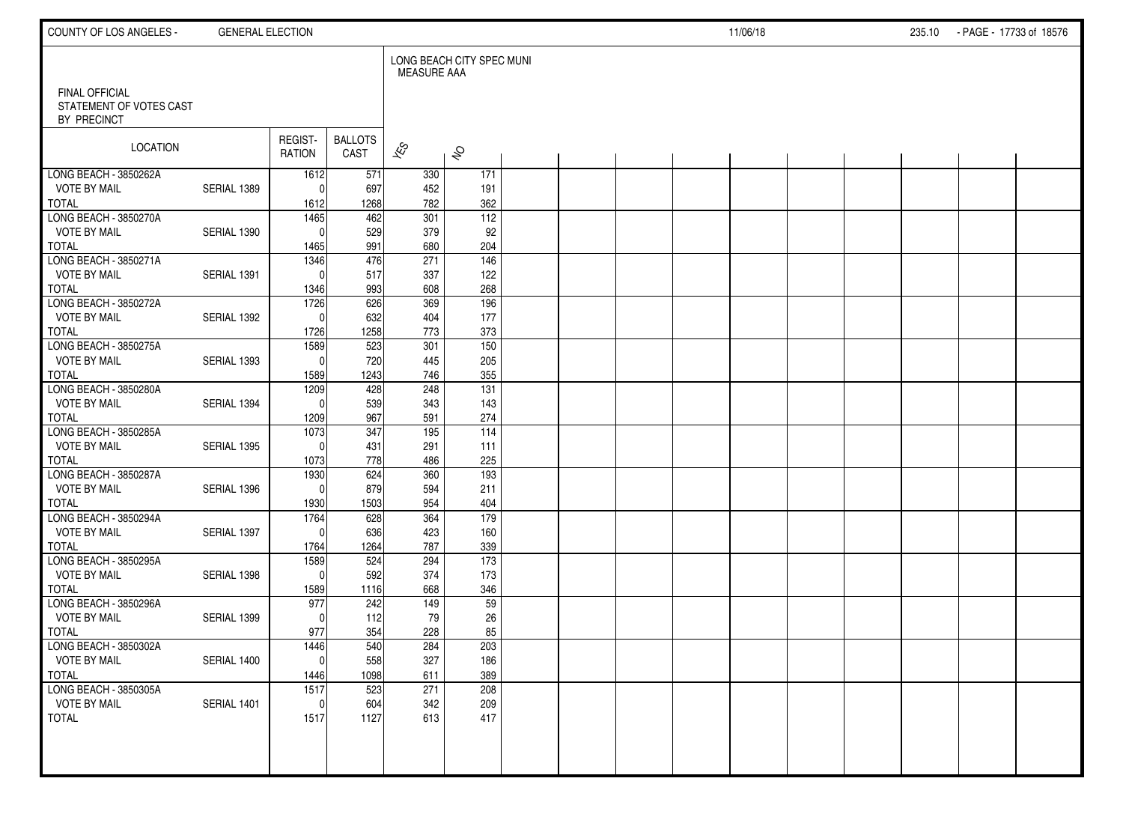| COUNTY OF LOS ANGELES -                                         | <b>GENERAL ELECTION</b> |                    |                        |                    |                           |  |  | 11/06/18 |  | 235.10 - PAGE - 17733 of 18576 |  |
|-----------------------------------------------------------------|-------------------------|--------------------|------------------------|--------------------|---------------------------|--|--|----------|--|--------------------------------|--|
|                                                                 |                         |                    |                        | <b>MEASURE AAA</b> | LONG BEACH CITY SPEC MUNI |  |  |          |  |                                |  |
| <b>FINAL OFFICIAL</b><br>STATEMENT OF VOTES CAST<br>BY PRECINCT |                         |                    |                        |                    |                           |  |  |          |  |                                |  |
| LOCATION                                                        |                         | REGIST-<br>RATION  | <b>BALLOTS</b><br>CAST | $\approx$          | $\hat{\mathcal{S}}$       |  |  |          |  |                                |  |
| LONG BEACH - 3850262A                                           |                         | 1612               | 571                    | 330                | 171                       |  |  |          |  |                                |  |
| <b>VOTE BY MAIL</b>                                             | SERIAL 1389             | $\Omega$           | 697                    | 452                | 191                       |  |  |          |  |                                |  |
| <b>TOTAL</b>                                                    |                         | 1612               | 1268                   | 782                | 362                       |  |  |          |  |                                |  |
| LONG BEACH - 3850270A<br><b>VOTE BY MAIL</b>                    | SERIAL 1390             | 1465<br>$\Omega$   | 462<br>529             | 301<br>379         | 112<br>92                 |  |  |          |  |                                |  |
| <b>TOTAL</b>                                                    |                         | 1465               | 991                    | 680                | 204                       |  |  |          |  |                                |  |
| LONG BEACH - 3850271A                                           |                         | 1346               | 476                    | 271                | 146                       |  |  |          |  |                                |  |
| <b>VOTE BY MAIL</b>                                             | SERIAL 1391             | $\Omega$           | 517                    | 337                | 122                       |  |  |          |  |                                |  |
| <b>TOTAL</b>                                                    |                         | 1346               | 993                    | 608                | 268                       |  |  |          |  |                                |  |
| LONG BEACH - 3850272A                                           |                         | 1726               | 626                    | 369                | 196                       |  |  |          |  |                                |  |
| <b>VOTE BY MAIL</b>                                             | SERIAL 1392             | $\Omega$           | 632                    | 404                | 177                       |  |  |          |  |                                |  |
| <b>TOTAL</b>                                                    |                         | 1726               | 1258                   | 773                | 373                       |  |  |          |  |                                |  |
| LONG BEACH - 3850275A                                           |                         | 1589               | 523                    | 301                | 150                       |  |  |          |  |                                |  |
| <b>VOTE BY MAIL</b>                                             | SERIAL 1393             | $\mathbf 0$        | 720                    | 445                | 205                       |  |  |          |  |                                |  |
| <b>TOTAL</b>                                                    |                         | 1589               | 1243                   | 746<br>248         | 355                       |  |  |          |  |                                |  |
| LONG BEACH - 3850280A<br><b>VOTE BY MAIL</b>                    | SERIAL 1394             | 1209<br>$\Omega$   | 428<br>539             | 343                | 131<br>143                |  |  |          |  |                                |  |
| <b>TOTAL</b>                                                    |                         | 1209               | 967                    | 591                | 274                       |  |  |          |  |                                |  |
| LONG BEACH - 3850285A                                           |                         | 1073               | 347                    | 195                | $\overline{114}$          |  |  |          |  |                                |  |
| <b>VOTE BY MAIL</b>                                             | SERIAL 1395             | $\Omega$           | 431                    | 291                | 111                       |  |  |          |  |                                |  |
| <b>TOTAL</b>                                                    |                         | 1073               | 778                    | 486                | 225                       |  |  |          |  |                                |  |
| LONG BEACH - 3850287A                                           |                         | 1930               | 624                    | 360                | 193                       |  |  |          |  |                                |  |
| <b>VOTE BY MAIL</b>                                             | SERIAL 1396             | $\Omega$           | 879                    | 594                | 211                       |  |  |          |  |                                |  |
| <b>TOTAL</b>                                                    |                         | 1930               | 1503                   | 954                | 404                       |  |  |          |  |                                |  |
| LONG BEACH - 3850294A                                           |                         | 1764               | 628                    | 364                | 179                       |  |  |          |  |                                |  |
| <b>VOTE BY MAIL</b>                                             | SERIAL 1397             | $\Omega$           | 636                    | 423                | 160                       |  |  |          |  |                                |  |
| <b>TOTAL</b>                                                    |                         | 1764               | 1264                   | 787                | 339                       |  |  |          |  |                                |  |
| LONG BEACH - 3850295A                                           |                         | 1589               | 524                    | 294                | 173                       |  |  |          |  |                                |  |
| <b>VOTE BY MAIL</b><br><b>TOTAL</b>                             | SERIAL 1398             | $\Omega$           | 592<br>1116            | 374<br>668         | 173<br>346                |  |  |          |  |                                |  |
| LONG BEACH - 3850296A                                           |                         | 1589<br>977        | 242                    | 149                | 59                        |  |  |          |  |                                |  |
| <b>VOTE BY MAIL</b>                                             | SERIAL 1399             | $\Omega$           | 112                    | 79                 | 26                        |  |  |          |  |                                |  |
| <b>TOTAL</b>                                                    |                         | 977                | 354                    | 228                | 85                        |  |  |          |  |                                |  |
| LONG BEACH - 3850302A                                           |                         | 1446               | 540                    | 284                | 203                       |  |  |          |  |                                |  |
| <b>VOTE BY MAIL</b>                                             | SERIAL 1400             | 0                  | 558                    | 327                | 186                       |  |  |          |  |                                |  |
| <b>TOTAL</b>                                                    |                         | 1446               | 1098                   | 611                | 389                       |  |  |          |  |                                |  |
| LONG BEACH - 3850305A                                           |                         | $\frac{1517}{255}$ | 523                    | 271                | 208                       |  |  |          |  |                                |  |
| <b>VOTE BY MAIL</b>                                             | SERIAL 1401             | $\mathbf 0$        | 604                    | 342                | 209                       |  |  |          |  |                                |  |
| <b>TOTAL</b>                                                    |                         | 1517               | 1127                   | 613                | 417                       |  |  |          |  |                                |  |
|                                                                 |                         |                    |                        |                    |                           |  |  |          |  |                                |  |
|                                                                 |                         |                    |                        |                    |                           |  |  |          |  |                                |  |
|                                                                 |                         |                    |                        |                    |                           |  |  |          |  |                                |  |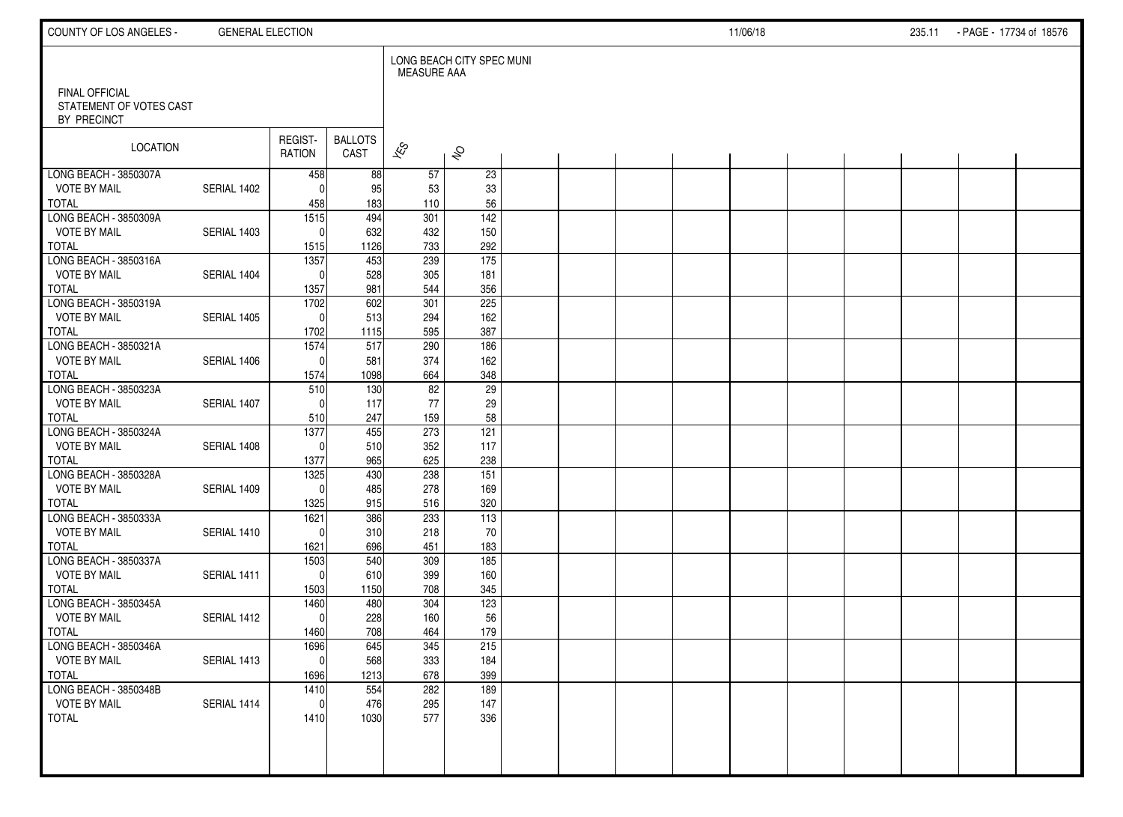| COUNTY OF LOS ANGELES -                                  | <b>GENERAL ELECTION</b> |                          |                        |                    |                           |  |  | 11/06/18 |  | 235.11 - PAGE - 17734 of 18576 |  |
|----------------------------------------------------------|-------------------------|--------------------------|------------------------|--------------------|---------------------------|--|--|----------|--|--------------------------------|--|
|                                                          |                         |                          |                        | <b>MEASURE AAA</b> | LONG BEACH CITY SPEC MUNI |  |  |          |  |                                |  |
| FINAL OFFICIAL<br>STATEMENT OF VOTES CAST<br>BY PRECINCT |                         |                          |                        |                    |                           |  |  |          |  |                                |  |
| <b>LOCATION</b>                                          |                         | REGIST-<br>RATION        | <b>BALLOTS</b><br>CAST | $\approx$          | $\hat{\mathcal{S}}$       |  |  |          |  |                                |  |
| LONG BEACH - 3850307A                                    |                         | 458                      | 88                     | 57                 | 23                        |  |  |          |  |                                |  |
| <b>VOTE BY MAIL</b>                                      | SERIAL 1402             | $\Omega$                 | 95                     | 53                 | 33                        |  |  |          |  |                                |  |
| <b>TOTAL</b><br>LONG BEACH - 3850309A                    |                         | 458<br>$\overline{1515}$ | 183<br>494             | 110<br>301         | 56<br>$\overline{142}$    |  |  |          |  |                                |  |
| <b>VOTE BY MAIL</b>                                      | SERIAL 1403             | $\Omega$                 | 632                    | 432                | 150                       |  |  |          |  |                                |  |
| <b>TOTAL</b>                                             |                         | 1515                     | 1126                   | 733                | 292                       |  |  |          |  |                                |  |
| LONG BEACH - 3850316A                                    |                         | 1357                     | 453                    | 239                | $\frac{175}{2}$           |  |  |          |  |                                |  |
| <b>VOTE BY MAIL</b>                                      | SERIAL 1404             | $\Omega$                 | 528                    | 305                | 181                       |  |  |          |  |                                |  |
| <b>TOTAL</b>                                             |                         | 1357                     | 981                    | 544                | 356                       |  |  |          |  |                                |  |
| LONG BEACH - 3850319A                                    |                         | 1702                     | 602                    | 301                | 225                       |  |  |          |  |                                |  |
| <b>VOTE BY MAIL</b>                                      | SERIAL 1405             | $\mathbf 0$              | 513                    | 294                | 162                       |  |  |          |  |                                |  |
| <b>TOTAL</b>                                             |                         | 1702                     | 1115                   | 595                | 387                       |  |  |          |  |                                |  |
| LONG BEACH - 3850321A                                    |                         | 1574                     | 517                    | 290                | 186                       |  |  |          |  |                                |  |
| <b>VOTE BY MAIL</b>                                      | SERIAL 1406             | $\Omega$                 | 581                    | 374                | 162                       |  |  |          |  |                                |  |
| <b>TOTAL</b>                                             |                         | 1574                     | 1098                   | 664                | 348                       |  |  |          |  |                                |  |
| LONG BEACH - 3850323A                                    |                         | 510                      | 130                    | 82                 | $\overline{29}$           |  |  |          |  |                                |  |
| <b>VOTE BY MAIL</b>                                      | SERIAL 1407             | $\Omega$                 | 117                    | 77                 | 29                        |  |  |          |  |                                |  |
| <b>TOTAL</b>                                             |                         | 510                      | 247                    | 159                | 58                        |  |  |          |  |                                |  |
| LONG BEACH - 3850324A                                    |                         | 1377<br>$\Omega$         | 455                    | 273                | 121                       |  |  |          |  |                                |  |
| <b>VOTE BY MAIL</b><br><b>TOTAL</b>                      | SERIAL 1408             | 1377                     | 510<br>965             | 352<br>625         | 117<br>238                |  |  |          |  |                                |  |
| LONG BEACH - 3850328A                                    |                         | 1325                     | 430                    | 238                | $\overline{151}$          |  |  |          |  |                                |  |
| <b>VOTE BY MAIL</b>                                      | SERIAL 1409             | $\Omega$                 | 485                    | 278                | 169                       |  |  |          |  |                                |  |
| <b>TOTAL</b>                                             |                         | 1325                     | 915                    | 516                | 320                       |  |  |          |  |                                |  |
| LONG BEACH - 3850333A                                    |                         | 1621                     | 386                    | 233                | 113                       |  |  |          |  |                                |  |
| <b>VOTE BY MAIL</b>                                      | SERIAL 1410             | $\Omega$                 | 310                    | 218                | 70                        |  |  |          |  |                                |  |
| <b>TOTAL</b>                                             |                         | 1621                     | 696                    | 451                | 183                       |  |  |          |  |                                |  |
| LONG BEACH - 3850337A                                    |                         | 1503                     | 540                    | 309                | $\overline{185}$          |  |  |          |  |                                |  |
| <b>VOTE BY MAIL</b>                                      | SERIAL 1411             | $\Omega$                 | 610                    | 399                | 160                       |  |  |          |  |                                |  |
| <b>TOTAL</b>                                             |                         | 1503                     | 1150                   | 708                | 345                       |  |  |          |  |                                |  |
| LONG BEACH - 3850345A                                    |                         | 1460                     | 480                    | 304                | 123                       |  |  |          |  |                                |  |
| <b>VOTE BY MAIL</b>                                      | SERIAL 1412             | $\Omega$                 | 228                    | 160                | 56                        |  |  |          |  |                                |  |
| <b>TOTAL</b>                                             |                         | 1460                     | 708                    | 464                | 179                       |  |  |          |  |                                |  |
| LONG BEACH - 3850346A                                    |                         | 1696                     | 645                    | 345                | 215                       |  |  |          |  |                                |  |
| <b>VOTE BY MAIL</b><br><b>TOTAL</b>                      | SERIAL 1413             | $\overline{0}$           | 568                    | 333<br>678         | 184<br>399                |  |  |          |  |                                |  |
| LONG BEACH - 3850348B                                    |                         | 1696<br>1410             | 1213<br>554            | 282                | 189                       |  |  |          |  |                                |  |
| <b>VOTE BY MAIL</b>                                      | SERIAL 1414             | $\mathbf 0$              | 476                    | 295                | 147                       |  |  |          |  |                                |  |
| <b>TOTAL</b>                                             |                         | 1410                     | 1030                   | 577                | 336                       |  |  |          |  |                                |  |
|                                                          |                         |                          |                        |                    |                           |  |  |          |  |                                |  |
|                                                          |                         |                          |                        |                    |                           |  |  |          |  |                                |  |
|                                                          |                         |                          |                        |                    |                           |  |  |          |  |                                |  |
|                                                          |                         |                          |                        |                    |                           |  |  |          |  |                                |  |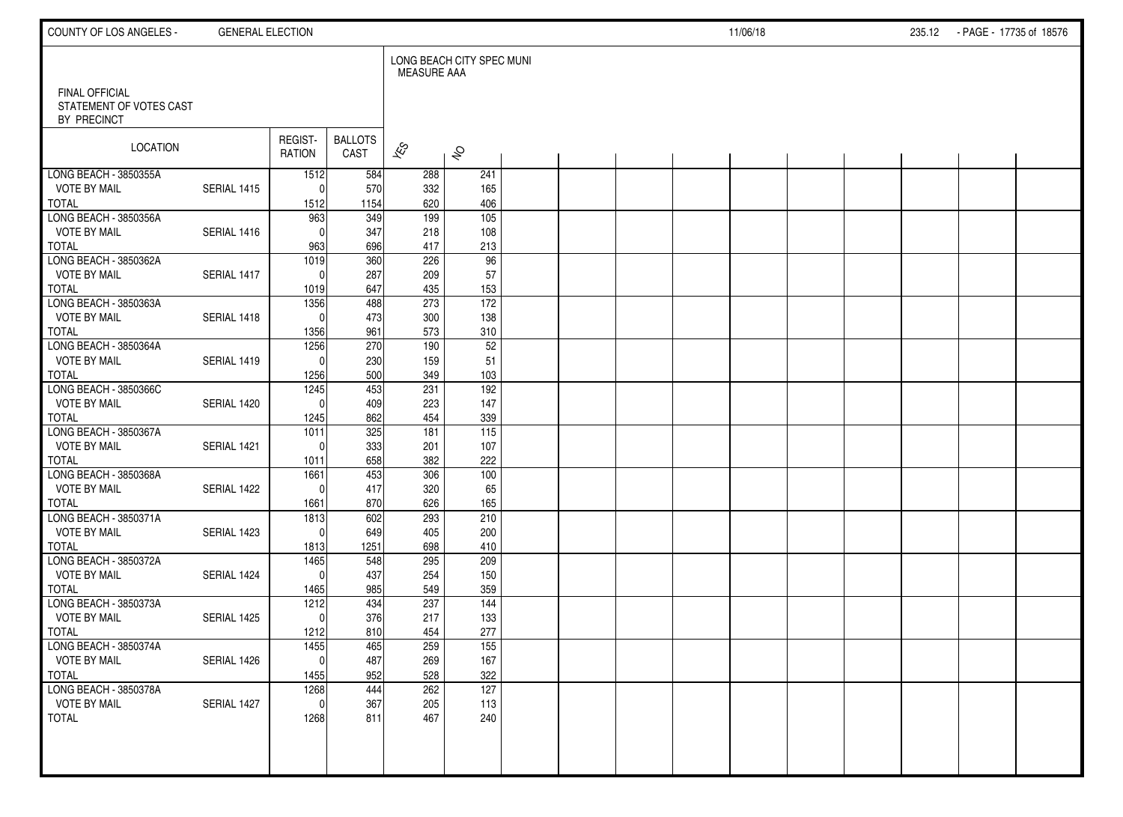| COUNTY OF LOS ANGELES -                      | <b>GENERAL ELECTION</b> |                   |                        |                          |                           |  |  | 11/06/18 |  | 235.12 - PAGE - 17735 of 18576 |  |
|----------------------------------------------|-------------------------|-------------------|------------------------|--------------------------|---------------------------|--|--|----------|--|--------------------------------|--|
| FINAL OFFICIAL<br>STATEMENT OF VOTES CAST    |                         |                   |                        | MEASURE AAA              | LONG BEACH CITY SPEC MUNI |  |  |          |  |                                |  |
| BY PRECINCT                                  |                         |                   |                        |                          |                           |  |  |          |  |                                |  |
| LOCATION                                     |                         | REGIST-<br>RATION | <b>BALLOTS</b><br>CAST | $\overline{\mathscr{K}}$ | $\hat{\mathcal{S}}$       |  |  |          |  |                                |  |
| LONG BEACH - 3850355A<br><b>VOTE BY MAIL</b> | SERIAL 1415             | 1512<br>$\Omega$  | 584<br>570             | 288                      | 241<br>165                |  |  |          |  |                                |  |
| <b>TOTAL</b>                                 |                         | 1512              | 1154                   | 332<br>620               | 406                       |  |  |          |  |                                |  |
| LONG BEACH - 3850356A                        |                         | 963               | 349                    | 199                      | $\frac{105}{105}$         |  |  |          |  |                                |  |
| <b>VOTE BY MAIL</b>                          | SERIAL 1416             | $\Omega$          | 347                    | 218                      | 108                       |  |  |          |  |                                |  |
| <b>TOTAL</b><br>LONG BEACH - 3850362A        |                         | 963<br>1019       | 696<br>360             | 417<br>226               | 213<br>96                 |  |  |          |  |                                |  |
| <b>VOTE BY MAIL</b>                          | SERIAL 1417             | $\Omega$          | 287                    | 209                      | 57                        |  |  |          |  |                                |  |
| TOTAL                                        |                         | 1019              | 647                    | 435                      | 153                       |  |  |          |  |                                |  |
| LONG BEACH - 3850363A                        |                         | 1356              | 488                    | 273                      | 172                       |  |  |          |  |                                |  |
| <b>VOTE BY MAIL</b>                          | SERIAL 1418             | $\Omega$          | 473                    | 300                      | 138                       |  |  |          |  |                                |  |
| <b>TOTAL</b><br>LONG BEACH - 3850364A        |                         | 1356<br>1256      | 961<br>270             | 573<br>190               | 310<br>52                 |  |  |          |  |                                |  |
| <b>VOTE BY MAIL</b>                          | SERIAL 1419             | $\Omega$          | 230                    | 159                      | 51                        |  |  |          |  |                                |  |
| <b>TOTAL</b>                                 |                         | 1256              | 500                    | 349                      | 103                       |  |  |          |  |                                |  |
| LONG BEACH - 3850366C                        |                         | 1245              | 453                    | 231                      | 192                       |  |  |          |  |                                |  |
| <b>VOTE BY MAIL</b>                          | SERIAL 1420             | $\Omega$          | 409                    | 223                      | 147                       |  |  |          |  |                                |  |
| <b>TOTAL</b><br>LONG BEACH - 3850367A        |                         | 1245<br>1011      | 862<br>325             | 454<br>181               | 339<br>115                |  |  |          |  |                                |  |
| <b>VOTE BY MAIL</b>                          | SERIAL 1421             | $\Omega$          | 333                    | 201                      | 107                       |  |  |          |  |                                |  |
| <b>TOTAL</b>                                 |                         | 1011              | 658                    | 382                      | 222                       |  |  |          |  |                                |  |
| LONG BEACH - 3850368A                        |                         | 1661              | 453                    | 306                      | 100                       |  |  |          |  |                                |  |
| <b>VOTE BY MAIL</b>                          | SERIAL 1422             | $\Omega$          | 417                    | 320                      | 65                        |  |  |          |  |                                |  |
| <b>TOTAL</b><br>LONG BEACH - 3850371A        |                         | 1661<br>1813      | 870<br>602             | 626<br>293               | 165<br>210                |  |  |          |  |                                |  |
| <b>VOTE BY MAIL</b>                          | SERIAL 1423             | $\mathbf{0}$      | 649                    | 405                      | 200                       |  |  |          |  |                                |  |
| <b>TOTAL</b>                                 |                         | 1813              | 1251                   | 698                      | 410                       |  |  |          |  |                                |  |
| LONG BEACH - 3850372A                        |                         | 1465              | 548                    | 295                      | 209                       |  |  |          |  |                                |  |
| <b>VOTE BY MAIL</b><br><b>TOTAL</b>          | SERIAL 1424             | $\Omega$<br>1465  | 437<br>985             | 254<br>549               | 150<br>359                |  |  |          |  |                                |  |
| LONG BEACH - 3850373A                        |                         | 1212              | 434                    | 237                      | $\overline{144}$          |  |  |          |  |                                |  |
| <b>VOTE BY MAIL</b>                          | SERIAL 1425             | $\mathbf{0}$      | 376                    | 217                      | 133                       |  |  |          |  |                                |  |
| <b>TOTAL</b>                                 |                         | 1212              | 810                    | 454                      | 277                       |  |  |          |  |                                |  |
| LONG BEACH - 3850374A                        |                         | 1455              | 465                    | 259                      | 155                       |  |  |          |  |                                |  |
| <b>VOTE BY MAIL</b><br><b>TOTAL</b>          | SERIAL 1426             | $\pmb{0}$<br>1455 | 487<br>952             | 269<br>528               | 167<br>322                |  |  |          |  |                                |  |
| LONG BEACH - 3850378A                        |                         | 1268              | 444                    | 262                      | 127                       |  |  |          |  |                                |  |
| <b>VOTE BY MAIL</b>                          | SERIAL 1427             | $\mathbf 0$       | 367                    | 205                      | 113                       |  |  |          |  |                                |  |
| <b>TOTAL</b>                                 |                         | 1268              | 811                    | 467                      | 240                       |  |  |          |  |                                |  |
|                                              |                         |                   |                        |                          |                           |  |  |          |  |                                |  |
|                                              |                         |                   |                        |                          |                           |  |  |          |  |                                |  |
|                                              |                         |                   |                        |                          |                           |  |  |          |  |                                |  |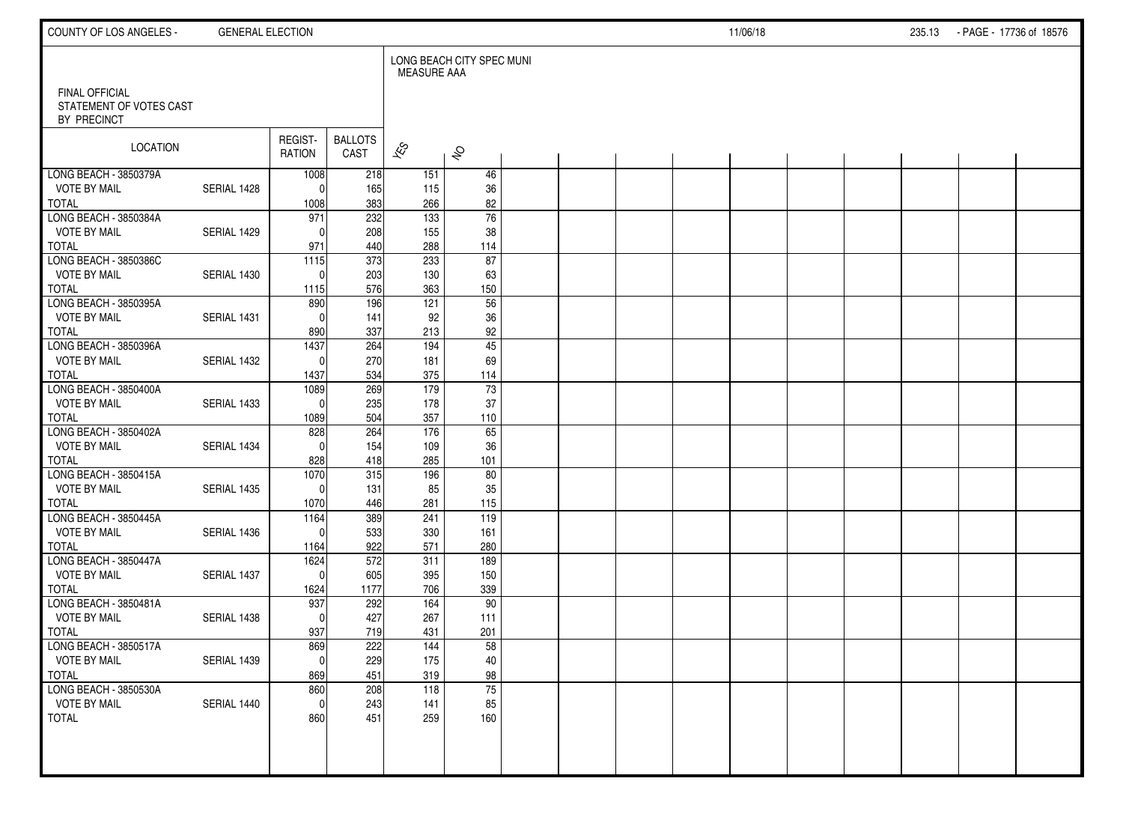| COUNTY OF LOS ANGELES -                                  | <b>GENERAL ELECTION</b> |                   |                        |                    |                           |  |  | 11/06/18 |  | 235.13 - PAGE - 17736 of 18576 |  |
|----------------------------------------------------------|-------------------------|-------------------|------------------------|--------------------|---------------------------|--|--|----------|--|--------------------------------|--|
|                                                          |                         |                   |                        | <b>MEASURE AAA</b> | LONG BEACH CITY SPEC MUNI |  |  |          |  |                                |  |
| FINAL OFFICIAL<br>STATEMENT OF VOTES CAST<br>BY PRECINCT |                         |                   |                        |                    |                           |  |  |          |  |                                |  |
| <b>LOCATION</b>                                          |                         | REGIST-<br>RATION | <b>BALLOTS</b><br>CAST | $\approx$          | $\hat{\mathcal{S}}$       |  |  |          |  |                                |  |
| LONG BEACH - 3850379A                                    |                         | 1008              | 218                    | 151                | 46                        |  |  |          |  |                                |  |
| <b>VOTE BY MAIL</b>                                      | SERIAL 1428             | $\Omega$          | 165                    | 115                | 36                        |  |  |          |  |                                |  |
| <b>TOTAL</b><br>LONG BEACH - 3850384A                    |                         | 1008<br>971       | 383<br>232             | 266<br>133         | 82<br>$\overline{76}$     |  |  |          |  |                                |  |
| <b>VOTE BY MAIL</b>                                      | SERIAL 1429             | $\Omega$          | 208                    | 155                | 38                        |  |  |          |  |                                |  |
| <b>TOTAL</b>                                             |                         | 971               | 440                    | 288                | 114                       |  |  |          |  |                                |  |
| LONG BEACH - 3850386C                                    |                         | 1115              | 373                    | 233                | 87                        |  |  |          |  |                                |  |
| <b>VOTE BY MAIL</b>                                      | SERIAL 1430             | $\Omega$          | 203                    | 130                | 63                        |  |  |          |  |                                |  |
| <b>TOTAL</b>                                             |                         | 1115              | 576                    | 363                | 150                       |  |  |          |  |                                |  |
| LONG BEACH - 3850395A                                    |                         | 890               | 196                    | $\overline{121}$   | 56                        |  |  |          |  |                                |  |
| <b>VOTE BY MAIL</b>                                      | SERIAL 1431             | $\Omega$          | 141                    | 92                 | 36                        |  |  |          |  |                                |  |
| <b>TOTAL</b>                                             |                         | 890               | 337                    | 213                | 92                        |  |  |          |  |                                |  |
| LONG BEACH - 3850396A                                    |                         | 1437              | 264                    | 194                | $\overline{45}$           |  |  |          |  |                                |  |
| <b>VOTE BY MAIL</b>                                      | SERIAL 1432             | $\Omega$          | 270                    | 181                | 69                        |  |  |          |  |                                |  |
| <b>TOTAL</b>                                             |                         | 1437              | 534                    | 375                | 114                       |  |  |          |  |                                |  |
| LONG BEACH - 3850400A<br><b>VOTE BY MAIL</b>             | SERIAL 1433             | 1089<br>$\Omega$  | 269<br>235             | 179<br>178         | 73<br>37                  |  |  |          |  |                                |  |
| <b>TOTAL</b>                                             |                         | 1089              | 504                    | 357                | 110                       |  |  |          |  |                                |  |
| LONG BEACH - 3850402A                                    |                         | 828               | 264                    | 176                | 65                        |  |  |          |  |                                |  |
| <b>VOTE BY MAIL</b>                                      | SERIAL 1434             | $\mathbf{0}$      | 154                    | 109                | 36                        |  |  |          |  |                                |  |
| <b>TOTAL</b>                                             |                         | 828               | 418                    | 285                | 101                       |  |  |          |  |                                |  |
| LONG BEACH - 3850415A                                    |                         | 1070              | 315                    | 196                | 80                        |  |  |          |  |                                |  |
| <b>VOTE BY MAIL</b>                                      | SERIAL 1435             | $\Omega$          | 131                    | 85                 | 35                        |  |  |          |  |                                |  |
| <b>TOTAL</b>                                             |                         | 1070              | 446                    | 281                | 115                       |  |  |          |  |                                |  |
| LONG BEACH - 3850445A                                    |                         | 1164              | 389                    | 241                | 119                       |  |  |          |  |                                |  |
| <b>VOTE BY MAIL</b>                                      | SERIAL 1436             | $\Omega$          | 533                    | 330                | 161                       |  |  |          |  |                                |  |
| <b>TOTAL</b>                                             |                         | 1164              | 922                    | 571                | 280                       |  |  |          |  |                                |  |
| LONG BEACH - 3850447A                                    |                         | 1624              | 572                    | 311                | 189                       |  |  |          |  |                                |  |
| <b>VOTE BY MAIL</b>                                      | SERIAL 1437             | $\Omega$          | 605                    | 395                | 150                       |  |  |          |  |                                |  |
| <b>TOTAL</b><br>LONG BEACH - 3850481A                    |                         | 1624<br>937       | 1177<br>292            | 706<br>164         | 339<br>90                 |  |  |          |  |                                |  |
| <b>VOTE BY MAIL</b>                                      | SERIAL 1438             | $\Omega$          | 427                    | 267                | 111                       |  |  |          |  |                                |  |
| <b>TOTAL</b>                                             |                         | 937               | 719                    | 431                | 201                       |  |  |          |  |                                |  |
| LONG BEACH - 3850517A                                    |                         | 869               | 222                    | 144                | 58                        |  |  |          |  |                                |  |
| <b>VOTE BY MAIL</b>                                      | SERIAL 1439             | 0                 | 229                    | 175                | 40                        |  |  |          |  |                                |  |
| <b>TOTAL</b>                                             |                         | 869               | 451                    | 319                | 98                        |  |  |          |  |                                |  |
| LONG BEACH - 3850530A                                    |                         | 860               | 208                    | 118                | 75                        |  |  |          |  |                                |  |
| <b>VOTE BY MAIL</b>                                      | SERIAL 1440             | $\mathbf 0$       | 243                    | 141                | 85                        |  |  |          |  |                                |  |
| <b>TOTAL</b>                                             |                         | 860               | 451                    | 259                | 160                       |  |  |          |  |                                |  |
|                                                          |                         |                   |                        |                    |                           |  |  |          |  |                                |  |
|                                                          |                         |                   |                        |                    |                           |  |  |          |  |                                |  |
|                                                          |                         |                   |                        |                    |                           |  |  |          |  |                                |  |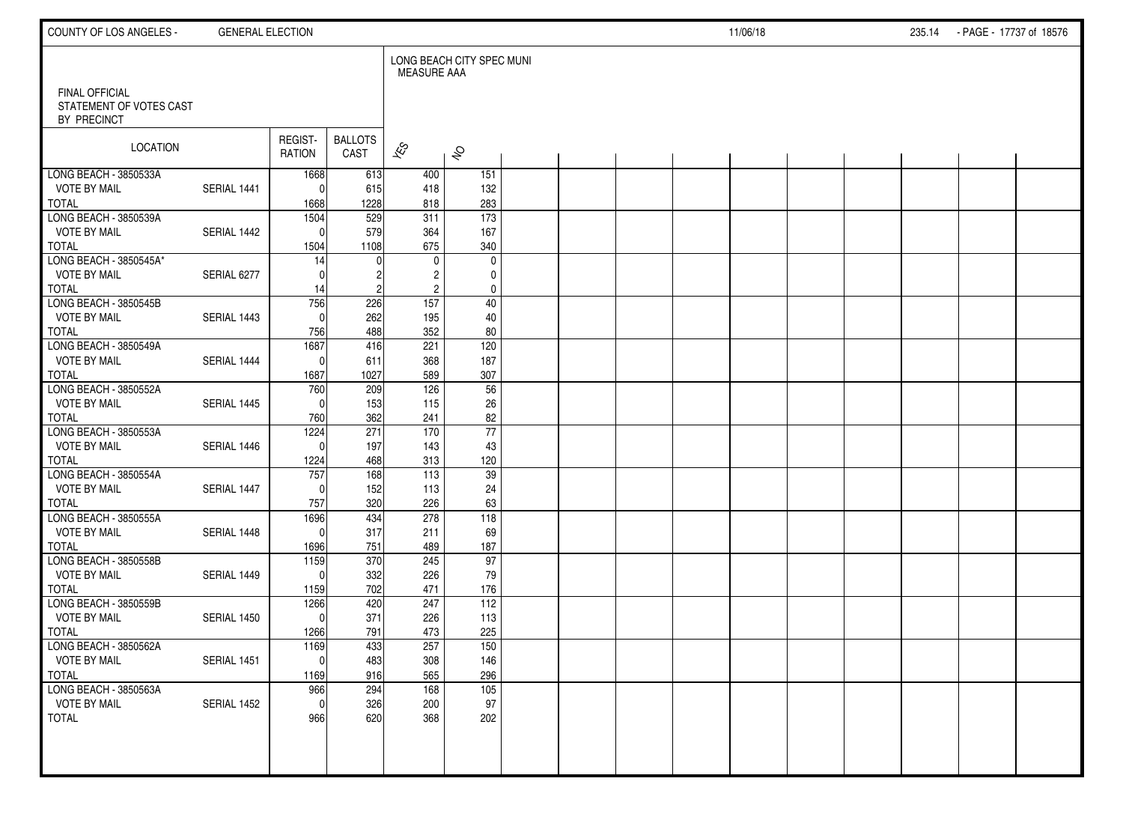| COUNTY OF LOS ANGELES -                                  | <b>GENERAL ELECTION</b> |                    |                        |                                  |                           |  |  | 11/06/18 |  | 235.14 | - PAGE - 17737 of 18576 |  |
|----------------------------------------------------------|-------------------------|--------------------|------------------------|----------------------------------|---------------------------|--|--|----------|--|--------|-------------------------|--|
|                                                          |                         |                    |                        | MEASURE AAA                      | LONG BEACH CITY SPEC MUNI |  |  |          |  |        |                         |  |
| FINAL OFFICIAL<br>STATEMENT OF VOTES CAST<br>BY PRECINCT |                         |                    |                        |                                  |                           |  |  |          |  |        |                         |  |
| LOCATION                                                 |                         | REGIST-<br>RATION  | <b>BALLOTS</b><br>CAST | $\overline{\mathscr{K}}$         | $\hat{\mathcal{S}}$       |  |  |          |  |        |                         |  |
| LONG BEACH - 3850533A                                    |                         | 1668               | 613                    | 400                              | 151                       |  |  |          |  |        |                         |  |
| <b>VOTE BY MAIL</b><br><b>TOTAL</b>                      | SERIAL 1441             | $\Omega$<br>1668   | 615<br>1228            | 418<br>818                       | 132<br>283                |  |  |          |  |        |                         |  |
| LONG BEACH - 3850539A                                    |                         | 1504               | 529                    | 311                              | 173                       |  |  |          |  |        |                         |  |
| <b>VOTE BY MAIL</b>                                      | SERIAL 1442             | $\mathbf{0}$       | 579                    | 364                              | 167                       |  |  |          |  |        |                         |  |
| <b>TOTAL</b>                                             |                         | 1504               | 1108                   | 675                              | 340                       |  |  |          |  |        |                         |  |
| LONG BEACH - 3850545A*                                   |                         | 14                 |                        | $\mathbf 0$                      | $\mathbf 0$               |  |  |          |  |        |                         |  |
| <b>VOTE BY MAIL</b><br><b>TOTAL</b>                      | SERIAL 6277             | $\Omega$           |                        | $\overline{c}$<br>$\overline{c}$ | 0<br>$\pmb{0}$            |  |  |          |  |        |                         |  |
| LONG BEACH - 3850545B                                    |                         | 14<br>756          | 226                    | 157                              | 40                        |  |  |          |  |        |                         |  |
| <b>VOTE BY MAIL</b>                                      | SERIAL 1443             | $\mathbf{0}$       | 262                    | 195                              | 40                        |  |  |          |  |        |                         |  |
| <b>TOTAL</b>                                             |                         | 756                | 488                    | 352                              | 80                        |  |  |          |  |        |                         |  |
| LONG BEACH - 3850549A                                    |                         | 1687               | 416                    | 221                              | 120                       |  |  |          |  |        |                         |  |
| <b>VOTE BY MAIL</b>                                      | SERIAL 1444             | $\mathbf{0}$       | 611                    | 368                              | 187                       |  |  |          |  |        |                         |  |
| <b>TOTAL</b><br>LONG BEACH - 3850552A                    |                         | 1687               | 1027                   | 589<br>126                       | 307                       |  |  |          |  |        |                         |  |
| <b>VOTE BY MAIL</b>                                      | SERIAL 1445             | 760<br>$\Omega$    | 209<br>153             | 115                              | 56<br>26                  |  |  |          |  |        |                         |  |
| <b>TOTAL</b>                                             |                         | 760                | 362                    | 241                              | 82                        |  |  |          |  |        |                         |  |
| LONG BEACH - 3850553A                                    |                         | 1224               | 271                    | 170                              | $\overline{77}$           |  |  |          |  |        |                         |  |
| <b>VOTE BY MAIL</b>                                      | SERIAL 1446             | $\Omega$           | 197                    | 143                              | 43                        |  |  |          |  |        |                         |  |
| <b>TOTAL</b>                                             |                         | 1224               | 468                    | 313                              | 120                       |  |  |          |  |        |                         |  |
| LONG BEACH - 3850554A                                    |                         | 757                | 168                    | $\overline{113}$                 | $\overline{39}$           |  |  |          |  |        |                         |  |
| <b>VOTE BY MAIL</b><br><b>TOTAL</b>                      | SERIAL 1447             | $\Omega$<br>757    | 152<br>320             | 113<br>226                       | 24<br>63                  |  |  |          |  |        |                         |  |
| LONG BEACH - 3850555A                                    |                         | 1696               | 434                    | 278                              | 118                       |  |  |          |  |        |                         |  |
| <b>VOTE BY MAIL</b>                                      | SERIAL 1448             | $\mathbf{0}$       | 317                    | 211                              | 69                        |  |  |          |  |        |                         |  |
| <b>TOTAL</b>                                             |                         | 1696               | 751                    | 489                              | 187                       |  |  |          |  |        |                         |  |
| LONG BEACH - 3850558B                                    |                         | 1159               | 370                    | 245                              | 97                        |  |  |          |  |        |                         |  |
| <b>VOTE BY MAIL</b>                                      | SERIAL 1449             | $\Omega$           | 332                    | 226                              | 79                        |  |  |          |  |        |                         |  |
| <b>TOTAL</b><br>LONG BEACH - 3850559B                    |                         | 1159<br>1266       | 702<br>420             | 471<br>247                       | 176<br>112                |  |  |          |  |        |                         |  |
| <b>VOTE BY MAIL</b>                                      | SERIAL 1450             | $\mathbf{0}$       | 371                    | 226                              | 113                       |  |  |          |  |        |                         |  |
| <b>TOTAL</b>                                             |                         | 1266               | 791                    | 473                              | 225                       |  |  |          |  |        |                         |  |
| LONG BEACH - 3850562A                                    |                         | 1169               | 433                    | 257                              | 150                       |  |  |          |  |        |                         |  |
| <b>VOTE BY MAIL</b>                                      | SERIAL 1451             | 0                  | 483                    | 308                              | 146                       |  |  |          |  |        |                         |  |
| <b>TOTAL</b>                                             |                         | 1169               | 916                    | 565                              | 296                       |  |  |          |  |        |                         |  |
| LONG BEACH - 3850563A                                    |                         | 966                | 294<br>326             | 168                              | 105                       |  |  |          |  |        |                         |  |
| <b>VOTE BY MAIL</b><br><b>TOTAL</b>                      | SERIAL 1452             | $\mathbf 0$<br>966 | 620                    | 200<br>368                       | 97<br>202                 |  |  |          |  |        |                         |  |
|                                                          |                         |                    |                        |                                  |                           |  |  |          |  |        |                         |  |
|                                                          |                         |                    |                        |                                  |                           |  |  |          |  |        |                         |  |
|                                                          |                         |                    |                        |                                  |                           |  |  |          |  |        |                         |  |
|                                                          |                         |                    |                        |                                  |                           |  |  |          |  |        |                         |  |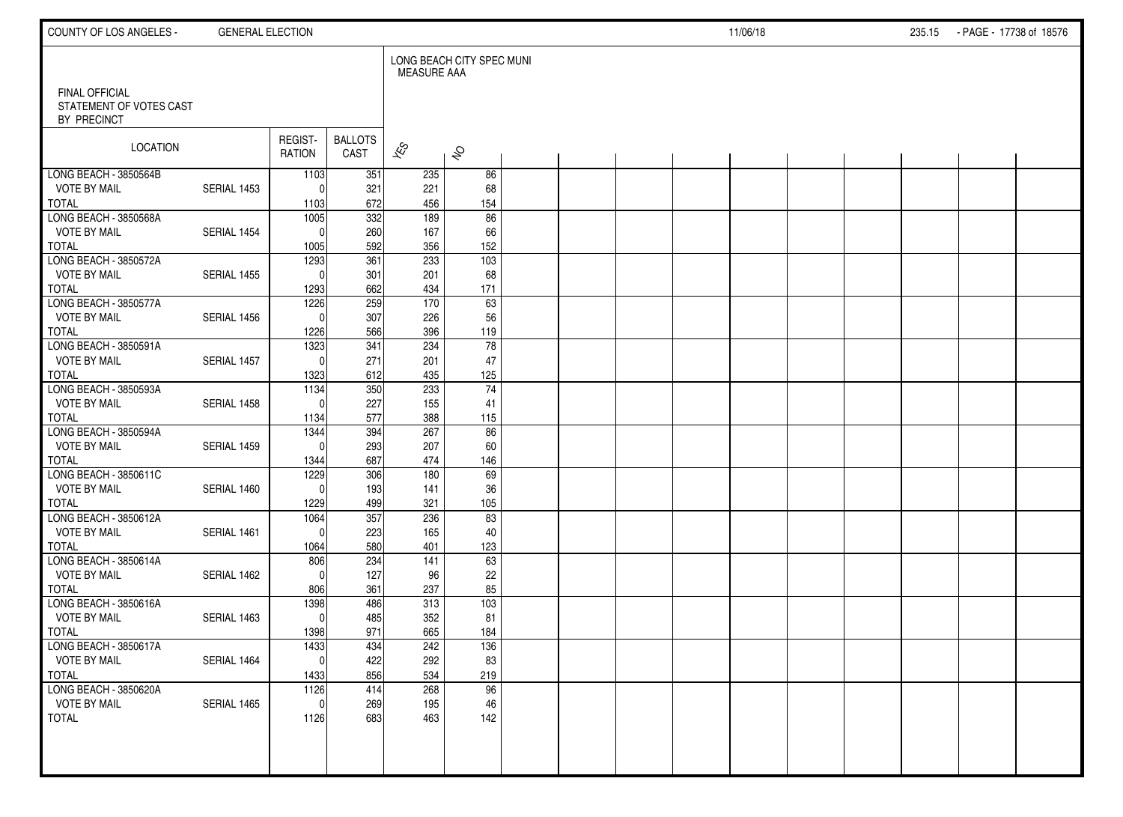| COUNTY OF LOS ANGELES -                                         | <b>GENERAL ELECTION</b> |                   |                        |                    |                           |  |  | 11/06/18 |  | 235.15 - PAGE - 17738 of 18576 |  |
|-----------------------------------------------------------------|-------------------------|-------------------|------------------------|--------------------|---------------------------|--|--|----------|--|--------------------------------|--|
|                                                                 |                         |                   |                        | <b>MEASURE AAA</b> | LONG BEACH CITY SPEC MUNI |  |  |          |  |                                |  |
| <b>FINAL OFFICIAL</b><br>STATEMENT OF VOTES CAST<br>BY PRECINCT |                         |                   |                        |                    |                           |  |  |          |  |                                |  |
| LOCATION                                                        |                         | REGIST-<br>RATION | <b>BALLOTS</b><br>CAST | $\approx$          | $\hat{\mathcal{S}}$       |  |  |          |  |                                |  |
| LONG BEACH - 3850564B                                           |                         | 1103              | 351                    | 235                | 86                        |  |  |          |  |                                |  |
| <b>VOTE BY MAIL</b>                                             | SERIAL 1453             | $\Omega$          | 321                    | 221                | 68                        |  |  |          |  |                                |  |
| <b>TOTAL</b><br>LONG BEACH - 3850568A                           |                         | 1103<br>1005      | 672<br>332             | 456<br>189         | 154<br>86                 |  |  |          |  |                                |  |
| <b>VOTE BY MAIL</b>                                             | SERIAL 1454             | $\Omega$          | 260                    | 167                | 66                        |  |  |          |  |                                |  |
| <b>TOTAL</b>                                                    |                         | 1005              | 592                    | 356                | 152                       |  |  |          |  |                                |  |
| LONG BEACH - 3850572A                                           |                         | 1293              | 361                    | 233                | 103                       |  |  |          |  |                                |  |
| <b>VOTE BY MAIL</b>                                             | SERIAL 1455             | $\Omega$          | 301                    | 201                | 68                        |  |  |          |  |                                |  |
| <b>TOTAL</b>                                                    |                         | 1293              | 662                    | 434                | 171                       |  |  |          |  |                                |  |
| LONG BEACH - 3850577A                                           |                         | 1226              | 259                    | 170                | 63                        |  |  |          |  |                                |  |
| <b>VOTE BY MAIL</b>                                             | SERIAL 1456             | $\Omega$          | 307                    | 226                | 56                        |  |  |          |  |                                |  |
| <b>TOTAL</b>                                                    |                         | 1226              | 566                    | 396                | 119                       |  |  |          |  |                                |  |
| LONG BEACH - 3850591A                                           |                         | 1323              | 341                    | 234                | $\overline{78}$           |  |  |          |  |                                |  |
| <b>VOTE BY MAIL</b>                                             | SERIAL 1457             | $\Omega$          | 271                    | 201                | 47                        |  |  |          |  |                                |  |
| <b>TOTAL</b>                                                    |                         | 1323              | 612                    | 435                | 125                       |  |  |          |  |                                |  |
| LONG BEACH - 3850593A<br><b>VOTE BY MAIL</b>                    | SERIAL 1458             | 1134<br>$\Omega$  | 350<br>227             | 233<br>155         | $\overline{74}$<br>41     |  |  |          |  |                                |  |
| <b>TOTAL</b>                                                    |                         | 1134              | 577                    | 388                | 115                       |  |  |          |  |                                |  |
| LONG BEACH - 3850594A                                           |                         | 1344              | 394                    | 267                | 86                        |  |  |          |  |                                |  |
| <b>VOTE BY MAIL</b>                                             | SERIAL 1459             | $\Omega$          | 293                    | 207                | 60                        |  |  |          |  |                                |  |
| <b>TOTAL</b>                                                    |                         | 1344              | 687                    | 474                | 146                       |  |  |          |  |                                |  |
| LONG BEACH - 3850611C                                           |                         | 1229              | 306                    | 180                | 69                        |  |  |          |  |                                |  |
| <b>VOTE BY MAIL</b>                                             | SERIAL 1460             | $\Omega$          | 193                    | 141                | 36                        |  |  |          |  |                                |  |
| <b>TOTAL</b>                                                    |                         | 1229              | 499                    | 321                | 105                       |  |  |          |  |                                |  |
| LONG BEACH - 3850612A                                           |                         | 1064              | 357                    | 236                | 83                        |  |  |          |  |                                |  |
| <b>VOTE BY MAIL</b>                                             | SERIAL 1461             | $\Omega$          | 223                    | 165                | 40                        |  |  |          |  |                                |  |
| <b>TOTAL</b>                                                    |                         | 1064              | 580                    | 401                | 123                       |  |  |          |  |                                |  |
| LONG BEACH - 3850614A                                           |                         | 806               | 234                    | 141                | 63                        |  |  |          |  |                                |  |
| <b>VOTE BY MAIL</b><br><b>TOTAL</b>                             | SERIAL 1462             | $\Omega$          | 127                    | 96                 | 22                        |  |  |          |  |                                |  |
| LONG BEACH - 3850616A                                           |                         | 806<br>1398       | 361<br>486             | 237<br>313         | 85<br>103                 |  |  |          |  |                                |  |
| <b>VOTE BY MAIL</b>                                             | SERIAL 1463             | $\mathbf 0$       | 485                    | 352                | 81                        |  |  |          |  |                                |  |
| <b>TOTAL</b>                                                    |                         | 1398              | 971                    | 665                | 184                       |  |  |          |  |                                |  |
| LONG BEACH - 3850617A                                           |                         | 1433              | 434                    | 242                | 136                       |  |  |          |  |                                |  |
| <b>VOTE BY MAIL</b>                                             | SERIAL 1464             | 0                 | 422                    | 292                | 83                        |  |  |          |  |                                |  |
| <b>TOTAL</b>                                                    |                         | 1433              | 856                    | 534                | 219                       |  |  |          |  |                                |  |
| LONG BEACH - 3850620A                                           |                         | 1126              | 414                    | 268                | 96                        |  |  |          |  |                                |  |
| <b>VOTE BY MAIL</b>                                             | SERIAL 1465             | $\mathbf 0$       | 269                    | 195                | 46                        |  |  |          |  |                                |  |
| <b>TOTAL</b>                                                    |                         | 1126              | 683                    | 463                | 142                       |  |  |          |  |                                |  |
|                                                                 |                         |                   |                        |                    |                           |  |  |          |  |                                |  |
|                                                                 |                         |                   |                        |                    |                           |  |  |          |  |                                |  |
|                                                                 |                         |                   |                        |                    |                           |  |  |          |  |                                |  |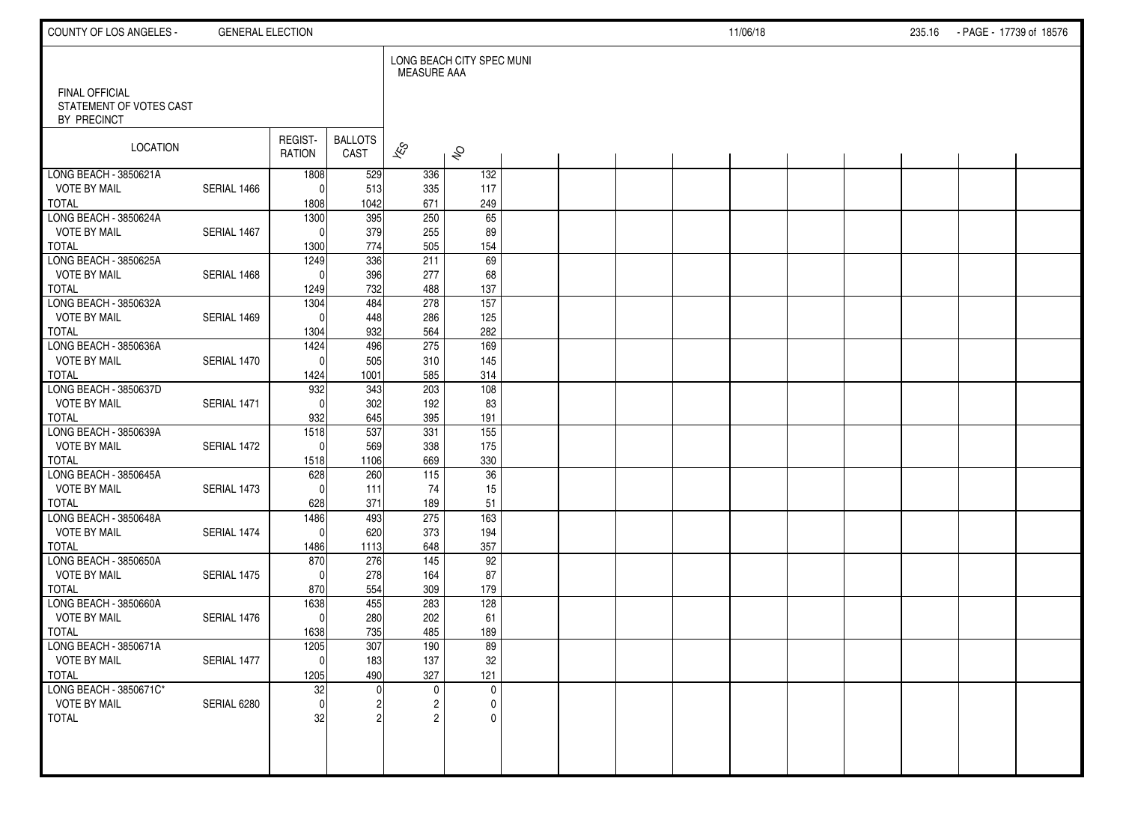| COUNTY OF LOS ANGELES -                                       | <b>GENERAL ELECTION</b> |                          |                        |                                   |                                            |  |  | 11/06/18 |  | 235.16 PAGE - 17739 of 18576 |  |
|---------------------------------------------------------------|-------------------------|--------------------------|------------------------|-----------------------------------|--------------------------------------------|--|--|----------|--|------------------------------|--|
| <b>FINAL OFFICIAL</b><br>STATEMENT OF VOTES CAST              |                         |                          |                        | <b>MEASURE AAA</b>                | LONG BEACH CITY SPEC MUNI                  |  |  |          |  |                              |  |
| BY PRECINCT<br>LOCATION                                       |                         | REGIST-<br>RATION        | <b>BALLOTS</b><br>CAST | $\overline{\mathscr{E}}$          | $\hat{\sigma}$                             |  |  |          |  |                              |  |
| LONG BEACH - 3850621A                                         |                         | 1808                     | 529                    | 336                               | 132                                        |  |  |          |  |                              |  |
| <b>VOTE BY MAIL</b><br><b>TOTAL</b>                           | SERIAL 1466             | $\Omega$<br>1808         | 513<br>1042            | 335<br>671                        | 117<br>249                                 |  |  |          |  |                              |  |
| LONG BEACH - 3850624A<br><b>VOTE BY MAIL</b>                  | SERIAL 1467             | 1300<br>$\Omega$         | 395<br>379             | 250<br>255                        | $\overline{65}$<br>89                      |  |  |          |  |                              |  |
| <b>TOTAL</b><br>LONG BEACH - 3850625A<br><b>VOTE BY MAIL</b>  | SERIAL 1468             | 1300<br>1249<br>$\Omega$ | 774<br>336<br>396      | 505<br>211<br>277                 | 154<br>69<br>68                            |  |  |          |  |                              |  |
| <b>TOTAL</b><br>LONG BEACH - 3850632A                         |                         | 1249<br>1304             | 732<br>484             | 488<br>278                        | 137<br>$\overline{157}$                    |  |  |          |  |                              |  |
| <b>VOTE BY MAIL</b><br><b>TOTAL</b>                           | SERIAL 1469             | $\Omega$<br>1304         | 448<br>932             | 286<br>564                        | 125<br>282                                 |  |  |          |  |                              |  |
| LONG BEACH - 3850636A<br><b>VOTE BY MAIL</b><br><b>TOTAL</b>  | SERIAL 1470             | 1424<br>$\Omega$<br>1424 | 496<br>505<br>1001     | 275<br>310<br>585                 | 169<br>145<br>314                          |  |  |          |  |                              |  |
| LONG BEACH - 3850637D<br><b>VOTE BY MAIL</b>                  | SERIAL 1471             | 932<br>$\Omega$          | 343<br>302             | 203<br>192                        | 108<br>83                                  |  |  |          |  |                              |  |
| <b>TOTAL</b><br>LONG BEACH - 3850639A<br><b>VOTE BY MAIL</b>  | SERIAL 1472             | 932<br>1518<br> 0        | 645<br>537<br>569      | 395<br>331<br>338                 | 191<br>155<br>175                          |  |  |          |  |                              |  |
| <b>TOTAL</b><br>LONG BEACH - 3850645A                         |                         | 1518<br>628              | 1106<br>260            | 669<br>115                        | 330<br>$\overline{36}$                     |  |  |          |  |                              |  |
| <b>VOTE BY MAIL</b><br><b>TOTAL</b>                           | SERIAL 1473             | $\Omega$<br>628          | 111<br>371             | 74<br>189                         | 15<br>51                                   |  |  |          |  |                              |  |
| LONG BEACH - 3850648A<br><b>VOTE BY MAIL</b><br><b>TOTAL</b>  | SERIAL 1474             | 1486<br> 0 <br>1486      | 493<br>620<br>1113     | 275<br>373<br>648                 | 163<br>194<br>357                          |  |  |          |  |                              |  |
| LONG BEACH - 3850650A<br><b>VOTE BY MAIL</b><br><b>TOTAL</b>  | SERIAL 1475             | 870<br>$\Omega$<br>870   | 276<br>278<br>554      | 145<br>164<br>309                 | 92<br>87<br>179                            |  |  |          |  |                              |  |
| LONG BEACH - 3850660A<br><b>VOTE BY MAIL</b><br><b>TOTAL</b>  | SERIAL 1476             | 1638<br> 0 <br>1638      | 455<br>280<br>735      | 283<br>202<br>485                 | 128<br>61<br>189                           |  |  |          |  |                              |  |
| LONG BEACH - 3850671A<br><b>VOTE BY MAIL</b><br><b>TOTAL</b>  | SERIAL 1477             | 1205<br> 0 <br>1205      | 307<br>183<br>490      | 190<br>137<br>327                 | 89<br>32<br>121                            |  |  |          |  |                              |  |
| LONG BEACH - 3850671C*<br><b>VOTE BY MAIL</b><br><b>TOTAL</b> | SERIAL 6280             | 32<br> 0 <br>32          | 2                      | $\mathbf 0$<br>2<br>$\mathcal{P}$ | $\mathbf 0$<br>$\mathbf 0$<br>$\mathbf{0}$ |  |  |          |  |                              |  |
|                                                               |                         |                          |                        |                                   |                                            |  |  |          |  |                              |  |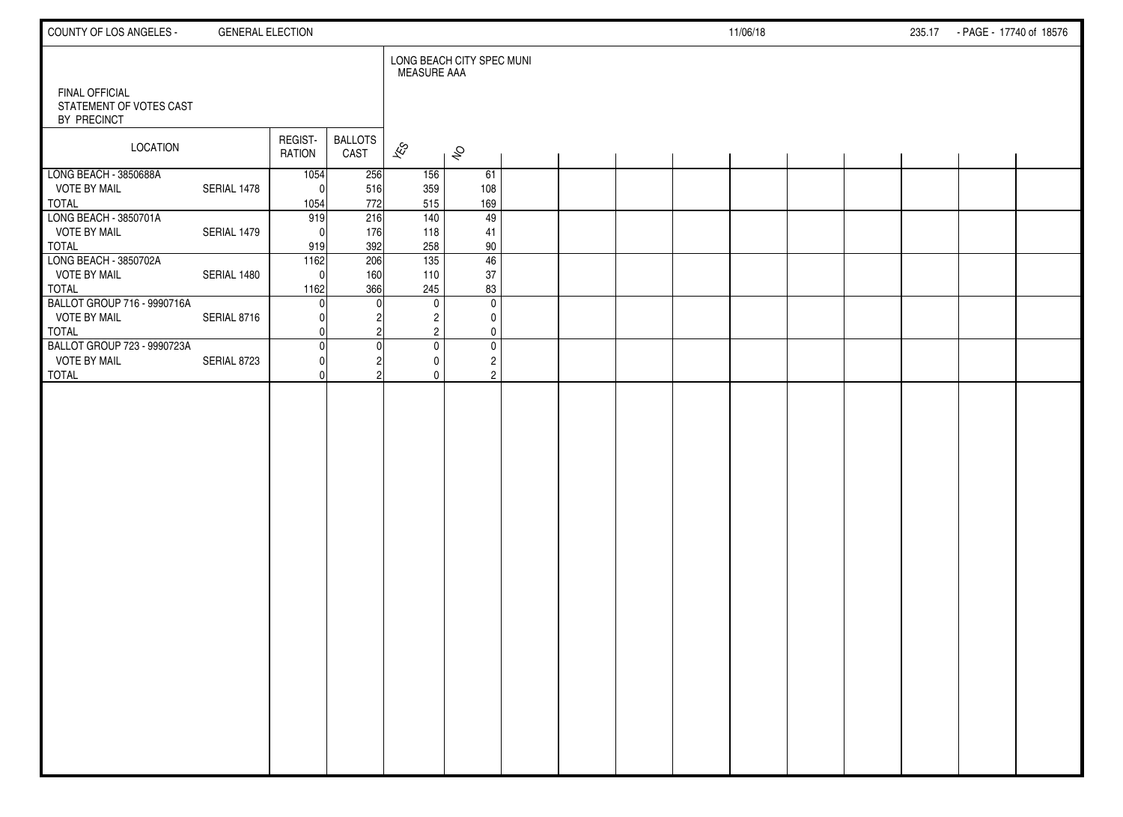| COUNTY OF LOS ANGELES -                                            | <b>GENERAL ELECTION</b> |                          |                        |                               |                                                                                                 |  |  | 11/06/18 |  | 235.17 - PAGE - 17740 of 18576 |  |
|--------------------------------------------------------------------|-------------------------|--------------------------|------------------------|-------------------------------|-------------------------------------------------------------------------------------------------|--|--|----------|--|--------------------------------|--|
| <b>FINAL OFFICIAL</b><br>STATEMENT OF VOTES CAST<br>BY PRECINCT    |                         |                          |                        | MEASURE AAA                   | LONG BEACH CITY SPEC MUNI                                                                       |  |  |          |  |                                |  |
| <b>LOCATION</b>                                                    |                         | REGIST-<br>RATION        | <b>BALLOTS</b><br>CAST | $\mathscr{E}_{\mathcal{S}}$   | $\hat{\mathcal{S}}$                                                                             |  |  |          |  |                                |  |
| LONG BEACH - 3850688A<br><b>VOTE BY MAIL</b><br><b>TOTAL</b>       | SERIAL 1478             | 1054<br>$\Omega$<br>1054 | 256<br>516<br>772      | 156<br>359<br>515             | 61<br>108<br>169                                                                                |  |  |          |  |                                |  |
| LONG BEACH - 3850701A<br><b>VOTE BY MAIL</b><br>TOTAL              | SERIAL 1479             | 919<br>$\Omega$<br>919   | 216<br>176<br>392      | $\frac{140}{ }$<br>118<br>258 | 49<br>41<br>90                                                                                  |  |  |          |  |                                |  |
| LONG BEACH - 3850702A<br><b>VOTE BY MAIL</b><br>TOTAL              | SERIAL 1480             | 1162<br>$\Omega$<br>1162 | 206<br>160<br>366      | 135<br>110<br>245             | 46<br>37<br>83                                                                                  |  |  |          |  |                                |  |
| BALLOT GROUP 716 - 9990716A<br><b>VOTE BY MAIL</b><br><b>TOTAL</b> | SERIAL 8716             | <sup>0</sup>             |                        | $\mathbf 0$                   | $\mathbf 0$<br>$\overline{c}$<br>0<br>$\overline{2}$<br>$\mathbf 0$                             |  |  |          |  |                                |  |
| BALLOT GROUP 723 - 9990723A<br><b>VOTE BY MAIL</b><br><b>TOTAL</b> | SERIAL 8723             | $\Omega$<br>O<br>U       |                        |                               | $\overline{\textbf{0}}$<br>$\mathbf 0$<br>$\overline{c}$<br>0<br>$\overline{c}$<br>$\mathbf{0}$ |  |  |          |  |                                |  |
|                                                                    |                         |                          |                        |                               |                                                                                                 |  |  |          |  |                                |  |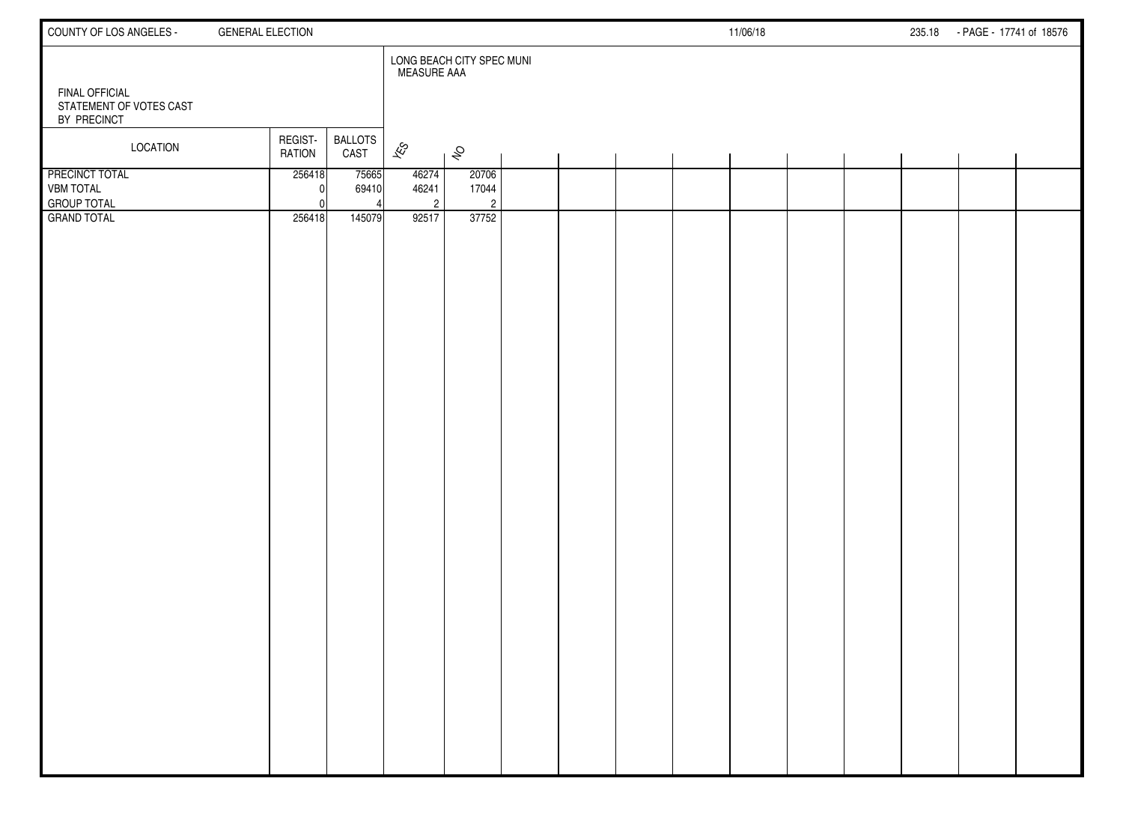| COUNTY OF LOS ANGELES -                                         | <b>GENERAL ELECTION</b>  |                        |                                  |                                  |  |  | 11/06/18 |  | 235.18 - PAGE - 17741 of 18576 |  |
|-----------------------------------------------------------------|--------------------------|------------------------|----------------------------------|----------------------------------|--|--|----------|--|--------------------------------|--|
| <b>FINAL OFFICIAL</b><br>STATEMENT OF VOTES CAST<br>BY PRECINCT |                          |                        | <b>MEASURE AAA</b>               | LONG BEACH CITY SPEC MUNI        |  |  |          |  |                                |  |
| LOCATION                                                        | REGIST-<br><b>RATION</b> | <b>BALLOTS</b><br>CAST | $\mathscr{E}_{\mathcal{S}}$      | $\hat{\mathcal{S}}$              |  |  |          |  |                                |  |
| PRECINCT TOTAL<br><b>VBM TOTAL</b><br><b>GROUP TOTAL</b>        | 256418                   | 75665<br>69410         | 46274<br>46241<br>$\overline{2}$ | 20706<br>17044<br>$\overline{c}$ |  |  |          |  |                                |  |
| <b>GRAND TOTAL</b>                                              | 256418                   | 145079                 | 92517                            | 37752                            |  |  |          |  |                                |  |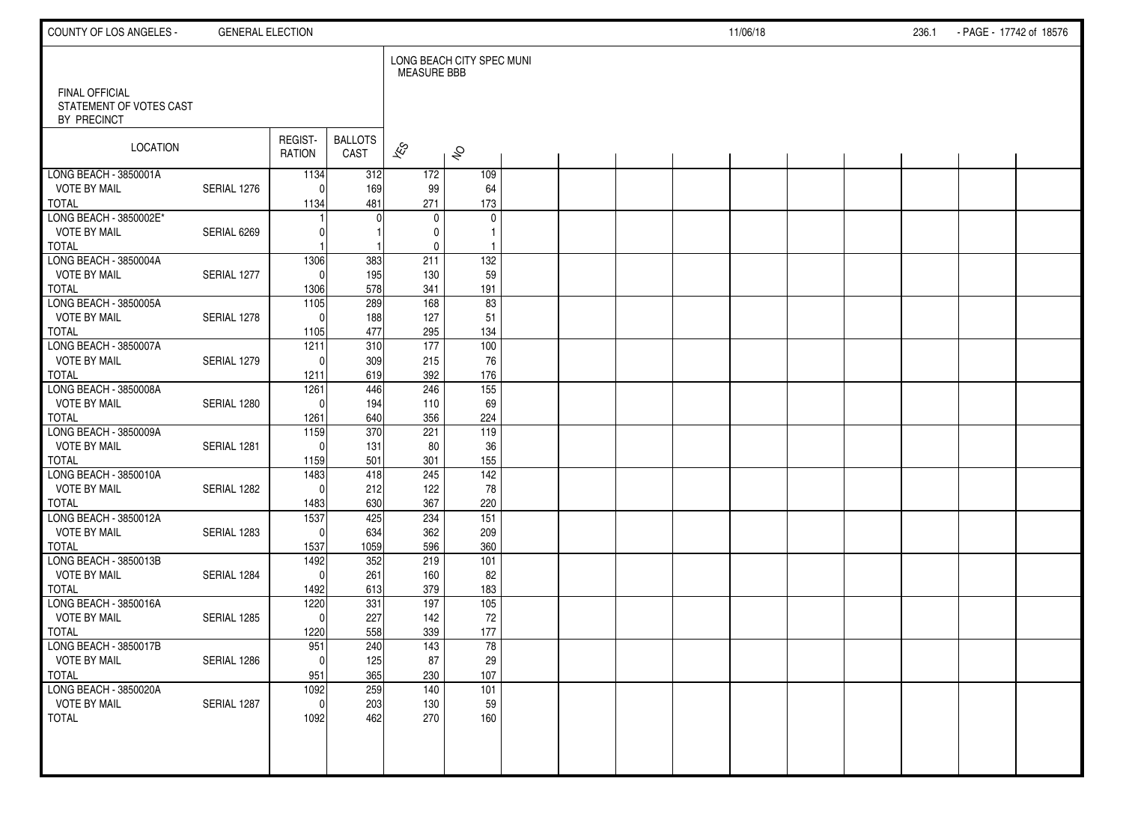| COUNTY OF LOS ANGELES -                                         | <b>GENERAL ELECTION</b> |                          |                        |                          |                              |  |  | 11/06/18 |  | 236.1 | - PAGE - 17742 of 18576 |  |
|-----------------------------------------------------------------|-------------------------|--------------------------|------------------------|--------------------------|------------------------------|--|--|----------|--|-------|-------------------------|--|
|                                                                 |                         |                          |                        | <b>MEASURE BBB</b>       | LONG BEACH CITY SPEC MUNI    |  |  |          |  |       |                         |  |
| <b>FINAL OFFICIAL</b><br>STATEMENT OF VOTES CAST<br>BY PRECINCT |                         |                          |                        |                          |                              |  |  |          |  |       |                         |  |
| LOCATION                                                        |                         | REGIST-<br><b>RATION</b> | <b>BALLOTS</b><br>CAST | $\overline{\mathscr{K}}$ | $\hat{\mathcal{S}}$          |  |  |          |  |       |                         |  |
| LONG BEACH - 3850001A                                           |                         | 1134                     | 312                    | 172                      | 109                          |  |  |          |  |       |                         |  |
| <b>VOTE BY MAIL</b>                                             | SERIAL 1276             | $\sqrt{ }$               | 169                    | 99                       | 64                           |  |  |          |  |       |                         |  |
| <b>TOTAL</b>                                                    |                         | 1134                     | 481                    | 271                      | 173                          |  |  |          |  |       |                         |  |
| LONG BEACH - 3850002E*                                          |                         |                          |                        | $\mathbf 0$              | $\mathbf 0$                  |  |  |          |  |       |                         |  |
| <b>VOTE BY MAIL</b><br><b>TOTAL</b>                             | SERIAL 6269             |                          |                        | 0<br>0                   | $\mathbf{1}$<br>$\mathbf{1}$ |  |  |          |  |       |                         |  |
| LONG BEACH - 3850004A                                           |                         | 1306                     | 383                    | 211                      | $\overline{132}$             |  |  |          |  |       |                         |  |
| <b>VOTE BY MAIL</b>                                             | SERIAL 1277             | $\Omega$                 | 195                    | 130                      | 59                           |  |  |          |  |       |                         |  |
| <b>TOTAL</b>                                                    |                         | 1306                     | 578                    | 341                      | 191                          |  |  |          |  |       |                         |  |
| LONG BEACH - 3850005A                                           |                         | $\frac{1105}{2}$         | 289                    | 168                      | 83                           |  |  |          |  |       |                         |  |
| <b>VOTE BY MAIL</b>                                             | SERIAL 1278             | $\sqrt{ }$               | 188                    | 127                      | 51                           |  |  |          |  |       |                         |  |
| <b>TOTAL</b>                                                    |                         | 1105                     | 477                    | 295                      | 134                          |  |  |          |  |       |                         |  |
| LONG BEACH - 3850007A                                           |                         | 1211                     | 310                    | 177                      | 100                          |  |  |          |  |       |                         |  |
| <b>VOTE BY MAIL</b>                                             | SERIAL 1279             | $\Omega$                 | 309                    | 215                      | 76                           |  |  |          |  |       |                         |  |
| <b>TOTAL</b>                                                    |                         | 1211                     | 619                    | 392                      | 176                          |  |  |          |  |       |                         |  |
| LONG BEACH - 3850008A                                           |                         | 1261                     | 446                    | 246                      | $\overline{155}$             |  |  |          |  |       |                         |  |
| <b>VOTE BY MAIL</b>                                             | SERIAL 1280             | $\Omega$                 | 194                    | 110                      | 69                           |  |  |          |  |       |                         |  |
| <b>TOTAL</b>                                                    |                         | 1261                     | 640                    | 356                      | 224                          |  |  |          |  |       |                         |  |
| LONG BEACH - 3850009A                                           |                         | 1159                     | 370                    | 221                      | 119                          |  |  |          |  |       |                         |  |
| <b>VOTE BY MAIL</b>                                             | SERIAL 1281             | $\Omega$                 | 131                    | 80                       | 36                           |  |  |          |  |       |                         |  |
| <b>TOTAL</b>                                                    |                         | 1159                     | 501                    | 301                      | 155                          |  |  |          |  |       |                         |  |
| LONG BEACH - 3850010A                                           |                         | 1483                     | 418                    | 245                      | $\overline{142}$             |  |  |          |  |       |                         |  |
| <b>VOTE BY MAIL</b>                                             | SERIAL 1282             | $\Omega$                 | 212                    | 122                      | 78                           |  |  |          |  |       |                         |  |
| <b>TOTAL</b>                                                    |                         | 1483                     | 630                    | 367                      | 220                          |  |  |          |  |       |                         |  |
| LONG BEACH - 3850012A<br><b>VOTE BY MAIL</b>                    | SERIAL 1283             | 1537<br>$\Omega$         | 425<br>634             | 234<br>362               | 151<br>209                   |  |  |          |  |       |                         |  |
| <b>TOTAL</b>                                                    |                         | 1537                     | 1059                   | 596                      | 360                          |  |  |          |  |       |                         |  |
| LONG BEACH - 3850013B                                           |                         | 1492                     | 352                    | 219                      | 101                          |  |  |          |  |       |                         |  |
| <b>VOTE BY MAIL</b>                                             | SERIAL 1284             | $\mathbf{C}$             | 261                    | 160                      | 82                           |  |  |          |  |       |                         |  |
| <b>TOTAL</b>                                                    |                         | 1492                     | 613                    | 379                      | 183                          |  |  |          |  |       |                         |  |
| LONG BEACH - 3850016A                                           |                         | 1220                     | 331                    | 197                      | 105                          |  |  |          |  |       |                         |  |
| <b>VOTE BY MAIL</b>                                             | SERIAL 1285             | $\Omega$                 | 227                    | 142                      | 72                           |  |  |          |  |       |                         |  |
| <b>TOTAL</b>                                                    |                         | 1220                     | 558                    | 339                      | 177                          |  |  |          |  |       |                         |  |
| LONG BEACH - 3850017B                                           |                         | 951                      | 240                    | 143                      | 78                           |  |  |          |  |       |                         |  |
| <b>VOTE BY MAIL</b>                                             | SERIAL 1286             | $\overline{0}$           | 125                    | 87                       | 29                           |  |  |          |  |       |                         |  |
| <b>TOTAL</b>                                                    |                         | 951                      | 365                    | 230                      | 107                          |  |  |          |  |       |                         |  |
| LONG BEACH - 3850020A                                           |                         | 1092                     | 259                    | $\frac{140}{ }$          | 101                          |  |  |          |  |       |                         |  |
| <b>VOTE BY MAIL</b>                                             | SERIAL 1287             | $\mathbf 0$              | 203                    | 130                      | 59                           |  |  |          |  |       |                         |  |
| <b>TOTAL</b>                                                    |                         | 1092                     | 462                    | 270                      | 160                          |  |  |          |  |       |                         |  |
|                                                                 |                         |                          |                        |                          |                              |  |  |          |  |       |                         |  |
|                                                                 |                         |                          |                        |                          |                              |  |  |          |  |       |                         |  |
|                                                                 |                         |                          |                        |                          |                              |  |  |          |  |       |                         |  |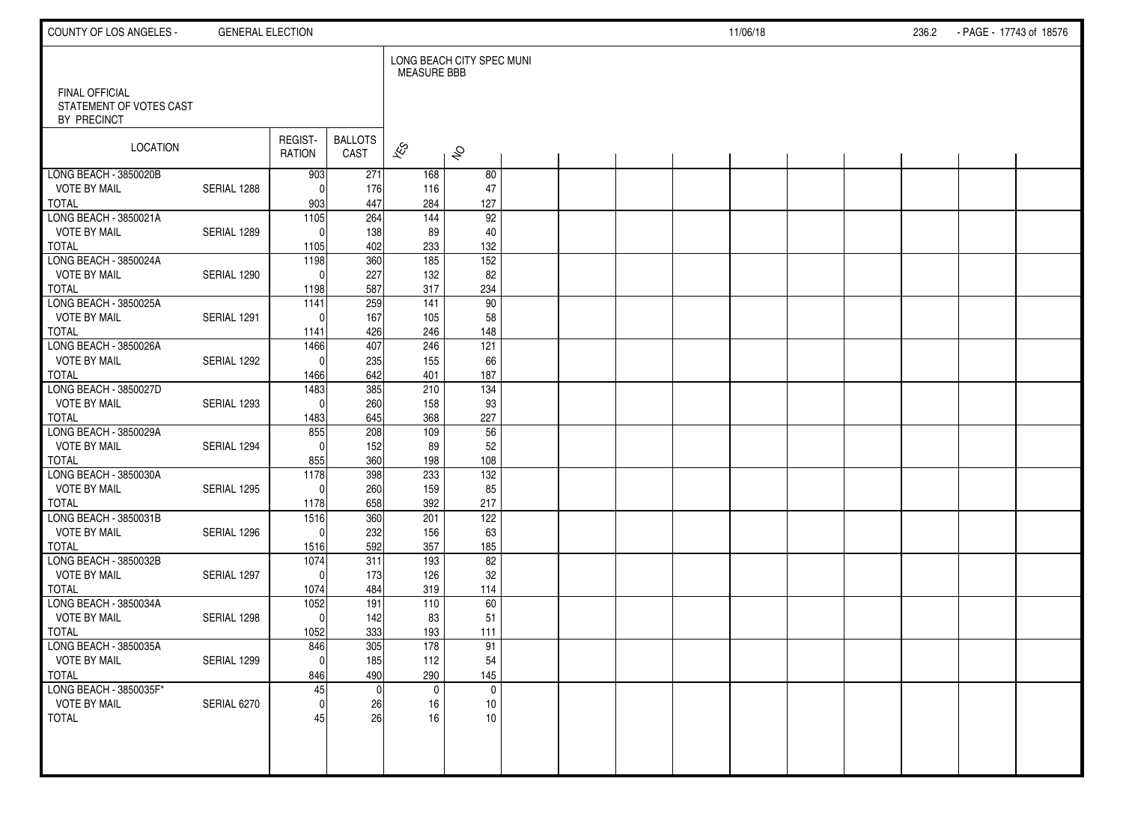| COUNTY OF LOS ANGELES -                                  | <b>GENERAL ELECTION</b> |                      |                         |                          |                           |  |  | 11/06/18 |  | 236.2 | - PAGE - 17743 of 18576 |  |
|----------------------------------------------------------|-------------------------|----------------------|-------------------------|--------------------------|---------------------------|--|--|----------|--|-------|-------------------------|--|
|                                                          |                         |                      |                         | <b>MEASURE BBB</b>       | LONG BEACH CITY SPEC MUNI |  |  |          |  |       |                         |  |
| FINAL OFFICIAL<br>STATEMENT OF VOTES CAST<br>BY PRECINCT |                         |                      |                         |                          |                           |  |  |          |  |       |                         |  |
| LOCATION                                                 |                         | REGIST-<br>RATION    | <b>BALLOTS</b><br>CAST  | $\overline{\mathscr{K}}$ | $\hat{\mathcal{S}}$       |  |  |          |  |       |                         |  |
| LONG BEACH - 3850020B                                    |                         | 903                  | 271                     | 168                      | 80                        |  |  |          |  |       |                         |  |
| <b>VOTE BY MAIL</b>                                      | SERIAL 1288             | $\Omega$             | 176                     | 116                      | 47                        |  |  |          |  |       |                         |  |
| <b>TOTAL</b><br>LONG BEACH - 3850021A                    |                         | 903<br>1105          | 447<br>$\overline{264}$ | 284<br>144               | 127<br>92                 |  |  |          |  |       |                         |  |
| <b>VOTE BY MAIL</b>                                      | SERIAL 1289             | $\Omega$             | 138                     | 89                       | 40                        |  |  |          |  |       |                         |  |
| <b>TOTAL</b>                                             |                         | 1105                 | 402                     | 233                      | 132                       |  |  |          |  |       |                         |  |
| LONG BEACH - 3850024A                                    |                         | 1198                 | 360                     | 185                      | 152                       |  |  |          |  |       |                         |  |
| <b>VOTE BY MAIL</b>                                      | SERIAL 1290             | $\Omega$             | 227                     | 132                      | 82                        |  |  |          |  |       |                         |  |
| <b>TOTAL</b>                                             |                         | 1198                 | 587                     | 317                      | 234                       |  |  |          |  |       |                         |  |
| LONG BEACH - 3850025A                                    |                         | $\frac{1141}{11}$    | 259                     | 141                      | 90                        |  |  |          |  |       |                         |  |
| <b>VOTE BY MAIL</b>                                      | SERIAL 1291             | $\Omega$             | 167                     | 105                      | 58                        |  |  |          |  |       |                         |  |
| <b>TOTAL</b>                                             |                         | 1141                 | 426                     | 246                      | 148                       |  |  |          |  |       |                         |  |
| LONG BEACH - 3850026A                                    |                         | 1466                 | 407                     | 246                      | 121                       |  |  |          |  |       |                         |  |
| <b>VOTE BY MAIL</b>                                      | SERIAL 1292             | $\Omega$             | 235                     | 155                      | 66                        |  |  |          |  |       |                         |  |
| <b>TOTAL</b>                                             |                         | 1466                 | 642                     | 401                      | 187                       |  |  |          |  |       |                         |  |
| LONG BEACH - 3850027D                                    |                         | 1483                 | 385                     | 210                      | $\frac{1}{34}$            |  |  |          |  |       |                         |  |
| <b>VOTE BY MAIL</b><br><b>TOTAL</b>                      | SERIAL 1293             | $\Omega$             | 260<br>645              | 158<br>368               | 93<br>227                 |  |  |          |  |       |                         |  |
| LONG BEACH - 3850029A                                    |                         | 1483<br>855          | 208                     | 109                      | 56                        |  |  |          |  |       |                         |  |
| <b>VOTE BY MAIL</b>                                      | SERIAL 1294             | $\Omega$             | 152                     | 89                       | 52                        |  |  |          |  |       |                         |  |
| <b>TOTAL</b>                                             |                         | 855                  | 360                     | 198                      | 108                       |  |  |          |  |       |                         |  |
| LONG BEACH - 3850030A                                    |                         | 1178                 | 398                     | 233                      | $\overline{132}$          |  |  |          |  |       |                         |  |
| <b>VOTE BY MAIL</b>                                      | SERIAL 1295             | $\Omega$             | 260                     | 159                      | 85                        |  |  |          |  |       |                         |  |
| <b>TOTAL</b>                                             |                         | 1178                 | 658                     | 392                      | 217                       |  |  |          |  |       |                         |  |
| LONG BEACH - 3850031B                                    |                         | 1516                 | 360                     | 201                      | 122                       |  |  |          |  |       |                         |  |
| <b>VOTE BY MAIL</b>                                      | SERIAL 1296             | $\Omega$             | 232                     | 156                      | 63                        |  |  |          |  |       |                         |  |
| <b>TOTAL</b>                                             |                         | 1516                 | 592                     | 357                      | 185                       |  |  |          |  |       |                         |  |
| LONG BEACH - 3850032B                                    |                         | 1074                 | 311                     | 193                      | 82                        |  |  |          |  |       |                         |  |
| <b>VOTE BY MAIL</b>                                      | SERIAL 1297             | $\Omega$             | 173                     | 126                      | 32                        |  |  |          |  |       |                         |  |
| <b>TOTAL</b>                                             |                         | 1074                 | 484                     | 319                      | 114                       |  |  |          |  |       |                         |  |
| LONG BEACH - 3850034A                                    |                         | 1052                 | 191                     | 110                      | 60                        |  |  |          |  |       |                         |  |
| <b>VOTE BY MAIL</b><br><b>TOTAL</b>                      | SERIAL 1298             | $\mathbf{0}$<br>1052 | 142<br>333              | 83<br>193                | 51<br>111                 |  |  |          |  |       |                         |  |
| LONG BEACH - 3850035A                                    |                         | 846                  | 305                     | 178                      | 91                        |  |  |          |  |       |                         |  |
| <b>VOTE BY MAIL</b>                                      | SERIAL 1299             | $\mathbf 0$          | 185                     | 112                      | 54                        |  |  |          |  |       |                         |  |
| <b>TOTAL</b>                                             |                         | 846                  | 490                     | 290                      | 145                       |  |  |          |  |       |                         |  |
| LONG BEACH - 3850035F*                                   |                         | 45                   | $\mathbf{0}$            | $\mathbf 0$              | $\mathbf 0$               |  |  |          |  |       |                         |  |
| <b>VOTE BY MAIL</b>                                      | SERIAL 6270             | $\mathbf{0}$         | 26                      | 16                       | 10                        |  |  |          |  |       |                         |  |
| <b>TOTAL</b>                                             |                         | 45                   | 26                      | 16                       | 10                        |  |  |          |  |       |                         |  |
|                                                          |                         |                      |                         |                          |                           |  |  |          |  |       |                         |  |
|                                                          |                         |                      |                         |                          |                           |  |  |          |  |       |                         |  |
|                                                          |                         |                      |                         |                          |                           |  |  |          |  |       |                         |  |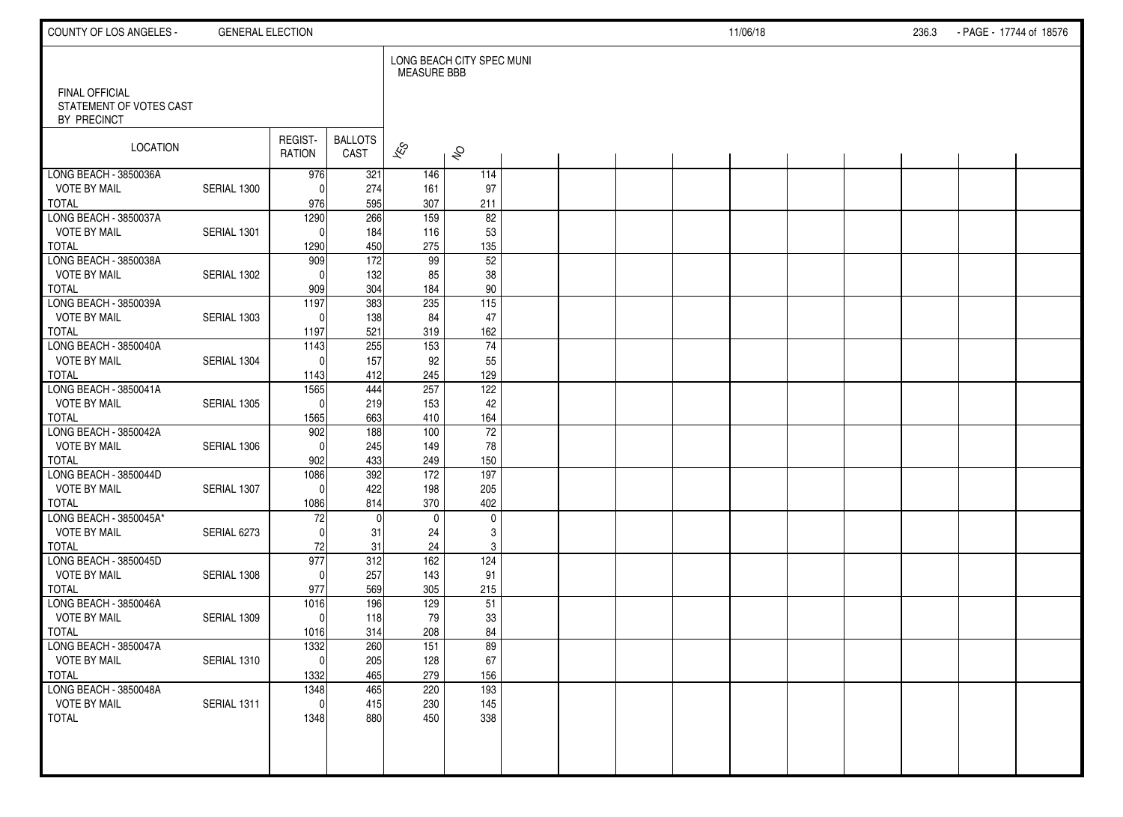| COUNTY OF LOS ANGELES -                                  | <b>GENERAL ELECTION</b> |                   |                        |                    |                           |  |  | 11/06/18 |  | 236.3 | - PAGE - 17744 of 18576 |  |
|----------------------------------------------------------|-------------------------|-------------------|------------------------|--------------------|---------------------------|--|--|----------|--|-------|-------------------------|--|
|                                                          |                         |                   |                        | <b>MEASURE BBB</b> | LONG BEACH CITY SPEC MUNI |  |  |          |  |       |                         |  |
| FINAL OFFICIAL<br>STATEMENT OF VOTES CAST<br>BY PRECINCT |                         |                   |                        |                    |                           |  |  |          |  |       |                         |  |
| <b>LOCATION</b>                                          |                         | REGIST-<br>RATION | <b>BALLOTS</b><br>CAST | $\approx$          | $\hat{\mathcal{S}}$       |  |  |          |  |       |                         |  |
| LONG BEACH - 3850036A                                    |                         | 976               | 321                    | 146                | 114                       |  |  |          |  |       |                         |  |
| <b>VOTE BY MAIL</b>                                      | SERIAL 1300             | $\Omega$          | 274                    | 161                | 97                        |  |  |          |  |       |                         |  |
| <b>TOTAL</b>                                             |                         | 976               | 595                    | 307                | 211                       |  |  |          |  |       |                         |  |
| LONG BEACH - 3850037A<br><b>VOTE BY MAIL</b>             | SERIAL 1301             | 1290              | 266                    | 159                | 82                        |  |  |          |  |       |                         |  |
| <b>TOTAL</b>                                             |                         | $\Omega$<br>1290  | 184<br>450             | 116<br>275         | 53<br>135                 |  |  |          |  |       |                         |  |
| LONG BEACH - 3850038A                                    |                         | 909               | $\frac{1}{172}$        | 99                 | 52                        |  |  |          |  |       |                         |  |
| <b>VOTE BY MAIL</b>                                      | SERIAL 1302             | $\Omega$          | 132                    | 85                 | 38                        |  |  |          |  |       |                         |  |
| <b>TOTAL</b>                                             |                         | 909               | 304                    | 184                | 90                        |  |  |          |  |       |                         |  |
| LONG BEACH - 3850039A                                    |                         | 1197              | 383                    | 235                | $\overline{115}$          |  |  |          |  |       |                         |  |
| <b>VOTE BY MAIL</b>                                      | SERIAL 1303             | $\Omega$          | 138                    | 84                 | 47                        |  |  |          |  |       |                         |  |
| <b>TOTAL</b>                                             |                         | 1197              | 521                    | 319                | 162                       |  |  |          |  |       |                         |  |
| LONG BEACH - 3850040A                                    |                         | 1143              | 255                    | 153                | $\overline{74}$           |  |  |          |  |       |                         |  |
| <b>VOTE BY MAIL</b>                                      | SERIAL 1304             | $\Omega$          | 157                    | 92                 | 55                        |  |  |          |  |       |                         |  |
| <b>TOTAL</b>                                             |                         | 1143              | 412                    | 245                | 129                       |  |  |          |  |       |                         |  |
| LONG BEACH - 3850041A                                    |                         | 1565              | 444                    | 257                | 122                       |  |  |          |  |       |                         |  |
| <b>VOTE BY MAIL</b>                                      | SERIAL 1305             | $\Omega$          | 219                    | 153                | 42                        |  |  |          |  |       |                         |  |
| <b>TOTAL</b><br>LONG BEACH - 3850042A                    |                         | 1565<br>902       | 663<br>188             | 410<br>100         | 164<br>72                 |  |  |          |  |       |                         |  |
| <b>VOTE BY MAIL</b>                                      | SERIAL 1306             | $\mathbf{0}$      | 245                    | 149                | 78                        |  |  |          |  |       |                         |  |
| <b>TOTAL</b>                                             |                         | 902               | 433                    | 249                | 150                       |  |  |          |  |       |                         |  |
| LONG BEACH - 3850044D                                    |                         | 1086              | 392                    | $\frac{172}{ }$    | 197                       |  |  |          |  |       |                         |  |
| <b>VOTE BY MAIL</b>                                      | SERIAL 1307             | $\Omega$          | 422                    | 198                | 205                       |  |  |          |  |       |                         |  |
| <b>TOTAL</b>                                             |                         | 1086              | 814                    | 370                | 402                       |  |  |          |  |       |                         |  |
| LONG BEACH - 3850045A*                                   |                         | 72                | $\mathbf{0}$           | $\mathbf 0$        | $\mathbf 0$               |  |  |          |  |       |                         |  |
| <b>VOTE BY MAIL</b>                                      | SERIAL 6273             | $\Omega$          | 31                     | 24                 | 3                         |  |  |          |  |       |                         |  |
| <b>TOTAL</b>                                             |                         | 72                | 31                     | 24                 | 3                         |  |  |          |  |       |                         |  |
| LONG BEACH - 3850045D                                    |                         | 977               | 312                    | 162                | 124                       |  |  |          |  |       |                         |  |
| <b>VOTE BY MAIL</b>                                      | SERIAL 1308             | $\Omega$          | 257                    | 143                | 91                        |  |  |          |  |       |                         |  |
| <b>TOTAL</b>                                             |                         | 977               | 569                    | 305                | 215                       |  |  |          |  |       |                         |  |
| LONG BEACH - 3850046A<br><b>VOTE BY MAIL</b>             | SERIAL 1309             | 1016<br>$\Omega$  | 196                    | 129<br>79          | 51                        |  |  |          |  |       |                         |  |
| <b>TOTAL</b>                                             |                         | 1016              | 118<br>314             | 208                | 33<br>84                  |  |  |          |  |       |                         |  |
| LONG BEACH - 3850047A                                    |                         | 1332              | 260                    | 151                | 89                        |  |  |          |  |       |                         |  |
| <b>VOTE BY MAIL</b>                                      | SERIAL 1310             | $\vert 0 \vert$   | 205                    | 128                | 67                        |  |  |          |  |       |                         |  |
| <b>TOTAL</b>                                             |                         | 1332              | 465                    | 279                | 156                       |  |  |          |  |       |                         |  |
| LONG BEACH - 3850048A                                    |                         | 1348              | 465                    | 220                | 193                       |  |  |          |  |       |                         |  |
| <b>VOTE BY MAIL</b>                                      | SERIAL 1311             | $\mathbf 0$       | 415                    | 230                | 145                       |  |  |          |  |       |                         |  |
| <b>TOTAL</b>                                             |                         | 1348              | 880                    | 450                | 338                       |  |  |          |  |       |                         |  |
|                                                          |                         |                   |                        |                    |                           |  |  |          |  |       |                         |  |
|                                                          |                         |                   |                        |                    |                           |  |  |          |  |       |                         |  |
|                                                          |                         |                   |                        |                    |                           |  |  |          |  |       |                         |  |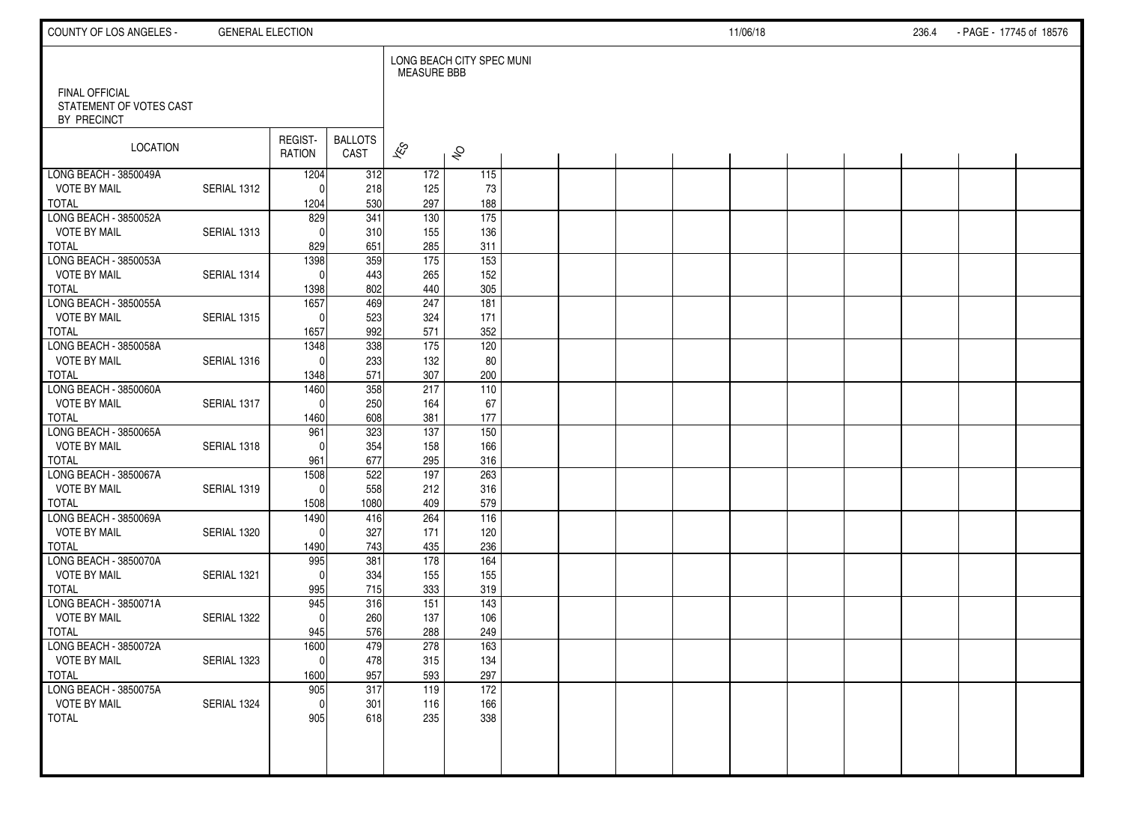| COUNTY OF LOS ANGELES -                                  | <b>GENERAL ELECTION</b> |                   |                        |                          |                           |  |  | 11/06/18 |  | 236.4 | - PAGE - 17745 of 18576 |  |
|----------------------------------------------------------|-------------------------|-------------------|------------------------|--------------------------|---------------------------|--|--|----------|--|-------|-------------------------|--|
|                                                          |                         |                   |                        | <b>MEASURE BBB</b>       | LONG BEACH CITY SPEC MUNI |  |  |          |  |       |                         |  |
| FINAL OFFICIAL<br>STATEMENT OF VOTES CAST<br>BY PRECINCT |                         |                   |                        |                          |                           |  |  |          |  |       |                         |  |
| LOCATION                                                 |                         | REGIST-<br>RATION | <b>BALLOTS</b><br>CAST | $\overline{\mathscr{K}}$ | $\hat{\mathcal{S}}$       |  |  |          |  |       |                         |  |
| LONG BEACH - 3850049A                                    |                         | 1204              | 312                    | 172                      | 115                       |  |  |          |  |       |                         |  |
| <b>VOTE BY MAIL</b><br><b>TOTAL</b>                      | SERIAL 1312             | $\Omega$<br>1204  | 218<br>530             | 125<br>297               | 73<br>188                 |  |  |          |  |       |                         |  |
| LONG BEACH - 3850052A                                    |                         | 829               | $\overline{341}$       | 130                      | $\overline{175}$          |  |  |          |  |       |                         |  |
| <b>VOTE BY MAIL</b>                                      | SERIAL 1313             | $\Omega$          | 310                    | 155                      | 136                       |  |  |          |  |       |                         |  |
| <b>TOTAL</b>                                             |                         | 829               | 651                    | 285                      | 311                       |  |  |          |  |       |                         |  |
| LONG BEACH - 3850053A                                    |                         | 1398              | 359                    | $\frac{175}{2}$          | $\overline{153}$          |  |  |          |  |       |                         |  |
| <b>VOTE BY MAIL</b>                                      | SERIAL 1314             | $\Omega$          | 443                    | 265                      | 152                       |  |  |          |  |       |                         |  |
| <b>TOTAL</b>                                             |                         | 1398              | 802                    | 440                      | 305                       |  |  |          |  |       |                         |  |
| LONG BEACH - 3850055A                                    |                         | 1657              | 469                    | 247                      | 181                       |  |  |          |  |       |                         |  |
| <b>VOTE BY MAIL</b><br><b>TOTAL</b>                      | SERIAL 1315             | $\Omega$          | 523<br>992             | 324<br>571               | 171<br>352                |  |  |          |  |       |                         |  |
| LONG BEACH - 3850058A                                    |                         | 1657<br>1348      | 338                    | 175                      | 120                       |  |  |          |  |       |                         |  |
| <b>VOTE BY MAIL</b>                                      | SERIAL 1316             | $\Omega$          | 233                    | 132                      | 80                        |  |  |          |  |       |                         |  |
| <b>TOTAL</b>                                             |                         | 1348              | 571                    | 307                      | 200                       |  |  |          |  |       |                         |  |
| LONG BEACH - 3850060A                                    |                         | 1460              | 358                    | 217                      | 110                       |  |  |          |  |       |                         |  |
| <b>VOTE BY MAIL</b>                                      | SERIAL 1317             | $\mathbf{0}$      | 250                    | 164                      | 67                        |  |  |          |  |       |                         |  |
| <b>TOTAL</b>                                             |                         | 1460              | 608                    | 381                      | 177                       |  |  |          |  |       |                         |  |
| LONG BEACH - 3850065A                                    |                         | 961               | 323                    | 137                      | 150                       |  |  |          |  |       |                         |  |
| <b>VOTE BY MAIL</b>                                      | SERIAL 1318             | $\Omega$          | 354                    | 158                      | 166                       |  |  |          |  |       |                         |  |
| <b>TOTAL</b>                                             |                         | 961               | 677                    | 295                      | 316                       |  |  |          |  |       |                         |  |
| LONG BEACH - 3850067A                                    |                         | 1508              | 522                    | 197                      | 263                       |  |  |          |  |       |                         |  |
| <b>VOTE BY MAIL</b><br><b>TOTAL</b>                      | SERIAL 1319             | $\mathbf{0}$      | 558<br>1080            | 212<br>409               | 316<br>579                |  |  |          |  |       |                         |  |
| LONG BEACH - 3850069A                                    |                         | 1508<br>1490      | 416                    | 264                      | 116                       |  |  |          |  |       |                         |  |
| <b>VOTE BY MAIL</b>                                      | SERIAL 1320             | $\Omega$          | 327                    | 171                      | 120                       |  |  |          |  |       |                         |  |
| <b>TOTAL</b>                                             |                         | 1490              | 743                    | 435                      | 236                       |  |  |          |  |       |                         |  |
| LONG BEACH - 3850070A                                    |                         | 995               | 381                    | 178                      | 164                       |  |  |          |  |       |                         |  |
| <b>VOTE BY MAIL</b>                                      | SERIAL 1321             | $\Omega$          | 334                    | 155                      | 155                       |  |  |          |  |       |                         |  |
| <b>TOTAL</b>                                             |                         | 995               | 715                    | 333                      | 319                       |  |  |          |  |       |                         |  |
| LONG BEACH - 3850071A                                    |                         | 945               | 316                    | 151                      | $\frac{143}{ }$           |  |  |          |  |       |                         |  |
| <b>VOTE BY MAIL</b>                                      | SERIAL 1322             | $\mathbf{0}$      | 260                    | 137                      | 106                       |  |  |          |  |       |                         |  |
| <b>TOTAL</b>                                             |                         | 945               | 576                    | 288<br>278               | 249<br>163                |  |  |          |  |       |                         |  |
| LONG BEACH - 3850072A<br><b>VOTE BY MAIL</b>             | SERIAL 1323             | 1600<br>$\pmb{0}$ | 479<br>478             | 315                      | 134                       |  |  |          |  |       |                         |  |
| <b>TOTAL</b>                                             |                         | 1600              | 957                    | 593                      | 297                       |  |  |          |  |       |                         |  |
| LONG BEACH - 3850075A                                    |                         | 905               | 317                    | 119                      | 172                       |  |  |          |  |       |                         |  |
| <b>VOTE BY MAIL</b>                                      | SERIAL 1324             | $\mathbf 0$       | 301                    | 116                      | 166                       |  |  |          |  |       |                         |  |
| <b>TOTAL</b>                                             |                         | 905               | 618                    | 235                      | 338                       |  |  |          |  |       |                         |  |
|                                                          |                         |                   |                        |                          |                           |  |  |          |  |       |                         |  |
|                                                          |                         |                   |                        |                          |                           |  |  |          |  |       |                         |  |
|                                                          |                         |                   |                        |                          |                           |  |  |          |  |       |                         |  |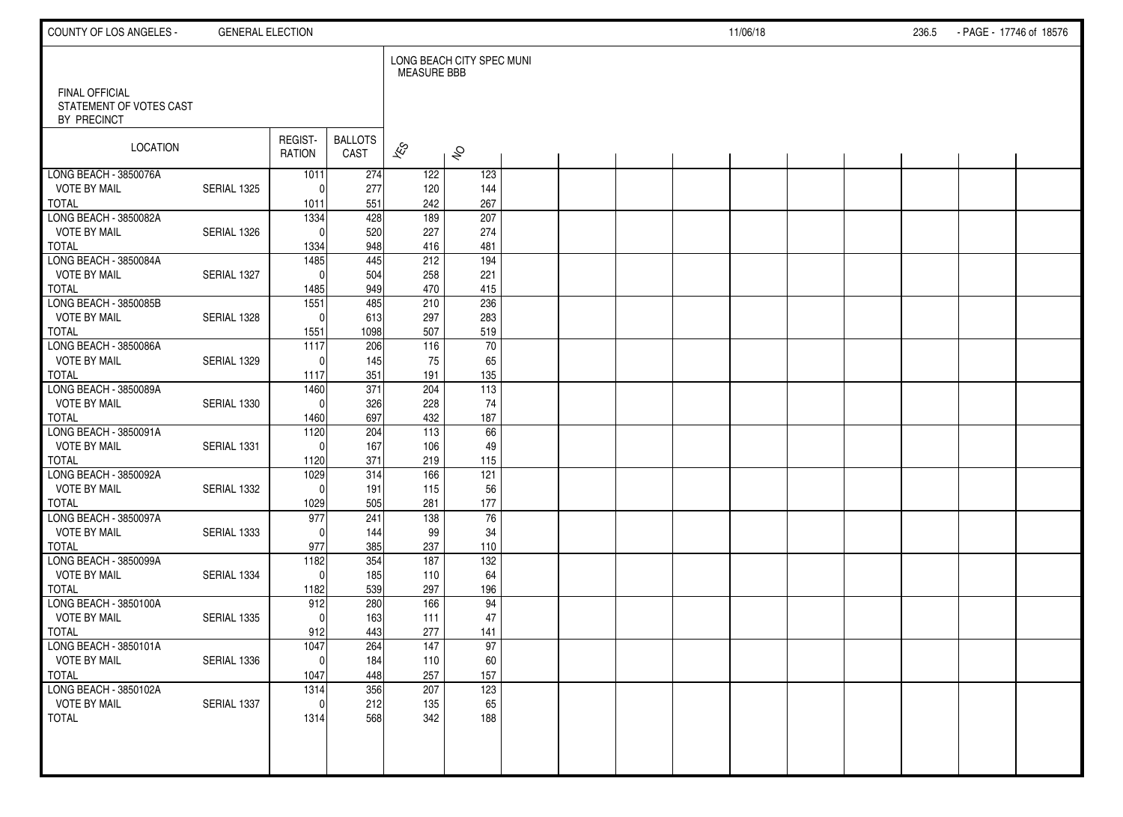| COUNTY OF LOS ANGELES -                                  | <b>GENERAL ELECTION</b> |                   |                        |                          |                           |  |  | 11/06/18 |  | 236.5 | - PAGE - 17746 of 18576 |  |
|----------------------------------------------------------|-------------------------|-------------------|------------------------|--------------------------|---------------------------|--|--|----------|--|-------|-------------------------|--|
|                                                          |                         |                   |                        | <b>MEASURE BBB</b>       | LONG BEACH CITY SPEC MUNI |  |  |          |  |       |                         |  |
| FINAL OFFICIAL<br>STATEMENT OF VOTES CAST<br>BY PRECINCT |                         |                   |                        |                          |                           |  |  |          |  |       |                         |  |
| LOCATION                                                 |                         | REGIST-<br>RATION | <b>BALLOTS</b><br>CAST | $\overline{\mathscr{K}}$ | $\hat{\mathcal{S}}$       |  |  |          |  |       |                         |  |
| LONG BEACH - 3850076A                                    |                         | 1011              | 274                    | 122                      | 123                       |  |  |          |  |       |                         |  |
| <b>VOTE BY MAIL</b>                                      | SERIAL 1325             | $\Omega$          | 277                    | 120                      | 144                       |  |  |          |  |       |                         |  |
| <b>TOTAL</b><br>LONG BEACH - 3850082A                    |                         | 1011              | 551                    | 242<br>$\frac{1}{189}$   | 267                       |  |  |          |  |       |                         |  |
| <b>VOTE BY MAIL</b>                                      | SERIAL 1326             | 1334<br>$\Omega$  | 428<br>520             | 227                      | 207<br>274                |  |  |          |  |       |                         |  |
| <b>TOTAL</b>                                             |                         | 1334              | 948                    | 416                      | 481                       |  |  |          |  |       |                         |  |
| LONG BEACH - 3850084A                                    |                         | 1485              | 445                    | 212                      | 194                       |  |  |          |  |       |                         |  |
| <b>VOTE BY MAIL</b>                                      | SERIAL 1327             | $\Omega$          | 504                    | 258                      | 221                       |  |  |          |  |       |                         |  |
| <b>TOTAL</b>                                             |                         | 1485              | 949                    | 470                      | 415                       |  |  |          |  |       |                         |  |
| LONG BEACH - 3850085B                                    |                         | 1551              | 485                    | 210                      | 236                       |  |  |          |  |       |                         |  |
| <b>VOTE BY MAIL</b>                                      | SERIAL 1328             | $\mathbf{0}$      | 613                    | 297                      | 283                       |  |  |          |  |       |                         |  |
| <b>TOTAL</b>                                             |                         | 1551              | 1098                   | 507                      | 519                       |  |  |          |  |       |                         |  |
| LONG BEACH - 3850086A                                    |                         | 1117              | 206                    | 116                      | $\overline{70}$           |  |  |          |  |       |                         |  |
| <b>VOTE BY MAIL</b>                                      | SERIAL 1329             | $\Omega$          | 145                    | 75                       | 65                        |  |  |          |  |       |                         |  |
| <b>TOTAL</b>                                             |                         | 1117              | 351                    | 191                      | 135                       |  |  |          |  |       |                         |  |
| LONG BEACH - 3850089A                                    |                         | 1460              | $\overline{371}$       | 204                      | 113                       |  |  |          |  |       |                         |  |
| <b>VOTE BY MAIL</b>                                      | SERIAL 1330             | $\mathbf{0}$      | 326                    | 228                      | 74                        |  |  |          |  |       |                         |  |
| <b>TOTAL</b>                                             |                         | 1460              | 697                    | 432                      | 187                       |  |  |          |  |       |                         |  |
| LONG BEACH - 3850091A                                    |                         | $\frac{1120}{ }$  | 204                    | 113                      | 66                        |  |  |          |  |       |                         |  |
| <b>VOTE BY MAIL</b>                                      | SERIAL 1331             | $\mathbf{0}$      | 167                    | 106                      | 49                        |  |  |          |  |       |                         |  |
| <b>TOTAL</b>                                             |                         | 1120              | 371                    | 219                      | 115                       |  |  |          |  |       |                         |  |
| LONG BEACH - 3850092A                                    |                         | 1029<br>$\Omega$  | 314                    | 166                      | 121                       |  |  |          |  |       |                         |  |
| <b>VOTE BY MAIL</b><br><b>TOTAL</b>                      | SERIAL 1332             | 1029              | 191<br>505             | 115<br>281               | 56<br>177                 |  |  |          |  |       |                         |  |
| LONG BEACH - 3850097A                                    |                         | 977               | 241                    | 138                      | 76                        |  |  |          |  |       |                         |  |
| <b>VOTE BY MAIL</b>                                      | SERIAL 1333             | $\Omega$          | 144                    | 99                       | 34                        |  |  |          |  |       |                         |  |
| <b>TOTAL</b>                                             |                         | 977               | 385                    | 237                      | 110                       |  |  |          |  |       |                         |  |
| LONG BEACH - 3850099A                                    |                         | 1182              | 354                    | 187                      | $\overline{132}$          |  |  |          |  |       |                         |  |
| <b>VOTE BY MAIL</b>                                      | SERIAL 1334             | $\mathbf{0}$      | 185                    | 110                      | 64                        |  |  |          |  |       |                         |  |
| <b>TOTAL</b>                                             |                         | 1182              | 539                    | 297                      | 196                       |  |  |          |  |       |                         |  |
| LONG BEACH - 3850100A                                    |                         | 912               | 280                    | 166                      | 94                        |  |  |          |  |       |                         |  |
| <b>VOTE BY MAIL</b>                                      | SERIAL 1335             | $\Omega$          | 163                    | 111                      | 47                        |  |  |          |  |       |                         |  |
| <b>TOTAL</b>                                             |                         | 912               | 443                    | 277                      | 141                       |  |  |          |  |       |                         |  |
| LONG BEACH - 3850101A                                    |                         | 1047              | 264                    | 147                      | 97                        |  |  |          |  |       |                         |  |
| <b>VOTE BY MAIL</b>                                      | SERIAL 1336             | $\pmb{0}$         | 184                    | 110                      | 60                        |  |  |          |  |       |                         |  |
| <b>TOTAL</b>                                             |                         | 1047              | 448                    | 257                      | 157                       |  |  |          |  |       |                         |  |
| LONG BEACH - 3850102A                                    |                         | 1314              | 356                    | 207                      | 123                       |  |  |          |  |       |                         |  |
| <b>VOTE BY MAIL</b>                                      | SERIAL 1337             | $\mathbf 0$       | 212                    | 135                      | 65                        |  |  |          |  |       |                         |  |
| <b>TOTAL</b>                                             |                         | 1314              | 568                    | 342                      | 188                       |  |  |          |  |       |                         |  |
|                                                          |                         |                   |                        |                          |                           |  |  |          |  |       |                         |  |
|                                                          |                         |                   |                        |                          |                           |  |  |          |  |       |                         |  |
|                                                          |                         |                   |                        |                          |                           |  |  |          |  |       |                         |  |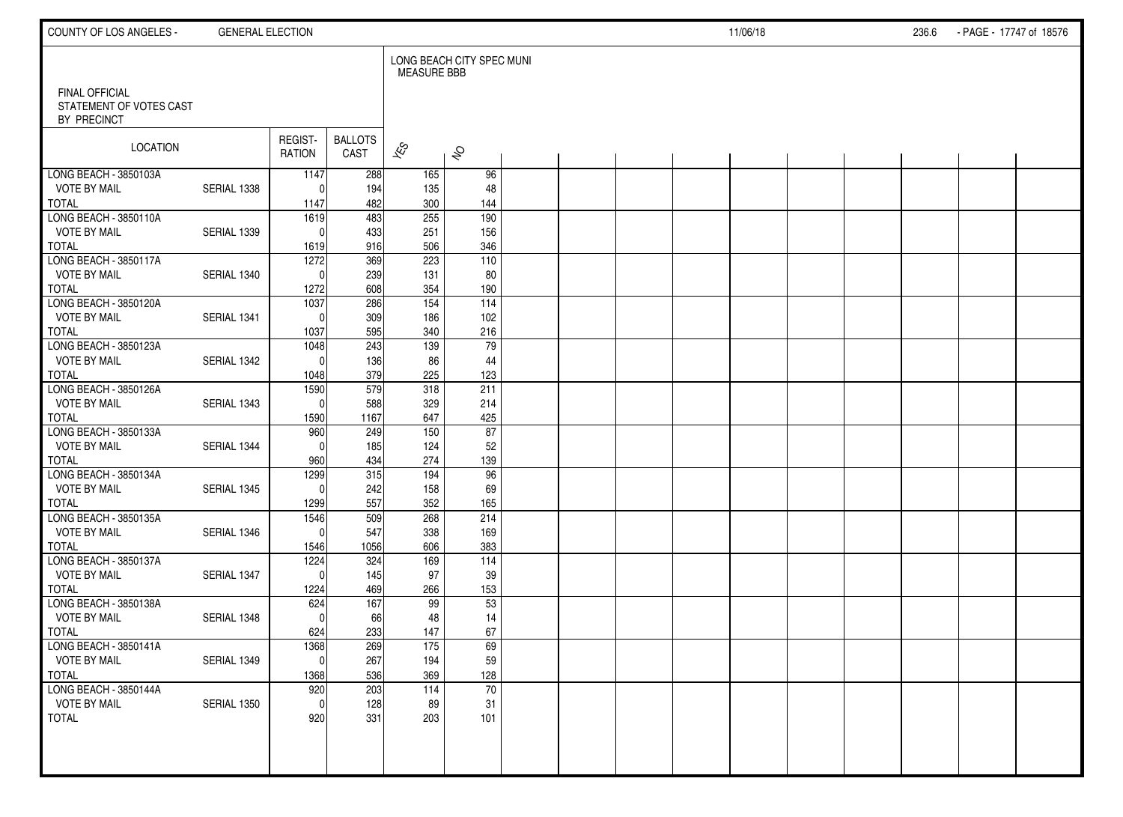| COUNTY OF LOS ANGELES -                | <b>GENERAL ELECTION</b> |                          |                        |                    |                           |  |  | 11/06/18 |  | 236.6 | - PAGE - 17747 of 18576 |  |
|----------------------------------------|-------------------------|--------------------------|------------------------|--------------------|---------------------------|--|--|----------|--|-------|-------------------------|--|
| FINAL OFFICIAL                         |                         |                          |                        | <b>MEASURE BBB</b> | LONG BEACH CITY SPEC MUNI |  |  |          |  |       |                         |  |
| STATEMENT OF VOTES CAST<br>BY PRECINCT |                         |                          |                        |                    |                           |  |  |          |  |       |                         |  |
| <b>LOCATION</b>                        |                         | REGIST-<br><b>RATION</b> | <b>BALLOTS</b><br>CAST | $\approx$          | $\hat{\mathcal{S}}$       |  |  |          |  |       |                         |  |
| LONG BEACH - 3850103A                  |                         | 1147                     | 288                    | 165                | 96                        |  |  |          |  |       |                         |  |
| <b>VOTE BY MAIL</b><br><b>TOTAL</b>    | SERIAL 1338             | $\Omega$<br>1147         | 194<br>482             | 135<br>300         | 48<br>144                 |  |  |          |  |       |                         |  |
| LONG BEACH - 3850110A                  |                         | 1619                     | $\overline{483}$       | 255                | $\overline{190}$          |  |  |          |  |       |                         |  |
| <b>VOTE BY MAIL</b>                    | SERIAL 1339             | $\Omega$                 | 433                    | 251                | 156                       |  |  |          |  |       |                         |  |
| <b>TOTAL</b>                           |                         | 1619                     | 916                    | 506                | 346                       |  |  |          |  |       |                         |  |
| LONG BEACH - 3850117A                  |                         | 1272                     | 369                    | 223                | 110                       |  |  |          |  |       |                         |  |
| <b>VOTE BY MAIL</b>                    | SERIAL 1340             | $\Omega$                 | 239                    | 131                | 80                        |  |  |          |  |       |                         |  |
| <b>TOTAL</b>                           |                         | 1272                     | 608                    | 354                | 190                       |  |  |          |  |       |                         |  |
| LONG BEACH - 3850120A                  |                         | 1037                     | 286                    | 154                | 114                       |  |  |          |  |       |                         |  |
| <b>VOTE BY MAIL</b>                    | SERIAL 1341             | $\Omega$                 | 309                    | 186                | 102                       |  |  |          |  |       |                         |  |
| <b>TOTAL</b><br>LONG BEACH - 3850123A  |                         | 1037<br>1048             | 595<br>243             | 340<br>139         | 216<br>79                 |  |  |          |  |       |                         |  |
| <b>VOTE BY MAIL</b>                    | SERIAL 1342             | $\Omega$                 | 136                    | 86                 | 44                        |  |  |          |  |       |                         |  |
| <b>TOTAL</b>                           |                         | 1048                     | 379                    | 225                | 123                       |  |  |          |  |       |                         |  |
| LONG BEACH - 3850126A                  |                         | 1590                     | 579                    | 318                | 211                       |  |  |          |  |       |                         |  |
| <b>VOTE BY MAIL</b>                    | SERIAL 1343             | $\Omega$                 | 588                    | 329                | 214                       |  |  |          |  |       |                         |  |
| <b>TOTAL</b>                           |                         | 1590                     | 1167                   | 647                | 425                       |  |  |          |  |       |                         |  |
| LONG BEACH - 3850133A                  |                         | 960                      | 249                    | 150                | 87                        |  |  |          |  |       |                         |  |
| <b>VOTE BY MAIL</b>                    | SERIAL 1344             | $\Omega$                 | 185                    | 124                | 52                        |  |  |          |  |       |                         |  |
| <b>TOTAL</b>                           |                         | 960                      | 434                    | 274                | 139                       |  |  |          |  |       |                         |  |
| LONG BEACH - 3850134A                  |                         | 1299                     | 315                    | 194                | 96                        |  |  |          |  |       |                         |  |
| <b>VOTE BY MAIL</b><br><b>TOTAL</b>    | SERIAL 1345             | $\Omega$<br>1299         | 242<br>557             | 158<br>352         | 69<br>165                 |  |  |          |  |       |                         |  |
| LONG BEACH - 3850135A                  |                         | 1546                     | 509                    | 268                | 214                       |  |  |          |  |       |                         |  |
| <b>VOTE BY MAIL</b>                    | SERIAL 1346             | $\Omega$                 | 547                    | 338                | 169                       |  |  |          |  |       |                         |  |
| <b>TOTAL</b>                           |                         | 1546                     | 1056                   | 606                | 383                       |  |  |          |  |       |                         |  |
| LONG BEACH - 3850137A                  |                         | 1224                     | 324                    | 169                | $\overline{114}$          |  |  |          |  |       |                         |  |
| <b>VOTE BY MAIL</b>                    | SERIAL 1347             | $\Omega$                 | 145                    | 97                 | 39                        |  |  |          |  |       |                         |  |
| <b>TOTAL</b>                           |                         | 1224                     | 469                    | 266                | 153                       |  |  |          |  |       |                         |  |
| LONG BEACH - 3850138A                  |                         | 624                      | 167                    | 99                 | 53                        |  |  |          |  |       |                         |  |
| <b>VOTE BY MAIL</b>                    | SERIAL 1348             | $\Omega$                 | 66                     | 48                 | 14                        |  |  |          |  |       |                         |  |
| <b>TOTAL</b><br>LONG BEACH - 3850141A  |                         | 624<br>1368              | 233<br>269             | 147<br>175         | 67<br>69                  |  |  |          |  |       |                         |  |
| <b>VOTE BY MAIL</b>                    | SERIAL 1349             | 0                        | 267                    | 194                | 59                        |  |  |          |  |       |                         |  |
| <b>TOTAL</b>                           |                         | 1368                     | 536                    | 369                | 128                       |  |  |          |  |       |                         |  |
| LONG BEACH - 3850144A                  |                         | 920                      | 203                    | 114                | 70                        |  |  |          |  |       |                         |  |
| <b>VOTE BY MAIL</b>                    | SERIAL 1350             | $\mathbf 0$              | 128                    | 89                 | 31                        |  |  |          |  |       |                         |  |
| <b>TOTAL</b>                           |                         | 920                      | 331                    | 203                | 101                       |  |  |          |  |       |                         |  |
|                                        |                         |                          |                        |                    |                           |  |  |          |  |       |                         |  |
|                                        |                         |                          |                        |                    |                           |  |  |          |  |       |                         |  |
|                                        |                         |                          |                        |                    |                           |  |  |          |  |       |                         |  |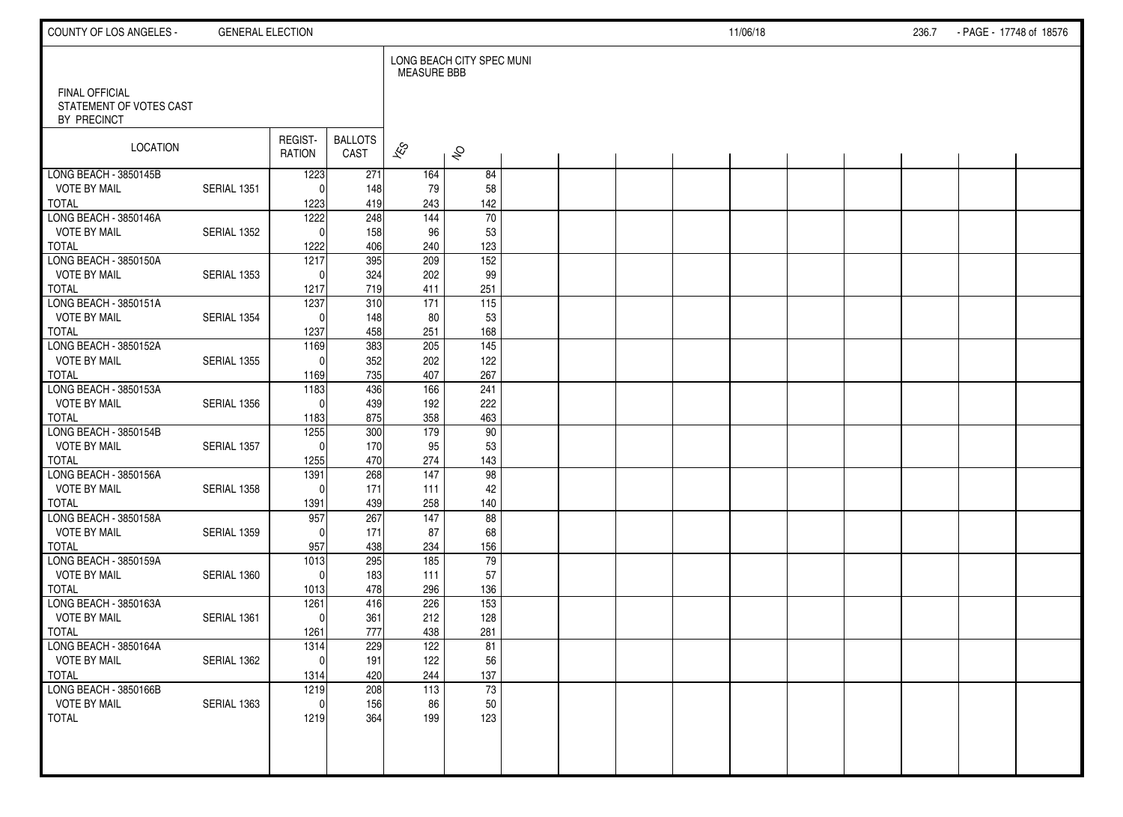| COUNTY OF LOS ANGELES -                                  | <b>GENERAL ELECTION</b> |                      |                        |                          |                           |  |  | 11/06/18 |  | 236.7 | - PAGE - 17748 of 18576 |  |
|----------------------------------------------------------|-------------------------|----------------------|------------------------|--------------------------|---------------------------|--|--|----------|--|-------|-------------------------|--|
|                                                          |                         |                      |                        | <b>MEASURE BBB</b>       | LONG BEACH CITY SPEC MUNI |  |  |          |  |       |                         |  |
| FINAL OFFICIAL<br>STATEMENT OF VOTES CAST<br>BY PRECINCT |                         |                      |                        |                          |                           |  |  |          |  |       |                         |  |
| LOCATION                                                 |                         | REGIST-<br>RATION    | <b>BALLOTS</b><br>CAST | $\overline{\mathscr{K}}$ | $\hat{\mathcal{S}}$       |  |  |          |  |       |                         |  |
| LONG BEACH - 3850145B                                    |                         | 1223                 | 271                    | 164                      | 84                        |  |  |          |  |       |                         |  |
| <b>VOTE BY MAIL</b>                                      | SERIAL 1351             | $\Omega$             | 148                    | 79                       | 58                        |  |  |          |  |       |                         |  |
| <b>TOTAL</b><br>LONG BEACH - 3850146A                    |                         | 1223<br>1222         | 419<br>248             | 243<br>$\frac{144}{x}$   | 142<br>$\overline{70}$    |  |  |          |  |       |                         |  |
| <b>VOTE BY MAIL</b>                                      | SERIAL 1352             | $\Omega$             | 158                    | 96                       | 53                        |  |  |          |  |       |                         |  |
| <b>TOTAL</b>                                             |                         | 1222                 | 406                    | 240                      | 123                       |  |  |          |  |       |                         |  |
| LONG BEACH - 3850150A                                    |                         | 1217                 | 395                    | 209                      | 152                       |  |  |          |  |       |                         |  |
| <b>VOTE BY MAIL</b>                                      | SERIAL 1353             | $\Omega$             | 324                    | 202                      | 99                        |  |  |          |  |       |                         |  |
| <b>TOTAL</b>                                             |                         | 1217                 | 719                    | 411                      | 251                       |  |  |          |  |       |                         |  |
| LONG BEACH - 3850151A                                    |                         | 1237                 | 310                    | 171                      | 115                       |  |  |          |  |       |                         |  |
| <b>VOTE BY MAIL</b>                                      | SERIAL 1354             | $\Omega$             | 148                    | 80                       | 53                        |  |  |          |  |       |                         |  |
| <b>TOTAL</b>                                             |                         | 1237                 | 458                    | 251                      | 168                       |  |  |          |  |       |                         |  |
| LONG BEACH - 3850152A                                    |                         | 1169                 | 383                    | 205                      | $\overline{145}$          |  |  |          |  |       |                         |  |
| <b>VOTE BY MAIL</b>                                      | <b>SERIAL 1355</b>      | $\Omega$             | 352                    | 202                      | 122                       |  |  |          |  |       |                         |  |
| <b>TOTAL</b>                                             |                         | 1169                 | 735                    | 407                      | 267                       |  |  |          |  |       |                         |  |
| LONG BEACH - 3850153A<br><b>VOTE BY MAIL</b>             | SERIAL 1356             | 1183<br>$\mathbf{0}$ | 436<br>439             | 166<br>192               | 241<br>222                |  |  |          |  |       |                         |  |
| <b>TOTAL</b>                                             |                         | 1183                 | 875                    | 358                      | 463                       |  |  |          |  |       |                         |  |
| LONG BEACH - 3850154B                                    |                         | 1255                 | 300                    | 179                      | 90                        |  |  |          |  |       |                         |  |
| <b>VOTE BY MAIL</b>                                      | SERIAL 1357             | $\Omega$             | 170                    | 95                       | 53                        |  |  |          |  |       |                         |  |
| <b>TOTAL</b>                                             |                         | 1255                 | 470                    | 274                      | 143                       |  |  |          |  |       |                         |  |
| LONG BEACH - 3850156A                                    |                         | 1391                 | 268                    | $\frac{147}{147}$        | 98                        |  |  |          |  |       |                         |  |
| <b>VOTE BY MAIL</b>                                      | SERIAL 1358             | $\Omega$             | 171                    | 111                      | 42                        |  |  |          |  |       |                         |  |
| <b>TOTAL</b>                                             |                         | 1391                 | 439                    | 258                      | 140                       |  |  |          |  |       |                         |  |
| LONG BEACH - 3850158A                                    |                         | 957                  | 267                    | 147                      | 88                        |  |  |          |  |       |                         |  |
| <b>VOTE BY MAIL</b>                                      | SERIAL 1359             | $\Omega$             | 171                    | 87                       | 68                        |  |  |          |  |       |                         |  |
| <b>TOTAL</b>                                             |                         | 957                  | 438                    | 234                      | 156                       |  |  |          |  |       |                         |  |
| LONG BEACH - 3850159A                                    |                         | $\frac{1013}{2}$     | 295                    | 185                      | $\overline{79}$           |  |  |          |  |       |                         |  |
| <b>VOTE BY MAIL</b>                                      | SERIAL 1360             | $\Omega$             | 183                    | 111                      | 57                        |  |  |          |  |       |                         |  |
| <b>TOTAL</b><br>LONG BEACH - 3850163A                    |                         | 1013<br>1261         | 478<br>416             | 296<br>226               | 136<br>$\overline{153}$   |  |  |          |  |       |                         |  |
| <b>VOTE BY MAIL</b>                                      | SERIAL 1361             | $\mathbf{0}$         | 361                    | 212                      | 128                       |  |  |          |  |       |                         |  |
| <b>TOTAL</b>                                             |                         | 1261                 | 777                    | 438                      | 281                       |  |  |          |  |       |                         |  |
| LONG BEACH - 3850164A                                    |                         | 1314                 | 229                    | 122                      | 81                        |  |  |          |  |       |                         |  |
| <b>VOTE BY MAIL</b>                                      | SERIAL 1362             | $\pmb{0}$            | 191                    | 122                      | 56                        |  |  |          |  |       |                         |  |
| <b>TOTAL</b>                                             |                         | 1314                 | 420                    | 244                      | 137                       |  |  |          |  |       |                         |  |
| LONG BEACH - 3850166B                                    |                         | 1219                 | 208                    | 113                      | 73                        |  |  |          |  |       |                         |  |
| <b>VOTE BY MAIL</b>                                      | SERIAL 1363             | 0                    | 156                    | 86                       | 50                        |  |  |          |  |       |                         |  |
| <b>TOTAL</b>                                             |                         | 1219                 | 364                    | 199                      | 123                       |  |  |          |  |       |                         |  |
|                                                          |                         |                      |                        |                          |                           |  |  |          |  |       |                         |  |
|                                                          |                         |                      |                        |                          |                           |  |  |          |  |       |                         |  |
|                                                          |                         |                      |                        |                          |                           |  |  |          |  |       |                         |  |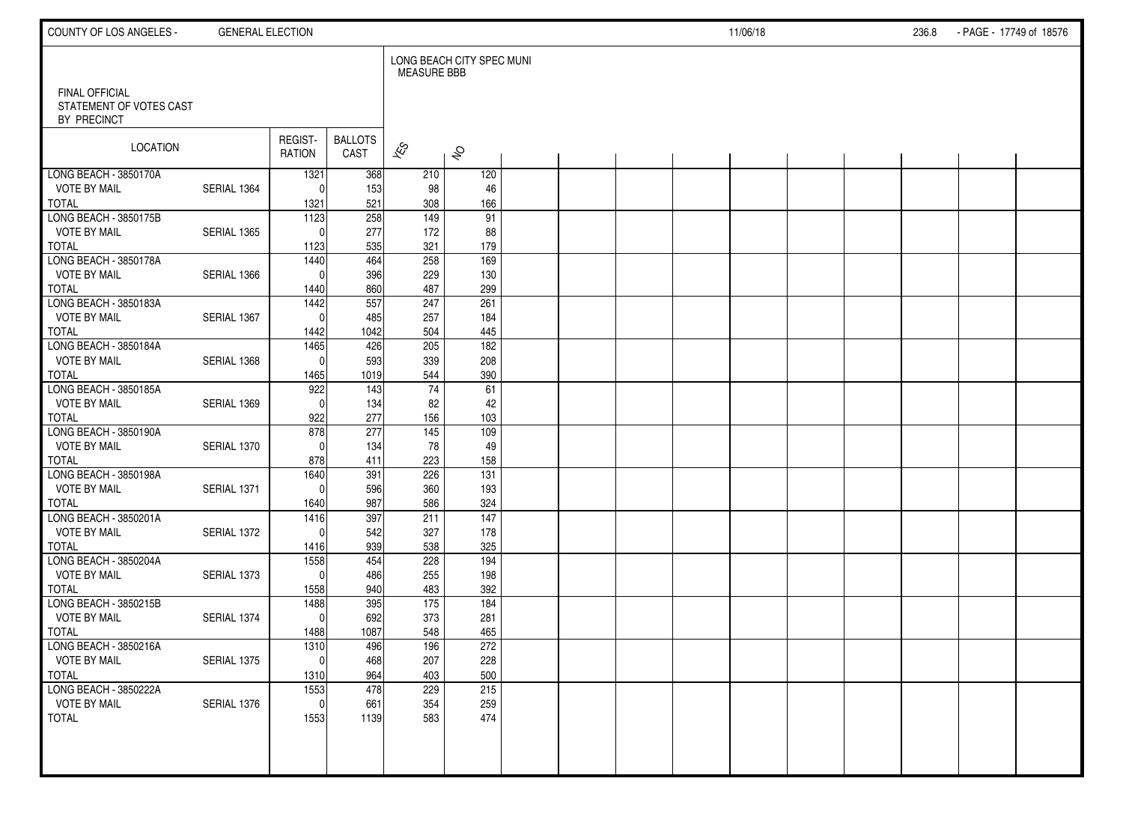| COUNTY OF LOS ANGELES -                                  | <b>GENERAL ELECTION</b> |                     |                         |                          |                           |  |  | 11/06/18 |  | 236.8 | - PAGE - 17749 of 18576 |  |
|----------------------------------------------------------|-------------------------|---------------------|-------------------------|--------------------------|---------------------------|--|--|----------|--|-------|-------------------------|--|
|                                                          |                         |                     |                         | <b>MEASURE BBB</b>       | LONG BEACH CITY SPEC MUNI |  |  |          |  |       |                         |  |
| FINAL OFFICIAL<br>STATEMENT OF VOTES CAST<br>BY PRECINCT |                         |                     |                         |                          |                           |  |  |          |  |       |                         |  |
| LOCATION                                                 |                         | REGIST-<br>RATION   | <b>BALLOTS</b><br>CAST  | $\overline{\mathscr{K}}$ | $\hat{\mathcal{S}}$       |  |  |          |  |       |                         |  |
| LONG BEACH - 3850170A                                    |                         | 1321                | 368                     | 210                      | 120                       |  |  |          |  |       |                         |  |
| <b>VOTE BY MAIL</b>                                      | SERIAL 1364             | $\Omega$            | 153                     | 98                       | 46                        |  |  |          |  |       |                         |  |
| <b>TOTAL</b><br>LONG BEACH - 3850175B                    |                         | 1321<br>1123        | 521<br>$\overline{258}$ | 308<br>149               | 166<br>91                 |  |  |          |  |       |                         |  |
| <b>VOTE BY MAIL</b>                                      | SERIAL 1365             | $\Omega$            | 277                     | 172                      | 88                        |  |  |          |  |       |                         |  |
| <b>TOTAL</b>                                             |                         | 1123                | 535                     | 321                      | 179                       |  |  |          |  |       |                         |  |
| LONG BEACH - 3850178A                                    |                         | 1440                | 464                     | 258                      | 169                       |  |  |          |  |       |                         |  |
| <b>VOTE BY MAIL</b>                                      | SERIAL 1366             | $\Omega$            | 396                     | 229                      | 130                       |  |  |          |  |       |                         |  |
| <b>TOTAL</b>                                             |                         | 1440                | 860                     | 487                      | 299                       |  |  |          |  |       |                         |  |
| LONG BEACH - 3850183A                                    |                         | 1442                | 557                     | 247                      | 261                       |  |  |          |  |       |                         |  |
| <b>VOTE BY MAIL</b>                                      | SERIAL 1367             | $\mathbf{0}$        | 485                     | 257                      | 184                       |  |  |          |  |       |                         |  |
| <b>TOTAL</b>                                             |                         | 1442                | 1042                    | 504                      | 445                       |  |  |          |  |       |                         |  |
| LONG BEACH - 3850184A                                    |                         | 1465                | 426                     | 205                      | $\frac{1}{182}$           |  |  |          |  |       |                         |  |
| <b>VOTE BY MAIL</b>                                      | SERIAL 1368             | $\mathbf{0}$        | 593                     | 339                      | 208                       |  |  |          |  |       |                         |  |
| <b>TOTAL</b>                                             |                         | 1465                | 1019                    | 544                      | 390                       |  |  |          |  |       |                         |  |
| LONG BEACH - 3850185A<br><b>VOTE BY MAIL</b>             | SERIAL 1369             | 922<br>$\mathbf{0}$ | 143<br>134              | 74<br>82                 | 61<br>42                  |  |  |          |  |       |                         |  |
| <b>TOTAL</b>                                             |                         | 922                 | 277                     | 156                      | 103                       |  |  |          |  |       |                         |  |
| LONG BEACH - 3850190A                                    |                         | 878                 | 277                     | 145                      | 109                       |  |  |          |  |       |                         |  |
| <b>VOTE BY MAIL</b>                                      | SERIAL 1370             | $\Omega$            | 134                     | 78                       | 49                        |  |  |          |  |       |                         |  |
| <b>TOTAL</b>                                             |                         | 878                 | 411                     | 223                      | 158                       |  |  |          |  |       |                         |  |
| LONG BEACH - 3850198A                                    |                         | 1640                | 391                     | 226                      | $\overline{131}$          |  |  |          |  |       |                         |  |
| <b>VOTE BY MAIL</b>                                      | SERIAL 1371             | $\mathbf{0}$        | 596                     | 360                      | 193                       |  |  |          |  |       |                         |  |
| <b>TOTAL</b>                                             |                         | 1640                | 987                     | 586                      | 324                       |  |  |          |  |       |                         |  |
| LONG BEACH - 3850201A                                    |                         | 1416                | 397                     | 211                      | 147                       |  |  |          |  |       |                         |  |
| <b>VOTE BY MAIL</b>                                      | SERIAL 1372             | $\Omega$            | 542                     | 327                      | 178                       |  |  |          |  |       |                         |  |
| <b>TOTAL</b>                                             |                         | 1416                | 939                     | 538                      | 325                       |  |  |          |  |       |                         |  |
| LONG BEACH - 3850204A                                    |                         | 1558                | 454                     | 228                      | 194                       |  |  |          |  |       |                         |  |
| <b>VOTE BY MAIL</b><br><b>TOTAL</b>                      | SERIAL 1373             | $\Omega$            | 486<br>940              | 255                      | 198<br>392                |  |  |          |  |       |                         |  |
| LONG BEACH - 3850215B                                    |                         | 1558<br>1488        | 395                     | 483<br>175               | 184                       |  |  |          |  |       |                         |  |
| <b>VOTE BY MAIL</b>                                      | SERIAL 1374             | $\mathbf{0}$        | 692                     | 373                      | 281                       |  |  |          |  |       |                         |  |
| <b>TOTAL</b>                                             |                         | 1488                | 1087                    | 548                      | 465                       |  |  |          |  |       |                         |  |
| LONG BEACH - 3850216A                                    |                         | 1310                | 496                     | 196                      | 272                       |  |  |          |  |       |                         |  |
| <b>VOTE BY MAIL</b>                                      | SERIAL 1375             | $\pmb{0}$           | 468                     | 207                      | 228                       |  |  |          |  |       |                         |  |
| <b>TOTAL</b>                                             |                         | 1310                | 964                     | 403                      | 500                       |  |  |          |  |       |                         |  |
| LONG BEACH - 3850222A                                    |                         | 1553                | 478                     | 229                      | 215                       |  |  |          |  |       |                         |  |
| <b>VOTE BY MAIL</b>                                      | SERIAL 1376             | $\mathbf 0$         | 661                     | 354                      | 259                       |  |  |          |  |       |                         |  |
| <b>TOTAL</b>                                             |                         | 1553                | 1139                    | 583                      | 474                       |  |  |          |  |       |                         |  |
|                                                          |                         |                     |                         |                          |                           |  |  |          |  |       |                         |  |
|                                                          |                         |                     |                         |                          |                           |  |  |          |  |       |                         |  |
|                                                          |                         |                     |                         |                          |                           |  |  |          |  |       |                         |  |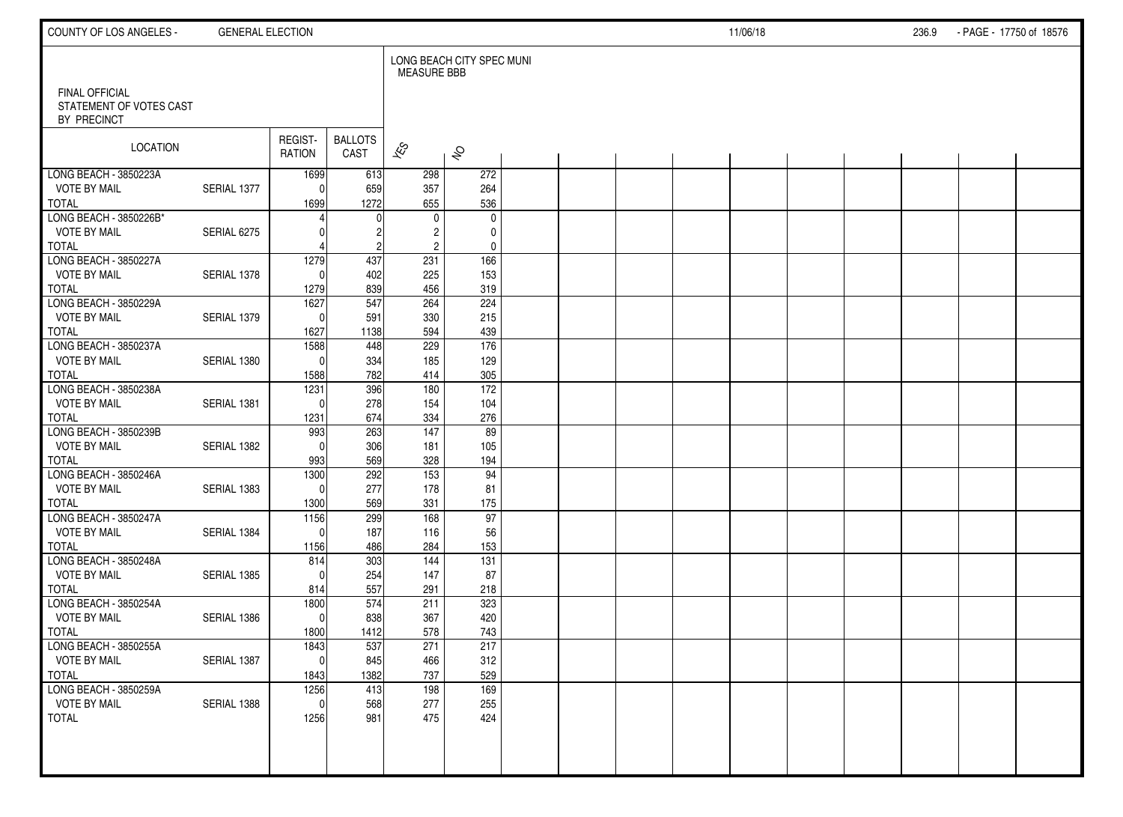| COUNTY OF LOS ANGELES -                      | <b>GENERAL ELECTION</b> |                         |                        |                          |                           |  |  | 11/06/18 |  | 236.9 | - PAGE - 17750 of 18576 |  |
|----------------------------------------------|-------------------------|-------------------------|------------------------|--------------------------|---------------------------|--|--|----------|--|-------|-------------------------|--|
| <b>FINAL OFFICIAL</b>                        |                         |                         |                        | <b>MEASURE BBB</b>       | LONG BEACH CITY SPEC MUNI |  |  |          |  |       |                         |  |
| STATEMENT OF VOTES CAST<br>BY PRECINCT       |                         |                         |                        |                          |                           |  |  |          |  |       |                         |  |
| <b>LOCATION</b>                              |                         | REGIST-<br>RATION       | <b>BALLOTS</b><br>CAST | $\overline{\mathscr{K}}$ | $\hat{\mathcal{S}}$       |  |  |          |  |       |                         |  |
| LONG BEACH - 3850223A<br><b>VOTE BY MAIL</b> | SERIAL 1377             | 1699<br>$\mathbf 0$     | 613<br>659             | 298<br>357               | 272<br>264                |  |  |          |  |       |                         |  |
| <b>TOTAL</b>                                 |                         | 1699                    | 1272                   | 655                      | 536                       |  |  |          |  |       |                         |  |
| LONG BEACH - 3850226B*                       |                         |                         |                        | $\mathbf 0$              | $\mathbf 0$               |  |  |          |  |       |                         |  |
| <b>VOTE BY MAIL</b><br><b>TOTAL</b>          | SERIAL 6275             |                         |                        | 2<br>$\overline{2}$      | 0<br>0                    |  |  |          |  |       |                         |  |
| LONG BEACH - 3850227A                        |                         | 1279                    | 437                    | 231                      | 166                       |  |  |          |  |       |                         |  |
| <b>VOTE BY MAIL</b><br><b>TOTAL</b>          | SERIAL 1378             | $\Omega$<br>1279        | 402<br>839             | 225<br>456               | 153<br>319                |  |  |          |  |       |                         |  |
| LONG BEACH - 3850229A                        |                         | 1627                    | 547                    | 264                      | 224                       |  |  |          |  |       |                         |  |
| <b>VOTE BY MAIL</b>                          | SERIAL 1379             | $\mathbf 0$             | 591                    | 330                      | 215                       |  |  |          |  |       |                         |  |
| <b>TOTAL</b>                                 |                         | 1627                    | 1138                   | 594                      | 439                       |  |  |          |  |       |                         |  |
| LONG BEACH - 3850237A                        |                         | 1588                    | 448                    | 229                      | 176                       |  |  |          |  |       |                         |  |
| <b>VOTE BY MAIL</b><br><b>TOTAL</b>          | SERIAL 1380             | $\Omega$<br>1588        | 334<br>782             | 185<br>414               | 129<br>305                |  |  |          |  |       |                         |  |
| LONG BEACH - 3850238A                        |                         | 1231                    | 396                    | 180                      | 172                       |  |  |          |  |       |                         |  |
| <b>VOTE BY MAIL</b>                          | SERIAL 1381             | $\Omega$                | 278                    | 154                      | 104                       |  |  |          |  |       |                         |  |
| <b>TOTAL</b>                                 |                         | 1231                    | 674                    | 334                      | 276                       |  |  |          |  |       |                         |  |
| LONG BEACH - 3850239B                        |                         | 993                     | 263                    | 147                      | 89                        |  |  |          |  |       |                         |  |
| <b>VOTE BY MAIL</b>                          | SERIAL 1382             | $\Omega$                | 306                    | 181                      | 105                       |  |  |          |  |       |                         |  |
| <b>TOTAL</b><br>LONG BEACH - 3850246A        |                         | 993<br>1300             | 569<br>292             | 328<br>$\overline{153}$  | 194<br>94                 |  |  |          |  |       |                         |  |
| <b>VOTE BY MAIL</b>                          | SERIAL 1383             | $\Omega$                | 277                    | 178                      | 81                        |  |  |          |  |       |                         |  |
| <b>TOTAL</b>                                 |                         | 1300                    | 569                    | 331                      | 175                       |  |  |          |  |       |                         |  |
| LONG BEACH - 3850247A                        |                         | 1156                    | 299                    | 168                      | 97                        |  |  |          |  |       |                         |  |
| <b>VOTE BY MAIL</b>                          | SERIAL 1384             | $\mathbf 0$             | 187                    | 116                      | 56                        |  |  |          |  |       |                         |  |
| <b>TOTAL</b>                                 |                         | 1156                    | 486                    | 284                      | 153                       |  |  |          |  |       |                         |  |
| LONG BEACH - 3850248A<br><b>VOTE BY MAIL</b> | SERIAL 1385             | 814<br>$\Omega$         | 303<br>254             | 144<br>147               | $\overline{131}$<br>87    |  |  |          |  |       |                         |  |
| <b>TOTAL</b>                                 |                         | 814                     | 557                    | 291                      | 218                       |  |  |          |  |       |                         |  |
| LONG BEACH - 3850254A                        |                         | 1800                    | 574                    | 211                      | 323                       |  |  |          |  |       |                         |  |
| <b>VOTE BY MAIL</b>                          | SERIAL 1386             | $\mathbf 0$             | 838                    | 367                      | 420                       |  |  |          |  |       |                         |  |
| <b>TOTAL</b>                                 |                         | 1800                    | 1412                   | 578                      | 743                       |  |  |          |  |       |                         |  |
| LONG BEACH - 3850255A                        |                         | 1843                    | 537                    | 271                      | 217                       |  |  |          |  |       |                         |  |
| <b>VOTE BY MAIL</b><br><b>TOTAL</b>          | SERIAL 1387             | $\vert 0 \vert$<br>1843 | 845<br>1382            | 466<br>737               | 312<br>529                |  |  |          |  |       |                         |  |
| LONG BEACH - 3850259A                        |                         | 1256                    | 413                    | 198                      | 169                       |  |  |          |  |       |                         |  |
| <b>VOTE BY MAIL</b>                          | SERIAL 1388             | $\mathbf 0$             | 568                    | 277                      | 255                       |  |  |          |  |       |                         |  |
| <b>TOTAL</b>                                 |                         | 1256                    | 981                    | 475                      | 424                       |  |  |          |  |       |                         |  |
|                                              |                         |                         |                        |                          |                           |  |  |          |  |       |                         |  |
|                                              |                         |                         |                        |                          |                           |  |  |          |  |       |                         |  |
|                                              |                         |                         |                        |                          |                           |  |  |          |  |       |                         |  |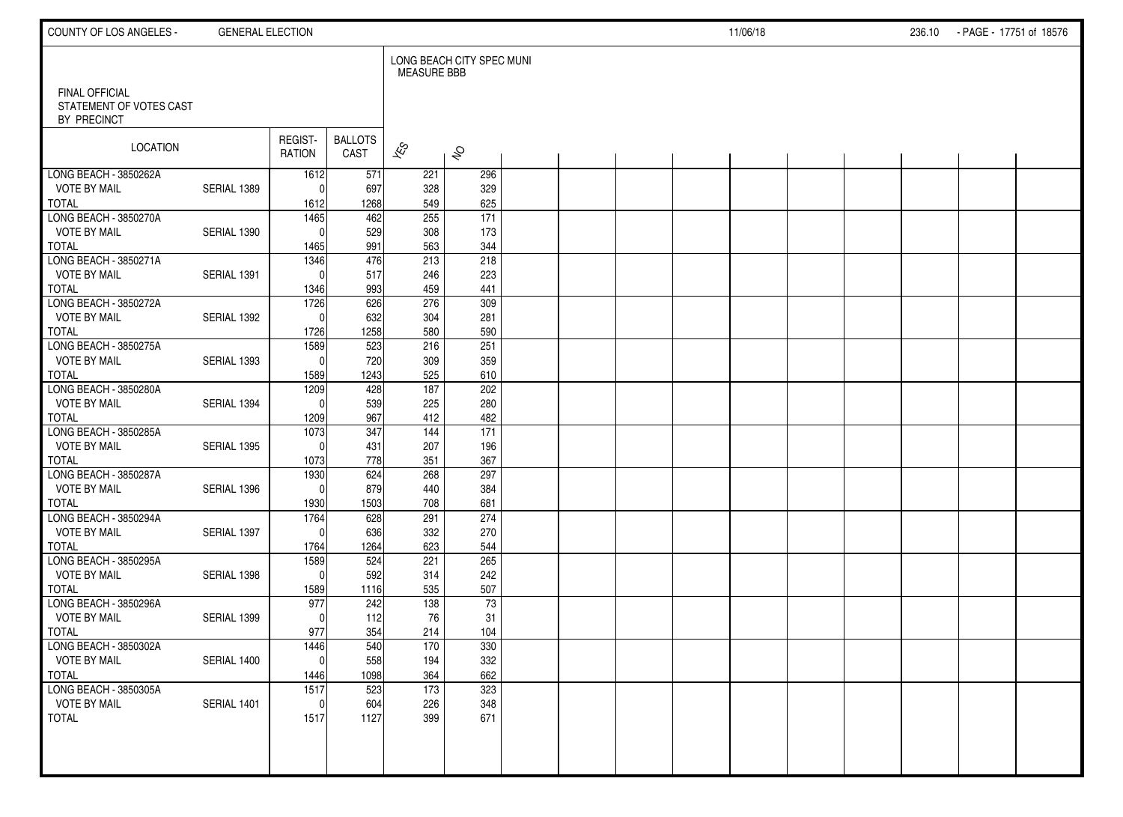| COUNTY OF LOS ANGELES -                                  | <b>GENERAL ELECTION</b> |                   |                        |                          |                           |  |  | 11/06/18 |  | 236.10 - PAGE - 17751 of 18576 |  |
|----------------------------------------------------------|-------------------------|-------------------|------------------------|--------------------------|---------------------------|--|--|----------|--|--------------------------------|--|
|                                                          |                         |                   |                        | <b>MEASURE BBB</b>       | LONG BEACH CITY SPEC MUNI |  |  |          |  |                                |  |
| FINAL OFFICIAL<br>STATEMENT OF VOTES CAST<br>BY PRECINCT |                         |                   |                        |                          |                           |  |  |          |  |                                |  |
| LOCATION                                                 |                         | REGIST-<br>RATION | <b>BALLOTS</b><br>CAST | $\overline{\mathscr{K}}$ | $\hat{\mathcal{S}}$       |  |  |          |  |                                |  |
| LONG BEACH - 3850262A                                    |                         | 1612              | 571                    | 221                      | 296                       |  |  |          |  |                                |  |
| <b>VOTE BY MAIL</b>                                      | SERIAL 1389             | $\Omega$          | 697                    | 328                      | 329                       |  |  |          |  |                                |  |
| <b>TOTAL</b><br>LONG BEACH - 3850270A                    |                         | 1612              | 1268                   | 549                      | 625                       |  |  |          |  |                                |  |
| <b>VOTE BY MAIL</b>                                      |                         | 1465<br>$\Omega$  | 462                    | 255                      | $\overline{171}$          |  |  |          |  |                                |  |
|                                                          | SERIAL 1390             |                   | 529<br>991             | 308<br>563               | 173<br>344                |  |  |          |  |                                |  |
| <b>TOTAL</b><br>LONG BEACH - 3850271A                    |                         | 1465<br>1346      | 476                    | 213                      | 218                       |  |  |          |  |                                |  |
| <b>VOTE BY MAIL</b>                                      | SERIAL 1391             | $\Omega$          | 517                    | 246                      | 223                       |  |  |          |  |                                |  |
| <b>TOTAL</b>                                             |                         | 1346              | 993                    | 459                      | 441                       |  |  |          |  |                                |  |
| LONG BEACH - 3850272A                                    |                         | 1726              | 626                    | 276                      | 309                       |  |  |          |  |                                |  |
| <b>VOTE BY MAIL</b>                                      | SERIAL 1392             | $\Omega$          | 632                    | 304                      | 281                       |  |  |          |  |                                |  |
| <b>TOTAL</b>                                             |                         | 1726              | 1258                   | 580                      | 590                       |  |  |          |  |                                |  |
| LONG BEACH - 3850275A                                    |                         | 1589              | 523                    | 216                      | 251                       |  |  |          |  |                                |  |
| <b>VOTE BY MAIL</b>                                      | SERIAL 1393             | $\mathbf{0}$      | 720                    | 309                      | 359                       |  |  |          |  |                                |  |
| <b>TOTAL</b>                                             |                         | 1589              | 1243                   | 525                      | 610                       |  |  |          |  |                                |  |
| LONG BEACH - 3850280A                                    |                         | 1209              | 428                    | 187                      | 202                       |  |  |          |  |                                |  |
| <b>VOTE BY MAIL</b>                                      | SERIAL 1394             | $\Omega$          | 539                    | 225                      | 280                       |  |  |          |  |                                |  |
| <b>TOTAL</b>                                             |                         | 1209              | 967                    | 412                      | 482                       |  |  |          |  |                                |  |
| LONG BEACH - 3850285A                                    |                         | 1073              | 347                    | 144                      | $\overline{171}$          |  |  |          |  |                                |  |
| <b>VOTE BY MAIL</b>                                      | SERIAL 1395             | $\mathbf{0}$      | 431                    | 207                      | 196                       |  |  |          |  |                                |  |
| <b>TOTAL</b>                                             |                         | 1073              | 778                    | 351                      | 367                       |  |  |          |  |                                |  |
| LONG BEACH - 3850287A                                    |                         | 1930              | 624                    | 268                      | 297                       |  |  |          |  |                                |  |
| <b>VOTE BY MAIL</b>                                      | SERIAL 1396             | $\mathbf{0}$      | 879                    | 440                      | 384                       |  |  |          |  |                                |  |
| <b>TOTAL</b><br>LONG BEACH - 3850294A                    |                         | 1930<br>1764      | 1503<br>628            | 708<br>291               | 681<br>274                |  |  |          |  |                                |  |
| <b>VOTE BY MAIL</b>                                      | SERIAL 1397             | $\mathbf{0}$      | 636                    | 332                      | 270                       |  |  |          |  |                                |  |
| <b>TOTAL</b>                                             |                         | 1764              | 1264                   | 623                      | 544                       |  |  |          |  |                                |  |
| LONG BEACH - 3850295A                                    |                         | 1589              | 524                    | 221                      | 265                       |  |  |          |  |                                |  |
| <b>VOTE BY MAIL</b>                                      | SERIAL 1398             | $\mathbf{0}$      | 592                    | 314                      | 242                       |  |  |          |  |                                |  |
| <b>TOTAL</b>                                             |                         | 1589              | 1116                   | 535                      | 507                       |  |  |          |  |                                |  |
| LONG BEACH - 3850296A                                    |                         | 977               | 242                    | 138                      | 73                        |  |  |          |  |                                |  |
| <b>VOTE BY MAIL</b>                                      | SERIAL 1399             | $\Omega$          | 112                    | 76                       | 31                        |  |  |          |  |                                |  |
| <b>TOTAL</b>                                             |                         | 977               | 354                    | 214                      | 104                       |  |  |          |  |                                |  |
| LONG BEACH - 3850302A                                    |                         | 1446              | 540                    | 170                      | 330                       |  |  |          |  |                                |  |
| <b>VOTE BY MAIL</b>                                      | SERIAL 1400             | $\overline{0}$    | 558                    | 194                      | 332                       |  |  |          |  |                                |  |
| <b>TOTAL</b>                                             |                         | 1446              | 1098                   | 364                      | 662                       |  |  |          |  |                                |  |
| LONG BEACH - 3850305A                                    |                         | 1517              | 523                    | 173                      | 323                       |  |  |          |  |                                |  |
| <b>VOTE BY MAIL</b>                                      | SERIAL 1401             | $\mathbf 0$       | 604                    | 226                      | 348                       |  |  |          |  |                                |  |
| <b>TOTAL</b>                                             |                         | 1517              | 1127                   | 399                      | 671                       |  |  |          |  |                                |  |
|                                                          |                         |                   |                        |                          |                           |  |  |          |  |                                |  |
|                                                          |                         |                   |                        |                          |                           |  |  |          |  |                                |  |
|                                                          |                         |                   |                        |                          |                           |  |  |          |  |                                |  |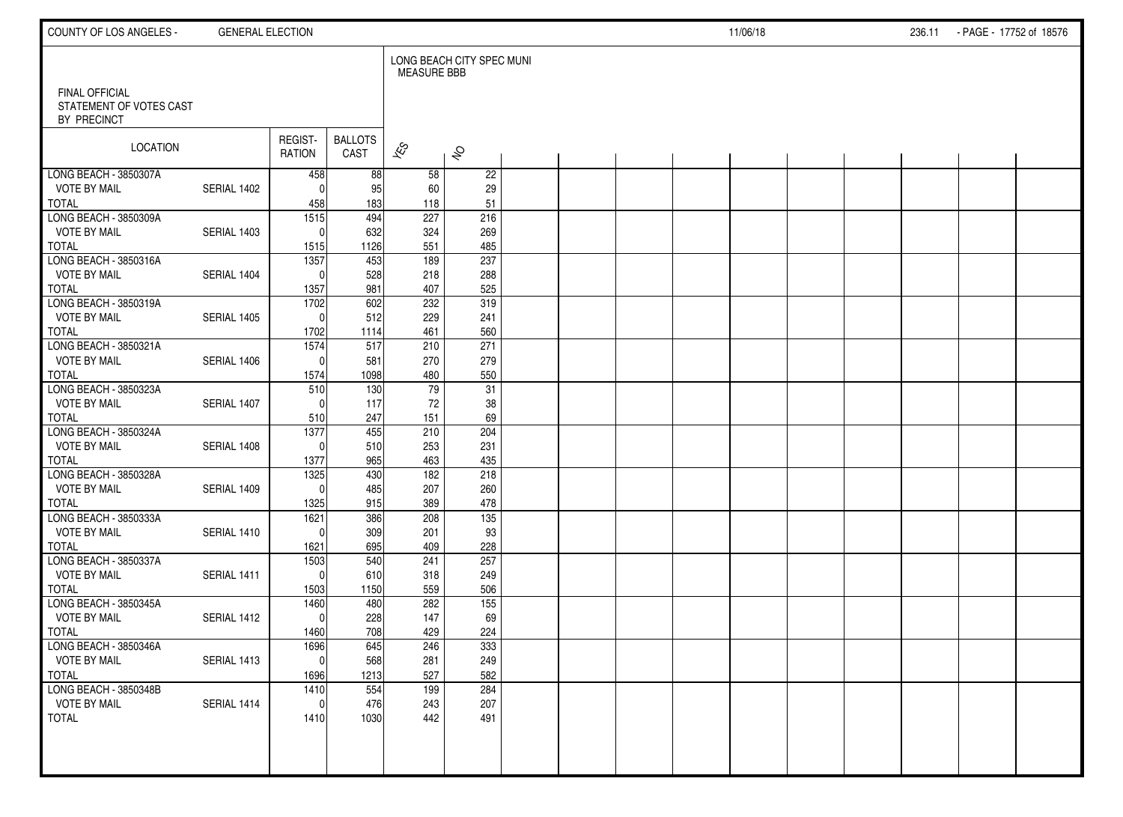| COUNTY OF LOS ANGELES -                                  | <b>GENERAL ELECTION</b> |                          |                        |                          |                           |  |  | 11/06/18 |  | 236.11 | - PAGE - 17752 of 18576 |  |
|----------------------------------------------------------|-------------------------|--------------------------|------------------------|--------------------------|---------------------------|--|--|----------|--|--------|-------------------------|--|
|                                                          |                         |                          |                        | <b>MEASURE BBB</b>       | LONG BEACH CITY SPEC MUNI |  |  |          |  |        |                         |  |
| FINAL OFFICIAL<br>STATEMENT OF VOTES CAST<br>BY PRECINCT |                         |                          |                        |                          |                           |  |  |          |  |        |                         |  |
| LOCATION                                                 |                         | REGIST-<br>RATION        | <b>BALLOTS</b><br>CAST | $\overline{\mathscr{K}}$ | $\hat{\mathcal{S}}$       |  |  |          |  |        |                         |  |
| LONG BEACH - 3850307A                                    |                         | 458                      | 88                     | 58                       | $\overline{22}$           |  |  |          |  |        |                         |  |
| <b>VOTE BY MAIL</b><br><b>TOTAL</b>                      | SERIAL 1402             | $\Omega$                 | 95<br>183              | 60<br>118                | 29                        |  |  |          |  |        |                         |  |
| LONG BEACH - 3850309A                                    |                         | 458<br>$\overline{1515}$ | 494                    | 227                      | 51<br>216                 |  |  |          |  |        |                         |  |
| <b>VOTE BY MAIL</b>                                      | SERIAL 1403             | $\mathbf{0}$             | 632                    | 324                      | 269                       |  |  |          |  |        |                         |  |
| <b>TOTAL</b>                                             |                         | 1515                     | 1126                   | 551                      | 485                       |  |  |          |  |        |                         |  |
| LONG BEACH - 3850316A                                    |                         | 1357                     | 453                    | 189                      | 237                       |  |  |          |  |        |                         |  |
| <b>VOTE BY MAIL</b>                                      | SERIAL 1404             | $\mathbf{0}$             | 528                    | 218                      | 288                       |  |  |          |  |        |                         |  |
| <b>TOTAL</b>                                             |                         | 1357                     | 981                    | 407                      | 525                       |  |  |          |  |        |                         |  |
| LONG BEACH - 3850319A                                    |                         | 1702                     | 602                    | 232                      | 319                       |  |  |          |  |        |                         |  |
| <b>VOTE BY MAIL</b>                                      | SERIAL 1405             | $\Omega$                 | 512                    | 229                      | 241                       |  |  |          |  |        |                         |  |
| <b>TOTAL</b>                                             |                         | 1702                     | 1114                   | 461                      | 560                       |  |  |          |  |        |                         |  |
| LONG BEACH - 3850321A                                    |                         | 1574                     | 517                    | 210                      | $\overline{271}$          |  |  |          |  |        |                         |  |
| <b>VOTE BY MAIL</b>                                      | SERIAL 1406             | $\mathbf{0}$             | 581                    | 270                      | 279                       |  |  |          |  |        |                         |  |
| <b>TOTAL</b>                                             |                         | 1574                     | 1098                   | 480                      | 550                       |  |  |          |  |        |                         |  |
| LONG BEACH - 3850323A<br><b>VOTE BY MAIL</b>             | SERIAL 1407             | 510<br>$\Omega$          | 130<br>117             | 79<br>72                 | 31<br>38                  |  |  |          |  |        |                         |  |
| <b>TOTAL</b>                                             |                         | 510                      | 247                    | 151                      | 69                        |  |  |          |  |        |                         |  |
| LONG BEACH - 3850324A                                    |                         | 1377                     | 455                    | 210                      | 204                       |  |  |          |  |        |                         |  |
| <b>VOTE BY MAIL</b>                                      | SERIAL 1408             | $\Omega$                 | 510                    | 253                      | 231                       |  |  |          |  |        |                         |  |
| <b>TOTAL</b>                                             |                         | 1377                     | 965                    | 463                      | 435                       |  |  |          |  |        |                         |  |
| LONG BEACH - 3850328A                                    |                         | 1325                     | 430                    | $\frac{182}{ }$          | 218                       |  |  |          |  |        |                         |  |
| <b>VOTE BY MAIL</b>                                      | SERIAL 1409             | $\Omega$                 | 485                    | 207                      | 260                       |  |  |          |  |        |                         |  |
| <b>TOTAL</b>                                             |                         | 1325                     | 915                    | 389                      | 478                       |  |  |          |  |        |                         |  |
| LONG BEACH - 3850333A                                    |                         | 1621                     | 386                    | 208                      | 135                       |  |  |          |  |        |                         |  |
| <b>VOTE BY MAIL</b>                                      | SERIAL 1410             | $\Omega$                 | 309                    | 201                      | 93                        |  |  |          |  |        |                         |  |
| <b>TOTAL</b>                                             |                         | 1621                     | 695                    | 409                      | 228                       |  |  |          |  |        |                         |  |
| LONG BEACH - 3850337A                                    |                         | 1503                     | 540                    | 241                      | 257                       |  |  |          |  |        |                         |  |
| <b>VOTE BY MAIL</b><br><b>TOTAL</b>                      | SERIAL 1411             | $\mathbf{0}$             | 610                    | 318<br>559               | 249<br>506                |  |  |          |  |        |                         |  |
| LONG BEACH - 3850345A                                    |                         | 1503<br>1460             | 1150<br>480            | 282                      | $\overline{155}$          |  |  |          |  |        |                         |  |
| <b>VOTE BY MAIL</b>                                      | SERIAL 1412             | $\mathbf{0}$             | 228                    | 147                      | 69                        |  |  |          |  |        |                         |  |
| <b>TOTAL</b>                                             |                         | 1460                     | 708                    | 429                      | 224                       |  |  |          |  |        |                         |  |
| LONG BEACH - 3850346A                                    |                         | 1696                     | 645                    | 246                      | 333                       |  |  |          |  |        |                         |  |
| <b>VOTE BY MAIL</b>                                      | SERIAL 1413             | $\overline{0}$           | 568                    | 281                      | 249                       |  |  |          |  |        |                         |  |
| <b>TOTAL</b>                                             |                         | 1696                     | 1213                   | 527                      | 582                       |  |  |          |  |        |                         |  |
| LONG BEACH - 3850348B                                    |                         | 1410                     | 554                    | 199                      | 284                       |  |  |          |  |        |                         |  |
| <b>VOTE BY MAIL</b>                                      | SERIAL 1414             | $\mathbf 0$              | 476                    | 243                      | 207                       |  |  |          |  |        |                         |  |
| <b>TOTAL</b>                                             |                         | 1410                     | 1030                   | 442                      | 491                       |  |  |          |  |        |                         |  |
|                                                          |                         |                          |                        |                          |                           |  |  |          |  |        |                         |  |
|                                                          |                         |                          |                        |                          |                           |  |  |          |  |        |                         |  |
|                                                          |                         |                          |                        |                          |                           |  |  |          |  |        |                         |  |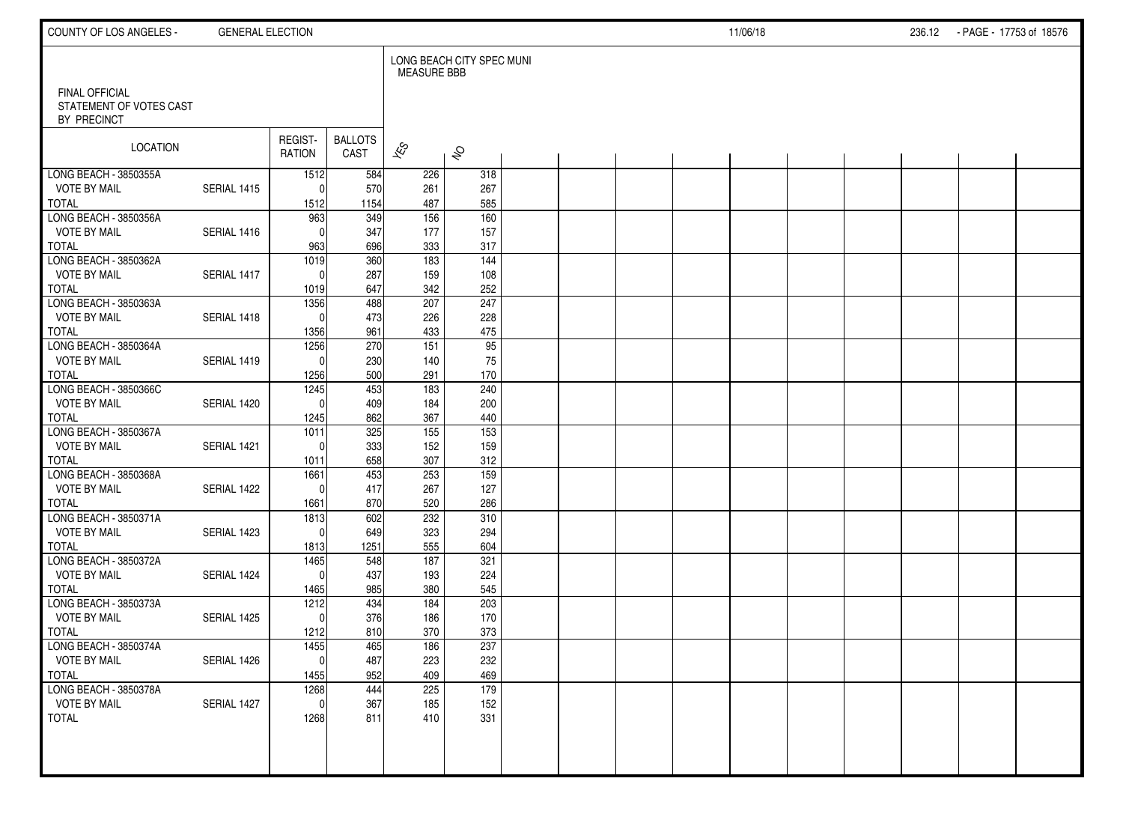| COUNTY OF LOS ANGELES -                      | <b>GENERAL ELECTION</b> |                      |                        |                          |                           |  |  | 11/06/18 |  | 236.12 - PAGE - 17753 of 18576 |  |
|----------------------------------------------|-------------------------|----------------------|------------------------|--------------------------|---------------------------|--|--|----------|--|--------------------------------|--|
| FINAL OFFICIAL                               |                         |                      |                        | <b>MEASURE BBB</b>       | LONG BEACH CITY SPEC MUNI |  |  |          |  |                                |  |
| STATEMENT OF VOTES CAST<br>BY PRECINCT       |                         |                      |                        |                          |                           |  |  |          |  |                                |  |
| LOCATION                                     |                         | REGIST-<br>RATION    | <b>BALLOTS</b><br>CAST | $\overline{\mathscr{K}}$ | $\hat{\mathcal{S}}$       |  |  |          |  |                                |  |
| LONG BEACH - 3850355A                        | SERIAL 1415             | 1512                 | 584                    | 226                      | 318                       |  |  |          |  |                                |  |
| <b>VOTE BY MAIL</b><br><b>TOTAL</b>          |                         | $\Omega$<br>1512     | 570<br>1154            | 261<br>487               | 267<br>585                |  |  |          |  |                                |  |
| LONG BEACH - 3850356A                        |                         | 963                  | 349                    | 156                      | $\overline{160}$          |  |  |          |  |                                |  |
| <b>VOTE BY MAIL</b>                          | SERIAL 1416             | $\Omega$             | 347                    | 177                      | 157                       |  |  |          |  |                                |  |
| <b>TOTAL</b>                                 |                         | 963                  | 696                    | 333                      | 317                       |  |  |          |  |                                |  |
| LONG BEACH - 3850362A<br><b>VOTE BY MAIL</b> | SERIAL 1417             | 1019<br>$\Omega$     | 360<br>287             | 183<br>159               | 144<br>108                |  |  |          |  |                                |  |
| <b>TOTAL</b>                                 |                         | 1019                 | 647                    | 342                      | 252                       |  |  |          |  |                                |  |
| LONG BEACH - 3850363A                        |                         | 1356                 | 488                    | 207                      | 247                       |  |  |          |  |                                |  |
| <b>VOTE BY MAIL</b>                          | SERIAL 1418             | $\Omega$             | 473                    | 226                      | 228                       |  |  |          |  |                                |  |
| <b>TOTAL</b><br>LONG BEACH - 3850364A        |                         | 1356                 | 961<br>270             | 433                      | 475<br>$\overline{95}$    |  |  |          |  |                                |  |
| <b>VOTE BY MAIL</b>                          | SERIAL 1419             | 1256<br>$\Omega$     | 230                    | 151<br>140               | 75                        |  |  |          |  |                                |  |
| <b>TOTAL</b>                                 |                         | 1256                 | 500                    | 291                      | 170                       |  |  |          |  |                                |  |
| LONG BEACH - 3850366C                        |                         | 1245                 | 453                    | 183                      | 240                       |  |  |          |  |                                |  |
| <b>VOTE BY MAIL</b>                          | SERIAL 1420             | $\Omega$             | 409                    | 184                      | 200                       |  |  |          |  |                                |  |
| <b>TOTAL</b><br>LONG BEACH - 3850367A        |                         | 1245                 | 862<br>325             | 367<br>155               | 440<br>$\overline{153}$   |  |  |          |  |                                |  |
| <b>VOTE BY MAIL</b>                          | SERIAL 1421             | 1011<br>$\Omega$     | 333                    | 152                      | 159                       |  |  |          |  |                                |  |
| <b>TOTAL</b>                                 |                         | 1011                 | 658                    | 307                      | 312                       |  |  |          |  |                                |  |
| LONG BEACH - 3850368A                        |                         | 1661                 | 453                    | 253                      | $\overline{159}$          |  |  |          |  |                                |  |
| <b>VOTE BY MAIL</b>                          | SERIAL 1422             | $\Omega$             | 417                    | 267                      | 127                       |  |  |          |  |                                |  |
| <b>TOTAL</b><br>LONG BEACH - 3850371A        |                         | 1661                 | 870                    | 520<br>232               | 286<br>310                |  |  |          |  |                                |  |
| <b>VOTE BY MAIL</b>                          | SERIAL 1423             | 1813<br>$\mathbf{0}$ | 602<br>649             | 323                      | 294                       |  |  |          |  |                                |  |
| <b>TOTAL</b>                                 |                         | 1813                 | 1251                   | 555                      | 604                       |  |  |          |  |                                |  |
| LONG BEACH - 3850372A                        |                         | 1465                 | 548                    | 187                      | 321                       |  |  |          |  |                                |  |
| <b>VOTE BY MAIL</b>                          | SERIAL 1424             | $\Omega$             | 437                    | 193                      | 224                       |  |  |          |  |                                |  |
| <b>TOTAL</b>                                 |                         | 1465                 | 985                    | 380                      | 545                       |  |  |          |  |                                |  |
| LONG BEACH - 3850373A<br><b>VOTE BY MAIL</b> | SERIAL 1425             | 1212<br>$\mathbf{0}$ | 434<br>376             | 184<br>186               | 203<br>170                |  |  |          |  |                                |  |
| <b>TOTAL</b>                                 |                         | 1212                 | 810                    | 370                      | 373                       |  |  |          |  |                                |  |
| LONG BEACH - 3850374A                        |                         | 1455                 | 465                    | 186                      | 237                       |  |  |          |  |                                |  |
| <b>VOTE BY MAIL</b>                          | SERIAL 1426             | $\pmb{0}$            | 487                    | 223                      | 232                       |  |  |          |  |                                |  |
| <b>TOTAL</b><br>LONG BEACH - 3850378A        |                         | 1455                 | 952                    | 409<br>225               | 469                       |  |  |          |  |                                |  |
| <b>VOTE BY MAIL</b>                          | SERIAL 1427             | 1268<br>$\mathbf 0$  | 444<br>367             | 185                      | 179<br>152                |  |  |          |  |                                |  |
| <b>TOTAL</b>                                 |                         | 1268                 | 811                    | 410                      | 331                       |  |  |          |  |                                |  |
|                                              |                         |                      |                        |                          |                           |  |  |          |  |                                |  |
|                                              |                         |                      |                        |                          |                           |  |  |          |  |                                |  |
|                                              |                         |                      |                        |                          |                           |  |  |          |  |                                |  |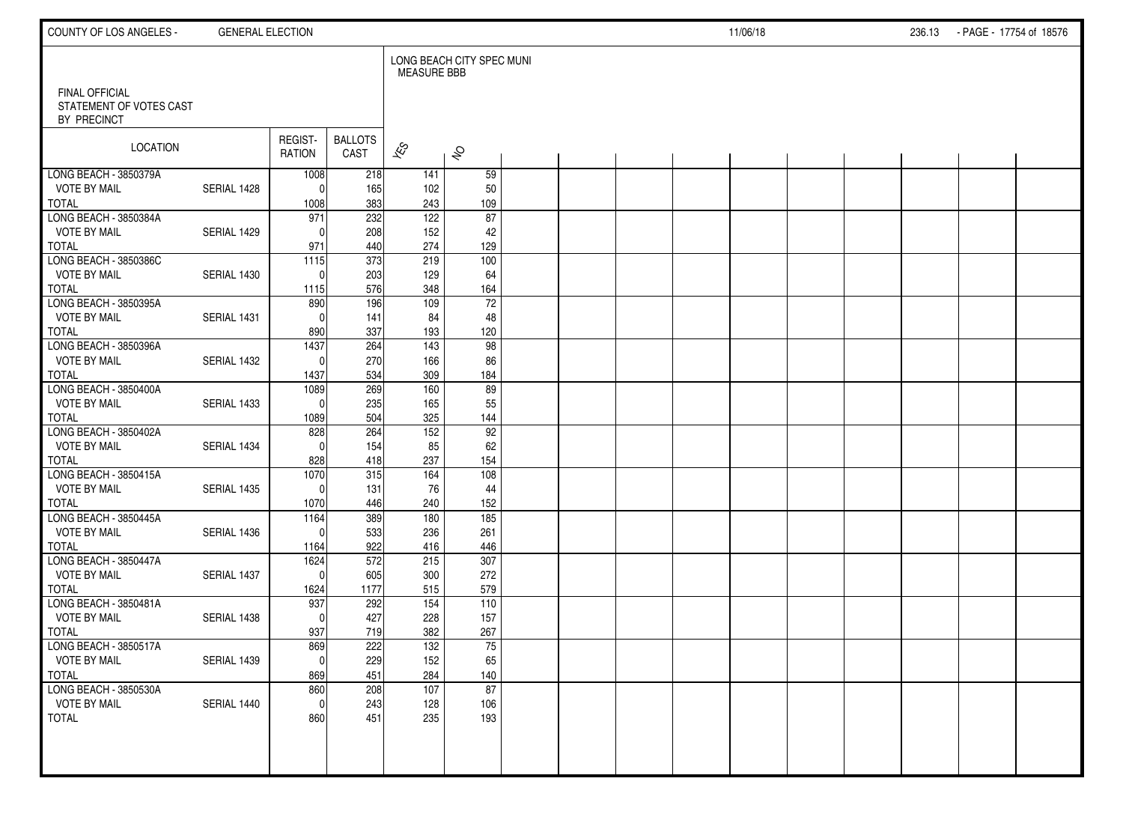| COUNTY OF LOS ANGELES -                                  | <b>GENERAL ELECTION</b> |                      |                        |                          |                           |  |  | 11/06/18 |  | 236.13 | - PAGE - 17754 of 18576 |  |
|----------------------------------------------------------|-------------------------|----------------------|------------------------|--------------------------|---------------------------|--|--|----------|--|--------|-------------------------|--|
|                                                          |                         |                      |                        | <b>MEASURE BBB</b>       | LONG BEACH CITY SPEC MUNI |  |  |          |  |        |                         |  |
| FINAL OFFICIAL<br>STATEMENT OF VOTES CAST<br>BY PRECINCT |                         |                      |                        |                          |                           |  |  |          |  |        |                         |  |
| LOCATION                                                 |                         | REGIST-<br>RATION    | <b>BALLOTS</b><br>CAST | $\overline{\mathscr{K}}$ | $\hat{\mathcal{S}}$       |  |  |          |  |        |                         |  |
| LONG BEACH - 3850379A                                    |                         | 1008                 | 218                    | 141                      | 59                        |  |  |          |  |        |                         |  |
| <b>VOTE BY MAIL</b><br><b>TOTAL</b>                      | SERIAL 1428             | $\Omega$             | 165<br>383             | 102<br>243               | 50<br>109                 |  |  |          |  |        |                         |  |
| LONG BEACH - 3850384A                                    |                         | 1008<br>971          | $\overline{232}$       | $\overline{122}$         | 87                        |  |  |          |  |        |                         |  |
| <b>VOTE BY MAIL</b>                                      | SERIAL 1429             | $\Omega$             | 208                    | 152                      | 42                        |  |  |          |  |        |                         |  |
| <b>TOTAL</b>                                             |                         | 971                  | 440                    | 274                      | 129                       |  |  |          |  |        |                         |  |
| LONG BEACH - 3850386C                                    |                         | 1115                 | 373                    | 219                      | 100                       |  |  |          |  |        |                         |  |
| <b>VOTE BY MAIL</b>                                      | SERIAL 1430             | $\mathbf{0}$         | 203                    | 129                      | 64                        |  |  |          |  |        |                         |  |
| <b>TOTAL</b>                                             |                         | 1115                 | 576                    | 348                      | 164                       |  |  |          |  |        |                         |  |
| LONG BEACH - 3850395A                                    |                         | 890                  | 196                    | 109                      | 72                        |  |  |          |  |        |                         |  |
| <b>VOTE BY MAIL</b>                                      | SERIAL 1431             | $\Omega$             | 141                    | 84                       | 48                        |  |  |          |  |        |                         |  |
| <b>TOTAL</b>                                             |                         | 890                  | 337                    | 193                      | 120                       |  |  |          |  |        |                         |  |
| LONG BEACH - 3850396A                                    |                         | 1437                 | 264                    | 143                      | 98                        |  |  |          |  |        |                         |  |
| <b>VOTE BY MAIL</b>                                      | SERIAL 1432             | $\Omega$             | 270                    | 166                      | 86                        |  |  |          |  |        |                         |  |
| <b>TOTAL</b>                                             |                         | 1437                 | 534                    | 309                      | 184                       |  |  |          |  |        |                         |  |
| LONG BEACH - 3850400A<br><b>VOTE BY MAIL</b>             | SERIAL 1433             | 1089<br>$\mathbf{0}$ | 269<br>235             | 160<br>165               | 89                        |  |  |          |  |        |                         |  |
| <b>TOTAL</b>                                             |                         | 1089                 | 504                    | 325                      | 55<br>144                 |  |  |          |  |        |                         |  |
| LONG BEACH - 3850402A                                    |                         | 828                  | 264                    | 152                      | 92                        |  |  |          |  |        |                         |  |
| <b>VOTE BY MAIL</b>                                      | SERIAL 1434             | $\Omega$             | 154                    | 85                       | 62                        |  |  |          |  |        |                         |  |
| <b>TOTAL</b>                                             |                         | 828                  | 418                    | 237                      | 154                       |  |  |          |  |        |                         |  |
| LONG BEACH - 3850415A                                    |                         | 1070                 | 315                    | 164                      | 108                       |  |  |          |  |        |                         |  |
| <b>VOTE BY MAIL</b>                                      | SERIAL 1435             | $\mathbf{0}$         | 131                    | 76                       | 44                        |  |  |          |  |        |                         |  |
| <b>TOTAL</b>                                             |                         | 1070                 | 446                    | 240                      | 152                       |  |  |          |  |        |                         |  |
| LONG BEACH - 3850445A                                    |                         | 1164                 | 389                    | 180                      | 185                       |  |  |          |  |        |                         |  |
| <b>VOTE BY MAIL</b>                                      | SERIAL 1436             | $\Omega$             | 533                    | 236                      | 261                       |  |  |          |  |        |                         |  |
| <b>TOTAL</b>                                             |                         | 1164                 | 922                    | 416                      | 446                       |  |  |          |  |        |                         |  |
| LONG BEACH - 3850447A                                    |                         | 1624                 | 572                    | 215                      | 307                       |  |  |          |  |        |                         |  |
| <b>VOTE BY MAIL</b>                                      | SERIAL 1437             | $\mathbf{0}$         | 605                    | 300                      | 272                       |  |  |          |  |        |                         |  |
| <b>TOTAL</b><br>LONG BEACH - 3850481A                    |                         | 1624<br>937          | 1177<br>292            | 515<br>154               | 579<br>110                |  |  |          |  |        |                         |  |
| <b>VOTE BY MAIL</b>                                      | SERIAL 1438             | $\mathbf{0}$         | 427                    | 228                      | 157                       |  |  |          |  |        |                         |  |
| <b>TOTAL</b>                                             |                         | 937                  | 719                    | 382                      | 267                       |  |  |          |  |        |                         |  |
| LONG BEACH - 3850517A                                    |                         | 869                  | 222                    | $\overline{132}$         | 75                        |  |  |          |  |        |                         |  |
| <b>VOTE BY MAIL</b>                                      | SERIAL 1439             | $\overline{0}$       | 229                    | 152                      | 65                        |  |  |          |  |        |                         |  |
| <b>TOTAL</b>                                             |                         | 869                  | 451                    | 284                      | 140                       |  |  |          |  |        |                         |  |
| LONG BEACH - 3850530A                                    |                         | 860                  | 208                    | 107                      | 87                        |  |  |          |  |        |                         |  |
| <b>VOTE BY MAIL</b>                                      | SERIAL 1440             | $\mathbf 0$          | 243                    | 128                      | 106                       |  |  |          |  |        |                         |  |
| <b>TOTAL</b>                                             |                         | 860                  | 451                    | 235                      | 193                       |  |  |          |  |        |                         |  |
|                                                          |                         |                      |                        |                          |                           |  |  |          |  |        |                         |  |
|                                                          |                         |                      |                        |                          |                           |  |  |          |  |        |                         |  |
|                                                          |                         |                      |                        |                          |                           |  |  |          |  |        |                         |  |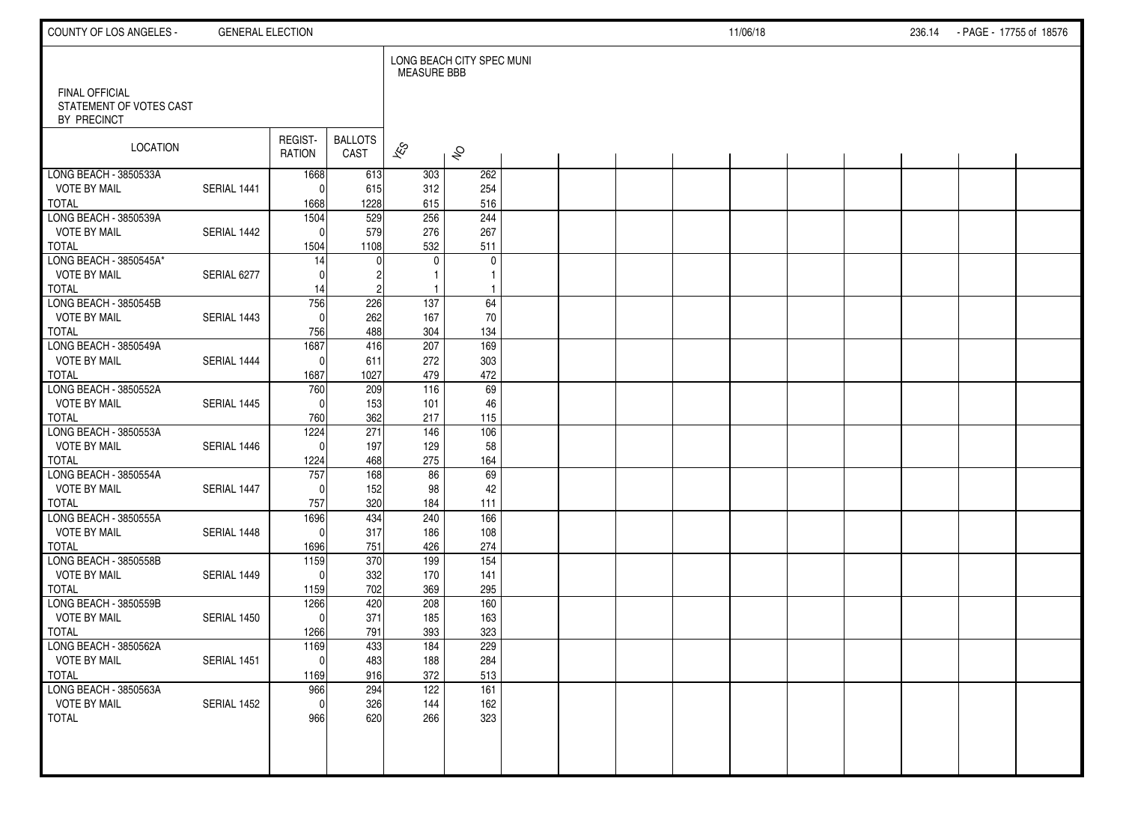| COUNTY OF LOS ANGELES -                       | <b>GENERAL ELECTION</b> |                      |                        |                          |                           |  |  | 11/06/18 |  | 236.14 | - PAGE - 17755 of 18576 |  |
|-----------------------------------------------|-------------------------|----------------------|------------------------|--------------------------|---------------------------|--|--|----------|--|--------|-------------------------|--|
| FINAL OFFICIAL                                |                         |                      |                        | <b>MEASURE BBB</b>       | LONG BEACH CITY SPEC MUNI |  |  |          |  |        |                         |  |
| STATEMENT OF VOTES CAST<br>BY PRECINCT        |                         |                      |                        |                          |                           |  |  |          |  |        |                         |  |
| LOCATION                                      |                         | REGIST-<br>RATION    | <b>BALLOTS</b><br>CAST | $\overline{\mathscr{K}}$ | $\hat{\mathcal{S}}$       |  |  |          |  |        |                         |  |
| LONG BEACH - 3850533A                         |                         | 1668                 | 613                    | 303                      | 262                       |  |  |          |  |        |                         |  |
| <b>VOTE BY MAIL</b><br><b>TOTAL</b>           | SERIAL 1441             | $\Omega$<br>1668     | 615<br>1228            | 312<br>615               | 254<br>516                |  |  |          |  |        |                         |  |
| LONG BEACH - 3850539A                         |                         | 1504                 | 529                    | 256                      | 244                       |  |  |          |  |        |                         |  |
| <b>VOTE BY MAIL</b>                           | SERIAL 1442             | $\Omega$             | 579                    | 276                      | 267                       |  |  |          |  |        |                         |  |
| <b>TOTAL</b>                                  |                         | 1504                 | 1108                   | 532                      | 511                       |  |  |          |  |        |                         |  |
| LONG BEACH - 3850545A*<br><b>VOTE BY MAIL</b> | SERIAL 6277             | 14<br>$\Omega$       |                        | $\mathbf{0}$             | $\mathbf 0$<br>1          |  |  |          |  |        |                         |  |
| <b>TOTAL</b>                                  |                         | 14                   |                        |                          |                           |  |  |          |  |        |                         |  |
| LONG BEACH - 3850545B                         |                         | 756                  | 226                    | 137                      | 64                        |  |  |          |  |        |                         |  |
| <b>VOTE BY MAIL</b>                           | SERIAL 1443             | $\Omega$             | 262                    | 167                      | 70                        |  |  |          |  |        |                         |  |
| <b>TOTAL</b><br>LONG BEACH - 3850549A         |                         | 756<br>1687          | 488<br>416             | 304<br>207               | 134<br>169                |  |  |          |  |        |                         |  |
| <b>VOTE BY MAIL</b>                           | SERIAL 1444             | $\mathbf{0}$         | 611                    | 272                      | 303                       |  |  |          |  |        |                         |  |
| <b>TOTAL</b>                                  |                         | 1687                 | 1027                   | 479                      | 472                       |  |  |          |  |        |                         |  |
| LONG BEACH - 3850552A                         |                         | 760                  | 209                    | 116                      | 69                        |  |  |          |  |        |                         |  |
| <b>VOTE BY MAIL</b>                           | SERIAL 1445             | $\Omega$             | 153                    | 101                      | 46                        |  |  |          |  |        |                         |  |
| <b>TOTAL</b>                                  |                         | 760                  | 362                    | 217                      | 115                       |  |  |          |  |        |                         |  |
| LONG BEACH - 3850553A<br><b>VOTE BY MAIL</b>  | SERIAL 1446             | 1224<br>$\Omega$     | 271<br>197             | 146<br>129               | 106<br>58                 |  |  |          |  |        |                         |  |
| <b>TOTAL</b>                                  |                         | 1224                 | 468                    | 275                      | 164                       |  |  |          |  |        |                         |  |
| LONG BEACH - 3850554A                         |                         | 757                  | 168                    | 86                       | 69                        |  |  |          |  |        |                         |  |
| <b>VOTE BY MAIL</b>                           | SERIAL 1447             | $\Omega$             | 152                    | 98                       | 42                        |  |  |          |  |        |                         |  |
| <b>TOTAL</b>                                  |                         | 757                  | 320                    | 184                      | 111                       |  |  |          |  |        |                         |  |
| LONG BEACH - 3850555A<br><b>VOTE BY MAIL</b>  | SERIAL 1448             | 1696<br>$\mathbf{0}$ | 434<br>317             | 240<br>186               | 166<br>108                |  |  |          |  |        |                         |  |
| <b>TOTAL</b>                                  |                         | 1696                 | 751                    | 426                      | 274                       |  |  |          |  |        |                         |  |
| LONG BEACH - 3850558B                         |                         | 1159                 | 370                    | 199                      | $\overline{154}$          |  |  |          |  |        |                         |  |
| <b>VOTE BY MAIL</b>                           | SERIAL 1449             | $\Omega$             | 332                    | 170                      | 141                       |  |  |          |  |        |                         |  |
| <b>TOTAL</b>                                  |                         | 1159                 | 702                    | 369                      | 295                       |  |  |          |  |        |                         |  |
| LONG BEACH - 3850559B                         |                         | 1266                 | 420                    | 208                      | 160                       |  |  |          |  |        |                         |  |
| <b>VOTE BY MAIL</b><br><b>TOTAL</b>           | SERIAL 1450             | $\mathbf{0}$<br>1266 | 371<br>791             | 185<br>393               | 163<br>323                |  |  |          |  |        |                         |  |
| LONG BEACH - 3850562A                         |                         | 1169                 | 433                    | 184                      | 229                       |  |  |          |  |        |                         |  |
| <b>VOTE BY MAIL</b>                           | SERIAL 1451             | $\pmb{0}$            | 483                    | 188                      | 284                       |  |  |          |  |        |                         |  |
| <b>TOTAL</b>                                  |                         | 1169                 | 916                    | 372                      | 513                       |  |  |          |  |        |                         |  |
| LONG BEACH - 3850563A                         |                         | 966                  | 294                    | 122                      | 161                       |  |  |          |  |        |                         |  |
| <b>VOTE BY MAIL</b><br><b>TOTAL</b>           | SERIAL 1452             | $\mathbf 0$          | 326                    | 144                      | 162                       |  |  |          |  |        |                         |  |
|                                               |                         | 966                  | 620                    | 266                      | 323                       |  |  |          |  |        |                         |  |
|                                               |                         |                      |                        |                          |                           |  |  |          |  |        |                         |  |
|                                               |                         |                      |                        |                          |                           |  |  |          |  |        |                         |  |
|                                               |                         |                      |                        |                          |                           |  |  |          |  |        |                         |  |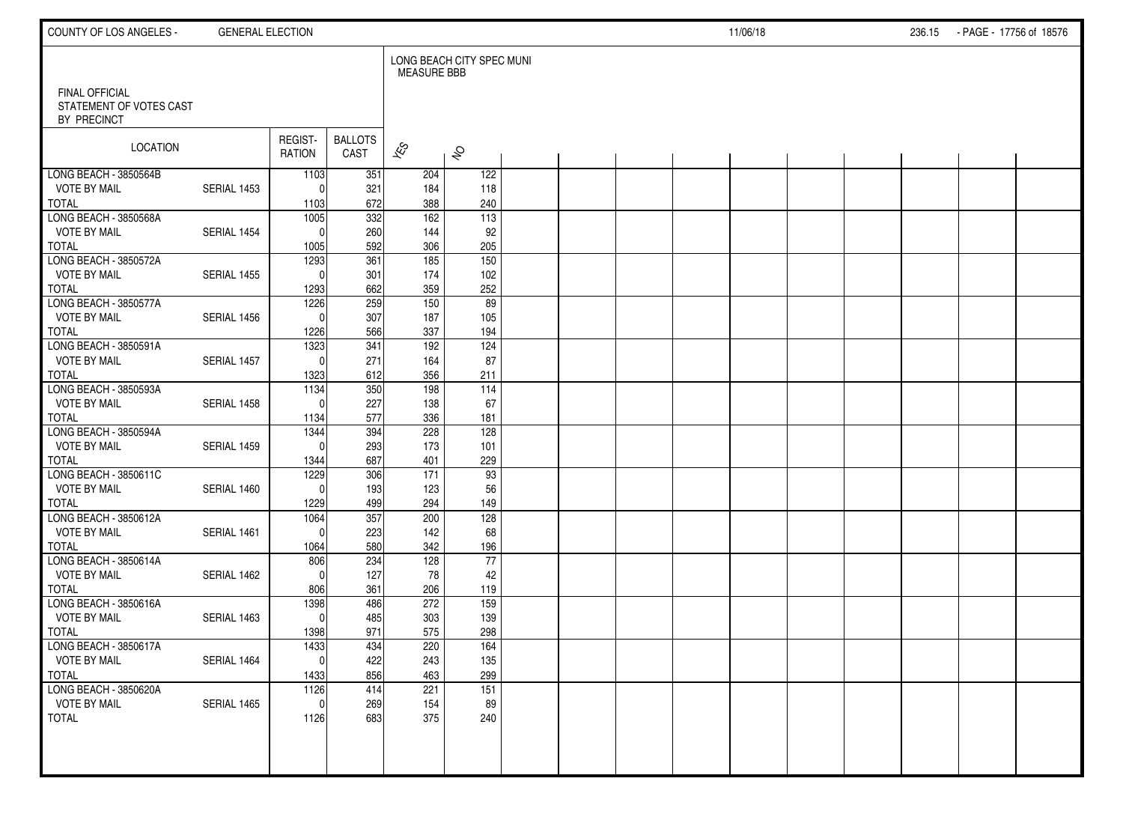| COUNTY OF LOS ANGELES -                                  | <b>GENERAL ELECTION</b> |                      |                        |                          |                           |  |  | 11/06/18 |  | 236.15 | - PAGE - 17756 of 18576 |  |
|----------------------------------------------------------|-------------------------|----------------------|------------------------|--------------------------|---------------------------|--|--|----------|--|--------|-------------------------|--|
|                                                          |                         |                      |                        | <b>MEASURE BBB</b>       | LONG BEACH CITY SPEC MUNI |  |  |          |  |        |                         |  |
| FINAL OFFICIAL<br>STATEMENT OF VOTES CAST<br>BY PRECINCT |                         |                      |                        |                          |                           |  |  |          |  |        |                         |  |
| LOCATION                                                 |                         | REGIST-<br>RATION    | <b>BALLOTS</b><br>CAST | $\overline{\mathscr{K}}$ | $\hat{\mathcal{S}}$       |  |  |          |  |        |                         |  |
| LONG BEACH - 3850564B                                    |                         | 1103                 | 351                    | 204                      | 122                       |  |  |          |  |        |                         |  |
| <b>VOTE BY MAIL</b><br><b>TOTAL</b>                      | SERIAL 1453             | $\Omega$             | 321<br>672             | 184<br>388               | 118<br>240                |  |  |          |  |        |                         |  |
| LONG BEACH - 3850568A                                    |                         | 1103<br>1005         | $\overline{332}$       | $\frac{162}{ }$          | $\overline{113}$          |  |  |          |  |        |                         |  |
| <b>VOTE BY MAIL</b>                                      | SERIAL 1454             | $\Omega$             | 260                    | 144                      | 92                        |  |  |          |  |        |                         |  |
| <b>TOTAL</b>                                             |                         | 1005                 | 592                    | 306                      | 205                       |  |  |          |  |        |                         |  |
| LONG BEACH - 3850572A                                    |                         | 1293                 | 361                    | 185                      | 150                       |  |  |          |  |        |                         |  |
| <b>VOTE BY MAIL</b>                                      | SERIAL 1455             | $\Omega$             | 301                    | 174                      | 102                       |  |  |          |  |        |                         |  |
| <b>TOTAL</b>                                             |                         | 1293                 | 662                    | 359                      | 252                       |  |  |          |  |        |                         |  |
| LONG BEACH - 3850577A                                    |                         | 1226                 | 259                    | 150                      | 89                        |  |  |          |  |        |                         |  |
| <b>VOTE BY MAIL</b>                                      | SERIAL 1456             | $\Omega$             | 307                    | 187                      | 105                       |  |  |          |  |        |                         |  |
| <b>TOTAL</b>                                             |                         | 1226                 | 566                    | 337                      | 194                       |  |  |          |  |        |                         |  |
| LONG BEACH - 3850591A                                    |                         | 1323                 | 341                    | 192                      | 124                       |  |  |          |  |        |                         |  |
| <b>VOTE BY MAIL</b>                                      | SERIAL 1457             | $\Omega$             | 271                    | 164                      | 87                        |  |  |          |  |        |                         |  |
| <b>TOTAL</b>                                             |                         | 1323                 | 612                    | 356                      | 211                       |  |  |          |  |        |                         |  |
| LONG BEACH - 3850593A<br><b>VOTE BY MAIL</b>             | SERIAL 1458             | 1134<br>$\Omega$     | 350<br>227             | 198<br>138               | $\frac{114}{114}$         |  |  |          |  |        |                         |  |
| <b>TOTAL</b>                                             |                         | 1134                 | 577                    | 336                      | 67<br>181                 |  |  |          |  |        |                         |  |
| LONG BEACH - 3850594A                                    |                         | 1344                 | 394                    | 228                      | 128                       |  |  |          |  |        |                         |  |
| <b>VOTE BY MAIL</b>                                      | SERIAL 1459             | $\Omega$             | 293                    | 173                      | 101                       |  |  |          |  |        |                         |  |
| <b>TOTAL</b>                                             |                         | 1344                 | 687                    | 401                      | 229                       |  |  |          |  |        |                         |  |
| LONG BEACH - 3850611C                                    |                         | 1229                 | 306                    | 171                      | 93                        |  |  |          |  |        |                         |  |
| <b>VOTE BY MAIL</b>                                      | SERIAL 1460             | $\Omega$             | 193                    | 123                      | 56                        |  |  |          |  |        |                         |  |
| <b>TOTAL</b>                                             |                         | 1229                 | 499                    | 294                      | 149                       |  |  |          |  |        |                         |  |
| LONG BEACH - 3850612A                                    |                         | 1064                 | 357                    | 200                      | 128                       |  |  |          |  |        |                         |  |
| <b>VOTE BY MAIL</b>                                      | SERIAL 1461             | $\Omega$             | 223                    | 142                      | 68                        |  |  |          |  |        |                         |  |
| <b>TOTAL</b>                                             |                         | 1064                 | 580                    | 342                      | 196                       |  |  |          |  |        |                         |  |
| LONG BEACH - 3850614A                                    |                         | 806                  | 234                    | 128                      | 77                        |  |  |          |  |        |                         |  |
| <b>VOTE BY MAIL</b>                                      | SERIAL 1462             | $\Omega$             | 127                    | 78                       | 42                        |  |  |          |  |        |                         |  |
| <b>TOTAL</b><br>LONG BEACH - 3850616A                    |                         | 806                  | 361<br>486             | 206<br>272               | 119<br>159                |  |  |          |  |        |                         |  |
| <b>VOTE BY MAIL</b>                                      | SERIAL 1463             | 1398<br>$\mathbf{0}$ | 485                    | 303                      | 139                       |  |  |          |  |        |                         |  |
| <b>TOTAL</b>                                             |                         | 1398                 | 971                    | 575                      | 298                       |  |  |          |  |        |                         |  |
| LONG BEACH - 3850617A                                    |                         | 1433                 | 434                    | 220                      | 164                       |  |  |          |  |        |                         |  |
| <b>VOTE BY MAIL</b>                                      | SERIAL 1464             | $\pmb{0}$            | 422                    | 243                      | 135                       |  |  |          |  |        |                         |  |
| <b>TOTAL</b>                                             |                         | 1433                 | 856                    | 463                      | 299                       |  |  |          |  |        |                         |  |
| LONG BEACH - 3850620A                                    |                         | 1126                 | 414                    | 221                      | 151                       |  |  |          |  |        |                         |  |
| <b>VOTE BY MAIL</b>                                      | SERIAL 1465             | 0                    | 269                    | 154                      | 89                        |  |  |          |  |        |                         |  |
| <b>TOTAL</b>                                             |                         | 1126                 | 683                    | 375                      | 240                       |  |  |          |  |        |                         |  |
|                                                          |                         |                      |                        |                          |                           |  |  |          |  |        |                         |  |
|                                                          |                         |                      |                        |                          |                           |  |  |          |  |        |                         |  |
|                                                          |                         |                      |                        |                          |                           |  |  |          |  |        |                         |  |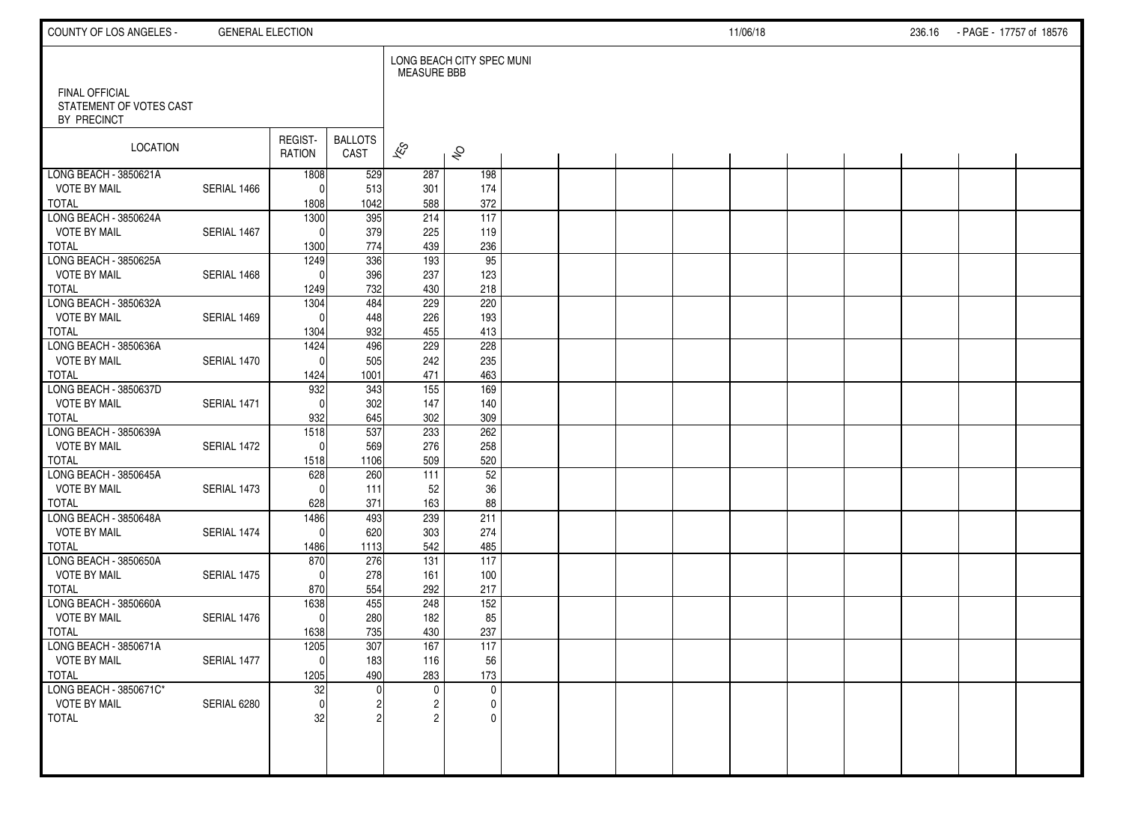| COUNTY OF LOS ANGELES -                                         | <b>GENERAL ELECTION</b> |                   |                        |                          |                           |  |  | 11/06/18 |  | 236.16 - PAGE - 17757 of 18576 |  |
|-----------------------------------------------------------------|-------------------------|-------------------|------------------------|--------------------------|---------------------------|--|--|----------|--|--------------------------------|--|
|                                                                 |                         |                   |                        | <b>MEASURE BBB</b>       | LONG BEACH CITY SPEC MUNI |  |  |          |  |                                |  |
| <b>FINAL OFFICIAL</b><br>STATEMENT OF VOTES CAST<br>BY PRECINCT |                         |                   |                        |                          |                           |  |  |          |  |                                |  |
| LOCATION                                                        |                         | REGIST-<br>RATION | <b>BALLOTS</b><br>CAST | $\overline{\mathscr{E}}$ | $\hat{\mathcal{S}}$       |  |  |          |  |                                |  |
| LONG BEACH - 3850621A                                           |                         | 1808              | 529                    | 287                      | 198                       |  |  |          |  |                                |  |
| <b>VOTE BY MAIL</b>                                             | SERIAL 1466             | $\Omega$          | 513                    | 301                      | 174                       |  |  |          |  |                                |  |
| <b>TOTAL</b>                                                    |                         | 1808              | 1042                   | 588                      | 372                       |  |  |          |  |                                |  |
| LONG BEACH - 3850624A                                           |                         | 1300              | 395                    | 214                      | 117                       |  |  |          |  |                                |  |
| <b>VOTE BY MAIL</b>                                             | SERIAL 1467             | $\mathbf{0}$      | 379                    | 225                      | 119                       |  |  |          |  |                                |  |
| <b>TOTAL</b><br>LONG BEACH - 3850625A                           |                         | 1300              | 774<br>336             | 439<br>193               | 236<br>$\overline{95}$    |  |  |          |  |                                |  |
| <b>VOTE BY MAIL</b>                                             | SERIAL 1468             | 1249<br>$\Omega$  | 396                    | 237                      | 123                       |  |  |          |  |                                |  |
| TOTAL                                                           |                         | 1249              | 732                    | 430                      | 218                       |  |  |          |  |                                |  |
| LONG BEACH - 3850632A                                           |                         | 1304              | 484                    | 229                      | 220                       |  |  |          |  |                                |  |
| <b>VOTE BY MAIL</b>                                             | SERIAL 1469             | $\Omega$          | 448                    | 226                      | 193                       |  |  |          |  |                                |  |
| <b>TOTAL</b>                                                    |                         | 1304              | 932                    | 455                      | 413                       |  |  |          |  |                                |  |
| LONG BEACH - 3850636A                                           |                         | 1424              | 496                    | 229                      | 228                       |  |  |          |  |                                |  |
| <b>VOTE BY MAIL</b>                                             | SERIAL 1470             | $\Omega$          | 505                    | 242                      | 235                       |  |  |          |  |                                |  |
| TOTAL                                                           |                         | 1424              | 1001                   | 471                      | 463                       |  |  |          |  |                                |  |
| LONG BEACH - 3850637D                                           |                         | 932               | 343                    | 155                      | 169                       |  |  |          |  |                                |  |
| <b>VOTE BY MAIL</b>                                             | SERIAL 1471             | $\mathbf{0}$      | 302                    | 147                      | 140                       |  |  |          |  |                                |  |
| <b>TOTAL</b>                                                    |                         | 932               | 645                    | 302                      | 309                       |  |  |          |  |                                |  |
| LONG BEACH - 3850639A                                           |                         | 1518              | 537                    | 233                      | 262                       |  |  |          |  |                                |  |
| <b>VOTE BY MAIL</b>                                             | SERIAL 1472             | $\mathbf{0}$      | 569                    | 276                      | 258                       |  |  |          |  |                                |  |
| <b>TOTAL</b>                                                    |                         | 1518              | 1106                   | 509                      | 520                       |  |  |          |  |                                |  |
| LONG BEACH - 3850645A                                           |                         | 628               | 260                    | 111                      | 52                        |  |  |          |  |                                |  |
| <b>VOTE BY MAIL</b>                                             | SERIAL 1473             | $\mathbf{0}$      | 111                    | 52                       | 36                        |  |  |          |  |                                |  |
| <b>TOTAL</b>                                                    |                         | 628               | 371                    | 163                      | 88                        |  |  |          |  |                                |  |
| LONG BEACH - 3850648A                                           |                         | 1486              | 493                    | 239                      | 211                       |  |  |          |  |                                |  |
| <b>VOTE BY MAIL</b><br><b>TOTAL</b>                             | SERIAL 1474             | 0                 | 620<br>1113            | 303<br>542               | 274<br>485                |  |  |          |  |                                |  |
| LONG BEACH - 3850650A                                           |                         | 1486<br>870       | 276                    | $\overline{131}$         | $\overline{117}$          |  |  |          |  |                                |  |
| <b>VOTE BY MAIL</b>                                             | SERIAL 1475             | $\Omega$          | 278                    | 161                      | 100                       |  |  |          |  |                                |  |
| <b>TOTAL</b>                                                    |                         | 870               | 554                    | 292                      | 217                       |  |  |          |  |                                |  |
| LONG BEACH - 3850660A                                           |                         | 1638              | 455                    | 248                      | 152                       |  |  |          |  |                                |  |
| <b>VOTE BY MAIL</b>                                             | SERIAL 1476             | $\mathbf{0}$      | 280                    | 182                      | 85                        |  |  |          |  |                                |  |
| <b>TOTAL</b>                                                    |                         | 1638              | 735                    | 430                      | 237                       |  |  |          |  |                                |  |
| LONG BEACH - 3850671A                                           |                         | 1205              | 307                    | 167                      | 117                       |  |  |          |  |                                |  |
| <b>VOTE BY MAIL</b>                                             | SERIAL 1477             | $\Omega$          | 183                    | 116                      | 56                        |  |  |          |  |                                |  |
| <b>TOTAL</b>                                                    |                         | 1205              | 490                    | 283                      | 173                       |  |  |          |  |                                |  |
| LONG BEACH - 3850671C*                                          |                         | 32                |                        | $\mathbf 0$              | $\mathbf 0$               |  |  |          |  |                                |  |
| <b>VOTE BY MAIL</b>                                             | SERIAL 6280             | $\mathbf{0}$      |                        | $\overline{c}$           | 0                         |  |  |          |  |                                |  |
| TOTAL                                                           |                         | 32                |                        | $\overline{2}$           | $\mathbf{0}$              |  |  |          |  |                                |  |
|                                                                 |                         |                   |                        |                          |                           |  |  |          |  |                                |  |
|                                                                 |                         |                   |                        |                          |                           |  |  |          |  |                                |  |
|                                                                 |                         |                   |                        |                          |                           |  |  |          |  |                                |  |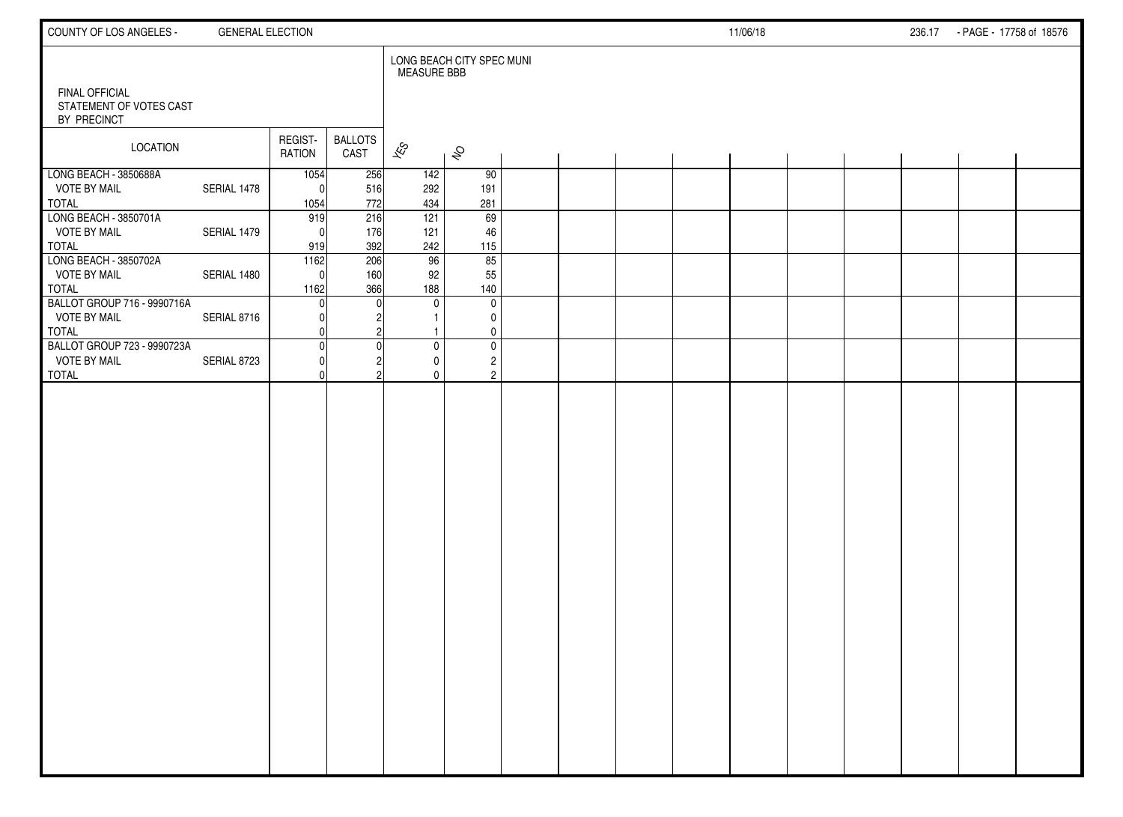| COUNTY OF LOS ANGELES -                                            | <b>GENERAL ELECTION</b> |                            |                        |                                           |                                               |  |  | 11/06/18 |  | 236.17 - PAGE - 17758 of 18576 |  |
|--------------------------------------------------------------------|-------------------------|----------------------------|------------------------|-------------------------------------------|-----------------------------------------------|--|--|----------|--|--------------------------------|--|
| <b>FINAL OFFICIAL</b><br>STATEMENT OF VOTES CAST<br>BY PRECINCT    |                         |                            |                        | <b>MEASURE BBB</b>                        | LONG BEACH CITY SPEC MUNI                     |  |  |          |  |                                |  |
| LOCATION                                                           |                         | REGIST-<br>RATION          | <b>BALLOTS</b><br>CAST | $\overline{\mathscr{E}}$                  | $\hat{\mathcal{S}}$                           |  |  |          |  |                                |  |
| LONG BEACH - 3850688A<br><b>VOTE BY MAIL</b><br><b>TOTAL</b>       | SERIAL 1478             | 1054<br>$\sqrt{ }$<br>1054 | 256<br>516<br>772      | 142<br>292<br>434                         | 90<br>191<br>281                              |  |  |          |  |                                |  |
| LONG BEACH - 3850701A<br><b>VOTE BY MAIL</b><br><b>TOTAL</b>       | SERIAL 1479             | 919<br>$\Omega$<br>919     | 216<br>176<br>392      | 121<br>121<br>242                         | 69<br>46<br>115                               |  |  |          |  |                                |  |
| LONG BEACH - 3850702A<br><b>VOTE BY MAIL</b><br><b>TOTAL</b>       | SERIAL 1480             | 1162<br>O<br>1162          | 206<br>160<br>366      | 96<br>92<br>188                           | 85<br>55<br>140                               |  |  |          |  |                                |  |
| BALLOT GROUP 716 - 9990716A<br><b>VOTE BY MAIL</b><br><b>TOTAL</b> | SERIAL 8716             |                            |                        | $\mathbf 0$<br>$\mathbf{1}$               | $\mathbf 0$<br>0<br>0                         |  |  |          |  |                                |  |
| BALLOT GROUP 723 - 9990723A<br><b>VOTE BY MAIL</b><br><b>TOTAL</b> | SERIAL 8723             | C                          |                        | $\mathbf 0$<br>$\mathbf 0$<br>$\mathbf 0$ | $\pmb{0}$<br>$\overline{c}$<br>$\overline{2}$ |  |  |          |  |                                |  |
|                                                                    |                         |                            |                        |                                           |                                               |  |  |          |  |                                |  |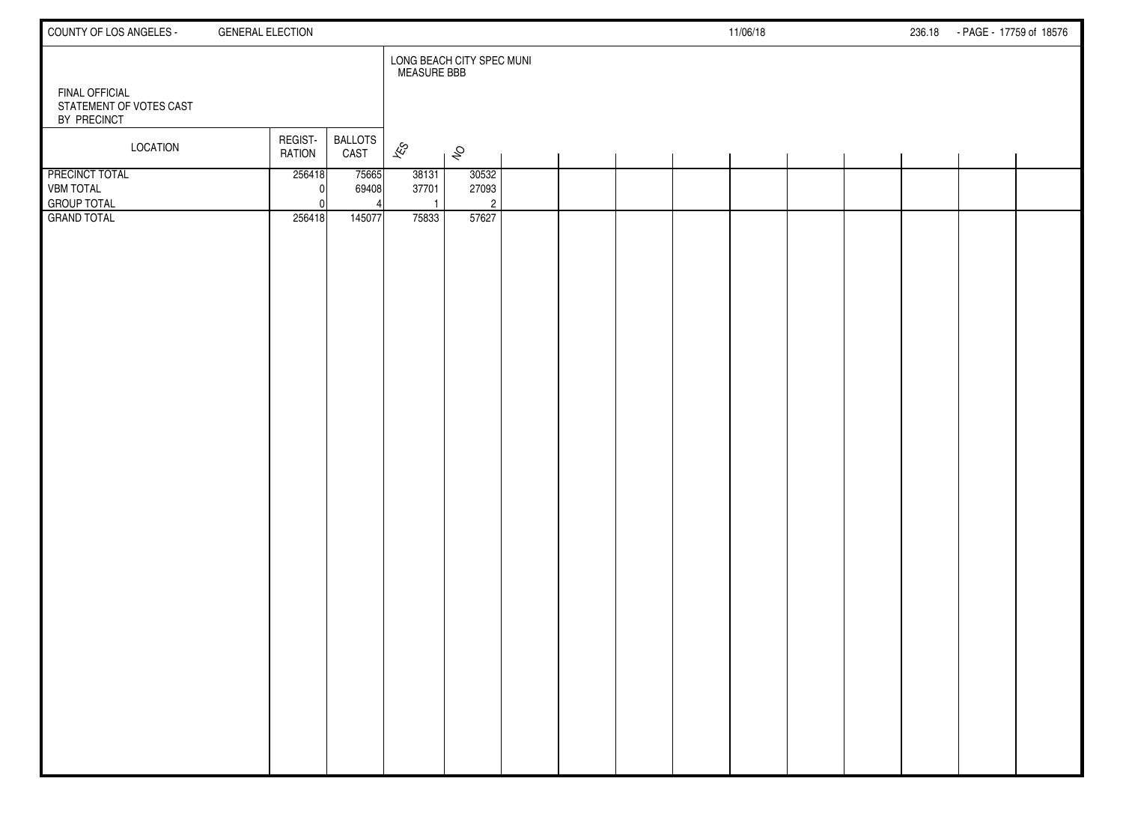| COUNTY OF LOS ANGELES -                                  | <b>GENERAL ELECTION</b>  |                        |                                |                                  |  |  | 11/06/18 |  | 236.18 - PAGE - 17759 of 18576 |  |
|----------------------------------------------------------|--------------------------|------------------------|--------------------------------|----------------------------------|--|--|----------|--|--------------------------------|--|
| <b>FINAL OFFICIAL</b>                                    |                          |                        | <b>MEASURE BBB</b>             | LONG BEACH CITY SPEC MUNI        |  |  |          |  |                                |  |
| STATEMENT OF VOTES CAST<br>BY PRECINCT                   |                          |                        |                                |                                  |  |  |          |  |                                |  |
| LOCATION                                                 | REGIST-<br><b>RATION</b> | <b>BALLOTS</b><br>CAST | $\overline{\mathscr{E}}$       | $\hat{\mathcal{S}}$              |  |  |          |  |                                |  |
| PRECINCT TOTAL<br><b>VBM TOTAL</b><br><b>GROUP TOTAL</b> | 256418                   | 75665<br>69408         | 38131<br>37701<br>$\mathbf{1}$ | 30532<br>27093<br>$\overline{2}$ |  |  |          |  |                                |  |
| <b>GRAND TOTAL</b>                                       | 256418                   | 145077                 | 75833                          | 57627                            |  |  |          |  |                                |  |
|                                                          |                          |                        |                                |                                  |  |  |          |  |                                |  |
|                                                          |                          |                        |                                |                                  |  |  |          |  |                                |  |
|                                                          |                          |                        |                                |                                  |  |  |          |  |                                |  |
|                                                          |                          |                        |                                |                                  |  |  |          |  |                                |  |
|                                                          |                          |                        |                                |                                  |  |  |          |  |                                |  |
|                                                          |                          |                        |                                |                                  |  |  |          |  |                                |  |
|                                                          |                          |                        |                                |                                  |  |  |          |  |                                |  |
|                                                          |                          |                        |                                |                                  |  |  |          |  |                                |  |
|                                                          |                          |                        |                                |                                  |  |  |          |  |                                |  |
|                                                          |                          |                        |                                |                                  |  |  |          |  |                                |  |
|                                                          |                          |                        |                                |                                  |  |  |          |  |                                |  |
|                                                          |                          |                        |                                |                                  |  |  |          |  |                                |  |
|                                                          |                          |                        |                                |                                  |  |  |          |  |                                |  |
|                                                          |                          |                        |                                |                                  |  |  |          |  |                                |  |
|                                                          |                          |                        |                                |                                  |  |  |          |  |                                |  |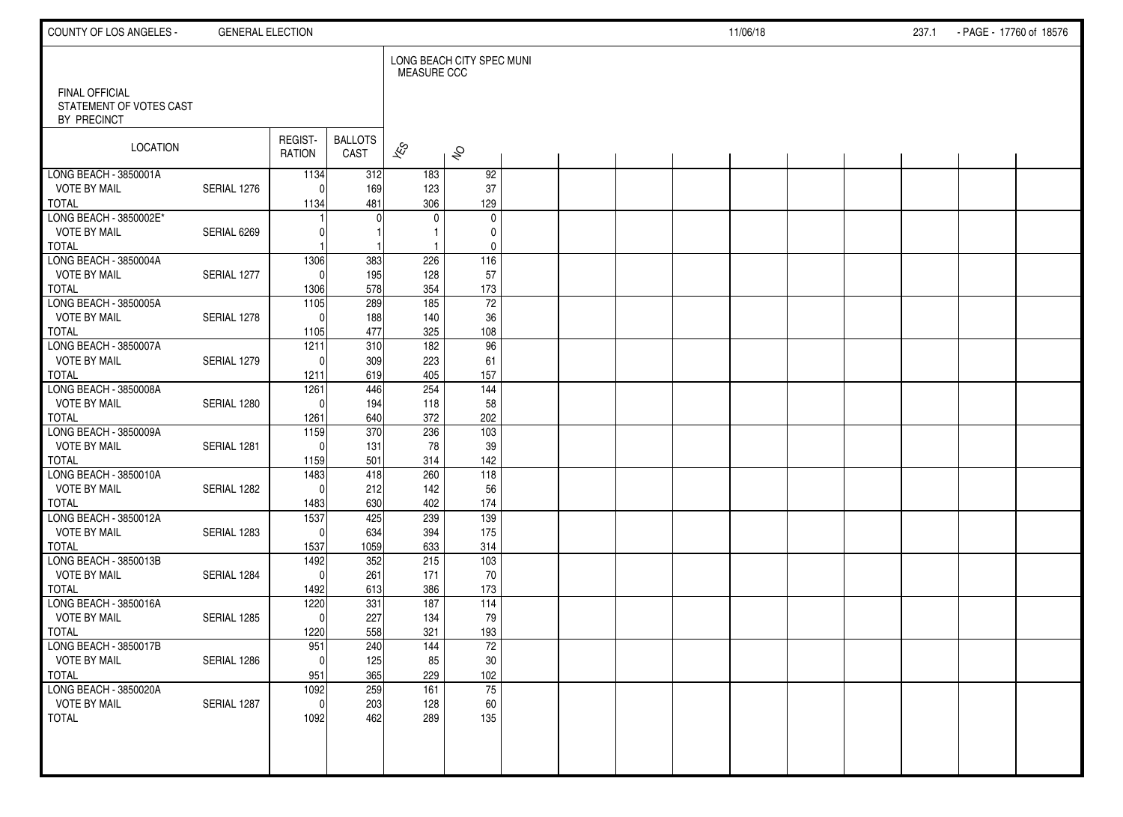| COUNTY OF LOS ANGELES -                                         | <b>GENERAL ELECTION</b> |                              |                        |                            |                           |  |  | 11/06/18 |  | 237.1 | - PAGE - 17760 of 18576 |  |
|-----------------------------------------------------------------|-------------------------|------------------------------|------------------------|----------------------------|---------------------------|--|--|----------|--|-------|-------------------------|--|
|                                                                 |                         |                              |                        | MEASURE CCC                | LONG BEACH CITY SPEC MUNI |  |  |          |  |       |                         |  |
| <b>FINAL OFFICIAL</b><br>STATEMENT OF VOTES CAST<br>BY PRECINCT |                         |                              |                        |                            |                           |  |  |          |  |       |                         |  |
| LOCATION                                                        |                         | REGIST-<br>RATION            | <b>BALLOTS</b><br>CAST | $\overline{\mathcal{K}}$ S | $\hat{\mathcal{S}}$       |  |  |          |  |       |                         |  |
| LONG BEACH - 3850001A                                           |                         | 1134                         | 312                    | 183                        | 92                        |  |  |          |  |       |                         |  |
| <b>VOTE BY MAIL</b><br><b>TOTAL</b>                             | SERIAL 1276             | $\Omega$<br>1134             | 169<br>481             | 123<br>306                 | 37<br>129                 |  |  |          |  |       |                         |  |
| LONG BEACH - 3850002E*                                          |                         |                              | O                      | 0                          | $\mathbf 0$               |  |  |          |  |       |                         |  |
| <b>VOTE BY MAIL</b>                                             | SERIAL 6269             |                              |                        |                            | 0                         |  |  |          |  |       |                         |  |
| <b>TOTAL</b>                                                    |                         |                              |                        | -1                         | 0                         |  |  |          |  |       |                         |  |
| LONG BEACH - 3850004A                                           |                         | 1306                         | 383                    | 226                        | $\frac{116}{116}$         |  |  |          |  |       |                         |  |
| <b>VOTE BY MAIL</b>                                             | SERIAL 1277             | $\Omega$                     | 195                    | 128                        | 57                        |  |  |          |  |       |                         |  |
| <b>TOTAL</b><br>LONG BEACH - 3850005A                           |                         | 1306                         | 578<br>289             | 354                        | 173<br>72                 |  |  |          |  |       |                         |  |
| <b>VOTE BY MAIL</b>                                             | SERIAL 1278             | $\frac{1105}{ }$<br>$\Omega$ | 188                    | 185<br>140                 | 36                        |  |  |          |  |       |                         |  |
| <b>TOTAL</b>                                                    |                         | 1105                         | 477                    | 325                        | 108                       |  |  |          |  |       |                         |  |
| LONG BEACH - 3850007A                                           |                         | 1211                         | 310                    | $\frac{182}{ }$            | 96                        |  |  |          |  |       |                         |  |
| <b>VOTE BY MAIL</b>                                             | SERIAL 1279             | $\Omega$                     | 309                    | 223                        | 61                        |  |  |          |  |       |                         |  |
| <b>TOTAL</b>                                                    |                         | 1211                         | 619                    | 405                        | 157                       |  |  |          |  |       |                         |  |
| LONG BEACH - 3850008A                                           |                         | 1261                         | 446                    | 254                        | $\frac{144}{1}$           |  |  |          |  |       |                         |  |
| <b>VOTE BY MAIL</b>                                             | SERIAL 1280             | $\Omega$                     | 194                    | 118                        | 58                        |  |  |          |  |       |                         |  |
| <b>TOTAL</b><br>LONG BEACH - 3850009A                           |                         | 1261                         | 640                    | 372                        | 202                       |  |  |          |  |       |                         |  |
| <b>VOTE BY MAIL</b>                                             | SERIAL 1281             | 1159<br>$\Omega$             | 370<br>131             | 236<br>78                  | 103<br>39                 |  |  |          |  |       |                         |  |
| <b>TOTAL</b>                                                    |                         | 1159                         | 501                    | 314                        | 142                       |  |  |          |  |       |                         |  |
| LONG BEACH - 3850010A                                           |                         | 1483                         | 418                    | 260                        | 118                       |  |  |          |  |       |                         |  |
| <b>VOTE BY MAIL</b>                                             | SERIAL 1282             | $\Omega$                     | 212                    | 142                        | 56                        |  |  |          |  |       |                         |  |
| <b>TOTAL</b>                                                    |                         | 1483                         | 630                    | 402                        | 174                       |  |  |          |  |       |                         |  |
| LONG BEACH - 3850012A                                           |                         | 1537                         | 425                    | 239                        | 139                       |  |  |          |  |       |                         |  |
| <b>VOTE BY MAIL</b>                                             | SERIAL 1283             | $\mathbf 0$                  | 634                    | 394                        | 175                       |  |  |          |  |       |                         |  |
| <b>TOTAL</b>                                                    |                         | 1537                         | 1059                   | 633                        | 314                       |  |  |          |  |       |                         |  |
| LONG BEACH - 3850013B                                           |                         | 1492                         | 352                    | 215                        | 103                       |  |  |          |  |       |                         |  |
| <b>VOTE BY MAIL</b><br><b>TOTAL</b>                             | SERIAL 1284             | $\mathbf 0$<br>1492          | 261<br>613             | 171<br>386                 | 70<br>173                 |  |  |          |  |       |                         |  |
| LONG BEACH - 3850016A                                           |                         | 1220                         | 331                    | 187                        | 114                       |  |  |          |  |       |                         |  |
| <b>VOTE BY MAIL</b>                                             | SERIAL 1285             | $\mathbf 0$                  | 227                    | 134                        | 79                        |  |  |          |  |       |                         |  |
| <b>TOTAL</b>                                                    |                         | 1220                         | 558                    | 321                        | 193                       |  |  |          |  |       |                         |  |
| LONG BEACH - 3850017B                                           |                         | 951                          | 240                    | 144                        | 72                        |  |  |          |  |       |                         |  |
| <b>VOTE BY MAIL</b>                                             | SERIAL 1286             | $\overline{0}$               | 125                    | 85                         | $30\,$                    |  |  |          |  |       |                         |  |
| <b>TOTAL</b>                                                    |                         | 951                          | 365                    | 229                        | 102                       |  |  |          |  |       |                         |  |
| LONG BEACH - 3850020A                                           |                         | 1092                         | 259                    | 161                        | 75                        |  |  |          |  |       |                         |  |
| <b>VOTE BY MAIL</b>                                             | SERIAL 1287             | $\mathbf 0$                  | 203                    | 128                        | 60                        |  |  |          |  |       |                         |  |
| <b>TOTAL</b>                                                    |                         | 1092                         | 462                    | 289                        | 135                       |  |  |          |  |       |                         |  |
|                                                                 |                         |                              |                        |                            |                           |  |  |          |  |       |                         |  |
|                                                                 |                         |                              |                        |                            |                           |  |  |          |  |       |                         |  |
|                                                                 |                         |                              |                        |                            |                           |  |  |          |  |       |                         |  |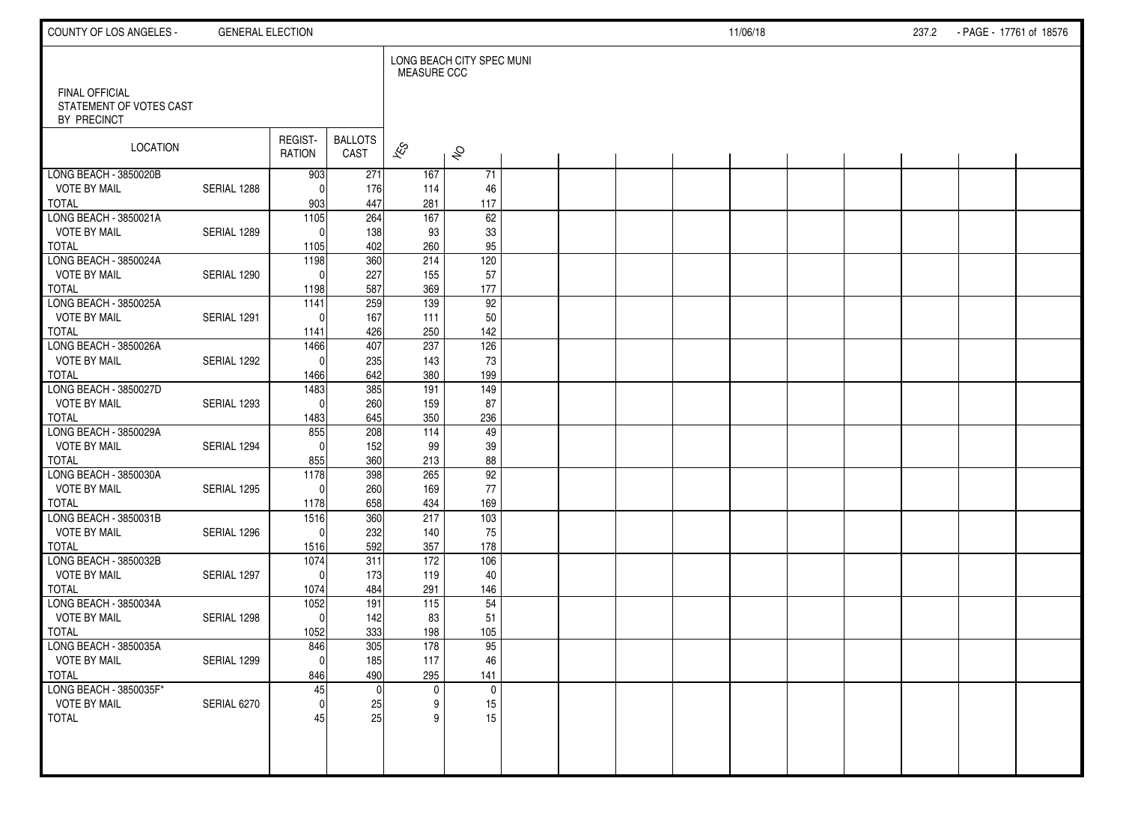| COUNTY OF LOS ANGELES -                                         | <b>GENERAL ELECTION</b> |                   |                        |                          |                           |  |  | 11/06/18 |  | 237.2 - PAGE - 17761 of 18576 |  |
|-----------------------------------------------------------------|-------------------------|-------------------|------------------------|--------------------------|---------------------------|--|--|----------|--|-------------------------------|--|
|                                                                 |                         |                   |                        | <b>MEASURE CCC</b>       | LONG BEACH CITY SPEC MUNI |  |  |          |  |                               |  |
| <b>FINAL OFFICIAL</b><br>STATEMENT OF VOTES CAST<br>BY PRECINCT |                         |                   |                        |                          |                           |  |  |          |  |                               |  |
| LOCATION                                                        |                         | REGIST-<br>RATION | <b>BALLOTS</b><br>CAST | $\overline{\mathscr{E}}$ | $\hat{\mathcal{S}}$       |  |  |          |  |                               |  |
| LONG BEACH - 3850020B                                           |                         | 903               | 271                    | 167                      | 71                        |  |  |          |  |                               |  |
| <b>VOTE BY MAIL</b>                                             | SERIAL 1288             | $\Omega$          | 176                    | 114                      | 46                        |  |  |          |  |                               |  |
| <b>TOTAL</b><br>LONG BEACH - 3850021A                           |                         | 903<br>1105       | 447<br>264             | 281<br>167               | 117<br>62                 |  |  |          |  |                               |  |
| <b>VOTE BY MAIL</b>                                             | SERIAL 1289             | $\Omega$          | 138                    | 93                       | 33                        |  |  |          |  |                               |  |
| <b>TOTAL</b>                                                    |                         | 1105              | 402                    | 260                      | 95                        |  |  |          |  |                               |  |
| LONG BEACH - 3850024A                                           |                         | 1198              | 360                    | 214                      | 120                       |  |  |          |  |                               |  |
| <b>VOTE BY MAIL</b>                                             | SERIAL 1290             | $\Omega$          | 227                    | 155                      | 57                        |  |  |          |  |                               |  |
| <b>TOTAL</b>                                                    |                         | 1198              | 587                    | 369                      | 177                       |  |  |          |  |                               |  |
| LONG BEACH - 3850025A                                           |                         | 1141              | 259                    | 139                      | 92                        |  |  |          |  |                               |  |
| <b>VOTE BY MAIL</b><br><b>TOTAL</b>                             | SERIAL 1291             | $\Omega$<br>1141  | 167<br>426             | 111<br>250               | 50<br>142                 |  |  |          |  |                               |  |
| LONG BEACH - 3850026A                                           |                         | 1466              | 407                    | 237                      | 126                       |  |  |          |  |                               |  |
| <b>VOTE BY MAIL</b>                                             | SERIAL 1292             | $\Omega$          | 235                    | 143                      | 73                        |  |  |          |  |                               |  |
| <b>TOTAL</b>                                                    |                         | 1466              | 642                    | 380                      | 199                       |  |  |          |  |                               |  |
| LONG BEACH - 3850027D                                           |                         | 1483              | 385                    | 191                      | 149                       |  |  |          |  |                               |  |
| <b>VOTE BY MAIL</b>                                             | SERIAL 1293             | $\Omega$          | 260                    | 159                      | 87                        |  |  |          |  |                               |  |
| <b>TOTAL</b>                                                    |                         | 1483              | 645                    | 350                      | 236                       |  |  |          |  |                               |  |
| LONG BEACH - 3850029A                                           |                         | 855               | 208                    | $\frac{114}{114}$        | $\overline{49}$           |  |  |          |  |                               |  |
| <b>VOTE BY MAIL</b><br><b>TOTAL</b>                             | SERIAL 1294             | $\Omega$<br>855   | 152<br>360             | 99<br>213                | 39<br>88                  |  |  |          |  |                               |  |
| LONG BEACH - 3850030A                                           |                         | 1178              | 398                    | 265                      | $\overline{92}$           |  |  |          |  |                               |  |
| <b>VOTE BY MAIL</b>                                             | SERIAL 1295             | $\Omega$          | 260                    | 169                      | 77                        |  |  |          |  |                               |  |
| <b>TOTAL</b>                                                    |                         | 1178              | 658                    | 434                      | 169                       |  |  |          |  |                               |  |
| LONG BEACH - 3850031B                                           |                         | 1516              | 360                    | 217                      | $\frac{103}{2}$           |  |  |          |  |                               |  |
| <b>VOTE BY MAIL</b>                                             | SERIAL 1296             | $\Omega$          | 232                    | 140                      | 75                        |  |  |          |  |                               |  |
| <b>TOTAL</b>                                                    |                         | 1516              | 592                    | 357                      | 178                       |  |  |          |  |                               |  |
| LONG BEACH - 3850032B                                           |                         | 1074              | 311                    | 172                      | 106                       |  |  |          |  |                               |  |
| <b>VOTE BY MAIL</b>                                             | SERIAL 1297             | $\Omega$          | 173                    | 119                      | 40                        |  |  |          |  |                               |  |
| <b>TOTAL</b><br>LONG BEACH - 3850034A                           |                         | 1074<br>1052      | 484<br>191             | 291<br>115               | 146<br>54                 |  |  |          |  |                               |  |
| <b>VOTE BY MAIL</b>                                             | SERIAL 1298             | 0                 | 142                    | 83                       | 51                        |  |  |          |  |                               |  |
| <b>TOTAL</b>                                                    |                         | 1052              | 333                    | 198                      | 105                       |  |  |          |  |                               |  |
| LONG BEACH - 3850035A                                           |                         | 846               | 305                    | 178                      | 95                        |  |  |          |  |                               |  |
| <b>VOTE BY MAIL</b>                                             | SERIAL 1299             | 0                 | 185                    | 117                      | 46                        |  |  |          |  |                               |  |
| <b>TOTAL</b>                                                    |                         | 846               | 490                    | 295                      | 141                       |  |  |          |  |                               |  |
| LONG BEACH - 3850035F*                                          |                         | 45                |                        | $\mathbf 0$              | $\mathsf{O}$              |  |  |          |  |                               |  |
| <b>VOTE BY MAIL</b>                                             | SERIAL 6270             | $\overline{0}$    | 25                     | 9                        | 15                        |  |  |          |  |                               |  |
| <b>TOTAL</b>                                                    |                         | 45                | 25                     | 9                        | 15                        |  |  |          |  |                               |  |
|                                                                 |                         |                   |                        |                          |                           |  |  |          |  |                               |  |
|                                                                 |                         |                   |                        |                          |                           |  |  |          |  |                               |  |
|                                                                 |                         |                   |                        |                          |                           |  |  |          |  |                               |  |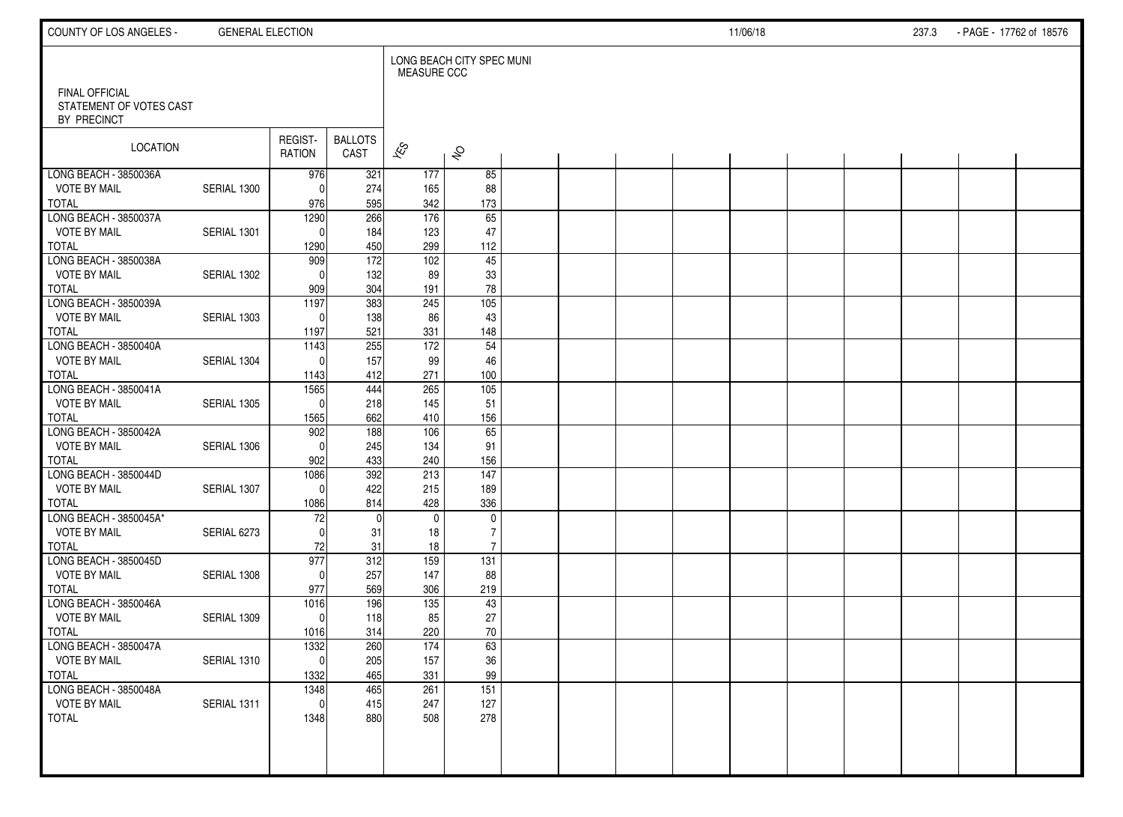| COUNTY OF LOS ANGELES -                                         | <b>GENERAL ELECTION</b> |                     |                        |                    |                           |  |  | 11/06/18 |  | 237.3 | - PAGE - 17762 of 18576 |  |
|-----------------------------------------------------------------|-------------------------|---------------------|------------------------|--------------------|---------------------------|--|--|----------|--|-------|-------------------------|--|
|                                                                 |                         |                     |                        | <b>MEASURE CCC</b> | LONG BEACH CITY SPEC MUNI |  |  |          |  |       |                         |  |
| <b>FINAL OFFICIAL</b><br>STATEMENT OF VOTES CAST<br>BY PRECINCT |                         |                     |                        |                    |                           |  |  |          |  |       |                         |  |
| LOCATION                                                        |                         | REGIST-<br>RATION   | <b>BALLOTS</b><br>CAST | $\approx$          | $\hat{\mathcal{S}}$       |  |  |          |  |       |                         |  |
| LONG BEACH - 3850036A                                           |                         | 976                 | 321                    | 177                | 85                        |  |  |          |  |       |                         |  |
| <b>VOTE BY MAIL</b>                                             | SERIAL 1300             | $\Omega$            | 274                    | 165                | 88                        |  |  |          |  |       |                         |  |
| <b>TOTAL</b>                                                    |                         | 976                 | 595                    | 342                | 173                       |  |  |          |  |       |                         |  |
| LONG BEACH - 3850037A<br><b>VOTE BY MAIL</b>                    | SERIAL 1301             | 1290<br>$\Omega$    | 266                    | 176                | 65                        |  |  |          |  |       |                         |  |
| <b>TOTAL</b>                                                    |                         | 1290                | 184<br>450             | 123<br>299         | 47<br>112                 |  |  |          |  |       |                         |  |
| LONG BEACH - 3850038A                                           |                         | 909                 | 172                    | 102                | 45                        |  |  |          |  |       |                         |  |
| <b>VOTE BY MAIL</b>                                             | SERIAL 1302             | $\Omega$            | 132                    | 89                 | 33                        |  |  |          |  |       |                         |  |
| <b>TOTAL</b>                                                    |                         | 909                 | 304                    | 191                | 78                        |  |  |          |  |       |                         |  |
| LONG BEACH - 3850039A                                           |                         | 1197                | 383                    | 245                | 105                       |  |  |          |  |       |                         |  |
| <b>VOTE BY MAIL</b>                                             | SERIAL 1303             | $\Omega$            | 138                    | 86                 | 43                        |  |  |          |  |       |                         |  |
| <b>TOTAL</b>                                                    |                         | 1197                | 521                    | 331                | 148                       |  |  |          |  |       |                         |  |
| LONG BEACH - 3850040A                                           |                         | 1143                | 255                    | 172                | 54                        |  |  |          |  |       |                         |  |
| <b>VOTE BY MAIL</b>                                             | SERIAL 1304             | $\Omega$            | 157                    | 99                 | 46                        |  |  |          |  |       |                         |  |
| <b>TOTAL</b>                                                    |                         | 1143                | 412                    | 271                | 100                       |  |  |          |  |       |                         |  |
| LONG BEACH - 3850041A<br><b>VOTE BY MAIL</b>                    |                         | 1565                | 444                    | 265                | $\frac{105}{105}$         |  |  |          |  |       |                         |  |
| <b>TOTAL</b>                                                    | SERIAL 1305             | $\Omega$            | 218<br>662             | 145<br>410         | 51<br>156                 |  |  |          |  |       |                         |  |
| LONG BEACH - 3850042A                                           |                         | 1565<br>902         | 188                    | 106                | 65                        |  |  |          |  |       |                         |  |
| <b>VOTE BY MAIL</b>                                             | SERIAL 1306             | $\Omega$            | 245                    | 134                | 91                        |  |  |          |  |       |                         |  |
| <b>TOTAL</b>                                                    |                         | 902                 | 433                    | 240                | 156                       |  |  |          |  |       |                         |  |
| LONG BEACH - 3850044D                                           |                         | 1086                | 392                    | 213                | $\frac{147}{147}$         |  |  |          |  |       |                         |  |
| <b>VOTE BY MAIL</b>                                             | SERIAL 1307             | $\Omega$            | 422                    | 215                | 189                       |  |  |          |  |       |                         |  |
| <b>TOTAL</b>                                                    |                         | 1086                | 814                    | 428                | 336                       |  |  |          |  |       |                         |  |
| LONG BEACH - 3850045A*                                          |                         | 72                  | $\mathbf 0$            | $\mathbf{0}$       | $\mathbf 0$               |  |  |          |  |       |                         |  |
| <b>VOTE BY MAIL</b>                                             | SERIAL 6273             | $\Omega$            | 31                     | 18                 | $\overline{7}$            |  |  |          |  |       |                         |  |
| <b>TOTAL</b>                                                    |                         | 72                  | 31                     | 18                 | $\overline{7}$            |  |  |          |  |       |                         |  |
| LONG BEACH - 3850045D                                           |                         | 977                 | 312                    | 159                | 131                       |  |  |          |  |       |                         |  |
| <b>VOTE BY MAIL</b>                                             | SERIAL 1308             | $\Omega$            | 257                    | 147                | 88                        |  |  |          |  |       |                         |  |
| <b>TOTAL</b>                                                    |                         | 977                 | 569                    | 306                | 219                       |  |  |          |  |       |                         |  |
| LONG BEACH - 3850046A<br><b>VOTE BY MAIL</b>                    | SERIAL 1309             | 1016<br>$\mathbf 0$ | 196<br>118             | 135<br>85          | 43<br>27                  |  |  |          |  |       |                         |  |
| <b>TOTAL</b>                                                    |                         | 1016                | 314                    | 220                | 70                        |  |  |          |  |       |                         |  |
| LONG BEACH - 3850047A                                           |                         | 1332                | 260                    | 174                | 63                        |  |  |          |  |       |                         |  |
| <b>VOTE BY MAIL</b>                                             | SERIAL 1310             | 0                   | 205                    | 157                | $36\,$                    |  |  |          |  |       |                         |  |
| <b>TOTAL</b>                                                    |                         | 1332                | 465                    | 331                | 99                        |  |  |          |  |       |                         |  |
| LONG BEACH - 3850048A                                           |                         | 1348                | 465                    | 261                | 151                       |  |  |          |  |       |                         |  |
| <b>VOTE BY MAIL</b>                                             | SERIAL 1311             | $\mathbf 0$         | 415                    | 247                | 127                       |  |  |          |  |       |                         |  |
| <b>TOTAL</b>                                                    |                         | 1348                | 880                    | 508                | 278                       |  |  |          |  |       |                         |  |
|                                                                 |                         |                     |                        |                    |                           |  |  |          |  |       |                         |  |
|                                                                 |                         |                     |                        |                    |                           |  |  |          |  |       |                         |  |
|                                                                 |                         |                     |                        |                    |                           |  |  |          |  |       |                         |  |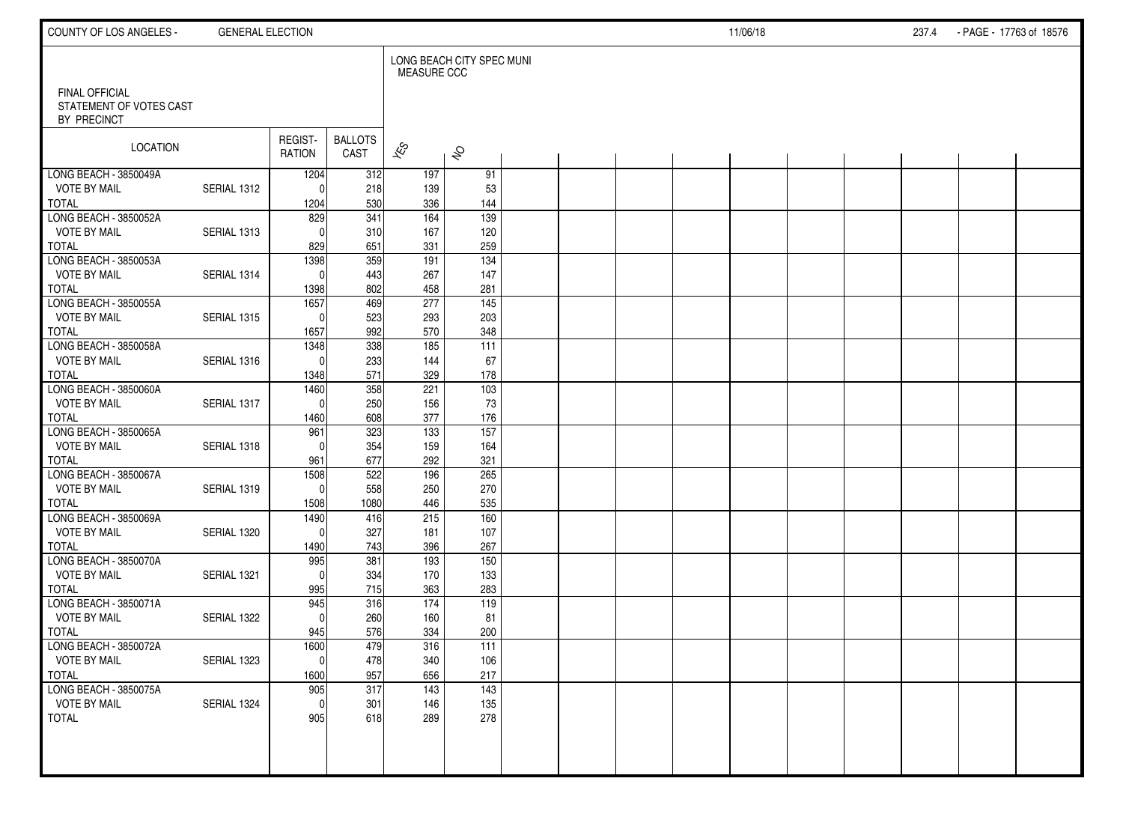| COUNTY OF LOS ANGELES -                      | <b>GENERAL ELECTION</b> |                      |                        |                    |                           |  |  | 11/06/18 |  | 237.4 | - PAGE - 17763 of 18576 |  |
|----------------------------------------------|-------------------------|----------------------|------------------------|--------------------|---------------------------|--|--|----------|--|-------|-------------------------|--|
| <b>FINAL OFFICIAL</b>                        |                         |                      |                        | <b>MEASURE CCC</b> | LONG BEACH CITY SPEC MUNI |  |  |          |  |       |                         |  |
| STATEMENT OF VOTES CAST<br>BY PRECINCT       |                         |                      |                        |                    |                           |  |  |          |  |       |                         |  |
| LOCATION                                     |                         | REGIST-<br>RATION    | <b>BALLOTS</b><br>CAST | $\mathbf{\hat{z}}$ | $\hat{\mathcal{S}}$       |  |  |          |  |       |                         |  |
| LONG BEACH - 3850049A<br><b>VOTE BY MAIL</b> | SERIAL 1312             | 1204<br>$\Omega$     | 312                    | 197                | 91                        |  |  |          |  |       |                         |  |
| TOTAL                                        |                         | 1204                 | 218<br>530             | 139<br>336         | 53<br>144                 |  |  |          |  |       |                         |  |
| LONG BEACH - 3850052A                        |                         | 829                  | 341                    | 164                | 139                       |  |  |          |  |       |                         |  |
| <b>VOTE BY MAIL</b>                          | SERIAL 1313             | $\Omega$             | 310                    | 167                | 120                       |  |  |          |  |       |                         |  |
| <b>TOTAL</b>                                 |                         | 829                  | 651                    | 331                | 259                       |  |  |          |  |       |                         |  |
| LONG BEACH - 3850053A                        | SERIAL 1314             | 1398<br>$\Omega$     | 359                    | 191                | 134                       |  |  |          |  |       |                         |  |
| <b>VOTE BY MAIL</b><br><b>TOTAL</b>          |                         | 1398                 | 443<br>802             | 267<br>458         | 147<br>281                |  |  |          |  |       |                         |  |
| LONG BEACH - 3850055A                        |                         | 1657                 | 469                    | 277                | 145                       |  |  |          |  |       |                         |  |
| <b>VOTE BY MAIL</b>                          | <b>SERIAL 1315</b>      | $\Omega$             | 523                    | 293                | 203                       |  |  |          |  |       |                         |  |
| <b>TOTAL</b>                                 |                         | 1657                 | 992                    | 570                | 348                       |  |  |          |  |       |                         |  |
| LONG BEACH - 3850058A                        |                         | 1348                 | 338                    | 185                | 111                       |  |  |          |  |       |                         |  |
| <b>VOTE BY MAIL</b>                          | SERIAL 1316             | $\Omega$             | 233                    | 144                | 67                        |  |  |          |  |       |                         |  |
| <b>TOTAL</b><br>LONG BEACH - 3850060A        |                         | 1348<br>1460         | 571<br>358             | 329<br>221         | 178<br>$\frac{103}{2}$    |  |  |          |  |       |                         |  |
| <b>VOTE BY MAIL</b>                          | SERIAL 1317             | $\mathbf{0}$         | 250                    | 156                | 73                        |  |  |          |  |       |                         |  |
| <b>TOTAL</b>                                 |                         | 1460                 | 608                    | 377                | 176                       |  |  |          |  |       |                         |  |
| LONG BEACH - 3850065A                        |                         | 961                  | 323                    | 133                | $\overline{157}$          |  |  |          |  |       |                         |  |
| <b>VOTE BY MAIL</b>                          | SERIAL 1318             | $\Omega$             | 354                    | 159                | 164                       |  |  |          |  |       |                         |  |
| <b>TOTAL</b>                                 |                         | 961                  | 677                    | 292                | 321                       |  |  |          |  |       |                         |  |
| LONG BEACH - 3850067A<br><b>VOTE BY MAIL</b> | SERIAL 1319             | 1508<br>$\mathbf{0}$ | 522<br>558             | 196<br>250         | $\overline{265}$<br>270   |  |  |          |  |       |                         |  |
| <b>TOTAL</b>                                 |                         | 1508                 | 1080                   | 446                | 535                       |  |  |          |  |       |                         |  |
| LONG BEACH - 3850069A                        |                         | 1490                 | 416                    | 215                | 160                       |  |  |          |  |       |                         |  |
| <b>VOTE BY MAIL</b>                          | SERIAL 1320             | $\Omega$             | 327                    | 181                | 107                       |  |  |          |  |       |                         |  |
| <b>TOTAL</b>                                 |                         | 1490                 | 743                    | 396                | 267                       |  |  |          |  |       |                         |  |
| LONG BEACH - 3850070A                        |                         | 995                  | 381                    | 193                | 150                       |  |  |          |  |       |                         |  |
| <b>VOTE BY MAIL</b>                          | SERIAL 1321             | $\Omega$             | 334                    | 170                | 133                       |  |  |          |  |       |                         |  |
| <b>TOTAL</b><br>LONG BEACH - 3850071A        |                         | 995<br>945           | 715<br>316             | 363<br>174         | 283<br>119                |  |  |          |  |       |                         |  |
| <b>VOTE BY MAIL</b>                          | SERIAL 1322             | $\Omega$             | 260                    | 160                | 81                        |  |  |          |  |       |                         |  |
| <b>TOTAL</b>                                 |                         | 945                  | 576                    | 334                | 200                       |  |  |          |  |       |                         |  |
| LONG BEACH - 3850072A                        |                         | 1600                 | 479                    | 316                | 111                       |  |  |          |  |       |                         |  |
| <b>VOTE BY MAIL</b>                          | SERIAL 1323             | 0                    | 478                    | 340                | 106                       |  |  |          |  |       |                         |  |
| TOTAL                                        |                         | 1600                 | 957                    | 656                | 217                       |  |  |          |  |       |                         |  |
| LONG BEACH - 3850075A<br><b>VOTE BY MAIL</b> | SERIAL 1324             | 905<br>0             | 317<br>301             | 143                | $\overline{143}$<br>135   |  |  |          |  |       |                         |  |
| TOTAL                                        |                         | 905                  | 618                    | 146<br>289         | 278                       |  |  |          |  |       |                         |  |
|                                              |                         |                      |                        |                    |                           |  |  |          |  |       |                         |  |
|                                              |                         |                      |                        |                    |                           |  |  |          |  |       |                         |  |
|                                              |                         |                      |                        |                    |                           |  |  |          |  |       |                         |  |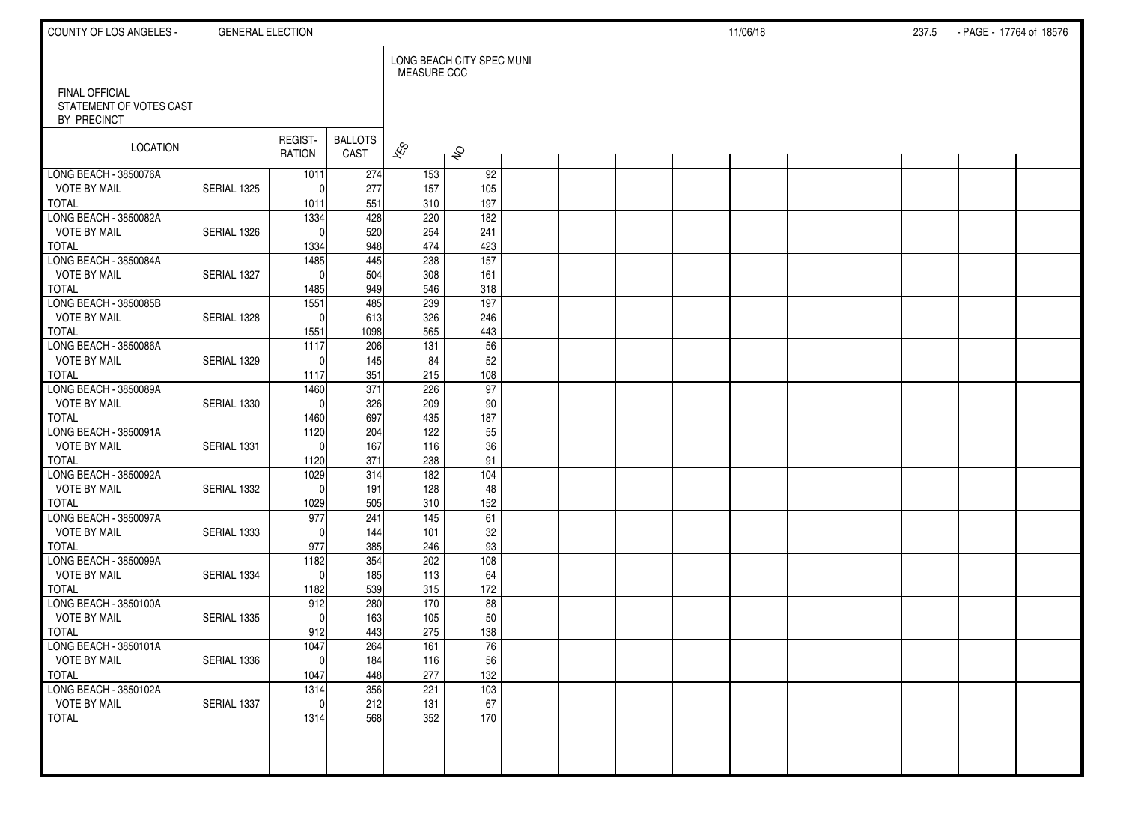| COUNTY OF LOS ANGELES -                                  | <b>GENERAL ELECTION</b> |                      |                         |                          |                           |  |  | 11/06/18 |  | 237.5 | - PAGE - 17764 of 18576 |  |
|----------------------------------------------------------|-------------------------|----------------------|-------------------------|--------------------------|---------------------------|--|--|----------|--|-------|-------------------------|--|
|                                                          |                         |                      |                         | <b>MEASURE CCC</b>       | LONG BEACH CITY SPEC MUNI |  |  |          |  |       |                         |  |
| FINAL OFFICIAL<br>STATEMENT OF VOTES CAST<br>BY PRECINCT |                         |                      |                         |                          |                           |  |  |          |  |       |                         |  |
| LOCATION                                                 |                         | REGIST-<br>RATION    | <b>BALLOTS</b><br>CAST  | $\overline{\mathscr{K}}$ | $\hat{\mathcal{S}}$       |  |  |          |  |       |                         |  |
| LONG BEACH - 3850076A                                    |                         | 1011                 | 274                     | 153                      | 92                        |  |  |          |  |       |                         |  |
| <b>VOTE BY MAIL</b><br><b>TOTAL</b>                      | SERIAL 1325             | $\Omega$             | 277<br>551              | 157<br>310               | 105<br>197                |  |  |          |  |       |                         |  |
| LONG BEACH - 3850082A                                    |                         | 1011<br>1334         | 428                     | 220                      | 182                       |  |  |          |  |       |                         |  |
| <b>VOTE BY MAIL</b>                                      | SERIAL 1326             | $\Omega$             | 520                     | 254                      | 241                       |  |  |          |  |       |                         |  |
| <b>TOTAL</b>                                             |                         | 1334                 | 948                     | 474                      | 423                       |  |  |          |  |       |                         |  |
| LONG BEACH - 3850084A                                    |                         | 1485                 | 445                     | 238                      | $\overline{157}$          |  |  |          |  |       |                         |  |
| <b>VOTE BY MAIL</b>                                      | SERIAL 1327             | $\Omega$             | 504                     | 308                      | 161                       |  |  |          |  |       |                         |  |
| <b>TOTAL</b>                                             |                         | 1485                 | 949                     | 546                      | 318                       |  |  |          |  |       |                         |  |
| LONG BEACH - 3850085B                                    |                         | 1551                 | 485                     | 239                      | 197                       |  |  |          |  |       |                         |  |
| <b>VOTE BY MAIL</b>                                      | SERIAL 1328             | $\mathbf{0}$         | 613                     | 326                      | 246                       |  |  |          |  |       |                         |  |
| <b>TOTAL</b>                                             |                         | 1551                 | 1098                    | 565                      | 443                       |  |  |          |  |       |                         |  |
| LONG BEACH - 3850086A                                    |                         | 1117                 | 206                     | 131                      | $\overline{56}$           |  |  |          |  |       |                         |  |
| <b>VOTE BY MAIL</b>                                      | SERIAL 1329             | $\Omega$             | 145                     | 84                       | 52                        |  |  |          |  |       |                         |  |
| <b>TOTAL</b>                                             |                         | 1117                 | 351                     | 215                      | 108                       |  |  |          |  |       |                         |  |
| LONG BEACH - 3850089A<br><b>VOTE BY MAIL</b>             | SERIAL 1330             | 1460<br>$\mathbf{0}$ | $\overline{371}$<br>326 | 226<br>209               | 97<br>90                  |  |  |          |  |       |                         |  |
| <b>TOTAL</b>                                             |                         | 1460                 | 697                     | 435                      | 187                       |  |  |          |  |       |                         |  |
| LONG BEACH - 3850091A                                    |                         | $\frac{1120}{ }$     | 204                     | 122                      | 55                        |  |  |          |  |       |                         |  |
| <b>VOTE BY MAIL</b>                                      | SERIAL 1331             | $\Omega$             | 167                     | 116                      | 36                        |  |  |          |  |       |                         |  |
| <b>TOTAL</b>                                             |                         | 1120                 | 371                     | 238                      | 91                        |  |  |          |  |       |                         |  |
| LONG BEACH - 3850092A                                    |                         | 1029                 | 314                     | $\frac{182}{ }$          | $\frac{104}{x}$           |  |  |          |  |       |                         |  |
| <b>VOTE BY MAIL</b>                                      | SERIAL 1332             | $\Omega$             | 191                     | 128                      | 48                        |  |  |          |  |       |                         |  |
| <b>TOTAL</b>                                             |                         | 1029                 | 505                     | 310                      | 152                       |  |  |          |  |       |                         |  |
| LONG BEACH - 3850097A                                    |                         | 977                  | 241                     | 145                      | 61                        |  |  |          |  |       |                         |  |
| <b>VOTE BY MAIL</b>                                      | SERIAL 1333             | $\Omega$             | 144                     | 101                      | 32                        |  |  |          |  |       |                         |  |
| <b>TOTAL</b>                                             |                         | 977                  | 385                     | 246                      | $93\,$                    |  |  |          |  |       |                         |  |
| LONG BEACH - 3850099A                                    |                         | 1182                 | 354                     | 202                      | 108                       |  |  |          |  |       |                         |  |
| <b>VOTE BY MAIL</b><br><b>TOTAL</b>                      | SERIAL 1334             | $\mathbf{0}$         | 185<br>539              | 113                      | 64<br>172                 |  |  |          |  |       |                         |  |
| LONG BEACH - 3850100A                                    |                         | 1182<br>912          | 280                     | 315<br>170               | 88                        |  |  |          |  |       |                         |  |
| <b>VOTE BY MAIL</b>                                      | SERIAL 1335             | $\Omega$             | 163                     | 105                      | 50                        |  |  |          |  |       |                         |  |
| <b>TOTAL</b>                                             |                         | 912                  | 443                     | 275                      | 138                       |  |  |          |  |       |                         |  |
| LONG BEACH - 3850101A                                    |                         | 1047                 | 264                     | 161                      | 76                        |  |  |          |  |       |                         |  |
| <b>VOTE BY MAIL</b>                                      | SERIAL 1336             | $\pmb{0}$            | 184                     | 116                      | 56                        |  |  |          |  |       |                         |  |
| <b>TOTAL</b>                                             |                         | 1047                 | 448                     | 277                      | 132                       |  |  |          |  |       |                         |  |
| LONG BEACH - 3850102A                                    |                         | 1314                 | 356                     | 221                      | 103                       |  |  |          |  |       |                         |  |
| <b>VOTE BY MAIL</b>                                      | SERIAL 1337             | $\mathbf 0$          | 212                     | 131                      | 67                        |  |  |          |  |       |                         |  |
| <b>TOTAL</b>                                             |                         | 1314                 | 568                     | 352                      | 170                       |  |  |          |  |       |                         |  |
|                                                          |                         |                      |                         |                          |                           |  |  |          |  |       |                         |  |
|                                                          |                         |                      |                         |                          |                           |  |  |          |  |       |                         |  |
|                                                          |                         |                      |                         |                          |                           |  |  |          |  |       |                         |  |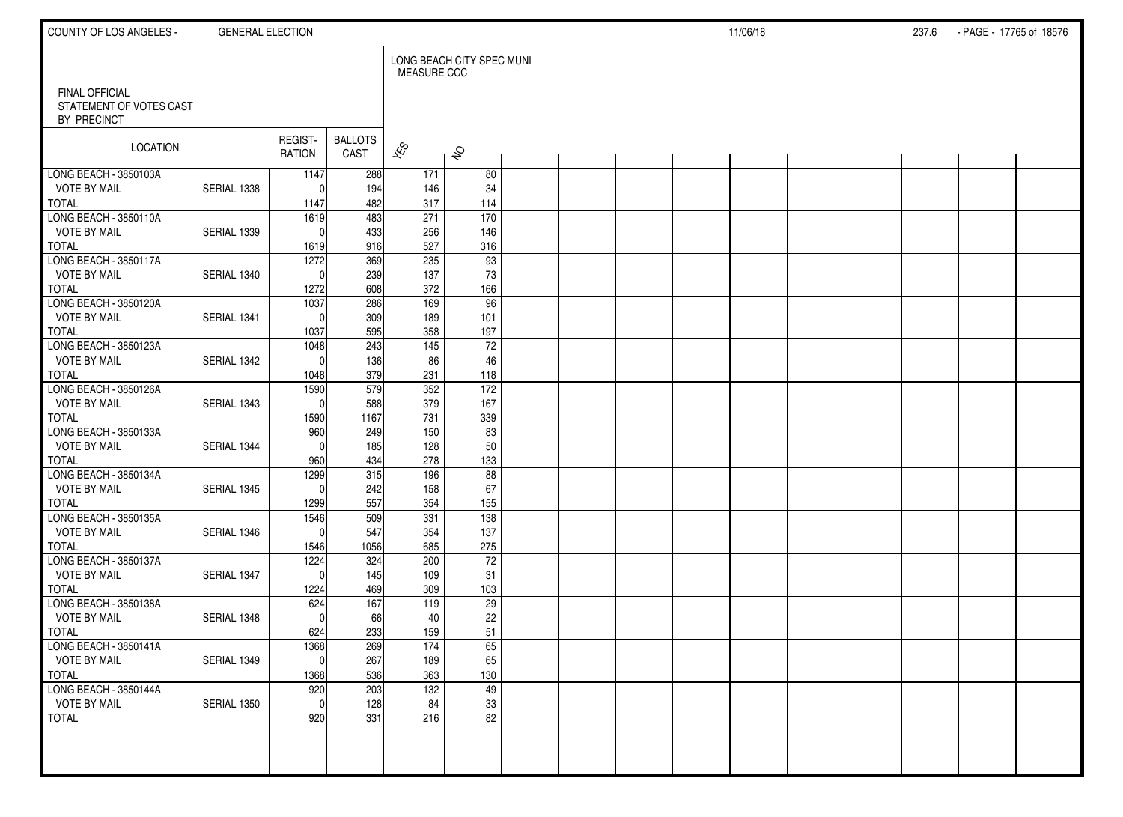| COUNTY OF LOS ANGELES -                                         | <b>GENERAL ELECTION</b> |                   |                        |                    |                           |  |  | 11/06/18 |  | 237.6 | - PAGE - 17765 of 18576 |  |
|-----------------------------------------------------------------|-------------------------|-------------------|------------------------|--------------------|---------------------------|--|--|----------|--|-------|-------------------------|--|
|                                                                 |                         |                   |                        | <b>MEASURE CCC</b> | LONG BEACH CITY SPEC MUNI |  |  |          |  |       |                         |  |
| <b>FINAL OFFICIAL</b><br>STATEMENT OF VOTES CAST<br>BY PRECINCT |                         |                   |                        |                    |                           |  |  |          |  |       |                         |  |
| LOCATION                                                        |                         | REGIST-<br>RATION | <b>BALLOTS</b><br>CAST | $\mathbf{\hat{z}}$ | $\hat{\mathcal{S}}$       |  |  |          |  |       |                         |  |
| LONG BEACH - 3850103A                                           |                         | 1147              | 288                    | 171                | 80                        |  |  |          |  |       |                         |  |
| <b>VOTE BY MAIL</b>                                             | SERIAL 1338             | $\Omega$          | 194                    | 146                | 34                        |  |  |          |  |       |                         |  |
| TOTAL                                                           |                         | 1147              | 482                    | 317                | 114                       |  |  |          |  |       |                         |  |
| LONG BEACH - 3850110A<br><b>VOTE BY MAIL</b>                    | SERIAL 1339             | 1619<br>$\Omega$  | 483<br>433             | 271<br>256         | 170<br>146                |  |  |          |  |       |                         |  |
| <b>TOTAL</b>                                                    |                         | 1619              | 916                    | 527                | 316                       |  |  |          |  |       |                         |  |
| LONG BEACH - 3850117A                                           |                         | 1272              | 369                    | 235                | 93                        |  |  |          |  |       |                         |  |
| <b>VOTE BY MAIL</b>                                             | SERIAL 1340             | $\Omega$          | 239                    | 137                | 73                        |  |  |          |  |       |                         |  |
| <b>TOTAL</b>                                                    |                         | 1272              | 608                    | 372                | 166                       |  |  |          |  |       |                         |  |
| LONG BEACH - 3850120A                                           |                         | 1037              | 286                    | 169                | 96                        |  |  |          |  |       |                         |  |
| <b>VOTE BY MAIL</b>                                             | SERIAL 1341             | $\Omega$          | 309                    | 189                | 101                       |  |  |          |  |       |                         |  |
| <b>TOTAL</b>                                                    |                         | 1037              | 595                    | 358                | 197                       |  |  |          |  |       |                         |  |
| LONG BEACH - 3850123A                                           |                         | 1048              | 243                    | 145                | $\overline{72}$           |  |  |          |  |       |                         |  |
| <b>VOTE BY MAIL</b>                                             | SERIAL 1342             | $\Omega$          | 136                    | 86                 | 46                        |  |  |          |  |       |                         |  |
| <b>TOTAL</b>                                                    |                         | 1048              | 379                    | 231                | 118                       |  |  |          |  |       |                         |  |
| LONG BEACH - 3850126A                                           |                         | 1590              | 579                    | 352                | 172                       |  |  |          |  |       |                         |  |
| <b>VOTE BY MAIL</b><br><b>TOTAL</b>                             | SERIAL 1343             | $\mathbf{0}$      | 588<br>1167            | 379                | 167<br>339                |  |  |          |  |       |                         |  |
| LONG BEACH - 3850133A                                           |                         | 1590<br>960       | 249                    | 731<br>150         | 83                        |  |  |          |  |       |                         |  |
| <b>VOTE BY MAIL</b>                                             | SERIAL 1344             | $\Omega$          | 185                    | 128                | 50                        |  |  |          |  |       |                         |  |
| <b>TOTAL</b>                                                    |                         | 960               | 434                    | 278                | 133                       |  |  |          |  |       |                         |  |
| LONG BEACH - 3850134A                                           |                         | 1299              | 315                    | 196                | 88                        |  |  |          |  |       |                         |  |
| <b>VOTE BY MAIL</b>                                             | SERIAL 1345             | $\Omega$          | 242                    | 158                | 67                        |  |  |          |  |       |                         |  |
| <b>TOTAL</b>                                                    |                         | 1299              | 557                    | 354                | 155                       |  |  |          |  |       |                         |  |
| LONG BEACH - 3850135A                                           |                         | 1546              | 509                    | 331                | 138                       |  |  |          |  |       |                         |  |
| <b>VOTE BY MAIL</b>                                             | SERIAL 1346             | $\mathbf{0}$      | 547                    | 354                | 137                       |  |  |          |  |       |                         |  |
| <b>TOTAL</b>                                                    |                         | 1546              | 1056                   | 685                | 275                       |  |  |          |  |       |                         |  |
| LONG BEACH - 3850137A                                           |                         | 1224              | 324                    | 200                | $\overline{72}$           |  |  |          |  |       |                         |  |
| <b>VOTE BY MAIL</b><br><b>TOTAL</b>                             | SERIAL 1347             | $\Omega$          | 145                    | 109                | 31                        |  |  |          |  |       |                         |  |
| LONG BEACH - 3850138A                                           |                         | 1224<br>624       | 469<br>167             | 309<br>119         | 103<br>29                 |  |  |          |  |       |                         |  |
| <b>VOTE BY MAIL</b>                                             | SERIAL 1348             | $\Omega$          | 66                     | 40                 | 22                        |  |  |          |  |       |                         |  |
| <b>TOTAL</b>                                                    |                         | 624               | 233                    | 159                | 51                        |  |  |          |  |       |                         |  |
| LONG BEACH - 3850141A                                           |                         | 1368              | 269                    | 174                | 65                        |  |  |          |  |       |                         |  |
| <b>VOTE BY MAIL</b>                                             | SERIAL 1349             | 0                 | 267                    | 189                | 65                        |  |  |          |  |       |                         |  |
| TOTAL                                                           |                         | 1368              | 536                    | 363                | 130                       |  |  |          |  |       |                         |  |
| LONG BEACH - 3850144A                                           |                         | 920               | 203                    | $\overline{132}$   | $\overline{49}$           |  |  |          |  |       |                         |  |
| <b>VOTE BY MAIL</b>                                             | SERIAL 1350             | $\mathbf{0}$      | 128                    | 84                 | 33                        |  |  |          |  |       |                         |  |
| TOTAL                                                           |                         | 920               | 331                    | 216                | 82                        |  |  |          |  |       |                         |  |
|                                                                 |                         |                   |                        |                    |                           |  |  |          |  |       |                         |  |
|                                                                 |                         |                   |                        |                    |                           |  |  |          |  |       |                         |  |
|                                                                 |                         |                   |                        |                    |                           |  |  |          |  |       |                         |  |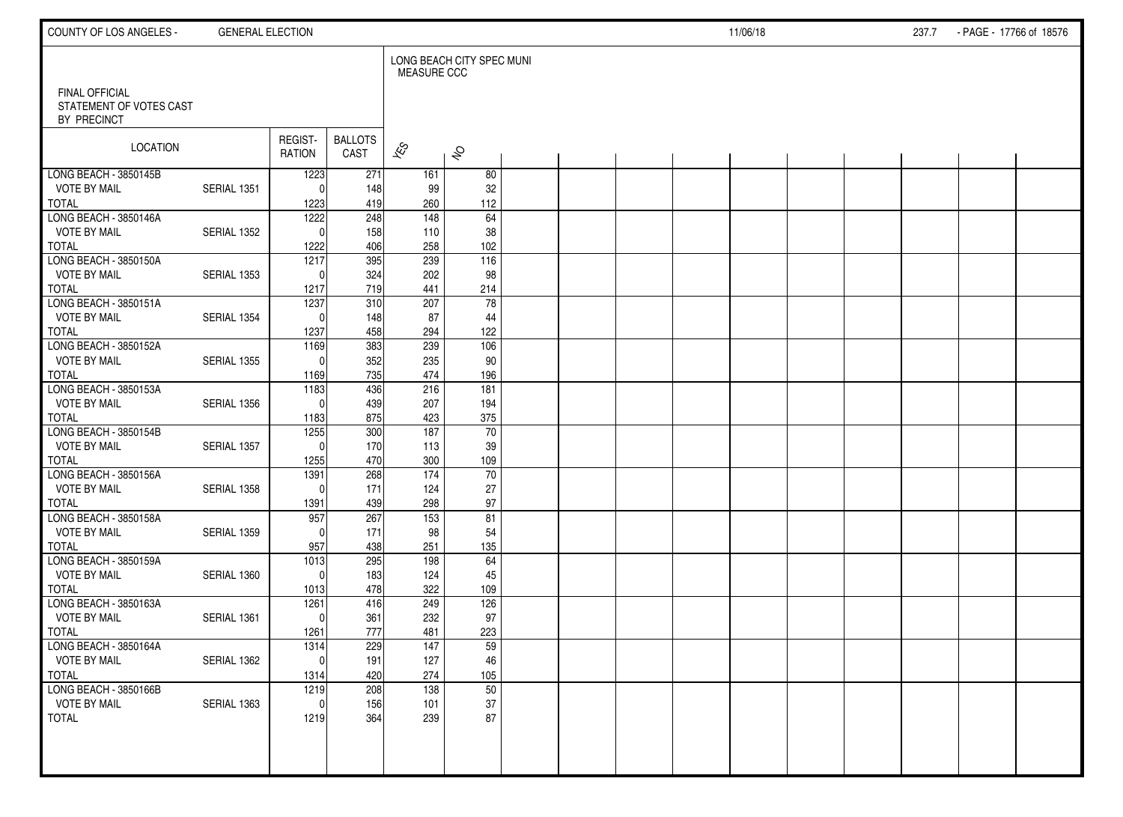| COUNTY OF LOS ANGELES -                                         | <b>GENERAL ELECTION</b> |                          |                        |                          |                           |  |  | 11/06/18 |  | 237.7 | - PAGE - 17766 of 18576 |  |
|-----------------------------------------------------------------|-------------------------|--------------------------|------------------------|--------------------------|---------------------------|--|--|----------|--|-------|-------------------------|--|
|                                                                 |                         |                          |                        | <b>MEASURE CCC</b>       | LONG BEACH CITY SPEC MUNI |  |  |          |  |       |                         |  |
| <b>FINAL OFFICIAL</b><br>STATEMENT OF VOTES CAST<br>BY PRECINCT |                         |                          |                        |                          |                           |  |  |          |  |       |                         |  |
| LOCATION                                                        |                         | REGIST-<br><b>RATION</b> | <b>BALLOTS</b><br>CAST | $\overline{\mathscr{K}}$ | $\hat{\mathcal{S}}$       |  |  |          |  |       |                         |  |
| LONG BEACH - 3850145B                                           |                         | 1223                     | 271                    | 161                      | 80                        |  |  |          |  |       |                         |  |
| <b>VOTE BY MAIL</b>                                             | SERIAL 1351             | $\Omega$                 | 148                    | 99                       | 32                        |  |  |          |  |       |                         |  |
| <b>TOTAL</b><br>LONG BEACH - 3850146A                           |                         | 1223<br>1222             | 419<br>248             | 260<br>148               | 112<br>64                 |  |  |          |  |       |                         |  |
| <b>VOTE BY MAIL</b>                                             | SERIAL 1352             | $\Omega$                 | 158                    | 110                      | 38                        |  |  |          |  |       |                         |  |
| <b>TOTAL</b>                                                    |                         | 1222                     | 406                    | 258                      | 102                       |  |  |          |  |       |                         |  |
| LONG BEACH - 3850150A                                           |                         | 1217                     | 395                    | 239                      | 116                       |  |  |          |  |       |                         |  |
| <b>VOTE BY MAIL</b>                                             | SERIAL 1353             | $\Omega$                 | 324                    | 202                      | 98                        |  |  |          |  |       |                         |  |
| <b>TOTAL</b>                                                    |                         | 1217                     | 719                    | 441                      | 214                       |  |  |          |  |       |                         |  |
| LONG BEACH - 3850151A                                           |                         | 1237                     | 310                    | 207                      | 78                        |  |  |          |  |       |                         |  |
| <b>VOTE BY MAIL</b>                                             | SERIAL 1354             | $\Omega$                 | 148                    | 87                       | 44                        |  |  |          |  |       |                         |  |
| <b>TOTAL</b>                                                    |                         | 1237                     | 458                    | 294                      | 122                       |  |  |          |  |       |                         |  |
| LONG BEACH - 3850152A                                           |                         | 1169                     | 383                    | 239                      | 106                       |  |  |          |  |       |                         |  |
| <b>VOTE BY MAIL</b>                                             | <b>SERIAL 1355</b>      | $\Omega$                 | 352                    | 235                      | 90                        |  |  |          |  |       |                         |  |
| <b>TOTAL</b>                                                    |                         | 1169                     | 735                    | 474                      | 196                       |  |  |          |  |       |                         |  |
| LONG BEACH - 3850153A<br><b>VOTE BY MAIL</b>                    | SERIAL 1356             | 1183<br>$\Omega$         | 436<br>439             | 216<br>207               | 181<br>194                |  |  |          |  |       |                         |  |
| <b>TOTAL</b>                                                    |                         | 1183                     | 875                    | 423                      | 375                       |  |  |          |  |       |                         |  |
| LONG BEACH - 3850154B                                           |                         | 1255                     | 300                    | 187                      | 70                        |  |  |          |  |       |                         |  |
| <b>VOTE BY MAIL</b>                                             | SERIAL 1357             | $\Omega$                 | 170                    | 113                      | 39                        |  |  |          |  |       |                         |  |
| <b>TOTAL</b>                                                    |                         | 1255                     | 470                    | 300                      | 109                       |  |  |          |  |       |                         |  |
| LONG BEACH - 3850156A                                           |                         | 1391                     | 268                    | 174                      | 70                        |  |  |          |  |       |                         |  |
| <b>VOTE BY MAIL</b>                                             | SERIAL 1358             | $\Omega$                 | 171                    | 124                      | 27                        |  |  |          |  |       |                         |  |
| <b>TOTAL</b>                                                    |                         | 1391                     | 439                    | 298                      | 97                        |  |  |          |  |       |                         |  |
| LONG BEACH - 3850158A                                           |                         | 957                      | 267                    | 153                      | 81                        |  |  |          |  |       |                         |  |
| <b>VOTE BY MAIL</b>                                             | SERIAL 1359             | $\Omega$                 | 171                    | 98                       | 54                        |  |  |          |  |       |                         |  |
| <b>TOTAL</b>                                                    |                         | 957                      | 438                    | 251                      | 135                       |  |  |          |  |       |                         |  |
| LONG BEACH - 3850159A                                           |                         | $\frac{1013}{2}$         | 295                    | 198                      | 64                        |  |  |          |  |       |                         |  |
| <b>VOTE BY MAIL</b><br><b>TOTAL</b>                             | SERIAL 1360             | $\mathbf{0}$             | 183<br>478             | 124<br>322               | 45<br>109                 |  |  |          |  |       |                         |  |
| LONG BEACH - 3850163A                                           |                         | 1013<br>1261             | 416                    | 249                      | 126                       |  |  |          |  |       |                         |  |
| <b>VOTE BY MAIL</b>                                             | SERIAL 1361             | $\mathbf{0}$             | 361                    | 232                      | 97                        |  |  |          |  |       |                         |  |
| <b>TOTAL</b>                                                    |                         | 1261                     | 777                    | 481                      | 223                       |  |  |          |  |       |                         |  |
| LONG BEACH - 3850164A                                           |                         | 1314                     | 229                    | 147                      | 59                        |  |  |          |  |       |                         |  |
| <b>VOTE BY MAIL</b>                                             | SERIAL 1362             | 0                        | 191                    | 127                      | 46                        |  |  |          |  |       |                         |  |
| <b>TOTAL</b>                                                    |                         | 1314                     | 420                    | 274                      | 105                       |  |  |          |  |       |                         |  |
| LONG BEACH - 3850166B                                           |                         | 1219                     | 208                    | 138                      | 50                        |  |  |          |  |       |                         |  |
| <b>VOTE BY MAIL</b>                                             | SERIAL 1363             | $\mathbf{0}$             | 156                    | 101                      | 37                        |  |  |          |  |       |                         |  |
| TOTAL                                                           |                         | 1219                     | 364                    | 239                      | 87                        |  |  |          |  |       |                         |  |
|                                                                 |                         |                          |                        |                          |                           |  |  |          |  |       |                         |  |
|                                                                 |                         |                          |                        |                          |                           |  |  |          |  |       |                         |  |
|                                                                 |                         |                          |                        |                          |                           |  |  |          |  |       |                         |  |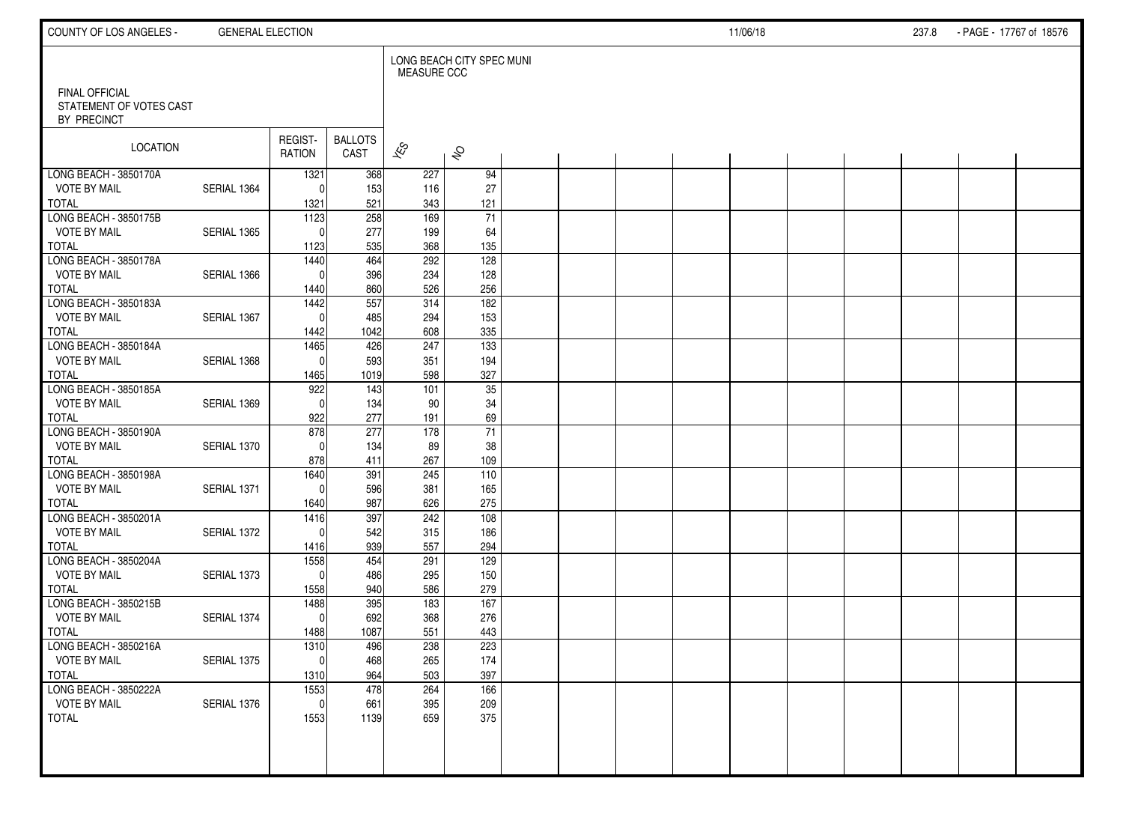| COUNTY OF LOS ANGELES -                                         | <b>GENERAL ELECTION</b> |                     |                        |                    |                           |  |  | 11/06/18 |  | 237.8 | - PAGE - 17767 of 18576 |  |
|-----------------------------------------------------------------|-------------------------|---------------------|------------------------|--------------------|---------------------------|--|--|----------|--|-------|-------------------------|--|
|                                                                 |                         |                     |                        | <b>MEASURE CCC</b> | LONG BEACH CITY SPEC MUNI |  |  |          |  |       |                         |  |
| <b>FINAL OFFICIAL</b><br>STATEMENT OF VOTES CAST<br>BY PRECINCT |                         |                     |                        |                    |                           |  |  |          |  |       |                         |  |
| LOCATION                                                        |                         | REGIST-<br>RATION   | <b>BALLOTS</b><br>CAST | $\mathbf{\hat{z}}$ | $\hat{\mathcal{S}}$       |  |  |          |  |       |                         |  |
| LONG BEACH - 3850170A                                           |                         | 1321                | 368                    | 227                | 94                        |  |  |          |  |       |                         |  |
| <b>VOTE BY MAIL</b>                                             | SERIAL 1364             | $\Omega$            | 153                    | 116                | 27                        |  |  |          |  |       |                         |  |
| TOTAL<br>LONG BEACH - 3850175B                                  |                         | 1321                | 521                    | 343                | 121                       |  |  |          |  |       |                         |  |
| <b>VOTE BY MAIL</b>                                             | SERIAL 1365             | 1123<br>$\Omega$    | 258<br>277             | 169<br>199         | $\overline{71}$<br>64     |  |  |          |  |       |                         |  |
| <b>TOTAL</b>                                                    |                         | 1123                | 535                    | 368                | 135                       |  |  |          |  |       |                         |  |
| LONG BEACH - 3850178A                                           |                         | 1440                | 464                    | 292                | 128                       |  |  |          |  |       |                         |  |
| <b>VOTE BY MAIL</b>                                             | SERIAL 1366             | $\Omega$            | 396                    | 234                | 128                       |  |  |          |  |       |                         |  |
| <b>TOTAL</b>                                                    |                         | 1440                | 860                    | 526                | 256                       |  |  |          |  |       |                         |  |
| LONG BEACH - 3850183A                                           |                         | 1442                | 557                    | 314                | 182                       |  |  |          |  |       |                         |  |
| <b>VOTE BY MAIL</b>                                             | SERIAL 1367             | $\mathbf{0}$        | 485                    | 294                | 153                       |  |  |          |  |       |                         |  |
| <b>TOTAL</b>                                                    |                         | 1442                | 1042                   | 608                | 335                       |  |  |          |  |       |                         |  |
| LONG BEACH - 3850184A                                           |                         | 1465                | 426                    | 247                | 133                       |  |  |          |  |       |                         |  |
| <b>VOTE BY MAIL</b>                                             | SERIAL 1368             | $\mathbf{0}$        | 593                    | 351                | 194                       |  |  |          |  |       |                         |  |
| <b>TOTAL</b>                                                    |                         | 1465                | 1019                   | 598                | 327                       |  |  |          |  |       |                         |  |
| LONG BEACH - 3850185A                                           |                         | 922                 | 143                    | 101                | 35                        |  |  |          |  |       |                         |  |
| <b>VOTE BY MAIL</b><br><b>TOTAL</b>                             | SERIAL 1369             | $\mathbf{0}$<br>922 | 134<br>277             | 90                 | 34                        |  |  |          |  |       |                         |  |
| LONG BEACH - 3850190A                                           |                         | 878                 | 277                    | 191<br>178         | 69<br>$\overline{71}$     |  |  |          |  |       |                         |  |
| <b>VOTE BY MAIL</b>                                             | SERIAL 1370             | $\Omega$            | 134                    | 89                 | 38                        |  |  |          |  |       |                         |  |
| <b>TOTAL</b>                                                    |                         | 878                 | 411                    | 267                | 109                       |  |  |          |  |       |                         |  |
| LONG BEACH - 3850198A                                           |                         | 1640                | 391                    | 245                | 110                       |  |  |          |  |       |                         |  |
| <b>VOTE BY MAIL</b>                                             | SERIAL 1371             | $\Omega$            | 596                    | 381                | 165                       |  |  |          |  |       |                         |  |
| <b>TOTAL</b>                                                    |                         | 1640                | 987                    | 626                | 275                       |  |  |          |  |       |                         |  |
| LONG BEACH - 3850201A                                           |                         | 1416                | 397                    | 242                | 108                       |  |  |          |  |       |                         |  |
| <b>VOTE BY MAIL</b>                                             | SERIAL 1372             | $\Omega$            | 542                    | 315                | 186                       |  |  |          |  |       |                         |  |
| <b>TOTAL</b>                                                    |                         | 1416                | 939                    | 557                | 294                       |  |  |          |  |       |                         |  |
| LONG BEACH - 3850204A                                           |                         | 1558                | 454                    | 291                | 129                       |  |  |          |  |       |                         |  |
| <b>VOTE BY MAIL</b><br><b>TOTAL</b>                             | SERIAL 1373             | $\Omega$            | 486                    | 295                | 150                       |  |  |          |  |       |                         |  |
| LONG BEACH - 3850215B                                           |                         | 1558                | 940<br>395             | 586<br>183         | 279<br>167                |  |  |          |  |       |                         |  |
| <b>VOTE BY MAIL</b>                                             | SERIAL 1374             | 1488<br>$\mathbf 0$ | 692                    | 368                | 276                       |  |  |          |  |       |                         |  |
| <b>TOTAL</b>                                                    |                         | 1488                | 1087                   | 551                | 443                       |  |  |          |  |       |                         |  |
| LONG BEACH - 3850216A                                           |                         | 1310                | 496                    | 238                | 223                       |  |  |          |  |       |                         |  |
| <b>VOTE BY MAIL</b>                                             | SERIAL 1375             | -ol                 | 468                    | 265                | 174                       |  |  |          |  |       |                         |  |
| TOTAL                                                           |                         | 1310                | 964                    | 503                | 397                       |  |  |          |  |       |                         |  |
| LONG BEACH - 3850222A                                           |                         | 1553                | 478                    | 264                | 166                       |  |  |          |  |       |                         |  |
| <b>VOTE BY MAIL</b>                                             | SERIAL 1376             | $\mathbf{0}$        | 661                    | 395                | 209                       |  |  |          |  |       |                         |  |
| TOTAL                                                           |                         | 1553                | 1139                   | 659                | 375                       |  |  |          |  |       |                         |  |
|                                                                 |                         |                     |                        |                    |                           |  |  |          |  |       |                         |  |
|                                                                 |                         |                     |                        |                    |                           |  |  |          |  |       |                         |  |
|                                                                 |                         |                     |                        |                    |                           |  |  |          |  |       |                         |  |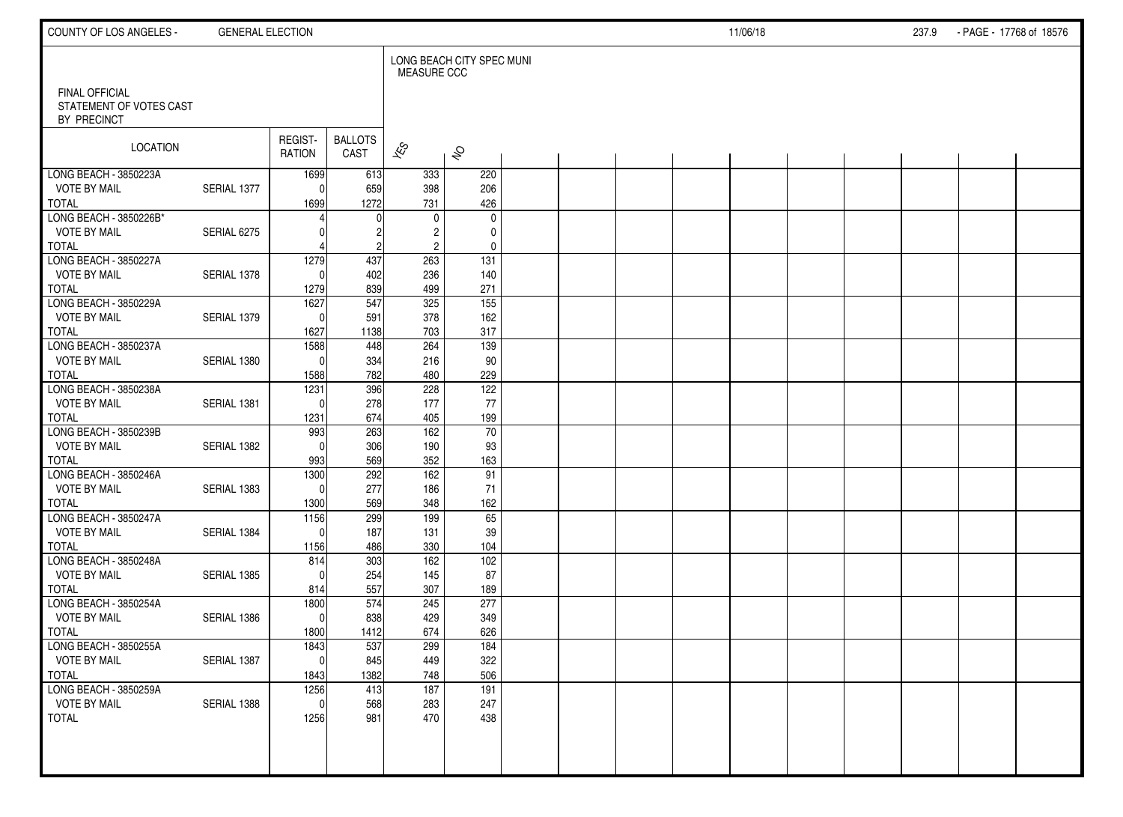| COUNTY OF LOS ANGELES -                      | <b>GENERAL ELECTION</b> |                          |                        |                        |                           |  |  | 11/06/18 |  | 237.9 | - PAGE - 17768 of 18576 |  |
|----------------------------------------------|-------------------------|--------------------------|------------------------|------------------------|---------------------------|--|--|----------|--|-------|-------------------------|--|
| FINAL OFFICIAL                               |                         |                          |                        | <b>MEASURE CCC</b>     | LONG BEACH CITY SPEC MUNI |  |  |          |  |       |                         |  |
| STATEMENT OF VOTES CAST<br>BY PRECINCT       |                         |                          |                        |                        |                           |  |  |          |  |       |                         |  |
| LOCATION                                     |                         | REGIST-<br><b>RATION</b> | <b>BALLOTS</b><br>CAST | $\approx$              | $\hat{\mathcal{S}}$       |  |  |          |  |       |                         |  |
| LONG BEACH - 3850223A<br><b>VOTE BY MAIL</b> | SERIAL 1377             | 1699<br>$\Omega$         | 613<br>659             | 333<br>398             | 220<br>206                |  |  |          |  |       |                         |  |
| <b>TOTAL</b>                                 |                         | 1699                     | 1272                   | 731                    | 426                       |  |  |          |  |       |                         |  |
| LONG BEACH - 3850226B*                       |                         |                          |                        | $\mathbf{0}$           | $\mathbf 0$               |  |  |          |  |       |                         |  |
| <b>VOTE BY MAIL</b><br><b>TOTAL</b>          | SERIAL 6275             |                          | $\overline{c}$         | 2<br>$\overline{2}$    | 0<br>$\mathbf 0$          |  |  |          |  |       |                         |  |
| LONG BEACH - 3850227A                        |                         | 1279                     | 437                    | 263                    | 131                       |  |  |          |  |       |                         |  |
| <b>VOTE BY MAIL</b>                          | SERIAL 1378             | $\Omega$                 | 402                    | 236                    | 140                       |  |  |          |  |       |                         |  |
| <b>TOTAL</b><br>LONG BEACH - 3850229A        |                         | 1279<br>1627             | 839<br>547             | 499<br>325             | 271<br>155                |  |  |          |  |       |                         |  |
| <b>VOTE BY MAIL</b>                          | SERIAL 1379             | $\Omega$                 | 591                    | 378                    | 162                       |  |  |          |  |       |                         |  |
| <b>TOTAL</b>                                 |                         | 1627                     | 1138                   | 703                    | 317                       |  |  |          |  |       |                         |  |
| LONG BEACH - 3850237A                        |                         | 1588                     | 448                    | 264                    | 139                       |  |  |          |  |       |                         |  |
| <b>VOTE BY MAIL</b>                          | SERIAL 1380             | $\Omega$                 | 334                    | 216                    | 90                        |  |  |          |  |       |                         |  |
| <b>TOTAL</b><br>LONG BEACH - 3850238A        |                         | 1588<br>1231             | 782<br>396             | 480<br>228             | 229<br>122                |  |  |          |  |       |                         |  |
| <b>VOTE BY MAIL</b>                          | SERIAL 1381             | $\Omega$                 | 278                    | 177                    | 77                        |  |  |          |  |       |                         |  |
| <b>TOTAL</b>                                 |                         | 1231                     | 674                    | 405                    | 199                       |  |  |          |  |       |                         |  |
| LONG BEACH - 3850239B                        |                         | 993                      | 263                    | 162                    | 70                        |  |  |          |  |       |                         |  |
| <b>VOTE BY MAIL</b>                          | SERIAL 1382             | $\Omega$                 | 306                    | 190                    | 93                        |  |  |          |  |       |                         |  |
| <b>TOTAL</b><br>LONG BEACH - 3850246A        |                         | 993<br>1300              | 569<br>292             | 352<br>$\frac{162}{ }$ | 163<br>91                 |  |  |          |  |       |                         |  |
| <b>VOTE BY MAIL</b>                          | SERIAL 1383             | $\Omega$                 | 277                    | 186                    | 71                        |  |  |          |  |       |                         |  |
| <b>TOTAL</b>                                 |                         | 1300                     | 569                    | 348                    | 162                       |  |  |          |  |       |                         |  |
| LONG BEACH - 3850247A                        |                         | 1156                     | 299                    | 199                    | 65                        |  |  |          |  |       |                         |  |
| <b>VOTE BY MAIL</b>                          | SERIAL 1384             | $\Omega$                 | 187                    | 131                    | 39                        |  |  |          |  |       |                         |  |
| <b>TOTAL</b><br>LONG BEACH - 3850248A        |                         | 1156<br>814              | 486<br>303             | 330<br>162             | 104<br>102                |  |  |          |  |       |                         |  |
| <b>VOTE BY MAIL</b>                          | SERIAL 1385             | $\Omega$                 | 254                    | 145                    | 87                        |  |  |          |  |       |                         |  |
| <b>TOTAL</b>                                 |                         | 814                      | 557                    | 307                    | 189                       |  |  |          |  |       |                         |  |
| LONG BEACH - 3850254A                        |                         | 1800                     | 574                    | 245                    | 277                       |  |  |          |  |       |                         |  |
| <b>VOTE BY MAIL</b><br><b>TOTAL</b>          | SERIAL 1386             | $\Omega$<br>1800         | 838<br>1412            | 429<br>674             | 349<br>626                |  |  |          |  |       |                         |  |
| LONG BEACH - 3850255A                        |                         | 1843                     | 537                    | 299                    | 184                       |  |  |          |  |       |                         |  |
| <b>VOTE BY MAIL</b>                          | SERIAL 1387             | $\overline{0}$           | 845                    | 449                    | 322                       |  |  |          |  |       |                         |  |
| <b>TOTAL</b>                                 |                         | 1843                     | 1382                   | 748                    | 506                       |  |  |          |  |       |                         |  |
| LONG BEACH - 3850259A                        |                         | 1256                     | 413                    | 187                    | 191                       |  |  |          |  |       |                         |  |
| <b>VOTE BY MAIL</b><br><b>TOTAL</b>          | SERIAL 1388             | $\mathbf 0$<br>1256      | 568<br>981             | 283<br>470             | 247<br>438                |  |  |          |  |       |                         |  |
|                                              |                         |                          |                        |                        |                           |  |  |          |  |       |                         |  |
|                                              |                         |                          |                        |                        |                           |  |  |          |  |       |                         |  |
|                                              |                         |                          |                        |                        |                           |  |  |          |  |       |                         |  |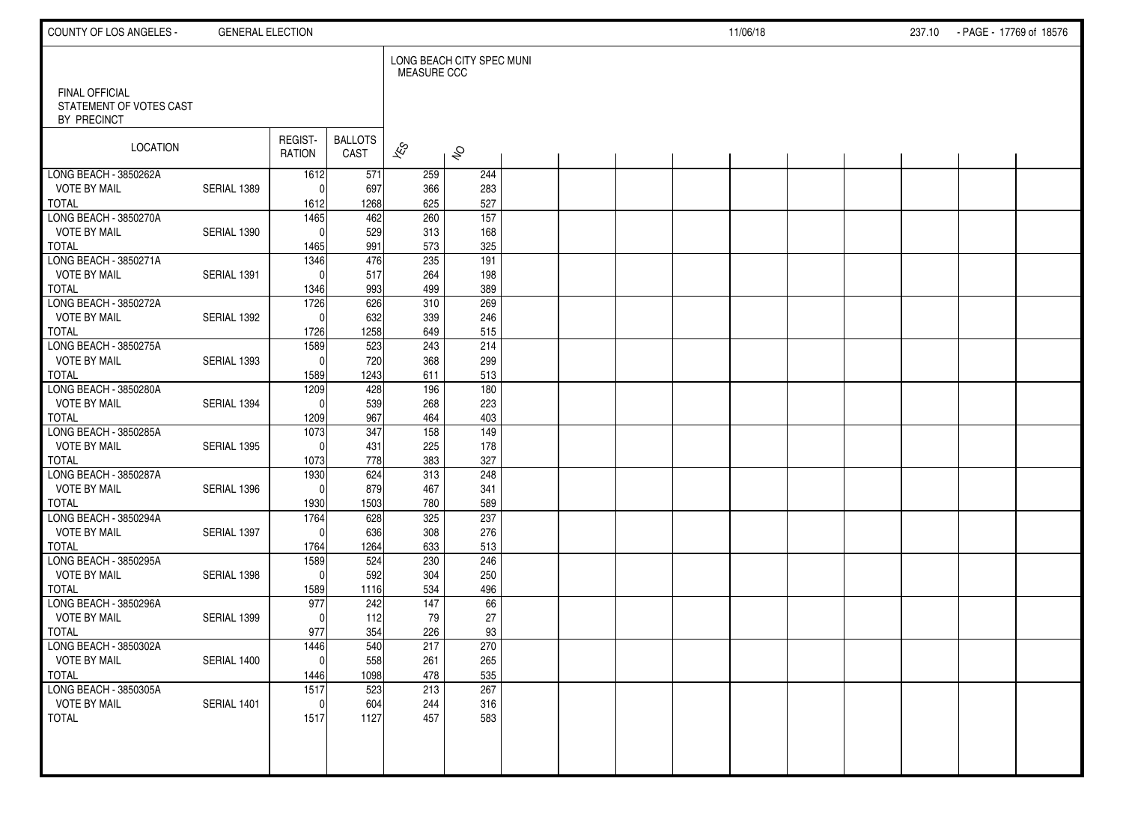| COUNTY OF LOS ANGELES -                | <b>GENERAL ELECTION</b> |                   |                        |                    |                           |  |  | 11/06/18 |  | 237.10 - PAGE - 17769 of 18576 |  |
|----------------------------------------|-------------------------|-------------------|------------------------|--------------------|---------------------------|--|--|----------|--|--------------------------------|--|
| FINAL OFFICIAL                         |                         |                   |                        | <b>MEASURE CCC</b> | LONG BEACH CITY SPEC MUNI |  |  |          |  |                                |  |
| STATEMENT OF VOTES CAST<br>BY PRECINCT |                         |                   |                        |                    |                           |  |  |          |  |                                |  |
| LOCATION                               |                         | REGIST-<br>RATION | <b>BALLOTS</b><br>CAST | $\approx$          | $\hat{\mathcal{S}}$       |  |  |          |  |                                |  |
| LONG BEACH - 3850262A                  |                         | 1612              | 571                    | 259                | 244                       |  |  |          |  |                                |  |
| <b>VOTE BY MAIL</b>                    | SERIAL 1389             | $\Omega$          | 697                    | 366                | 283                       |  |  |          |  |                                |  |
| <b>TOTAL</b><br>LONG BEACH - 3850270A  |                         | 1612<br>1465      | 1268<br>462            | 625<br>260         | 527<br>$\frac{157}{157}$  |  |  |          |  |                                |  |
| <b>VOTE BY MAIL</b>                    | SERIAL 1390             | $\Omega$          | 529                    | 313                | 168                       |  |  |          |  |                                |  |
| <b>TOTAL</b>                           |                         | 1465              | 991                    | 573                | 325                       |  |  |          |  |                                |  |
| LONG BEACH - 3850271A                  |                         | 1346              | 476                    | 235                | 191                       |  |  |          |  |                                |  |
| <b>VOTE BY MAIL</b>                    | SERIAL 1391             | $\Omega$          | 517                    | 264                | 198                       |  |  |          |  |                                |  |
| <b>TOTAL</b>                           |                         | 1346              | 993                    | 499                | 389                       |  |  |          |  |                                |  |
| LONG BEACH - 3850272A                  |                         | 1726              | 626                    | 310                | 269                       |  |  |          |  |                                |  |
| <b>VOTE BY MAIL</b>                    | SERIAL 1392             | $\Omega$          | 632                    | 339                | 246                       |  |  |          |  |                                |  |
| <b>TOTAL</b>                           |                         | 1726              | 1258                   | 649                | 515                       |  |  |          |  |                                |  |
| LONG BEACH - 3850275A                  |                         | 1589              | 523                    | 243                | 214                       |  |  |          |  |                                |  |
| <b>VOTE BY MAIL</b><br><b>TOTAL</b>    | SERIAL 1393             | $\Omega$          | 720<br>1243            | 368                | 299                       |  |  |          |  |                                |  |
| LONG BEACH - 3850280A                  |                         | 1589<br>1209      | 428                    | 611<br>196         | 513<br>180                |  |  |          |  |                                |  |
| <b>VOTE BY MAIL</b>                    | SERIAL 1394             | $\Omega$          | 539                    | 268                | 223                       |  |  |          |  |                                |  |
| <b>TOTAL</b>                           |                         | 1209              | 967                    | 464                | 403                       |  |  |          |  |                                |  |
| LONG BEACH - 3850285A                  |                         | 1073              | 347                    | 158                | 149                       |  |  |          |  |                                |  |
| <b>VOTE BY MAIL</b>                    | SERIAL 1395             | $\Omega$          | 431                    | 225                | 178                       |  |  |          |  |                                |  |
| <b>TOTAL</b>                           |                         | 1073              | 778                    | 383                | 327                       |  |  |          |  |                                |  |
| LONG BEACH - 3850287A                  |                         | 1930              | 624                    | 313                | 248                       |  |  |          |  |                                |  |
| <b>VOTE BY MAIL</b>                    | SERIAL 1396             | $\Omega$          | 879                    | 467                | 341                       |  |  |          |  |                                |  |
| <b>TOTAL</b><br>LONG BEACH - 3850294A  |                         | 1930              | 1503                   | 780                | 589<br>237                |  |  |          |  |                                |  |
| <b>VOTE BY MAIL</b>                    | SERIAL 1397             | 1764<br>$\Omega$  | 628<br>636             | 325<br>308         | 276                       |  |  |          |  |                                |  |
| <b>TOTAL</b>                           |                         | 1764              | 1264                   | 633                | 513                       |  |  |          |  |                                |  |
| LONG BEACH - 3850295A                  |                         | 1589              | 524                    | 230                | 246                       |  |  |          |  |                                |  |
| <b>VOTE BY MAIL</b>                    | SERIAL 1398             | $\Omega$          | 592                    | 304                | 250                       |  |  |          |  |                                |  |
| <b>TOTAL</b>                           |                         | 1589              | 1116                   | 534                | 496                       |  |  |          |  |                                |  |
| LONG BEACH - 3850296A                  |                         | 977               | 242                    | 147                | 66                        |  |  |          |  |                                |  |
| <b>VOTE BY MAIL</b>                    | SERIAL 1399             | $\Omega$          | 112                    | 79                 | 27                        |  |  |          |  |                                |  |
| <b>TOTAL</b>                           |                         | 977               | 354                    | 226                | 93                        |  |  |          |  |                                |  |
| LONG BEACH - 3850302A                  |                         | 1446              | 540                    | 217                | 270                       |  |  |          |  |                                |  |
| <b>VOTE BY MAIL</b><br><b>TOTAL</b>    | SERIAL 1400             | $\overline{0}$    | 558                    | 261                | 265                       |  |  |          |  |                                |  |
| LONG BEACH - 3850305A                  |                         | 1446<br>1517      | 1098<br>523            | 478<br>213         | 535<br>267                |  |  |          |  |                                |  |
| <b>VOTE BY MAIL</b>                    | SERIAL 1401             | $\mathbf 0$       | 604                    | 244                | 316                       |  |  |          |  |                                |  |
| <b>TOTAL</b>                           |                         | 1517              | 1127                   | 457                | 583                       |  |  |          |  |                                |  |
|                                        |                         |                   |                        |                    |                           |  |  |          |  |                                |  |
|                                        |                         |                   |                        |                    |                           |  |  |          |  |                                |  |
|                                        |                         |                   |                        |                    |                           |  |  |          |  |                                |  |
|                                        |                         |                   |                        |                    |                           |  |  |          |  |                                |  |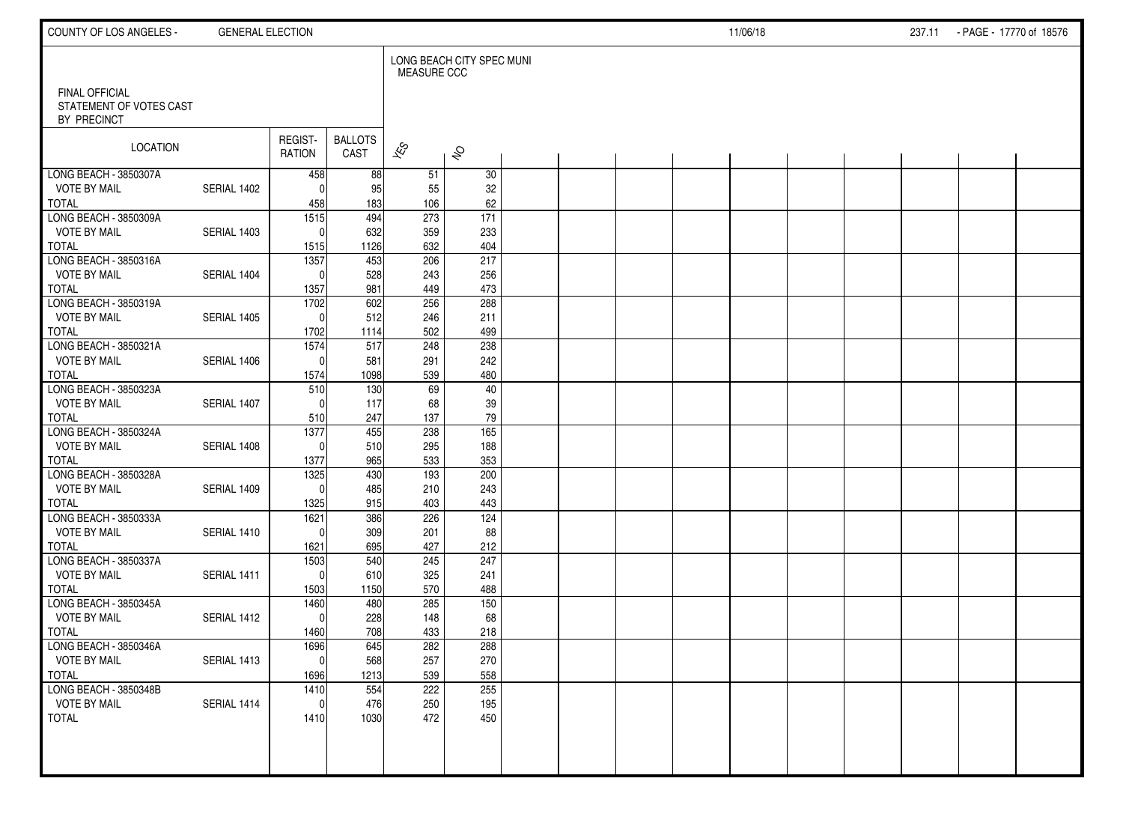| COUNTY OF LOS ANGELES -                      | <b>GENERAL ELECTION</b> |                      |                        |                          |                           |  |  | 11/06/18 |  | 237.11 - PAGE - 17770 of 18576 |  |
|----------------------------------------------|-------------------------|----------------------|------------------------|--------------------------|---------------------------|--|--|----------|--|--------------------------------|--|
| FINAL OFFICIAL                               |                         |                      |                        | <b>MEASURE CCC</b>       | LONG BEACH CITY SPEC MUNI |  |  |          |  |                                |  |
| STATEMENT OF VOTES CAST<br>BY PRECINCT       |                         |                      |                        |                          |                           |  |  |          |  |                                |  |
| LOCATION                                     |                         | REGIST-<br>RATION    | <b>BALLOTS</b><br>CAST | $\overline{\mathscr{K}}$ | $\hat{\mathcal{S}}$       |  |  |          |  |                                |  |
| LONG BEACH - 3850307A<br><b>VOTE BY MAIL</b> | SERIAL 1402             | 458<br>$\Omega$      | 88<br>95               | 51<br>55                 | 30<br>32                  |  |  |          |  |                                |  |
| <b>TOTAL</b>                                 |                         | 458                  | 183                    | 106                      | 62                        |  |  |          |  |                                |  |
| LONG BEACH - 3850309A                        |                         | $\overline{1515}$    | 494                    | 273                      | $\overline{171}$          |  |  |          |  |                                |  |
| <b>VOTE BY MAIL</b>                          | SERIAL 1403             | $\mathbf{0}$         | 632                    | 359                      | 233                       |  |  |          |  |                                |  |
| <b>TOTAL</b>                                 |                         | 1515                 | 1126                   | 632                      | 404                       |  |  |          |  |                                |  |
| LONG BEACH - 3850316A<br><b>VOTE BY MAIL</b> | SERIAL 1404             | 1357<br>$\mathbf{0}$ | 453<br>528             | 206<br>243               | 217<br>256                |  |  |          |  |                                |  |
| <b>TOTAL</b>                                 |                         | 1357                 | 981                    | 449                      | 473                       |  |  |          |  |                                |  |
| LONG BEACH - 3850319A                        |                         | 1702                 | 602                    | 256                      | 288                       |  |  |          |  |                                |  |
| <b>VOTE BY MAIL</b>                          | SERIAL 1405             | $\Omega$             | 512                    | 246                      | 211                       |  |  |          |  |                                |  |
| <b>TOTAL</b>                                 |                         | 1702                 | 1114                   | 502                      | 499                       |  |  |          |  |                                |  |
| LONG BEACH - 3850321A                        |                         | 1574                 | 517                    | 248                      | 238                       |  |  |          |  |                                |  |
| <b>VOTE BY MAIL</b><br><b>TOTAL</b>          | SERIAL 1406             | $\mathbf{0}$         | 581<br>1098            | 291                      | 242<br>480                |  |  |          |  |                                |  |
| LONG BEACH - 3850323A                        |                         | 1574<br>510          | 130                    | 539<br>69                | 40                        |  |  |          |  |                                |  |
| <b>VOTE BY MAIL</b>                          | SERIAL 1407             | $\Omega$             | 117                    | 68                       | 39                        |  |  |          |  |                                |  |
| <b>TOTAL</b>                                 |                         | 510                  | 247                    | 137                      | 79                        |  |  |          |  |                                |  |
| LONG BEACH - 3850324A                        |                         | 1377                 | 455                    | 238                      | 165                       |  |  |          |  |                                |  |
| <b>VOTE BY MAIL</b>                          | SERIAL 1408             | $\Omega$             | 510                    | 295                      | 188                       |  |  |          |  |                                |  |
| <b>TOTAL</b>                                 |                         | 1377                 | 965                    | 533                      | 353                       |  |  |          |  |                                |  |
| LONG BEACH - 3850328A<br><b>VOTE BY MAIL</b> | SERIAL 1409             | 1325<br>$\Omega$     | 430<br>485             | 193<br>210               | 200<br>243                |  |  |          |  |                                |  |
| <b>TOTAL</b>                                 |                         | 1325                 | 915                    | 403                      | 443                       |  |  |          |  |                                |  |
| LONG BEACH - 3850333A                        |                         | 1621                 | 386                    | 226                      | 124                       |  |  |          |  |                                |  |
| <b>VOTE BY MAIL</b>                          | SERIAL 1410             | $\Omega$             | 309                    | 201                      | 88                        |  |  |          |  |                                |  |
| <b>TOTAL</b>                                 |                         | 1621                 | 695                    | 427                      | 212                       |  |  |          |  |                                |  |
| LONG BEACH - 3850337A                        |                         | 1503                 | 540                    | 245                      | 247                       |  |  |          |  |                                |  |
| <b>VOTE BY MAIL</b><br><b>TOTAL</b>          | SERIAL 1411             | $\mathbf{0}$<br>1503 | 610<br>1150            | 325<br>570               | 241<br>488                |  |  |          |  |                                |  |
| LONG BEACH - 3850345A                        |                         | 1460                 | 480                    | 285                      | 150                       |  |  |          |  |                                |  |
| <b>VOTE BY MAIL</b>                          | SERIAL 1412             | $\mathbf{0}$         | 228                    | 148                      | 68                        |  |  |          |  |                                |  |
| <b>TOTAL</b>                                 |                         | 1460                 | 708                    | 433                      | 218                       |  |  |          |  |                                |  |
| LONG BEACH - 3850346A                        |                         | 1696                 | 645                    | 282                      | 288                       |  |  |          |  |                                |  |
| <b>VOTE BY MAIL</b>                          | SERIAL 1413             | $\overline{0}$       | 568                    | 257                      | 270                       |  |  |          |  |                                |  |
| <b>TOTAL</b>                                 |                         | 1696                 | 1213                   | 539                      | 558                       |  |  |          |  |                                |  |
| LONG BEACH - 3850348B<br><b>VOTE BY MAIL</b> | SERIAL 1414             | 1410<br>$\mathbf 0$  | 554<br>476             | 222<br>250               | 255<br>195                |  |  |          |  |                                |  |
| <b>TOTAL</b>                                 |                         | 1410                 | 1030                   | 472                      | 450                       |  |  |          |  |                                |  |
|                                              |                         |                      |                        |                          |                           |  |  |          |  |                                |  |
|                                              |                         |                      |                        |                          |                           |  |  |          |  |                                |  |
|                                              |                         |                      |                        |                          |                           |  |  |          |  |                                |  |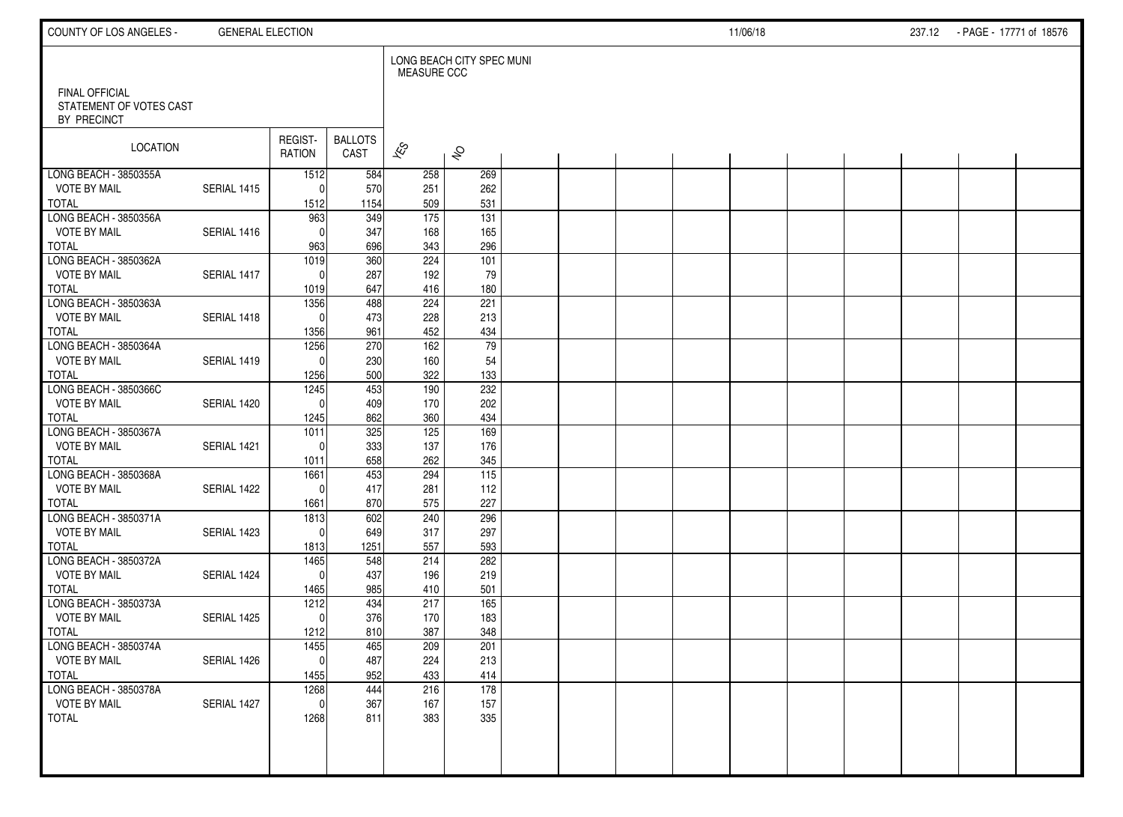| COUNTY OF LOS ANGELES -                                  | <b>GENERAL ELECTION</b> |                          |                        |                    |                           |  |  | 11/06/18 |  | 237.12 PAGE - 17771 of 18576 |  |
|----------------------------------------------------------|-------------------------|--------------------------|------------------------|--------------------|---------------------------|--|--|----------|--|------------------------------|--|
|                                                          |                         |                          |                        | <b>MEASURE CCC</b> | LONG BEACH CITY SPEC MUNI |  |  |          |  |                              |  |
| FINAL OFFICIAL<br>STATEMENT OF VOTES CAST<br>BY PRECINCT |                         |                          |                        |                    |                           |  |  |          |  |                              |  |
| <b>LOCATION</b>                                          |                         | REGIST-<br><b>RATION</b> | <b>BALLOTS</b><br>CAST | $\approx$          | $\hat{\mathcal{S}}$       |  |  |          |  |                              |  |
| LONG BEACH - 3850355A                                    |                         | 1512                     | 584                    | 258                | 269                       |  |  |          |  |                              |  |
| <b>VOTE BY MAIL</b><br><b>TOTAL</b>                      | SERIAL 1415             | 0                        | 570                    | 251<br>509         | 262<br>531                |  |  |          |  |                              |  |
| LONG BEACH - 3850356A                                    |                         | 1512<br>963              | 1154<br>349            | $\frac{175}{175}$  | $\overline{131}$          |  |  |          |  |                              |  |
| <b>VOTE BY MAIL</b>                                      | SERIAL 1416             | 0                        | 347                    | 168                | 165                       |  |  |          |  |                              |  |
| <b>TOTAL</b>                                             |                         | 963                      | 696                    | 343                | 296                       |  |  |          |  |                              |  |
| LONG BEACH - 3850362A                                    |                         | 1019                     | 360                    | 224                | 101                       |  |  |          |  |                              |  |
| <b>VOTE BY MAIL</b>                                      | SERIAL 1417             | $\mathbf{0}$             | 287                    | 192                | 79                        |  |  |          |  |                              |  |
| <b>TOTAL</b>                                             |                         | 1019                     | 647                    | 416                | 180                       |  |  |          |  |                              |  |
| LONG BEACH - 3850363A                                    |                         | 1356                     | 488                    | 224                | 221                       |  |  |          |  |                              |  |
| <b>VOTE BY MAIL</b>                                      | SERIAL 1418             | $\Omega$                 | 473                    | 228                | 213                       |  |  |          |  |                              |  |
| <b>TOTAL</b>                                             |                         | 1356                     | 961                    | 452                | 434                       |  |  |          |  |                              |  |
| LONG BEACH - 3850364A                                    |                         | 1256                     | 270                    | 162                | 79                        |  |  |          |  |                              |  |
| <b>VOTE BY MAIL</b>                                      | SERIAL 1419             | $\Omega$                 | 230                    | 160                | 54                        |  |  |          |  |                              |  |
| <b>TOTAL</b>                                             |                         | 1256                     | 500                    | 322                | 133                       |  |  |          |  |                              |  |
| LONG BEACH - 3850366C<br><b>VOTE BY MAIL</b>             | SERIAL 1420             | 1245<br>$\mathbf{0}$     | 453<br>409             | 190<br>170         | 232<br>202                |  |  |          |  |                              |  |
| <b>TOTAL</b>                                             |                         | 1245                     | 862                    | 360                | 434                       |  |  |          |  |                              |  |
| LONG BEACH - 3850367A                                    |                         | 1011                     | 325                    | 125                | 169                       |  |  |          |  |                              |  |
| <b>VOTE BY MAIL</b>                                      | SERIAL 1421             | $\Omega$                 | 333                    | 137                | 176                       |  |  |          |  |                              |  |
| <b>TOTAL</b>                                             |                         | 1011                     | 658                    | 262                | 345                       |  |  |          |  |                              |  |
| LONG BEACH - 3850368A                                    |                         | 1661                     | 453                    | 294                | $\overline{115}$          |  |  |          |  |                              |  |
| <b>VOTE BY MAIL</b>                                      | SERIAL 1422             | 0                        | 417                    | 281                | 112                       |  |  |          |  |                              |  |
| <b>TOTAL</b>                                             |                         | 1661                     | 870                    | 575                | 227                       |  |  |          |  |                              |  |
| LONG BEACH - 3850371A                                    |                         | 1813                     | 602                    | 240                | 296                       |  |  |          |  |                              |  |
| <b>VOTE BY MAIL</b>                                      | SERIAL 1423             | 0                        | 649                    | 317                | 297                       |  |  |          |  |                              |  |
| <b>TOTAL</b>                                             |                         | 1813                     | 1251                   | 557                | 593                       |  |  |          |  |                              |  |
| LONG BEACH - 3850372A                                    |                         | 1465                     | 548                    | 214                | 282                       |  |  |          |  |                              |  |
| <b>VOTE BY MAIL</b><br><b>TOTAL</b>                      | SERIAL 1424             | $\Omega$<br>1465         | 437<br>985             | 196<br>410         | 219<br>501                |  |  |          |  |                              |  |
| LONG BEACH - 3850373A                                    |                         | 1212                     | 434                    | 217                | 165                       |  |  |          |  |                              |  |
| <b>VOTE BY MAIL</b>                                      | SERIAL 1425             | 0                        | 376                    | 170                | 183                       |  |  |          |  |                              |  |
| <b>TOTAL</b>                                             |                         | 1212                     | 810                    | 387                | 348                       |  |  |          |  |                              |  |
| LONG BEACH - 3850374A                                    |                         | 1455                     | 465                    | 209                | 201                       |  |  |          |  |                              |  |
| <b>VOTE BY MAIL</b>                                      | SERIAL 1426             | $\overline{0}$           | 487                    | 224                | 213                       |  |  |          |  |                              |  |
| <b>TOTAL</b>                                             |                         | 1455                     | 952                    | 433                | 414                       |  |  |          |  |                              |  |
| LONG BEACH - 3850378A                                    |                         | 1268                     | 444                    | 216                | 178                       |  |  |          |  |                              |  |
| <b>VOTE BY MAIL</b>                                      | SERIAL 1427             | $\mathbf 0$              | 367                    | 167                | 157                       |  |  |          |  |                              |  |
| <b>TOTAL</b>                                             |                         | 1268                     | 811                    | 383                | 335                       |  |  |          |  |                              |  |
|                                                          |                         |                          |                        |                    |                           |  |  |          |  |                              |  |
|                                                          |                         |                          |                        |                    |                           |  |  |          |  |                              |  |
|                                                          |                         |                          |                        |                    |                           |  |  |          |  |                              |  |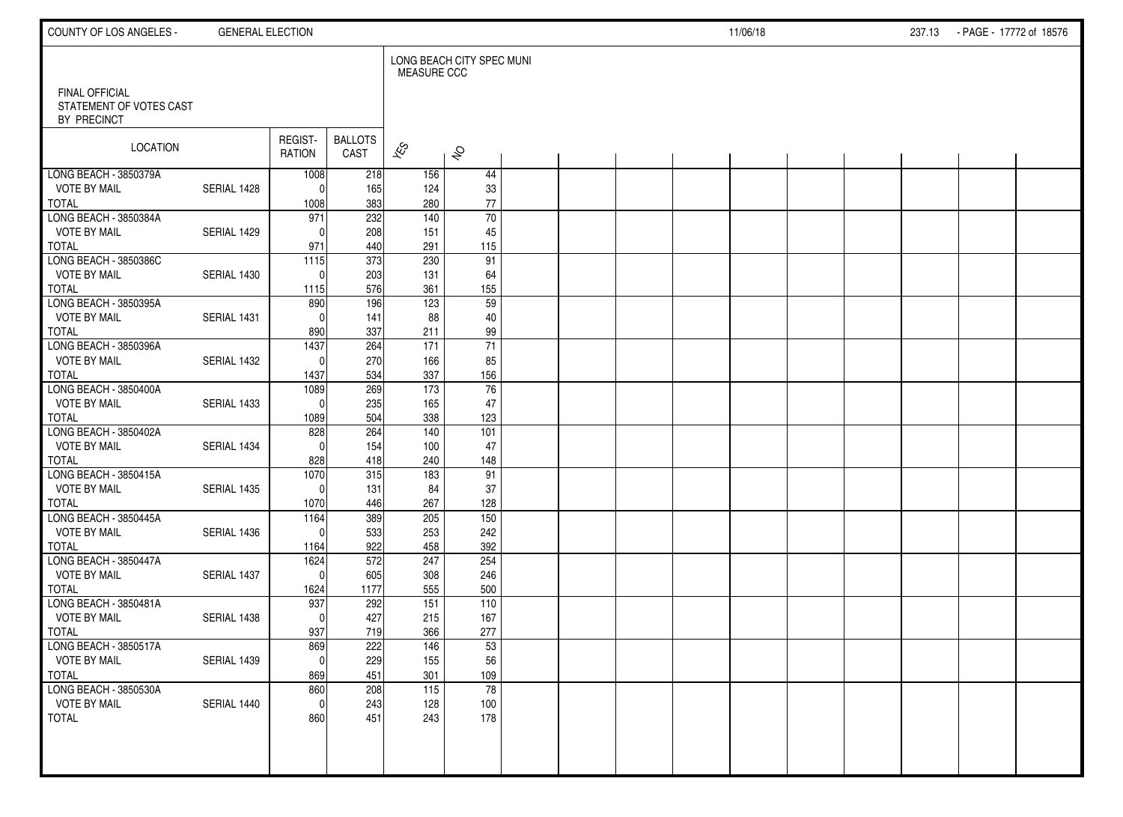| COUNTY OF LOS ANGELES -                                         | <b>GENERAL ELECTION</b> |                          |                        |                          |                           |  |  | 11/06/18 |  | 237.13 PAGE - 17772 of 18576 |  |
|-----------------------------------------------------------------|-------------------------|--------------------------|------------------------|--------------------------|---------------------------|--|--|----------|--|------------------------------|--|
|                                                                 |                         |                          |                        | <b>MEASURE CCC</b>       | LONG BEACH CITY SPEC MUNI |  |  |          |  |                              |  |
| <b>FINAL OFFICIAL</b><br>STATEMENT OF VOTES CAST<br>BY PRECINCT |                         |                          |                        |                          |                           |  |  |          |  |                              |  |
| LOCATION                                                        |                         | REGIST-<br><b>RATION</b> | <b>BALLOTS</b><br>CAST | $\overline{\mathscr{E}}$ | $\hat{\mathcal{S}}$       |  |  |          |  |                              |  |
| LONG BEACH - 3850379A                                           |                         | 1008                     | 218                    | 156                      | 44                        |  |  |          |  |                              |  |
| <b>VOTE BY MAIL</b>                                             | SERIAL 1428             | $\mathbf{0}$             | 165                    | 124                      | 33                        |  |  |          |  |                              |  |
| <b>TOTAL</b><br>LONG BEACH - 3850384A                           |                         | 1008<br>971              | 383<br>232             | 280<br>140               | $77\,$<br>70              |  |  |          |  |                              |  |
| <b>VOTE BY MAIL</b>                                             | SERIAL 1429             | $\mathbf{0}$             | 208                    | 151                      | 45                        |  |  |          |  |                              |  |
| <b>TOTAL</b>                                                    |                         | 971                      | 440                    | 291                      | 115                       |  |  |          |  |                              |  |
| LONG BEACH - 3850386C                                           |                         | 1115                     | 373                    | 230                      | 91                        |  |  |          |  |                              |  |
| <b>VOTE BY MAIL</b>                                             | SERIAL 1430             | $\Omega$                 | 203                    | 131                      | 64                        |  |  |          |  |                              |  |
| <b>TOTAL</b>                                                    |                         | 1115                     | 576                    | 361                      | 155                       |  |  |          |  |                              |  |
| LONG BEACH - 3850395A                                           |                         | 890                      | 196                    | 123                      | 59                        |  |  |          |  |                              |  |
| <b>VOTE BY MAIL</b>                                             | SERIAL 1431             | $\mathbf{0}$             | 141                    | 88                       | 40                        |  |  |          |  |                              |  |
| <b>TOTAL</b>                                                    |                         | 890                      | 337                    | 211                      | 99                        |  |  |          |  |                              |  |
| LONG BEACH - 3850396A                                           |                         | 1437                     | 264                    | 171                      | 71                        |  |  |          |  |                              |  |
| <b>VOTE BY MAIL</b>                                             | SERIAL 1432             | $\Omega$                 | 270                    | 166                      | 85                        |  |  |          |  |                              |  |
| <b>TOTAL</b><br>LONG BEACH - 3850400A                           |                         | 1437<br>1089             | 534<br>269             | 337<br>$\frac{173}{ }$   | 156<br>76                 |  |  |          |  |                              |  |
| <b>VOTE BY MAIL</b>                                             | SERIAL 1433             | 0                        | 235                    | 165                      | 47                        |  |  |          |  |                              |  |
| <b>TOTAL</b>                                                    |                         | 1089                     | 504                    | 338                      | 123                       |  |  |          |  |                              |  |
| LONG BEACH - 3850402A                                           |                         | 828                      | $\overline{264}$       | 140                      | 101                       |  |  |          |  |                              |  |
| <b>VOTE BY MAIL</b>                                             | SERIAL 1434             | $\Omega$                 | 154                    | 100                      | 47                        |  |  |          |  |                              |  |
| <b>TOTAL</b>                                                    |                         | 828                      | 418                    | 240                      | 148                       |  |  |          |  |                              |  |
| LONG BEACH - 3850415A                                           |                         | 1070                     | 315                    | 183                      | 91                        |  |  |          |  |                              |  |
| <b>VOTE BY MAIL</b>                                             | SERIAL 1435             | $\Omega$                 | 131                    | 84                       | 37                        |  |  |          |  |                              |  |
| <b>TOTAL</b>                                                    |                         | 1070                     | 446                    | 267                      | 128                       |  |  |          |  |                              |  |
| LONG BEACH - 3850445A                                           |                         | 1164                     | 389                    | 205                      | 150                       |  |  |          |  |                              |  |
| <b>VOTE BY MAIL</b>                                             | SERIAL 1436             | $\Omega$                 | 533                    | 253                      | 242                       |  |  |          |  |                              |  |
| <b>TOTAL</b>                                                    |                         | 1164                     | 922<br>572             | 458                      | 392<br>254                |  |  |          |  |                              |  |
| LONG BEACH - 3850447A<br><b>VOTE BY MAIL</b>                    | SERIAL 1437             | 1624<br>0                | 605                    | 247<br>308               | 246                       |  |  |          |  |                              |  |
| <b>TOTAL</b>                                                    |                         | 1624                     | 1177                   | 555                      | 500                       |  |  |          |  |                              |  |
| LONG BEACH - 3850481A                                           |                         | 937                      | 292                    | 151                      | 110                       |  |  |          |  |                              |  |
| <b>VOTE BY MAIL</b>                                             | SERIAL 1438             | 0                        | 427                    | 215                      | 167                       |  |  |          |  |                              |  |
| <b>TOTAL</b>                                                    |                         | 937                      | 719                    | 366                      | 277                       |  |  |          |  |                              |  |
| LONG BEACH - 3850517A                                           |                         | 869                      | 222                    | 146                      | 53                        |  |  |          |  |                              |  |
| <b>VOTE BY MAIL</b>                                             | SERIAL 1439             | 0                        | 229                    | 155                      | 56                        |  |  |          |  |                              |  |
| TOTAL                                                           |                         | 869                      | 451                    | 301                      | 109                       |  |  |          |  |                              |  |
| LONG BEACH - 3850530A                                           |                         | 860                      | 208                    | $\overline{115}$         | $\overline{78}$           |  |  |          |  |                              |  |
| <b>VOTE BY MAIL</b>                                             | SERIAL 1440             | 0                        | 243                    | 128                      | 100                       |  |  |          |  |                              |  |
| TOTAL                                                           |                         | 860                      | 451                    | 243                      | 178                       |  |  |          |  |                              |  |
|                                                                 |                         |                          |                        |                          |                           |  |  |          |  |                              |  |
|                                                                 |                         |                          |                        |                          |                           |  |  |          |  |                              |  |
|                                                                 |                         |                          |                        |                          |                           |  |  |          |  |                              |  |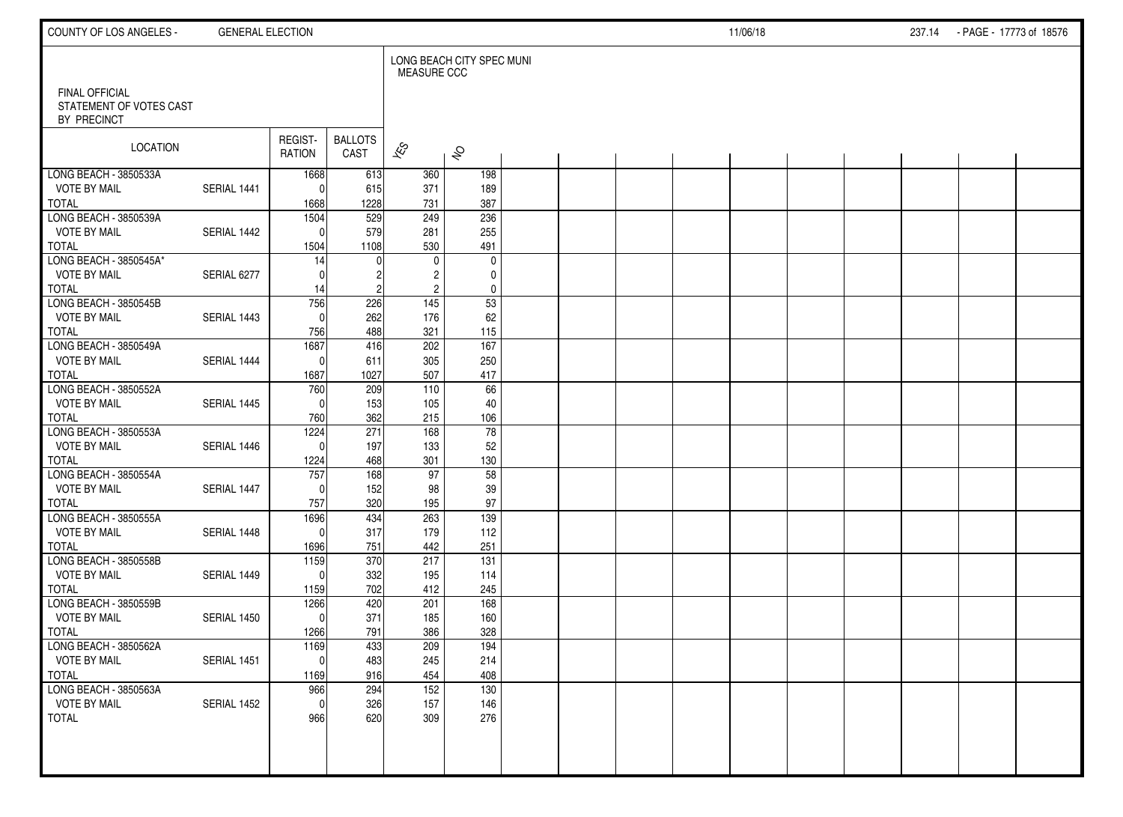| COUNTY OF LOS ANGELES -                                  | <b>GENERAL ELECTION</b> |                             |                        |                          |                           |  |  | 11/06/18 |  | 237.14 PAGE - 17773 of 18576 |  |
|----------------------------------------------------------|-------------------------|-----------------------------|------------------------|--------------------------|---------------------------|--|--|----------|--|------------------------------|--|
|                                                          |                         |                             |                        | <b>MEASURE CCC</b>       | LONG BEACH CITY SPEC MUNI |  |  |          |  |                              |  |
| FINAL OFFICIAL<br>STATEMENT OF VOTES CAST<br>BY PRECINCT |                         |                             |                        |                          |                           |  |  |          |  |                              |  |
| LOCATION                                                 |                         | REGIST-<br><b>RATION</b>    | <b>BALLOTS</b><br>CAST | $\overline{\mathscr{E}}$ | $\hat{\mathcal{S}}$       |  |  |          |  |                              |  |
| LONG BEACH - 3850533A                                    |                         | 1668                        | 613                    | 360                      | 198                       |  |  |          |  |                              |  |
| <b>VOTE BY MAIL</b><br><b>TOTAL</b>                      | SERIAL 1441             | 0<br>1668                   | 615<br>1228            | 371<br>731               | 189<br>387                |  |  |          |  |                              |  |
| LONG BEACH - 3850539A                                    |                         | 1504                        | $\overline{529}$       | 249                      | 236                       |  |  |          |  |                              |  |
| <b>VOTE BY MAIL</b>                                      | SERIAL 1442             | 0                           | 579                    | 281                      | 255                       |  |  |          |  |                              |  |
| <b>TOTAL</b><br>LONG BEACH - 3850545A*                   |                         | 1504<br>14                  | 1108                   | 530<br>$\mathbf 0$       | 491<br>$\pmb{0}$          |  |  |          |  |                              |  |
| <b>VOTE BY MAIL</b>                                      | SERIAL 6277             | $\Omega$                    |                        | 2                        | $\mathbf 0$               |  |  |          |  |                              |  |
| <b>TOTAL</b>                                             |                         | 14                          | 2                      | $\overline{c}$           | $\mathbf 0$               |  |  |          |  |                              |  |
| LONG BEACH - 3850545B                                    |                         | 756                         | 226                    | $\overline{145}$         | 53                        |  |  |          |  |                              |  |
| <b>VOTE BY MAIL</b><br><b>TOTAL</b>                      | SERIAL 1443             | $\mathbf{0}$<br>756         | 262<br>488             | 176<br>321               | 62<br>115                 |  |  |          |  |                              |  |
| LONG BEACH - 3850549A                                    |                         | 1687                        | 416                    | 202                      | 167                       |  |  |          |  |                              |  |
| <b>VOTE BY MAIL</b>                                      | SERIAL 1444             | $\mathbf 0$                 | 611                    | 305                      | 250                       |  |  |          |  |                              |  |
| <b>TOTAL</b>                                             |                         | 1687                        | 1027                   | 507                      | 417                       |  |  |          |  |                              |  |
| LONG BEACH - 3850552A                                    |                         | 760                         | 209                    | 110                      | 66                        |  |  |          |  |                              |  |
| <b>VOTE BY MAIL</b><br><b>TOTAL</b>                      | SERIAL 1445             | $\mathbf{0}$<br>760         | 153<br>362             | 105<br>215               | 40<br>106                 |  |  |          |  |                              |  |
| LONG BEACH - 3850553A                                    |                         | 1224                        | 271                    | 168                      | 78                        |  |  |          |  |                              |  |
| <b>VOTE BY MAIL</b>                                      | SERIAL 1446             | $\Omega$                    | 197                    | 133                      | 52                        |  |  |          |  |                              |  |
| <b>TOTAL</b>                                             |                         | 1224                        | 468                    | 301                      | 130                       |  |  |          |  |                              |  |
| LONG BEACH - 3850554A                                    |                         | 757                         | 168                    | 97                       | 58                        |  |  |          |  |                              |  |
| <b>VOTE BY MAIL</b><br><b>TOTAL</b>                      | SERIAL 1447             | $\mathbf{0}$<br>757         | 152<br>320             | 98<br>195                | 39<br>97                  |  |  |          |  |                              |  |
| LONG BEACH - 3850555A                                    |                         | 1696                        | 434                    | 263                      | 139                       |  |  |          |  |                              |  |
| <b>VOTE BY MAIL</b>                                      | SERIAL 1448             | $\mathbf 0$                 | 317                    | 179                      | 112                       |  |  |          |  |                              |  |
| <b>TOTAL</b>                                             |                         | 1696                        | 751                    | 442                      | 251                       |  |  |          |  |                              |  |
| LONG BEACH - 3850558B<br><b>VOTE BY MAIL</b>             |                         | 1159                        | 370                    | 217                      | 131                       |  |  |          |  |                              |  |
| <b>TOTAL</b>                                             | SERIAL 1449             | $\mathbf{0}$<br>1159        | 332<br>702             | 195<br>412               | 114<br>245                |  |  |          |  |                              |  |
| LONG BEACH - 3850559B                                    |                         | 1266                        | 420                    | 201                      | 168                       |  |  |          |  |                              |  |
| <b>VOTE BY MAIL</b>                                      | SERIAL 1450             | $\mathbf 0$                 | 371                    | 185                      | 160                       |  |  |          |  |                              |  |
| <b>TOTAL</b>                                             |                         | 1266                        | 791                    | 386                      | 328                       |  |  |          |  |                              |  |
| LONG BEACH - 3850562A<br><b>VOTE BY MAIL</b>             | SERIAL 1451             | 1169<br>$\mathsf{O}\xspace$ | 433<br>483             | 209<br>245               | 194<br>214                |  |  |          |  |                              |  |
| <b>TOTAL</b>                                             |                         | 1169                        | 916                    | 454                      | 408                       |  |  |          |  |                              |  |
| LONG BEACH - 3850563A                                    |                         | 966                         | 294                    | 152                      | 130                       |  |  |          |  |                              |  |
| <b>VOTE BY MAIL</b>                                      | SERIAL 1452             | $\mathbf 0$                 | 326                    | 157                      | 146                       |  |  |          |  |                              |  |
| <b>TOTAL</b>                                             |                         | 966                         | 620                    | 309                      | 276                       |  |  |          |  |                              |  |
|                                                          |                         |                             |                        |                          |                           |  |  |          |  |                              |  |
|                                                          |                         |                             |                        |                          |                           |  |  |          |  |                              |  |
|                                                          |                         |                             |                        |                          |                           |  |  |          |  |                              |  |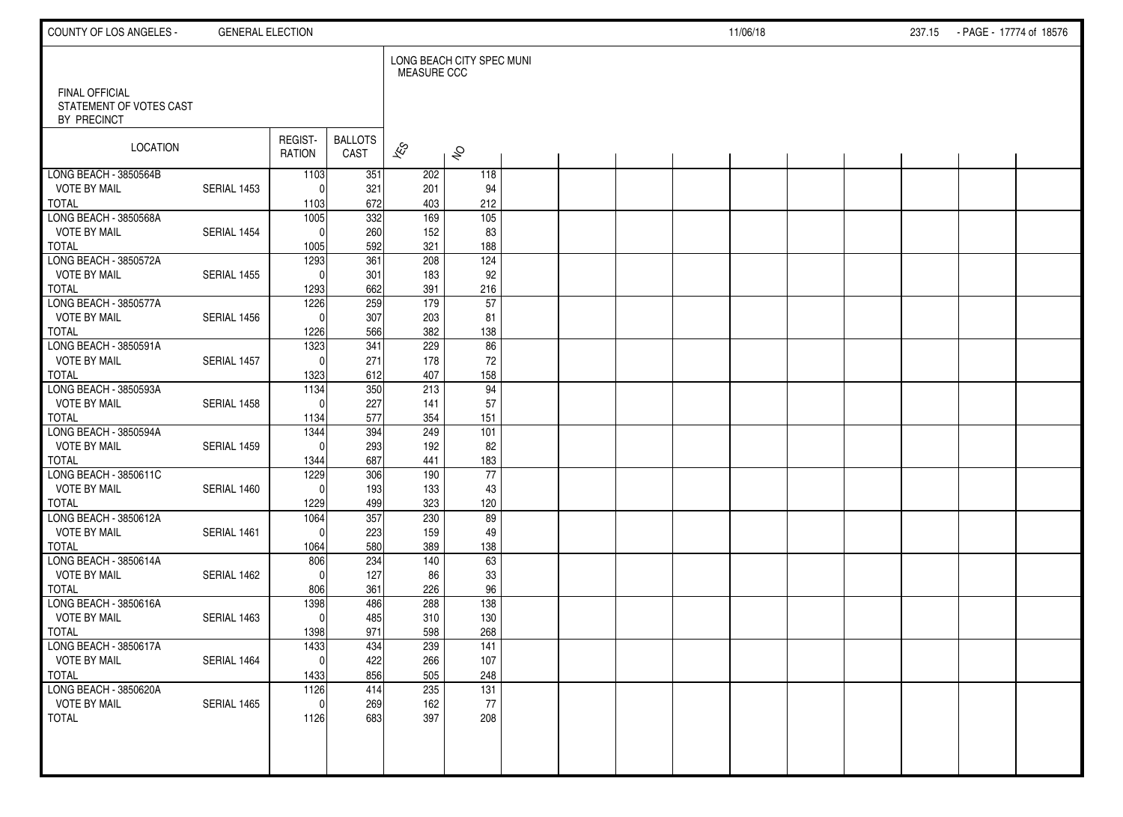| COUNTY OF LOS ANGELES -                                         | <b>GENERAL ELECTION</b> |                          |                        |                          |                           |  |  | 11/06/18 |  | 237.15 PAGE - 17774 of 18576 |  |
|-----------------------------------------------------------------|-------------------------|--------------------------|------------------------|--------------------------|---------------------------|--|--|----------|--|------------------------------|--|
|                                                                 |                         |                          |                        | <b>MEASURE CCC</b>       | LONG BEACH CITY SPEC MUNI |  |  |          |  |                              |  |
| <b>FINAL OFFICIAL</b><br>STATEMENT OF VOTES CAST<br>BY PRECINCT |                         |                          |                        |                          |                           |  |  |          |  |                              |  |
| LOCATION                                                        |                         | REGIST-<br><b>RATION</b> | <b>BALLOTS</b><br>CAST | $\overline{\mathscr{E}}$ | $\hat{\mathcal{S}}$       |  |  |          |  |                              |  |
| LONG BEACH - 3850564B                                           |                         | 1103                     | 351                    | 202                      | 118                       |  |  |          |  |                              |  |
| <b>VOTE BY MAIL</b>                                             | SERIAL 1453             | $\mathbf{0}$             | 321                    | 201                      | 94                        |  |  |          |  |                              |  |
| <b>TOTAL</b><br>LONG BEACH - 3850568A                           |                         | 1103                     | 672<br>332             | 403<br>169               | 212<br>105                |  |  |          |  |                              |  |
| <b>VOTE BY MAIL</b>                                             | SERIAL 1454             | 1005<br>$\mathbf{0}$     | 260                    | 152                      | 83                        |  |  |          |  |                              |  |
| <b>TOTAL</b>                                                    |                         | 1005                     | 592                    | 321                      | 188                       |  |  |          |  |                              |  |
| LONG BEACH - 3850572A                                           |                         | 1293                     | 361                    | 208                      | 124                       |  |  |          |  |                              |  |
| <b>VOTE BY MAIL</b>                                             | SERIAL 1455             | $\Omega$                 | 301                    | 183                      | 92                        |  |  |          |  |                              |  |
| <b>TOTAL</b>                                                    |                         | 1293                     | 662                    | 391                      | 216                       |  |  |          |  |                              |  |
| LONG BEACH - 3850577A                                           |                         | 1226                     | 259                    | 179                      | 57                        |  |  |          |  |                              |  |
| <b>VOTE BY MAIL</b>                                             | SERIAL 1456             | $\mathbf{0}$             | 307                    | 203                      | 81                        |  |  |          |  |                              |  |
| <b>TOTAL</b>                                                    |                         | 1226                     | 566                    | 382                      | 138                       |  |  |          |  |                              |  |
| LONG BEACH - 3850591A                                           |                         | 1323                     | $\overline{341}$       | 229                      | 86                        |  |  |          |  |                              |  |
| <b>VOTE BY MAIL</b>                                             | SERIAL 1457             | $\Omega$                 | 271                    | 178                      | 72                        |  |  |          |  |                              |  |
| <b>TOTAL</b>                                                    |                         | 1323                     | 612                    | 407                      | 158                       |  |  |          |  |                              |  |
| LONG BEACH - 3850593A<br><b>VOTE BY MAIL</b>                    | SERIAL 1458             | 1134<br>$\Omega$         | 350<br>227             | $\overline{213}$<br>141  | 94<br>57                  |  |  |          |  |                              |  |
| <b>TOTAL</b>                                                    |                         | 1134                     | 577                    | 354                      | 151                       |  |  |          |  |                              |  |
| LONG BEACH - 3850594A                                           |                         | 1344                     | 394                    | 249                      | 101                       |  |  |          |  |                              |  |
| <b>VOTE BY MAIL</b>                                             | SERIAL 1459             | $\Omega$                 | 293                    | 192                      | 82                        |  |  |          |  |                              |  |
| <b>TOTAL</b>                                                    |                         | 1344                     | 687                    | 441                      | 183                       |  |  |          |  |                              |  |
| LONG BEACH - 3850611C                                           |                         | 1229                     | 306                    | 190                      | 77                        |  |  |          |  |                              |  |
| <b>VOTE BY MAIL</b>                                             | SERIAL 1460             | $\Omega$                 | 193                    | 133                      | 43                        |  |  |          |  |                              |  |
| <b>TOTAL</b>                                                    |                         | 1229                     | 499                    | 323                      | 120                       |  |  |          |  |                              |  |
| LONG BEACH - 3850612A                                           |                         | 1064                     | 357                    | 230                      | 89                        |  |  |          |  |                              |  |
| <b>VOTE BY MAIL</b>                                             | SERIAL 1461             | $\Omega$                 | 223                    | 159                      | 49                        |  |  |          |  |                              |  |
| <b>TOTAL</b>                                                    |                         | 1064                     | 580                    | 389                      | 138                       |  |  |          |  |                              |  |
| LONG BEACH - 3850614A                                           |                         | 806                      | 234                    | 140                      | 63                        |  |  |          |  |                              |  |
| <b>VOTE BY MAIL</b><br><b>TOTAL</b>                             | SERIAL 1462             | $\mathbf{0}$<br>806      | 127<br>361             | 86<br>226                | $33\,$<br>96              |  |  |          |  |                              |  |
| LONG BEACH - 3850616A                                           |                         | 1398                     | 486                    | 288                      | 138                       |  |  |          |  |                              |  |
| <b>VOTE BY MAIL</b>                                             | SERIAL 1463             | $\mathbf 0$              | 485                    | 310                      | 130                       |  |  |          |  |                              |  |
| <b>TOTAL</b>                                                    |                         | 1398                     | 971                    | 598                      | 268                       |  |  |          |  |                              |  |
| LONG BEACH - 3850617A                                           |                         | 1433                     | 434                    | 239                      | 141                       |  |  |          |  |                              |  |
| <b>VOTE BY MAIL</b>                                             | SERIAL 1464             | 0                        | 422                    | 266                      | 107                       |  |  |          |  |                              |  |
| TOTAL                                                           |                         | 1433                     | 856                    | 505                      | 248                       |  |  |          |  |                              |  |
| LONG BEACH - 3850620A                                           |                         | $\frac{1126}{ }$         | 414                    | 235                      | $\overline{131}$          |  |  |          |  |                              |  |
| <b>VOTE BY MAIL</b>                                             | SERIAL 1465             | 0                        | 269                    | 162                      | 77                        |  |  |          |  |                              |  |
| TOTAL                                                           |                         | 1126                     | 683                    | 397                      | 208                       |  |  |          |  |                              |  |
|                                                                 |                         |                          |                        |                          |                           |  |  |          |  |                              |  |
|                                                                 |                         |                          |                        |                          |                           |  |  |          |  |                              |  |
|                                                                 |                         |                          |                        |                          |                           |  |  |          |  |                              |  |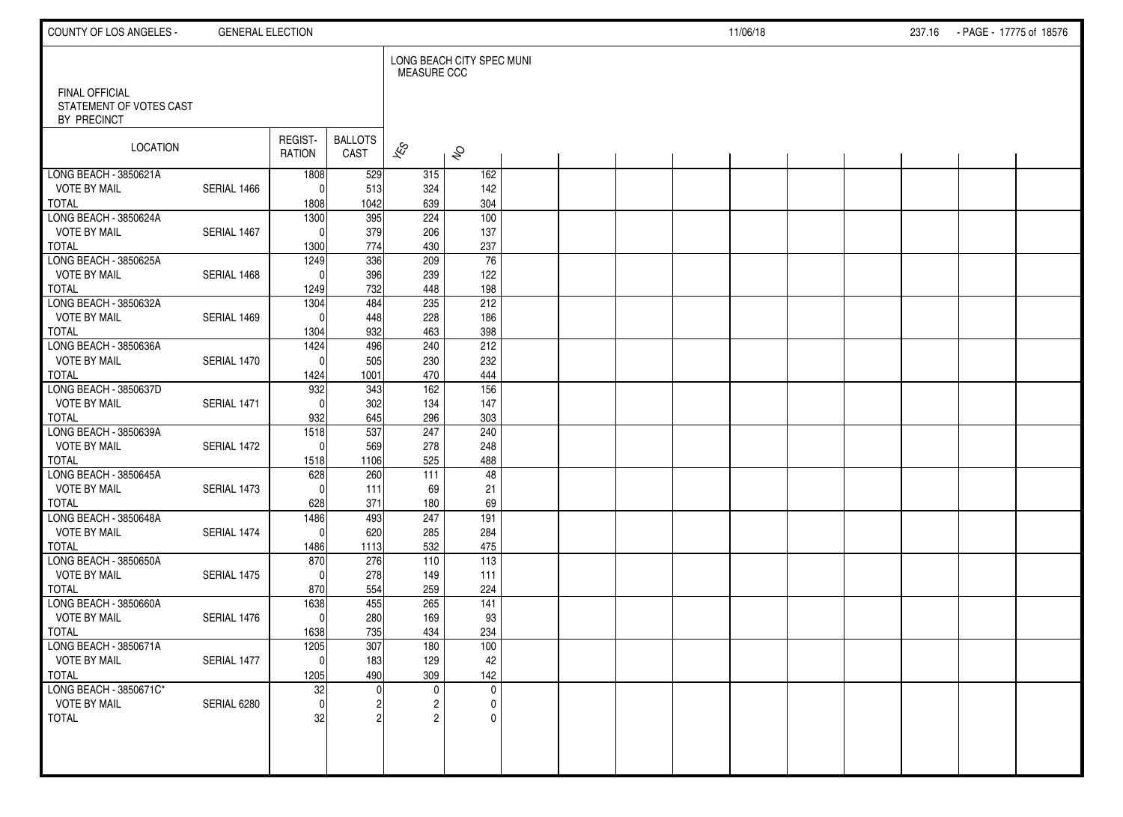| COUNTY OF LOS ANGELES -                                  | <b>GENERAL ELECTION</b> |                          |                        |                     |                           |  |  | 11/06/18 |  | 237.16 PAGE - 17775 of 18576 |  |
|----------------------------------------------------------|-------------------------|--------------------------|------------------------|---------------------|---------------------------|--|--|----------|--|------------------------------|--|
|                                                          |                         |                          |                        | <b>MEASURE CCC</b>  | LONG BEACH CITY SPEC MUNI |  |  |          |  |                              |  |
| FINAL OFFICIAL<br>STATEMENT OF VOTES CAST<br>BY PRECINCT |                         |                          |                        |                     |                           |  |  |          |  |                              |  |
| LOCATION                                                 |                         | REGIST-<br><b>RATION</b> | <b>BALLOTS</b><br>CAST | $\approx$           | $\hat{\mathcal{S}}$       |  |  |          |  |                              |  |
| LONG BEACH - 3850621A                                    |                         | 1808                     | 529                    | 315                 | 162                       |  |  |          |  |                              |  |
| <b>VOTE BY MAIL</b><br><b>TOTAL</b>                      | SERIAL 1466             | 0<br>1808                | 513<br>1042            | 324<br>639          | 142<br>304                |  |  |          |  |                              |  |
| LONG BEACH - 3850624A                                    |                         | 1300                     | 395                    | 224                 | 100                       |  |  |          |  |                              |  |
| <b>VOTE BY MAIL</b>                                      | SERIAL 1467             | 0                        | 379                    | 206                 | 137                       |  |  |          |  |                              |  |
| <b>TOTAL</b>                                             |                         | 1300                     | 774                    | 430                 | 237                       |  |  |          |  |                              |  |
| LONG BEACH - 3850625A                                    |                         | 1249                     | 336                    | 209                 | 76                        |  |  |          |  |                              |  |
| <b>VOTE BY MAIL</b><br><b>TOTAL</b>                      | SERIAL 1468             | 0<br>1249                | 396<br>732             | 239<br>448          | 122<br>198                |  |  |          |  |                              |  |
| LONG BEACH - 3850632A                                    |                         | 1304                     | 484                    | 235                 | 212                       |  |  |          |  |                              |  |
| <b>VOTE BY MAIL</b>                                      | SERIAL 1469             | $\Omega$                 | 448                    | 228                 | 186                       |  |  |          |  |                              |  |
| <b>TOTAL</b>                                             |                         | 1304                     | 932                    | 463                 | 398                       |  |  |          |  |                              |  |
| LONG BEACH - 3850636A                                    |                         | 1424                     | 496                    | 240                 | 212                       |  |  |          |  |                              |  |
| <b>VOTE BY MAIL</b>                                      | SERIAL 1470             | $\mathbf{0}$             | 505                    | 230                 | 232                       |  |  |          |  |                              |  |
| <b>TOTAL</b>                                             |                         | 1424                     | 1001                   | 470                 | 444                       |  |  |          |  |                              |  |
| LONG BEACH - 3850637D<br><b>VOTE BY MAIL</b>             | SERIAL 1471             | 932<br>$\mathbf{0}$      | 343<br>302             | 162<br>134          | 156<br>147                |  |  |          |  |                              |  |
| <b>TOTAL</b>                                             |                         | 932                      | 645                    | 296                 | 303                       |  |  |          |  |                              |  |
| LONG BEACH - 3850639A                                    |                         | 1518                     | 537                    | 247                 | 240                       |  |  |          |  |                              |  |
| <b>VOTE BY MAIL</b>                                      | SERIAL 1472             | 0                        | 569                    | 278                 | 248                       |  |  |          |  |                              |  |
| <b>TOTAL</b>                                             |                         | 1518                     | 1106                   | 525                 | 488                       |  |  |          |  |                              |  |
| LONG BEACH - 3850645A                                    |                         | 628                      | 260                    | 111                 | 48                        |  |  |          |  |                              |  |
| <b>VOTE BY MAIL</b><br><b>TOTAL</b>                      | SERIAL 1473             | 0<br>628                 | 111<br>371             | 69<br>180           | 21<br>69                  |  |  |          |  |                              |  |
| LONG BEACH - 3850648A                                    |                         | 1486                     | 493                    | 247                 | 191                       |  |  |          |  |                              |  |
| <b>VOTE BY MAIL</b>                                      | SERIAL 1474             | $\mathbf 0$              | 620                    | 285                 | 284                       |  |  |          |  |                              |  |
| <b>TOTAL</b>                                             |                         | 1486                     | 1113                   | 532                 | 475                       |  |  |          |  |                              |  |
| LONG BEACH - 3850650A                                    |                         | 870                      | 276                    | 110                 | 113                       |  |  |          |  |                              |  |
| <b>VOTE BY MAIL</b>                                      | SERIAL 1475             | $\Omega$                 | 278                    | 149                 | 111                       |  |  |          |  |                              |  |
| <b>TOTAL</b><br>LONG BEACH - 3850660A                    |                         | 870                      | 554<br>455             | 259<br>265          | 224<br>141                |  |  |          |  |                              |  |
| <b>VOTE BY MAIL</b>                                      | SERIAL 1476             | 1638<br>$\mathbf 0$      | 280                    | 169                 | 93                        |  |  |          |  |                              |  |
| <b>TOTAL</b>                                             |                         | 1638                     | 735                    | 434                 | 234                       |  |  |          |  |                              |  |
| LONG BEACH - 3850671A                                    |                         | 1205                     | 307                    | 180                 | 100                       |  |  |          |  |                              |  |
| <b>VOTE BY MAIL</b>                                      | SERIAL 1477             | $\mathsf{O}\xspace$      | 183                    | 129                 | 42                        |  |  |          |  |                              |  |
| <b>TOTAL</b>                                             |                         | 1205                     | 490                    | 309                 | 142                       |  |  |          |  |                              |  |
| LONG BEACH - 3850671C*                                   |                         | 32                       | <sup>0</sup>           | $\mathbf 0$         | $\mathbf 0$               |  |  |          |  |                              |  |
| <b>VOTE BY MAIL</b><br><b>TOTAL</b>                      | SERIAL 6280             | $\mathbf 0$<br>32        |                        | 2<br>$\mathfrak{p}$ | 0<br>$\mathbf{0}$         |  |  |          |  |                              |  |
|                                                          |                         |                          |                        |                     |                           |  |  |          |  |                              |  |
|                                                          |                         |                          |                        |                     |                           |  |  |          |  |                              |  |
|                                                          |                         |                          |                        |                     |                           |  |  |          |  |                              |  |
|                                                          |                         |                          |                        |                     |                           |  |  |          |  |                              |  |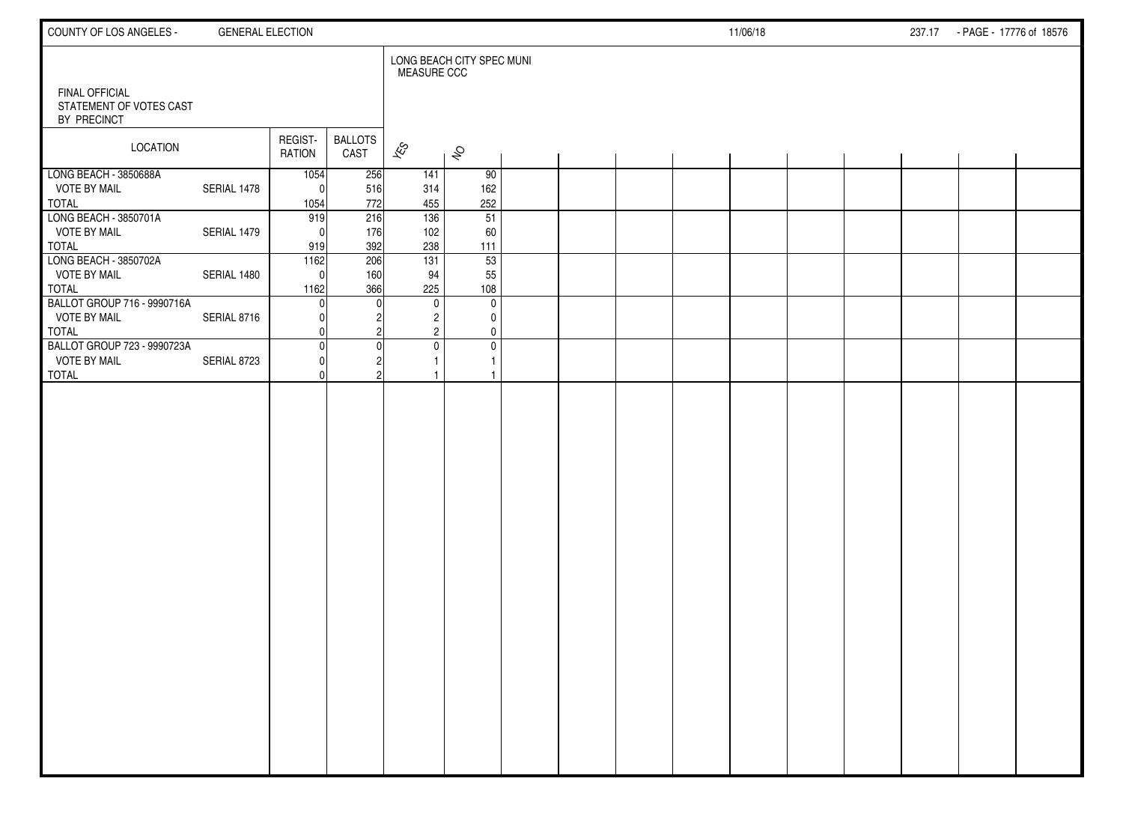| COUNTY OF LOS ANGELES -                                            | <b>GENERAL ELECTION</b> |                          |                        |                             |                                                                     |  |  | 11/06/18 |  | 237.17 - PAGE - 17776 of 18576 |  |
|--------------------------------------------------------------------|-------------------------|--------------------------|------------------------|-----------------------------|---------------------------------------------------------------------|--|--|----------|--|--------------------------------|--|
| <b>FINAL OFFICIAL</b><br>STATEMENT OF VOTES CAST<br>BY PRECINCT    |                         |                          |                        | <b>MEASURE CCC</b>          | LONG BEACH CITY SPEC MUNI                                           |  |  |          |  |                                |  |
| <b>LOCATION</b>                                                    |                         | REGIST-<br>RATION        | <b>BALLOTS</b><br>CAST | $\mathscr{E}_{\mathcal{S}}$ | $\hat{\mathcal{S}}$                                                 |  |  |          |  |                                |  |
| LONG BEACH - 3850688A<br><b>VOTE BY MAIL</b><br><b>TOTAL</b>       | SERIAL 1478             | 1054<br>$\Omega$<br>1054 | 256<br>516<br>772      | 141<br>314<br>455           | 90<br>162<br>252                                                    |  |  |          |  |                                |  |
| LONG BEACH - 3850701A<br><b>VOTE BY MAIL</b><br>TOTAL              | SERIAL 1479             | 919<br>$\Omega$<br>919   | 216<br>176<br>392      | 136<br>102<br>238           | 51<br>60<br>111                                                     |  |  |          |  |                                |  |
| LONG BEACH - 3850702A<br><b>VOTE BY MAIL</b><br>TOTAL              | SERIAL 1480             | 1162<br>$\Omega$<br>1162 | 206<br>160<br>366      | 131<br>94<br>225            | 53<br>55<br>108                                                     |  |  |          |  |                                |  |
| BALLOT GROUP 716 - 9990716A<br><b>VOTE BY MAIL</b><br><b>TOTAL</b> | SERIAL 8716             | <sup>0</sup>             |                        | $\mathbf 0$                 | $\mathbf 0$<br>$\overline{2}$<br>0<br>$\overline{2}$<br>$\mathbf 0$ |  |  |          |  |                                |  |
| BALLOT GROUP 723 - 9990723A<br><b>VOTE BY MAIL</b><br><b>TOTAL</b> | SERIAL 8723             | $\Omega$<br>O<br>U       |                        |                             | $\mathbf 0$<br>$\mathbf 0$<br>$\mathbf{1}$<br>$\mathbf{1}$          |  |  |          |  |                                |  |
|                                                                    |                         |                          |                        |                             |                                                                     |  |  |          |  |                                |  |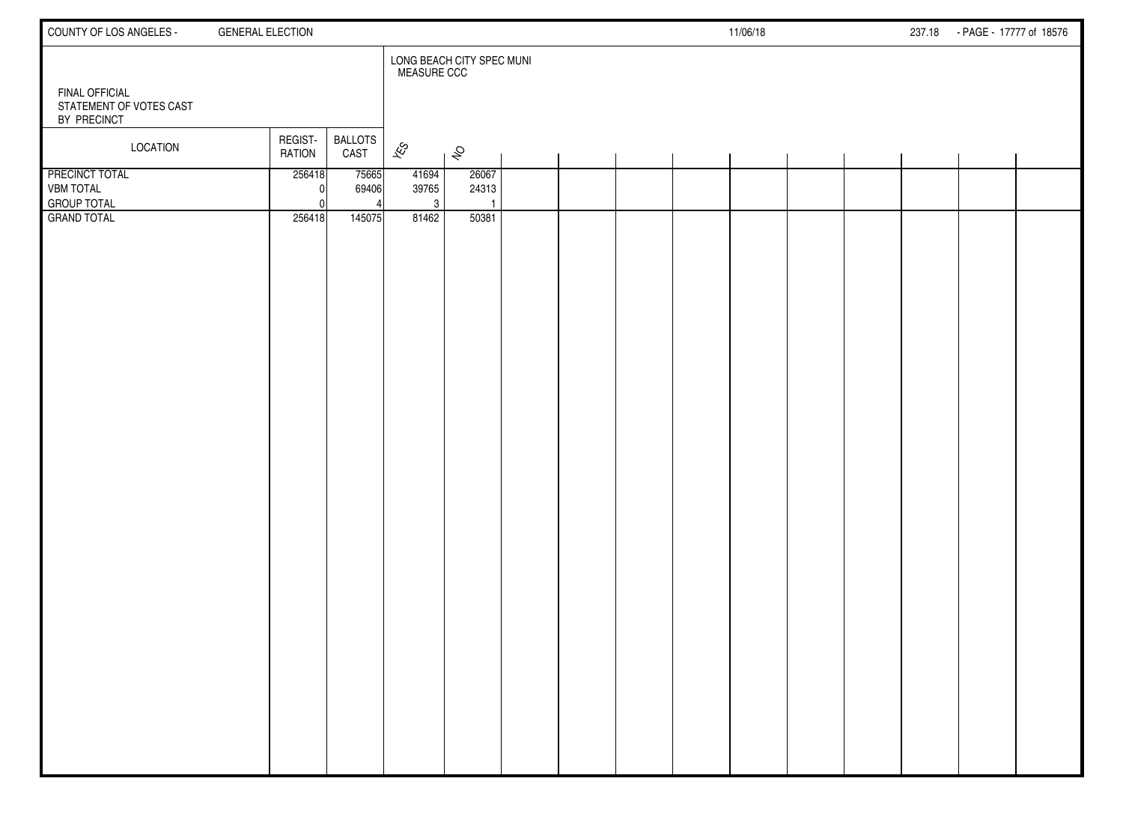| COUNTY OF LOS ANGELES -                                         | <b>GENERAL ELECTION</b>                            |                                                 | 11/06/18 | 237.18 - PAGE - 17777 of 18576 |
|-----------------------------------------------------------------|----------------------------------------------------|-------------------------------------------------|----------|--------------------------------|
| <b>FINAL OFFICIAL</b><br>STATEMENT OF VOTES CAST                |                                                    | LONG BEACH CITY SPEC MUNI<br><b>MEASURE CCC</b> |          |                                |
| BY PRECINCT                                                     |                                                    |                                                 |          |                                |
| LOCATION                                                        | REGIST-<br><b>BALLOTS</b><br><b>RATION</b><br>CAST | $\overline{\mathscr{E}}$<br>$\hat{\mathcal{S}}$ |          |                                |
| <b>PRECINCT TOTAL</b><br><b>VBM TOTAL</b><br><b>GROUP TOTAL</b> | 256418<br>75665<br>69406<br><sup>0</sup>           | 41694<br>26067<br>39765<br>24313<br>3           |          |                                |
| <b>GRAND TOTAL</b>                                              | 256418<br>145075                                   | 81462<br>50381                                  |          |                                |
|                                                                 |                                                    |                                                 |          |                                |
|                                                                 |                                                    |                                                 |          |                                |
|                                                                 |                                                    |                                                 |          |                                |
|                                                                 |                                                    |                                                 |          |                                |
|                                                                 |                                                    |                                                 |          |                                |
|                                                                 |                                                    |                                                 |          |                                |
|                                                                 |                                                    |                                                 |          |                                |
|                                                                 |                                                    |                                                 |          |                                |
|                                                                 |                                                    |                                                 |          |                                |
|                                                                 |                                                    |                                                 |          |                                |
|                                                                 |                                                    |                                                 |          |                                |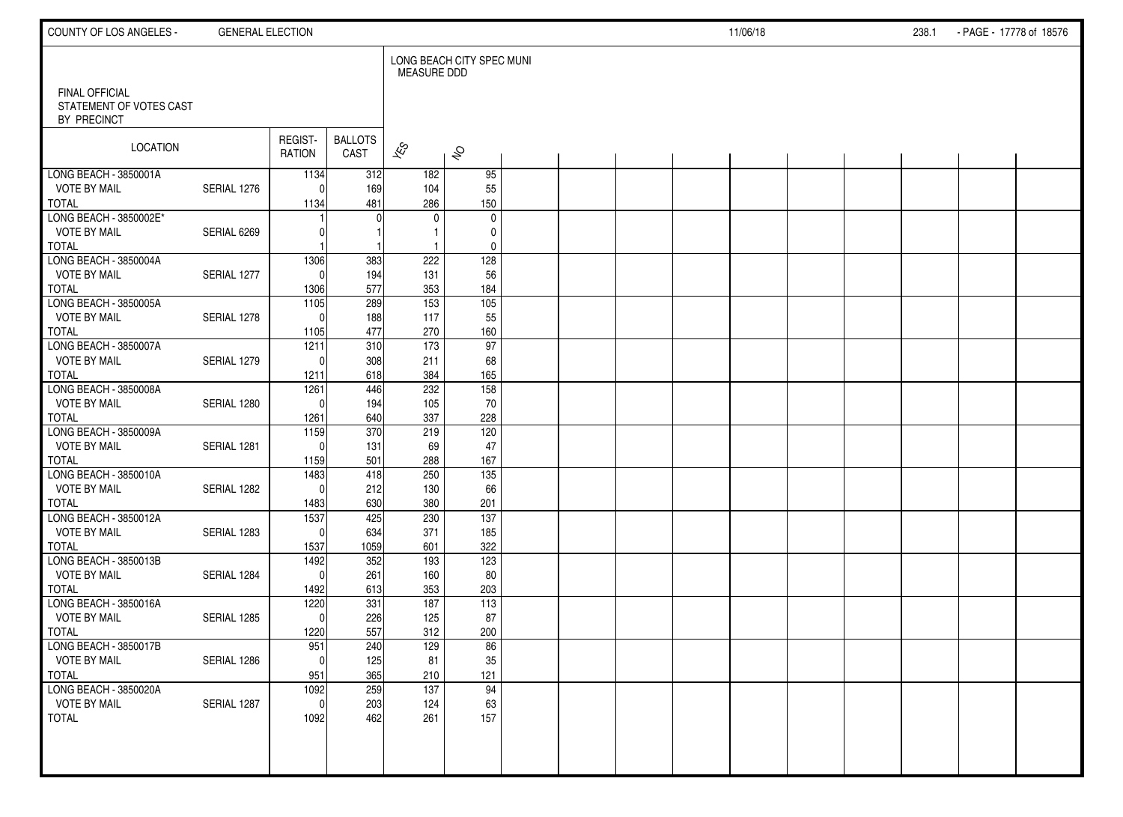| COUNTY OF LOS ANGELES -                                         | <b>GENERAL ELECTION</b> |                     |                        |                          |                           |  |  | 11/06/18 |  | 238.1 | - PAGE - 17778 of 18576 |  |
|-----------------------------------------------------------------|-------------------------|---------------------|------------------------|--------------------------|---------------------------|--|--|----------|--|-------|-------------------------|--|
|                                                                 |                         |                     |                        | <b>MEASURE DDD</b>       | LONG BEACH CITY SPEC MUNI |  |  |          |  |       |                         |  |
| <b>FINAL OFFICIAL</b><br>STATEMENT OF VOTES CAST<br>BY PRECINCT |                         |                     |                        |                          |                           |  |  |          |  |       |                         |  |
| LOCATION                                                        |                         | REGIST-<br>RATION   | <b>BALLOTS</b><br>CAST | $\overline{\mathscr{K}}$ | $\hat{\mathcal{S}}$       |  |  |          |  |       |                         |  |
| LONG BEACH - 3850001A                                           |                         | 1134                | 312                    | 182                      | 95                        |  |  |          |  |       |                         |  |
| <b>VOTE BY MAIL</b>                                             | SERIAL 1276             | $\Omega$            | 169                    | 104                      | 55                        |  |  |          |  |       |                         |  |
| <b>TOTAL</b>                                                    |                         | 1134                | 481                    | 286                      | 150                       |  |  |          |  |       |                         |  |
| LONG BEACH - 3850002E*<br><b>VOTE BY MAIL</b>                   |                         |                     | $\Omega$               | $\mathbf 0$              | $\mathbf 0$               |  |  |          |  |       |                         |  |
| <b>TOTAL</b>                                                    | SERIAL 6269             | 0                   |                        | $\mathbf{1}$             | 0<br>0                    |  |  |          |  |       |                         |  |
| LONG BEACH - 3850004A                                           |                         | 1306                | 383                    | 222                      | 128                       |  |  |          |  |       |                         |  |
| <b>VOTE BY MAIL</b>                                             | SERIAL 1277             | $\Omega$            | 194                    | 131                      | 56                        |  |  |          |  |       |                         |  |
| <b>TOTAL</b>                                                    |                         | 1306                | 577                    | 353                      | 184                       |  |  |          |  |       |                         |  |
| LONG BEACH - 3850005A                                           |                         | $\frac{1105}{2}$    | 289                    | 153                      | $\frac{105}{105}$         |  |  |          |  |       |                         |  |
| <b>VOTE BY MAIL</b>                                             | SERIAL 1278             | $\Omega$            | 188                    | 117                      | 55                        |  |  |          |  |       |                         |  |
| <b>TOTAL</b>                                                    |                         | 1105                | 477                    | 270                      | 160                       |  |  |          |  |       |                         |  |
| LONG BEACH - 3850007A                                           |                         | 1211                | 310                    | 173                      | $\overline{97}$           |  |  |          |  |       |                         |  |
| <b>VOTE BY MAIL</b>                                             | SERIAL 1279             | $\Omega$            | 308                    | 211                      | 68                        |  |  |          |  |       |                         |  |
| <b>TOTAL</b>                                                    |                         | 1211                | 618                    | 384                      | 165                       |  |  |          |  |       |                         |  |
| LONG BEACH - 3850008A                                           |                         | 1261                | 446                    | 232                      | 158                       |  |  |          |  |       |                         |  |
| <b>VOTE BY MAIL</b><br><b>TOTAL</b>                             | SERIAL 1280             | $\Omega$<br>1261    | 194<br>640             | 105<br>337               | 70<br>228                 |  |  |          |  |       |                         |  |
| LONG BEACH - 3850009A                                           |                         | 1159                | 370                    | 219                      | 120                       |  |  |          |  |       |                         |  |
| <b>VOTE BY MAIL</b>                                             | SERIAL 1281             | $\Omega$            | 131                    | 69                       | 47                        |  |  |          |  |       |                         |  |
| <b>TOTAL</b>                                                    |                         | 1159                | 501                    | 288                      | 167                       |  |  |          |  |       |                         |  |
| LONG BEACH - 3850010A                                           |                         | 1483                | 418                    | 250                      | $\overline{135}$          |  |  |          |  |       |                         |  |
| <b>VOTE BY MAIL</b>                                             | SERIAL 1282             | $\Omega$            | 212                    | 130                      | 66                        |  |  |          |  |       |                         |  |
| <b>TOTAL</b>                                                    |                         | 1483                | 630                    | 380                      | 201                       |  |  |          |  |       |                         |  |
| LONG BEACH - 3850012A                                           |                         | 1537                | 425                    | 230                      | $\overline{137}$          |  |  |          |  |       |                         |  |
| <b>VOTE BY MAIL</b>                                             | SERIAL 1283             | $\Omega$            | 634                    | 371                      | 185                       |  |  |          |  |       |                         |  |
| <b>TOTAL</b>                                                    |                         | 1537                | 1059                   | 601                      | 322                       |  |  |          |  |       |                         |  |
| LONG BEACH - 3850013B                                           |                         | 1492                | 352                    | 193                      | 123                       |  |  |          |  |       |                         |  |
| <b>VOTE BY MAIL</b>                                             | SERIAL 1284             | $\Omega$            | 261                    | 160                      | 80                        |  |  |          |  |       |                         |  |
| <b>TOTAL</b><br>LONG BEACH - 3850016A                           |                         | 1492                | 613<br>331             | 353<br>187               | 203<br>113                |  |  |          |  |       |                         |  |
| <b>VOTE BY MAIL</b>                                             | SERIAL 1285             | 1220<br>$\mathbf 0$ | 226                    | 125                      | 87                        |  |  |          |  |       |                         |  |
| <b>TOTAL</b>                                                    |                         | 1220                | 557                    | 312                      | 200                       |  |  |          |  |       |                         |  |
| LONG BEACH - 3850017B                                           |                         | 951                 | 240                    | 129                      | 86                        |  |  |          |  |       |                         |  |
| <b>VOTE BY MAIL</b>                                             | SERIAL 1286             | $\overline{0}$      | 125                    | 81                       | $35\,$                    |  |  |          |  |       |                         |  |
| <b>TOTAL</b>                                                    |                         | 951                 | 365                    | 210                      | 121                       |  |  |          |  |       |                         |  |
| LONG BEACH - 3850020A                                           |                         | 1092                | 259                    | 137                      | 94                        |  |  |          |  |       |                         |  |
| <b>VOTE BY MAIL</b>                                             | SERIAL 1287             | $\mathbf 0$         | 203                    | 124                      | 63                        |  |  |          |  |       |                         |  |
| <b>TOTAL</b>                                                    |                         | 1092                | 462                    | 261                      | 157                       |  |  |          |  |       |                         |  |
|                                                                 |                         |                     |                        |                          |                           |  |  |          |  |       |                         |  |
|                                                                 |                         |                     |                        |                          |                           |  |  |          |  |       |                         |  |
|                                                                 |                         |                     |                        |                          |                           |  |  |          |  |       |                         |  |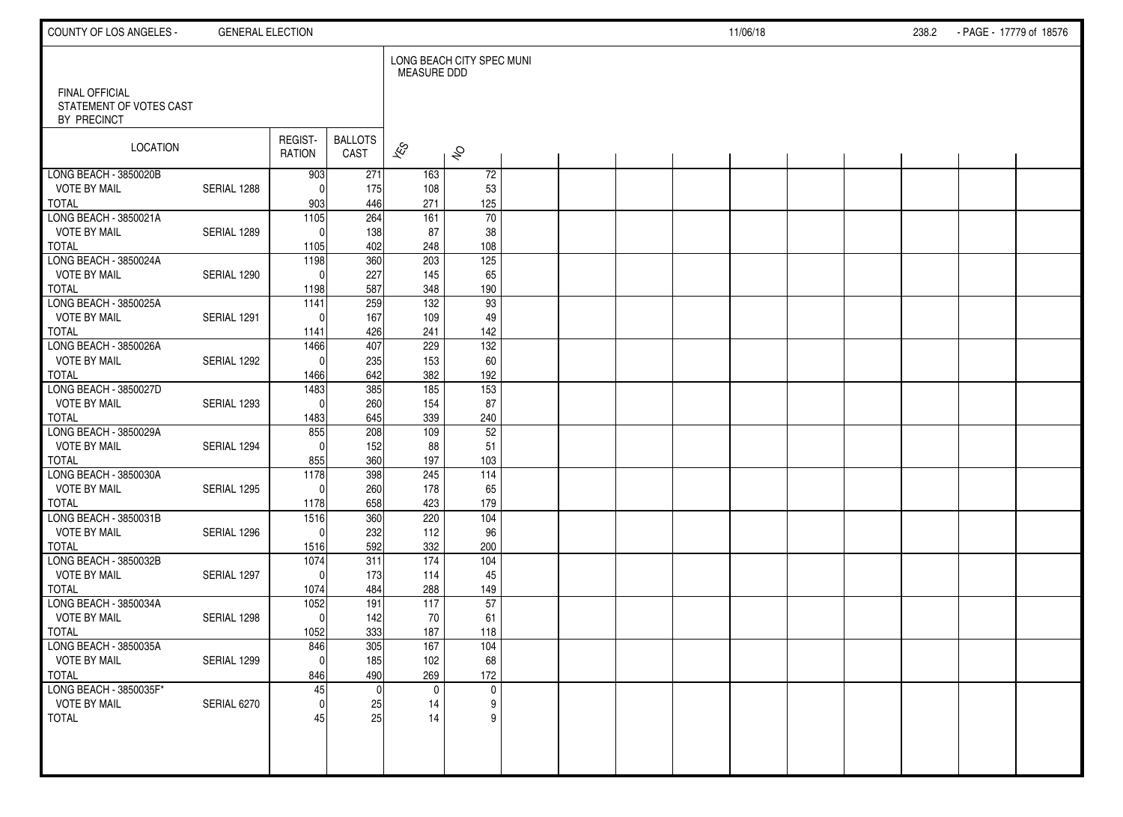| COUNTY OF LOS ANGELES -                                         | <b>GENERAL ELECTION</b> |                   |                        |                          |                           |  |  | 11/06/18 |  | 238.2 | - PAGE - 17779 of 18576 |  |
|-----------------------------------------------------------------|-------------------------|-------------------|------------------------|--------------------------|---------------------------|--|--|----------|--|-------|-------------------------|--|
|                                                                 |                         |                   |                        | <b>MEASURE DDD</b>       | LONG BEACH CITY SPEC MUNI |  |  |          |  |       |                         |  |
| <b>FINAL OFFICIAL</b><br>STATEMENT OF VOTES CAST<br>BY PRECINCT |                         |                   |                        |                          |                           |  |  |          |  |       |                         |  |
| LOCATION                                                        |                         | REGIST-<br>RATION | <b>BALLOTS</b><br>CAST | $\overline{\mathscr{E}}$ | $\hat{\mathcal{S}}$       |  |  |          |  |       |                         |  |
| LONG BEACH - 3850020B                                           |                         | 903               | 271                    | 163                      | 72                        |  |  |          |  |       |                         |  |
| <b>VOTE BY MAIL</b>                                             | SERIAL 1288             | $\Omega$          | 175                    | 108                      | 53                        |  |  |          |  |       |                         |  |
| <b>TOTAL</b><br>LONG BEACH - 3850021A                           |                         | 903<br>1105       | 446<br>264             | 271<br>161               | 125<br>70                 |  |  |          |  |       |                         |  |
| <b>VOTE BY MAIL</b>                                             | SERIAL 1289             | $\Omega$          | 138                    | 87                       | 38                        |  |  |          |  |       |                         |  |
| <b>TOTAL</b>                                                    |                         | 1105              | 402                    | 248                      | 108                       |  |  |          |  |       |                         |  |
| LONG BEACH - 3850024A                                           |                         | 1198              | 360                    | 203                      | $\overline{125}$          |  |  |          |  |       |                         |  |
| <b>VOTE BY MAIL</b>                                             | SERIAL 1290             | $\Omega$          | 227                    | 145                      | 65                        |  |  |          |  |       |                         |  |
| <b>TOTAL</b>                                                    |                         | 1198              | 587                    | 348                      | 190                       |  |  |          |  |       |                         |  |
| LONG BEACH - 3850025A                                           |                         | 1141              | 259                    | $\overline{132}$         | 93                        |  |  |          |  |       |                         |  |
| <b>VOTE BY MAIL</b>                                             | SERIAL 1291             | $\Omega$          | 167                    | 109                      | 49                        |  |  |          |  |       |                         |  |
| <b>TOTAL</b>                                                    |                         | 1141              | 426                    | 241                      | 142                       |  |  |          |  |       |                         |  |
| LONG BEACH - 3850026A                                           |                         | 1466              | 407                    | 229                      | $\overline{132}$          |  |  |          |  |       |                         |  |
| <b>VOTE BY MAIL</b><br><b>TOTAL</b>                             | SERIAL 1292             | $\Omega$          | 235<br>642             | 153<br>382               | 60<br>192                 |  |  |          |  |       |                         |  |
| LONG BEACH - 3850027D                                           |                         | 1466<br>1483      | 385                    | 185                      | $\frac{153}{ }$           |  |  |          |  |       |                         |  |
| <b>VOTE BY MAIL</b>                                             | SERIAL 1293             | $\Omega$          | 260                    | 154                      | 87                        |  |  |          |  |       |                         |  |
| <b>TOTAL</b>                                                    |                         | 1483              | 645                    | 339                      | 240                       |  |  |          |  |       |                         |  |
| LONG BEACH - 3850029A                                           |                         | 855               | 208                    | 109                      | 52                        |  |  |          |  |       |                         |  |
| <b>VOTE BY MAIL</b>                                             | SERIAL 1294             | $\Omega$          | 152                    | 88                       | 51                        |  |  |          |  |       |                         |  |
| <b>TOTAL</b>                                                    |                         | 855               | 360                    | 197                      | 103                       |  |  |          |  |       |                         |  |
| LONG BEACH - 3850030A                                           |                         | 1178              | 398                    | 245                      | 114                       |  |  |          |  |       |                         |  |
| <b>VOTE BY MAIL</b>                                             | SERIAL 1295             | $\Omega$          | 260                    | 178                      | 65                        |  |  |          |  |       |                         |  |
| <b>TOTAL</b>                                                    |                         | 1178              | 658                    | 423                      | 179                       |  |  |          |  |       |                         |  |
| LONG BEACH - 3850031B                                           |                         | 1516              | 360                    | 220                      | 104                       |  |  |          |  |       |                         |  |
| <b>VOTE BY MAIL</b>                                             | SERIAL 1296             | $\Omega$          | 232                    | 112                      | 96                        |  |  |          |  |       |                         |  |
| <b>TOTAL</b><br>LONG BEACH - 3850032B                           |                         | 1516<br>1074      | 592<br>311             | 332<br>174               | 200<br>104                |  |  |          |  |       |                         |  |
| <b>VOTE BY MAIL</b>                                             | SERIAL 1297             | $\Omega$          | 173                    | 114                      | 45                        |  |  |          |  |       |                         |  |
| <b>TOTAL</b>                                                    |                         | 1074              | 484                    | 288                      | 149                       |  |  |          |  |       |                         |  |
| LONG BEACH - 3850034A                                           |                         | 1052              | 191                    | 117                      | 57                        |  |  |          |  |       |                         |  |
| <b>VOTE BY MAIL</b>                                             | SERIAL 1298             | 0                 | 142                    | 70                       | 61                        |  |  |          |  |       |                         |  |
| <b>TOTAL</b>                                                    |                         | 1052              | 333                    | 187                      | 118                       |  |  |          |  |       |                         |  |
| LONG BEACH - 3850035A                                           |                         | 846               | 305                    | 167                      | 104                       |  |  |          |  |       |                         |  |
| <b>VOTE BY MAIL</b>                                             | SERIAL 1299             | 0                 | 185                    | 102                      | 68                        |  |  |          |  |       |                         |  |
| <b>TOTAL</b>                                                    |                         | 846               | 490                    | 269                      | 172                       |  |  |          |  |       |                         |  |
| LONG BEACH - 3850035F*                                          |                         | 45                |                        | $\mathbf 0$              | $\mathsf{O}$              |  |  |          |  |       |                         |  |
| <b>VOTE BY MAIL</b>                                             | SERIAL 6270             | $\overline{0}$    | 25                     | 14                       | 9                         |  |  |          |  |       |                         |  |
| <b>TOTAL</b>                                                    |                         | 45                | 25                     | 14                       | 9                         |  |  |          |  |       |                         |  |
|                                                                 |                         |                   |                        |                          |                           |  |  |          |  |       |                         |  |
|                                                                 |                         |                   |                        |                          |                           |  |  |          |  |       |                         |  |
|                                                                 |                         |                   |                        |                          |                           |  |  |          |  |       |                         |  |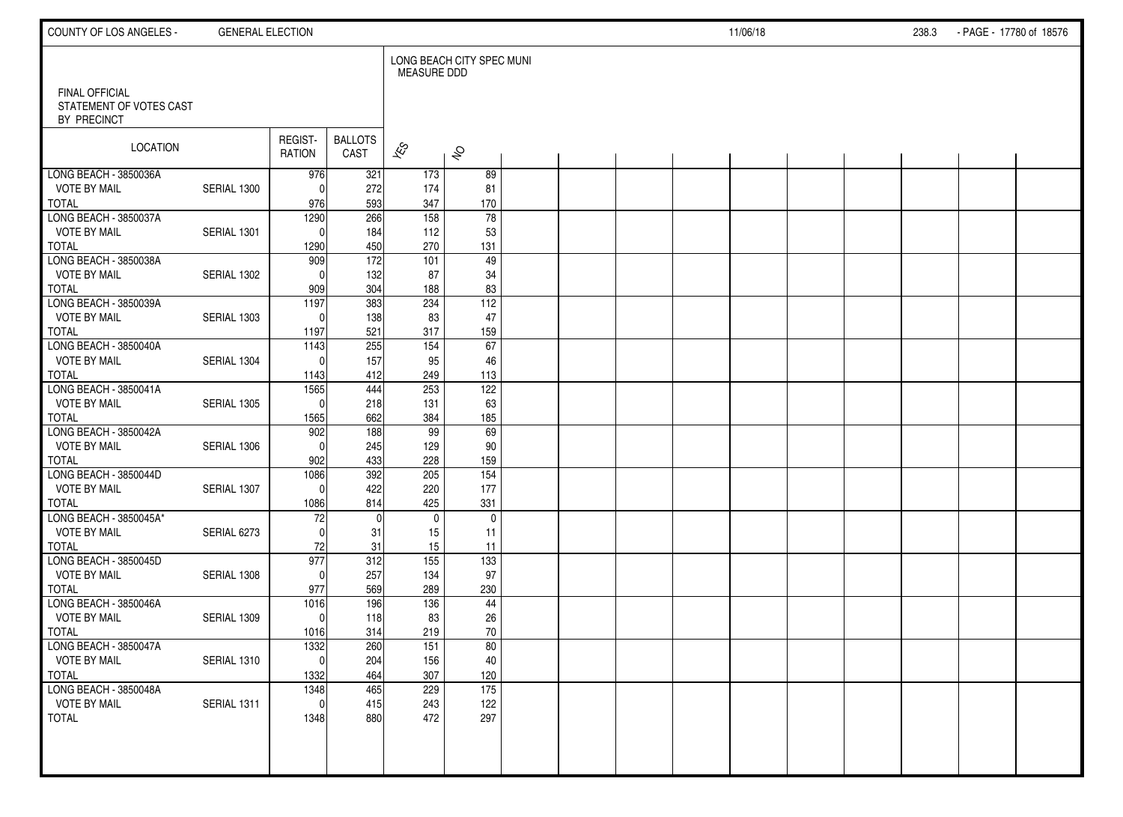| COUNTY OF LOS ANGELES -                                         | <b>GENERAL ELECTION</b> |                   |                        |                    |                           |  |  | 11/06/18 |  | 238.3 | - PAGE - 17780 of 18576 |  |
|-----------------------------------------------------------------|-------------------------|-------------------|------------------------|--------------------|---------------------------|--|--|----------|--|-------|-------------------------|--|
|                                                                 |                         |                   |                        | <b>MEASURE DDD</b> | LONG BEACH CITY SPEC MUNI |  |  |          |  |       |                         |  |
| <b>FINAL OFFICIAL</b><br>STATEMENT OF VOTES CAST<br>BY PRECINCT |                         |                   |                        |                    |                           |  |  |          |  |       |                         |  |
| LOCATION                                                        |                         | REGIST-<br>RATION | <b>BALLOTS</b><br>CAST | $\approx$          | $\hat{\mathcal{S}}$       |  |  |          |  |       |                         |  |
| LONG BEACH - 3850036A                                           |                         | 976               | 321                    | 173                | 89                        |  |  |          |  |       |                         |  |
| <b>VOTE BY MAIL</b>                                             | SERIAL 1300             | $\Omega$          | 272                    | 174                | 81                        |  |  |          |  |       |                         |  |
| <b>TOTAL</b>                                                    |                         | 976               | 593                    | 347                | 170                       |  |  |          |  |       |                         |  |
| LONG BEACH - 3850037A<br><b>VOTE BY MAIL</b>                    | SERIAL 1301             | 1290<br>$\Omega$  | 266                    | 158                | 78                        |  |  |          |  |       |                         |  |
| <b>TOTAL</b>                                                    |                         | 1290              | 184<br>450             | 112<br>270         | 53<br>131                 |  |  |          |  |       |                         |  |
| LONG BEACH - 3850038A                                           |                         | 909               | 172                    | 101                | 49                        |  |  |          |  |       |                         |  |
| <b>VOTE BY MAIL</b>                                             | SERIAL 1302             | $\Omega$          | 132                    | 87                 | 34                        |  |  |          |  |       |                         |  |
| <b>TOTAL</b>                                                    |                         | 909               | 304                    | 188                | 83                        |  |  |          |  |       |                         |  |
| LONG BEACH - 3850039A                                           |                         | 1197              | 383                    | 234                | $\overline{112}$          |  |  |          |  |       |                         |  |
| <b>VOTE BY MAIL</b>                                             | SERIAL 1303             | $\Omega$          | 138                    | 83                 | 47                        |  |  |          |  |       |                         |  |
| <b>TOTAL</b>                                                    |                         | 1197              | 521                    | 317                | 159                       |  |  |          |  |       |                         |  |
| LONG BEACH - 3850040A                                           |                         | 1143              | 255                    | 154                | 67                        |  |  |          |  |       |                         |  |
| <b>VOTE BY MAIL</b>                                             | SERIAL 1304             | $\Omega$          | 157                    | 95                 | 46                        |  |  |          |  |       |                         |  |
| <b>TOTAL</b>                                                    |                         | 1143              | 412                    | 249                | 113                       |  |  |          |  |       |                         |  |
| LONG BEACH - 3850041A<br><b>VOTE BY MAIL</b>                    | SERIAL 1305             | 1565<br>$\Omega$  | 444                    | 253                | 122<br>63                 |  |  |          |  |       |                         |  |
| <b>TOTAL</b>                                                    |                         | 1565              | 218<br>662             | 131<br>384         | 185                       |  |  |          |  |       |                         |  |
| LONG BEACH - 3850042A                                           |                         | 902               | 188                    | 99                 | $\overline{69}$           |  |  |          |  |       |                         |  |
| <b>VOTE BY MAIL</b>                                             | SERIAL 1306             | $\Omega$          | 245                    | 129                | 90                        |  |  |          |  |       |                         |  |
| <b>TOTAL</b>                                                    |                         | 902               | 433                    | 228                | 159                       |  |  |          |  |       |                         |  |
| LONG BEACH - 3850044D                                           |                         | 1086              | 392                    | 205                | $\overline{154}$          |  |  |          |  |       |                         |  |
| <b>VOTE BY MAIL</b>                                             | SERIAL 1307             | $\Omega$          | 422                    | 220                | 177                       |  |  |          |  |       |                         |  |
| <b>TOTAL</b>                                                    |                         | 1086              | 814                    | 425                | 331                       |  |  |          |  |       |                         |  |
| LONG BEACH - 3850045A*                                          |                         | 72                | $\mathbf 0$            | $\mathbf{0}$       | $\mathbf 0$               |  |  |          |  |       |                         |  |
| <b>VOTE BY MAIL</b>                                             | SERIAL 6273             | $\Omega$          | 31                     | 15                 | 11                        |  |  |          |  |       |                         |  |
| <b>TOTAL</b>                                                    |                         | 72                | 31                     | 15                 | 11                        |  |  |          |  |       |                         |  |
| LONG BEACH - 3850045D<br><b>VOTE BY MAIL</b>                    | SERIAL 1308             | 977<br>$\Omega$   | 312<br>257             | 155                | 133<br>97                 |  |  |          |  |       |                         |  |
| <b>TOTAL</b>                                                    |                         | 977               | 569                    | 134<br>289         | 230                       |  |  |          |  |       |                         |  |
| LONG BEACH - 3850046A                                           |                         | 1016              | 196                    | 136                | 44                        |  |  |          |  |       |                         |  |
| <b>VOTE BY MAIL</b>                                             | SERIAL 1309             | $\mathbf 0$       | 118                    | 83                 | 26                        |  |  |          |  |       |                         |  |
| <b>TOTAL</b>                                                    |                         | 1016              | 314                    | 219                | 70                        |  |  |          |  |       |                         |  |
| LONG BEACH - 3850047A                                           |                         | 1332              | 260                    | 151                | 80                        |  |  |          |  |       |                         |  |
| <b>VOTE BY MAIL</b>                                             | SERIAL 1310             | 0                 | 204                    | 156                | $40\,$                    |  |  |          |  |       |                         |  |
| <b>TOTAL</b>                                                    |                         | 1332              | 464                    | 307                | 120                       |  |  |          |  |       |                         |  |
| LONG BEACH - 3850048A                                           |                         | 1348              | 465                    | 229                | $\overline{175}$          |  |  |          |  |       |                         |  |
| <b>VOTE BY MAIL</b>                                             | SERIAL 1311             | $\mathbf 0$       | 415                    | 243                | 122                       |  |  |          |  |       |                         |  |
| <b>TOTAL</b>                                                    |                         | 1348              | 880                    | 472                | 297                       |  |  |          |  |       |                         |  |
|                                                                 |                         |                   |                        |                    |                           |  |  |          |  |       |                         |  |
|                                                                 |                         |                   |                        |                    |                           |  |  |          |  |       |                         |  |
|                                                                 |                         |                   |                        |                    |                           |  |  |          |  |       |                         |  |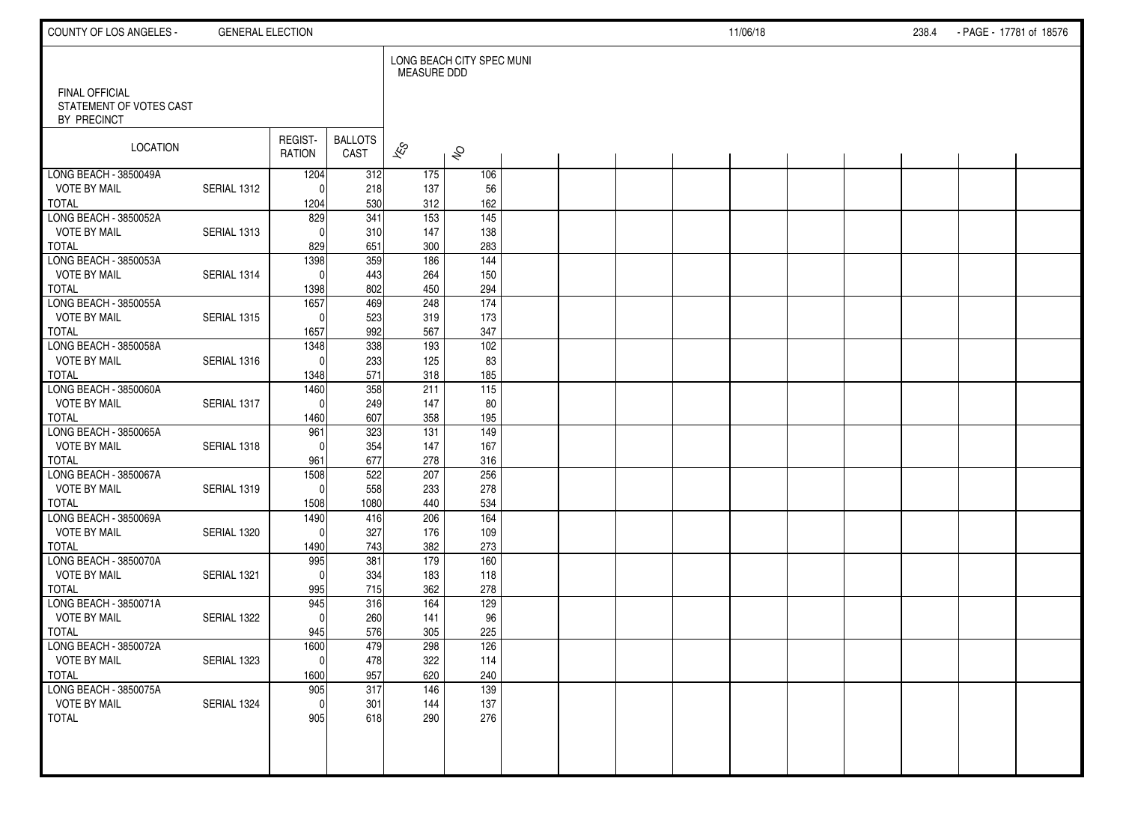| COUNTY OF LOS ANGELES -                                         | <b>GENERAL ELECTION</b> |                          |                                |                               |                                 |  |  | 11/06/18 |  | 238.4 | - PAGE - 17781 of 18576 |  |
|-----------------------------------------------------------------|-------------------------|--------------------------|--------------------------------|-------------------------------|---------------------------------|--|--|----------|--|-------|-------------------------|--|
| <b>FINAL OFFICIAL</b><br>STATEMENT OF VOTES CAST<br>BY PRECINCT |                         |                          |                                | <b>MEASURE DDD</b>            | LONG BEACH CITY SPEC MUNI       |  |  |          |  |       |                         |  |
| LOCATION                                                        |                         | REGIST-<br>RATION        | <b>BALLOTS</b><br>CAST         | $\overline{\mathscr{E}}$      | $\hat{\mathcal{S}}$             |  |  |          |  |       |                         |  |
| LONG BEACH - 3850049A<br><b>VOTE BY MAIL</b><br><b>TOTAL</b>    | SERIAL 1312             | 1204<br>$\Omega$<br>1204 | 312<br>218<br>530              | 175<br>137<br>312             | 106<br>56<br>162                |  |  |          |  |       |                         |  |
| LONG BEACH - 3850052A<br><b>VOTE BY MAIL</b><br><b>TOTAL</b>    | SERIAL 1313             | 829<br>$\Omega$<br>829   | $\overline{341}$<br>310<br>651 | $\frac{1}{153}$<br>147<br>300 | $\frac{145}{145}$<br>138<br>283 |  |  |          |  |       |                         |  |
| LONG BEACH - 3850053A<br><b>VOTE BY MAIL</b><br><b>TOTAL</b>    | SERIAL 1314             | 1398<br>$\Omega$<br>1398 | 359<br>443<br>802              | 186<br>264<br>450             | $\overline{144}$<br>150<br>294  |  |  |          |  |       |                         |  |
| LONG BEACH - 3850055A<br><b>VOTE BY MAIL</b><br><b>TOTAL</b>    | SERIAL 1315             | 1657<br>$\Omega$<br>1657 | 469<br>523<br>992              | 248<br>319<br>567             | 174<br>173<br>347               |  |  |          |  |       |                         |  |
| LONG BEACH - 3850058A<br><b>VOTE BY MAIL</b><br><b>TOTAL</b>    | SERIAL 1316             | 1348<br>$\Omega$<br>1348 | 338<br>233<br>571              | 193<br>125<br>318             | 102<br>83<br>185                |  |  |          |  |       |                         |  |
| LONG BEACH - 3850060A<br><b>VOTE BY MAIL</b><br><b>TOTAL</b>    | SERIAL 1317             | 1460<br>$\Omega$<br>1460 | 358<br>249<br>607              | 211<br>147<br>358             | 115<br>80<br>195                |  |  |          |  |       |                         |  |
| LONG BEACH - 3850065A<br><b>VOTE BY MAIL</b><br><b>TOTAL</b>    | SERIAL 1318             | 961<br>$\Omega$<br>961   | 323<br>354<br>677              | 131<br>147<br>278             | 149<br>167<br>316               |  |  |          |  |       |                         |  |
| LONG BEACH - 3850067A<br><b>VOTE BY MAIL</b><br><b>TOTAL</b>    | SERIAL 1319             | 1508<br>$\Omega$<br>1508 | 522<br>558<br>1080             | 207<br>233<br>440             | 256<br>278<br>534               |  |  |          |  |       |                         |  |
| LONG BEACH - 3850069A<br><b>VOTE BY MAIL</b><br><b>TOTAL</b>    | SERIAL 1320             | 1490<br>$\Omega$<br>1490 | 416<br>327<br>743              | 206<br>176<br>382             | 164<br>109<br>273               |  |  |          |  |       |                         |  |
| LONG BEACH - 3850070A<br><b>VOTE BY MAIL</b><br><b>TOTAL</b>    | SERIAL 1321             | 995<br>$\Omega$<br>995   | 381<br>334<br>715              | 179<br>183<br>362             | 160<br>118<br>278               |  |  |          |  |       |                         |  |
| LONG BEACH - 3850071A<br><b>VOTE BY MAIL</b><br><b>TOTAL</b>    | SERIAL 1322             | 945<br>$\Omega$<br>945   | 316<br>260<br>576              | 164<br>141<br>305             | 129<br>96<br>225                |  |  |          |  |       |                         |  |
| LONG BEACH - 3850072A<br><b>VOTE BY MAIL</b><br><b>TOTAL</b>    | SERIAL 1323             | 1600<br> 0 <br>1600      | 479<br>478<br>957              | 298<br>322<br>620             | 126<br>114<br>240               |  |  |          |  |       |                         |  |
| LONG BEACH - 3850075A<br><b>VOTE BY MAIL</b><br><b>TOTAL</b>    | SERIAL 1324             | 905<br> 0 <br>905        | 317<br>301<br>618              | 146<br>144<br>290             | 139<br>137<br>276               |  |  |          |  |       |                         |  |
|                                                                 |                         |                          |                                |                               |                                 |  |  |          |  |       |                         |  |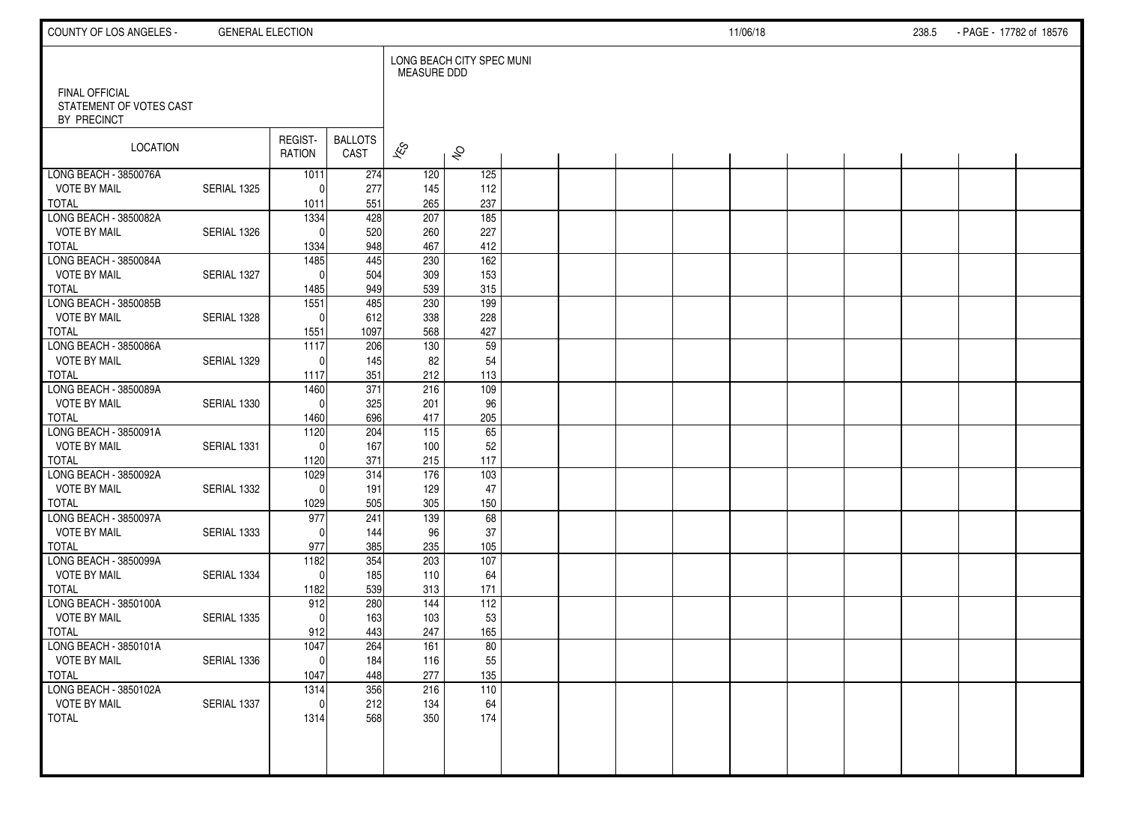| COUNTY OF LOS ANGELES -                                  | <b>GENERAL ELECTION</b> |                   |                        |                          |                           |  |  | 11/06/18 |  | 238.5 | - PAGE - 17782 of 18576 |  |
|----------------------------------------------------------|-------------------------|-------------------|------------------------|--------------------------|---------------------------|--|--|----------|--|-------|-------------------------|--|
|                                                          |                         |                   |                        | <b>MEASURE DDD</b>       | LONG BEACH CITY SPEC MUNI |  |  |          |  |       |                         |  |
| FINAL OFFICIAL<br>STATEMENT OF VOTES CAST<br>BY PRECINCT |                         |                   |                        |                          |                           |  |  |          |  |       |                         |  |
| LOCATION                                                 |                         | REGIST-<br>RATION | <b>BALLOTS</b><br>CAST | $\overline{\mathscr{K}}$ | $\hat{\mathcal{S}}$       |  |  |          |  |       |                         |  |
| LONG BEACH - 3850076A                                    |                         | 1011              | 274                    | 120                      | 125                       |  |  |          |  |       |                         |  |
| <b>VOTE BY MAIL</b><br><b>TOTAL</b>                      | SERIAL 1325             | $\Omega$<br>1011  | 277<br>551             | 145<br>265               | 112<br>237                |  |  |          |  |       |                         |  |
| LONG BEACH - 3850082A                                    |                         | 1334              | 428                    | 207                      | $\frac{1}{185}$           |  |  |          |  |       |                         |  |
| <b>VOTE BY MAIL</b>                                      | SERIAL 1326             | $\Omega$          | 520                    | 260                      | 227                       |  |  |          |  |       |                         |  |
| <b>TOTAL</b>                                             |                         | 1334              | 948                    | 467                      | 412                       |  |  |          |  |       |                         |  |
| LONG BEACH - 3850084A                                    |                         | 1485              | 445                    | 230                      | 162                       |  |  |          |  |       |                         |  |
| <b>VOTE BY MAIL</b>                                      | SERIAL 1327             | $\Omega$          | 504                    | 309                      | 153                       |  |  |          |  |       |                         |  |
| <b>TOTAL</b>                                             |                         | 1485              | 949                    | 539                      | 315                       |  |  |          |  |       |                         |  |
| LONG BEACH - 3850085B                                    |                         | 1551              | 485                    | 230                      | 199                       |  |  |          |  |       |                         |  |
| <b>VOTE BY MAIL</b>                                      | SERIAL 1328             | $\mathbf{0}$      | 612                    | 338                      | 228                       |  |  |          |  |       |                         |  |
| <b>TOTAL</b><br>LONG BEACH - 3850086A                    |                         | 1551<br>1117      | 1097<br>206            | 568<br>130               | 427<br>59                 |  |  |          |  |       |                         |  |
| <b>VOTE BY MAIL</b>                                      | SERIAL 1329             | $\Omega$          | 145                    | 82                       | 54                        |  |  |          |  |       |                         |  |
| <b>TOTAL</b>                                             |                         | 1117              | 351                    | 212                      | 113                       |  |  |          |  |       |                         |  |
| LONG BEACH - 3850089A                                    |                         | 1460              | $\overline{371}$       | 216                      | 109                       |  |  |          |  |       |                         |  |
| <b>VOTE BY MAIL</b>                                      | SERIAL 1330             | $\mathbf{0}$      | 325                    | 201                      | 96                        |  |  |          |  |       |                         |  |
| <b>TOTAL</b>                                             |                         | 1460              | 696                    | 417                      | 205                       |  |  |          |  |       |                         |  |
| LONG BEACH - 3850091A                                    |                         | $\frac{1120}{ }$  | 204                    | 115                      | 65                        |  |  |          |  |       |                         |  |
| <b>VOTE BY MAIL</b>                                      | SERIAL 1331             | $\Omega$          | 167                    | 100                      | 52                        |  |  |          |  |       |                         |  |
| <b>TOTAL</b>                                             |                         | 1120              | 371                    | 215                      | 117                       |  |  |          |  |       |                         |  |
| LONG BEACH - 3850092A                                    |                         | 1029              | 314                    | 176                      | $\frac{103}{2}$           |  |  |          |  |       |                         |  |
| <b>VOTE BY MAIL</b>                                      | SERIAL 1332             | $\Omega$          | 191                    | 129                      | 47                        |  |  |          |  |       |                         |  |
| <b>TOTAL</b><br>LONG BEACH - 3850097A                    |                         | 1029<br>977       | 505<br>241             | 305<br>139               | 150<br>68                 |  |  |          |  |       |                         |  |
| <b>VOTE BY MAIL</b>                                      | SERIAL 1333             | $\Omega$          | 144                    | 96                       | 37                        |  |  |          |  |       |                         |  |
| <b>TOTAL</b>                                             |                         | 977               | 385                    | 235                      | 105                       |  |  |          |  |       |                         |  |
| LONG BEACH - 3850099A                                    |                         | 1182              | 354                    | 203                      | 107                       |  |  |          |  |       |                         |  |
| <b>VOTE BY MAIL</b>                                      | SERIAL 1334             | $\mathbf{0}$      | 185                    | 110                      | 64                        |  |  |          |  |       |                         |  |
| <b>TOTAL</b>                                             |                         | 1182              | 539                    | 313                      | 171                       |  |  |          |  |       |                         |  |
| LONG BEACH - 3850100A                                    |                         | 912               | 280                    | 144                      | 112                       |  |  |          |  |       |                         |  |
| <b>VOTE BY MAIL</b>                                      | SERIAL 1335             | $\Omega$          | 163                    | 103                      | 53                        |  |  |          |  |       |                         |  |
| <b>TOTAL</b>                                             |                         | 912               | 443                    | 247                      | 165                       |  |  |          |  |       |                         |  |
| LONG BEACH - 3850101A                                    |                         | 1047              | 264                    | 161                      | 80                        |  |  |          |  |       |                         |  |
| <b>VOTE BY MAIL</b><br><b>TOTAL</b>                      | SERIAL 1336             | $\pmb{0}$<br>1047 | 184<br>448             | 116<br>277               | 55<br>135                 |  |  |          |  |       |                         |  |
| LONG BEACH - 3850102A                                    |                         | 1314              | 356                    | 216                      | 110                       |  |  |          |  |       |                         |  |
| <b>VOTE BY MAIL</b>                                      | SERIAL 1337             | $\mathbf 0$       | 212                    | 134                      | 64                        |  |  |          |  |       |                         |  |
| <b>TOTAL</b>                                             |                         | 1314              | 568                    | 350                      | 174                       |  |  |          |  |       |                         |  |
|                                                          |                         |                   |                        |                          |                           |  |  |          |  |       |                         |  |
|                                                          |                         |                   |                        |                          |                           |  |  |          |  |       |                         |  |
|                                                          |                         |                   |                        |                          |                           |  |  |          |  |       |                         |  |
|                                                          |                         |                   |                        |                          |                           |  |  |          |  |       |                         |  |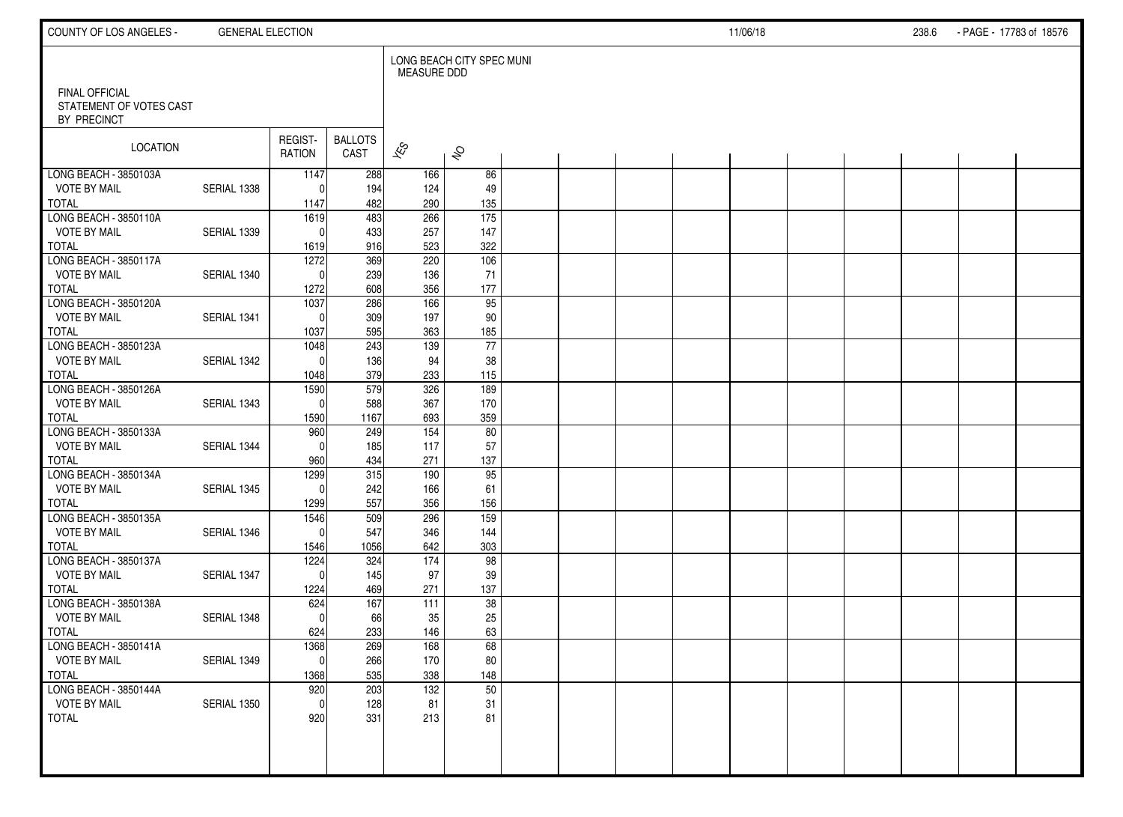| COUNTY OF LOS ANGELES -                                         | <b>GENERAL ELECTION</b> |                   |                        |                    |                           |  |  | 11/06/18 |  | 238.6 | - PAGE - 17783 of 18576 |  |
|-----------------------------------------------------------------|-------------------------|-------------------|------------------------|--------------------|---------------------------|--|--|----------|--|-------|-------------------------|--|
|                                                                 |                         |                   |                        | <b>MEASURE DDD</b> | LONG BEACH CITY SPEC MUNI |  |  |          |  |       |                         |  |
| <b>FINAL OFFICIAL</b><br>STATEMENT OF VOTES CAST<br>BY PRECINCT |                         |                   |                        |                    |                           |  |  |          |  |       |                         |  |
| LOCATION                                                        |                         | REGIST-<br>RATION | <b>BALLOTS</b><br>CAST | $\approx$          | $\hat{\mathcal{S}}$       |  |  |          |  |       |                         |  |
| LONG BEACH - 3850103A                                           |                         | 1147              | 288                    | 166                | 86                        |  |  |          |  |       |                         |  |
| <b>VOTE BY MAIL</b>                                             | SERIAL 1338             | $\Omega$          | 194                    | 124                | 49                        |  |  |          |  |       |                         |  |
| <b>TOTAL</b>                                                    |                         | 1147              | 482                    | 290                | 135                       |  |  |          |  |       |                         |  |
| LONG BEACH - 3850110A<br><b>VOTE BY MAIL</b>                    | SERIAL 1339             | 1619<br>$\Omega$  | 483                    | 266                | 175<br>147                |  |  |          |  |       |                         |  |
| <b>TOTAL</b>                                                    |                         | 1619              | 433<br>916             | 257<br>523         | 322                       |  |  |          |  |       |                         |  |
| LONG BEACH - 3850117A                                           |                         | 1272              | 369                    | 220                | 106                       |  |  |          |  |       |                         |  |
| <b>VOTE BY MAIL</b>                                             | SERIAL 1340             | $\Omega$          | 239                    | 136                | 71                        |  |  |          |  |       |                         |  |
| <b>TOTAL</b>                                                    |                         | 1272              | 608                    | 356                | 177                       |  |  |          |  |       |                         |  |
| LONG BEACH - 3850120A                                           |                         | 1037              | 286                    | 166                | 95                        |  |  |          |  |       |                         |  |
| <b>VOTE BY MAIL</b>                                             | SERIAL 1341             | $\Omega$          | 309                    | 197                | 90                        |  |  |          |  |       |                         |  |
| <b>TOTAL</b>                                                    |                         | 1037              | 595                    | 363                | 185                       |  |  |          |  |       |                         |  |
| LONG BEACH - 3850123A                                           |                         | 1048              | 243                    | 139                | 77                        |  |  |          |  |       |                         |  |
| <b>VOTE BY MAIL</b>                                             | SERIAL 1342             | $\Omega$          | 136                    | 94                 | 38                        |  |  |          |  |       |                         |  |
| <b>TOTAL</b>                                                    |                         | 1048              | 379                    | 233                | 115                       |  |  |          |  |       |                         |  |
| LONG BEACH - 3850126A                                           |                         | 1590              | 579                    | 326                | 189                       |  |  |          |  |       |                         |  |
| <b>VOTE BY MAIL</b><br><b>TOTAL</b>                             | SERIAL 1343             | $\Omega$          | 588<br>1167            | 367<br>693         | 170<br>359                |  |  |          |  |       |                         |  |
| LONG BEACH - 3850133A                                           |                         | 1590<br>960       | 249                    | 154                | 80                        |  |  |          |  |       |                         |  |
| <b>VOTE BY MAIL</b>                                             | SERIAL 1344             | $\Omega$          | 185                    | 117                | 57                        |  |  |          |  |       |                         |  |
| <b>TOTAL</b>                                                    |                         | 960               | 434                    | 271                | 137                       |  |  |          |  |       |                         |  |
| LONG BEACH - 3850134A                                           |                         | 1299              | 315                    | 190                | 95                        |  |  |          |  |       |                         |  |
| <b>VOTE BY MAIL</b>                                             | SERIAL 1345             | $\Omega$          | 242                    | 166                | 61                        |  |  |          |  |       |                         |  |
| <b>TOTAL</b>                                                    |                         | 1299              | 557                    | 356                | 156                       |  |  |          |  |       |                         |  |
| LONG BEACH - 3850135A                                           |                         | 1546              | 509                    | 296                | 159                       |  |  |          |  |       |                         |  |
| <b>VOTE BY MAIL</b>                                             | SERIAL 1346             | $\Omega$          | 547                    | 346                | 144                       |  |  |          |  |       |                         |  |
| <b>TOTAL</b>                                                    |                         | 1546              | 1056                   | 642                | 303                       |  |  |          |  |       |                         |  |
| LONG BEACH - 3850137A                                           |                         | 1224              | 324                    | 174                | 98                        |  |  |          |  |       |                         |  |
| <b>VOTE BY MAIL</b>                                             | SERIAL 1347             | $\Omega$          | 145                    | 97                 | 39                        |  |  |          |  |       |                         |  |
| <b>TOTAL</b>                                                    |                         | 1224              | 469                    | 271                | 137<br>38                 |  |  |          |  |       |                         |  |
| LONG BEACH - 3850138A<br><b>VOTE BY MAIL</b>                    | SERIAL 1348             | 624<br>$\Omega$   | 167<br>66              | 111<br>35          | 25                        |  |  |          |  |       |                         |  |
| <b>TOTAL</b>                                                    |                         | 624               | 233                    | 146                | 63                        |  |  |          |  |       |                         |  |
| LONG BEACH - 3850141A                                           |                         | 1368              | 269                    | 168                | 68                        |  |  |          |  |       |                         |  |
| <b>VOTE BY MAIL</b>                                             | SERIAL 1349             | 0                 | 266                    | 170                | $80\,$                    |  |  |          |  |       |                         |  |
| <b>TOTAL</b>                                                    |                         | 1368              | 535                    | 338                | 148                       |  |  |          |  |       |                         |  |
| LONG BEACH - 3850144A                                           |                         | 920               | 203                    | $\overline{132}$   | 50                        |  |  |          |  |       |                         |  |
| <b>VOTE BY MAIL</b>                                             | SERIAL 1350             | $\mathbf 0$       | 128                    | 81                 | 31                        |  |  |          |  |       |                         |  |
| <b>TOTAL</b>                                                    |                         | 920               | 331                    | 213                | 81                        |  |  |          |  |       |                         |  |
|                                                                 |                         |                   |                        |                    |                           |  |  |          |  |       |                         |  |
|                                                                 |                         |                   |                        |                    |                           |  |  |          |  |       |                         |  |
|                                                                 |                         |                   |                        |                    |                           |  |  |          |  |       |                         |  |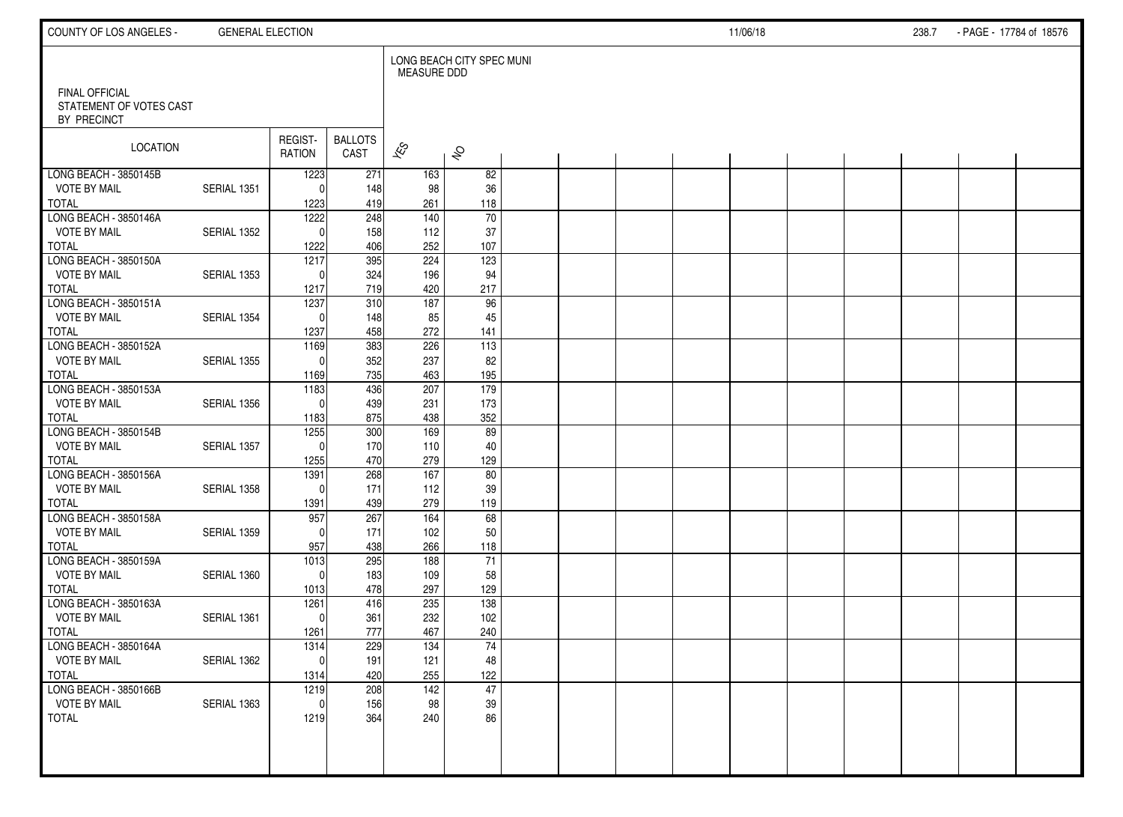| COUNTY OF LOS ANGELES -                                         | <b>GENERAL ELECTION</b> |                      |                        |                    |                           |  |  | 11/06/18 |  | 238.7 | - PAGE - 17784 of 18576 |  |
|-----------------------------------------------------------------|-------------------------|----------------------|------------------------|--------------------|---------------------------|--|--|----------|--|-------|-------------------------|--|
|                                                                 |                         |                      |                        | <b>MEASURE DDD</b> | LONG BEACH CITY SPEC MUNI |  |  |          |  |       |                         |  |
| <b>FINAL OFFICIAL</b><br>STATEMENT OF VOTES CAST<br>BY PRECINCT |                         |                      |                        |                    |                           |  |  |          |  |       |                         |  |
| LOCATION                                                        |                         | REGIST-<br>RATION    | <b>BALLOTS</b><br>CAST | $\mathbf{\hat{z}}$ | $\hat{\mathcal{S}}$       |  |  |          |  |       |                         |  |
| LONG BEACH - 3850145B                                           |                         | 1223                 | 271                    | 163                | 82                        |  |  |          |  |       |                         |  |
| <b>VOTE BY MAIL</b><br>TOTAL                                    | SERIAL 1351             | $\Omega$<br>1223     | 148<br>419             | 98<br>261          | 36<br>118                 |  |  |          |  |       |                         |  |
| LONG BEACH - 3850146A                                           |                         | 1222                 | 248                    | 140                | $\overline{70}$           |  |  |          |  |       |                         |  |
| <b>VOTE BY MAIL</b>                                             | SERIAL 1352             | $\Omega$             | 158                    | 112                | 37                        |  |  |          |  |       |                         |  |
| <b>TOTAL</b>                                                    |                         | 1222                 | 406                    | 252                | 107                       |  |  |          |  |       |                         |  |
| LONG BEACH - 3850150A                                           |                         | 1217                 | 395                    | 224                | 123                       |  |  |          |  |       |                         |  |
| <b>VOTE BY MAIL</b>                                             | SERIAL 1353             | $\Omega$             | 324                    | 196                | 94                        |  |  |          |  |       |                         |  |
| <b>TOTAL</b>                                                    |                         | 1217                 | 719                    | 420                | 217                       |  |  |          |  |       |                         |  |
| LONG BEACH - 3850151A                                           |                         | 1237                 | 310                    | 187                | 96                        |  |  |          |  |       |                         |  |
| <b>VOTE BY MAIL</b>                                             | SERIAL 1354             | $\Omega$             | 148                    | 85                 | 45                        |  |  |          |  |       |                         |  |
| <b>TOTAL</b><br>LONG BEACH - 3850152A                           |                         | 1237                 | 458<br>383             | 272<br>226         | 141<br>113                |  |  |          |  |       |                         |  |
| <b>VOTE BY MAIL</b>                                             | SERIAL 1355             | 1169<br>$\mathbf{0}$ | 352                    | 237                | 82                        |  |  |          |  |       |                         |  |
| <b>TOTAL</b>                                                    |                         | 1169                 | 735                    | 463                | 195                       |  |  |          |  |       |                         |  |
| LONG BEACH - 3850153A                                           |                         | 1183                 | 436                    | 207                | 179                       |  |  |          |  |       |                         |  |
| <b>VOTE BY MAIL</b>                                             | SERIAL 1356             | $\mathbf{0}$         | 439                    | 231                | 173                       |  |  |          |  |       |                         |  |
| <b>TOTAL</b>                                                    |                         | 1183                 | 875                    | 438                | 352                       |  |  |          |  |       |                         |  |
| LONG BEACH - 3850154B                                           |                         | 1255                 | 300                    | 169                | 89                        |  |  |          |  |       |                         |  |
| <b>VOTE BY MAIL</b>                                             | SERIAL 1357             | $\Omega$             | 170                    | 110                | 40                        |  |  |          |  |       |                         |  |
| <b>TOTAL</b>                                                    |                         | 1255                 | 470                    | 279                | 129                       |  |  |          |  |       |                         |  |
| LONG BEACH - 3850156A                                           |                         | 1391                 | 268                    | $\frac{167}{ }$    | 80                        |  |  |          |  |       |                         |  |
| <b>VOTE BY MAIL</b>                                             | SERIAL 1358             | $\Omega$             | 171                    | 112                | 39                        |  |  |          |  |       |                         |  |
| <b>TOTAL</b>                                                    |                         | 1391                 | 439                    | 279                | 119                       |  |  |          |  |       |                         |  |
| LONG BEACH - 3850158A<br><b>VOTE BY MAIL</b>                    | SERIAL 1359             | 957<br>$\Omega$      | 267<br>171             | 164<br>102         | 68                        |  |  |          |  |       |                         |  |
| <b>TOTAL</b>                                                    |                         | 957                  | 438                    | 266                | 50<br>118                 |  |  |          |  |       |                         |  |
| LONG BEACH - 3850159A                                           |                         | $\frac{1013}{2}$     | 295                    | 188                | 71                        |  |  |          |  |       |                         |  |
| <b>VOTE BY MAIL</b>                                             | SERIAL 1360             | $\Omega$             | 183                    | 109                | 58                        |  |  |          |  |       |                         |  |
| <b>TOTAL</b>                                                    |                         | 1013                 | 478                    | 297                | 129                       |  |  |          |  |       |                         |  |
| LONG BEACH - 3850163A                                           |                         | 1261                 | 416                    | 235                | 138                       |  |  |          |  |       |                         |  |
| <b>VOTE BY MAIL</b>                                             | SERIAL 1361             | $\mathbf{0}$         | 361                    | 232                | 102                       |  |  |          |  |       |                         |  |
| <b>TOTAL</b>                                                    |                         | 1261                 | 777                    | 467                | 240                       |  |  |          |  |       |                         |  |
| LONG BEACH - 3850164A                                           |                         | 1314                 | 229                    | 134                | 74                        |  |  |          |  |       |                         |  |
| <b>VOTE BY MAIL</b>                                             | SERIAL 1362             | 0                    | 191                    | 121                | 48                        |  |  |          |  |       |                         |  |
| TOTAL                                                           |                         | 1314                 | 420                    | 255                | 122                       |  |  |          |  |       |                         |  |
| LONG BEACH - 3850166B                                           |                         | 1219                 | 208                    | $\overline{142}$   | 47                        |  |  |          |  |       |                         |  |
| <b>VOTE BY MAIL</b>                                             | SERIAL 1363             | $\mathbf{0}$         | 156                    | 98                 | 39                        |  |  |          |  |       |                         |  |
| TOTAL                                                           |                         | 1219                 | 364                    | 240                | 86                        |  |  |          |  |       |                         |  |
|                                                                 |                         |                      |                        |                    |                           |  |  |          |  |       |                         |  |
|                                                                 |                         |                      |                        |                    |                           |  |  |          |  |       |                         |  |
|                                                                 |                         |                      |                        |                    |                           |  |  |          |  |       |                         |  |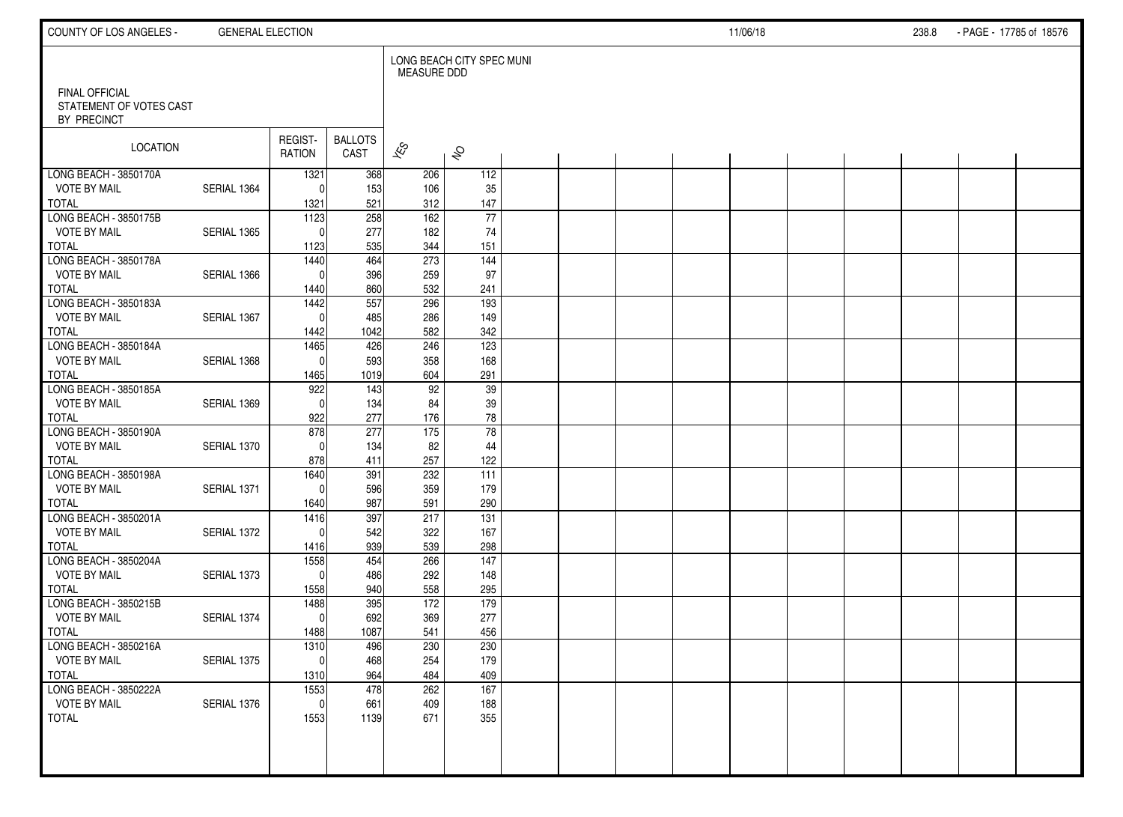| COUNTY OF LOS ANGELES -                                         | <b>GENERAL ELECTION</b> |                     |                        |                          |                           |  |  | 11/06/18 |  | 238.8 | - PAGE - 17785 of 18576 |  |
|-----------------------------------------------------------------|-------------------------|---------------------|------------------------|--------------------------|---------------------------|--|--|----------|--|-------|-------------------------|--|
|                                                                 |                         |                     |                        | <b>MEASURE DDD</b>       | LONG BEACH CITY SPEC MUNI |  |  |          |  |       |                         |  |
| <b>FINAL OFFICIAL</b><br>STATEMENT OF VOTES CAST<br>BY PRECINCT |                         |                     |                        |                          |                           |  |  |          |  |       |                         |  |
| LOCATION                                                        |                         | REGIST-<br>RATION   | <b>BALLOTS</b><br>CAST | $\overline{\mathscr{K}}$ | $\hat{\mathcal{S}}$       |  |  |          |  |       |                         |  |
| LONG BEACH - 3850170A                                           |                         | 1321                | 368                    | 206                      | 112                       |  |  |          |  |       |                         |  |
| <b>VOTE BY MAIL</b>                                             | SERIAL 1364             | $\Omega$            | 153                    | 106                      | 35                        |  |  |          |  |       |                         |  |
| TOTAL<br>LONG BEACH - 3850175B                                  |                         | 1321<br>1123        | 521<br>258             | 312<br>162               | 147<br>$\overline{77}$    |  |  |          |  |       |                         |  |
| <b>VOTE BY MAIL</b>                                             | SERIAL 1365             | $\Omega$            | 277                    | 182                      | 74                        |  |  |          |  |       |                         |  |
| <b>TOTAL</b>                                                    |                         | 1123                | 535                    | 344                      | 151                       |  |  |          |  |       |                         |  |
| LONG BEACH - 3850178A                                           |                         | 1440                | 464                    | 273                      | 144                       |  |  |          |  |       |                         |  |
| <b>VOTE BY MAIL</b>                                             | SERIAL 1366             | $\Omega$            | 396                    | 259                      | 97                        |  |  |          |  |       |                         |  |
| <b>TOTAL</b>                                                    |                         | 1440                | 860                    | 532                      | 241                       |  |  |          |  |       |                         |  |
| LONG BEACH - 3850183A                                           |                         | 1442                | 557                    | 296                      | 193                       |  |  |          |  |       |                         |  |
| <b>VOTE BY MAIL</b>                                             | SERIAL 1367             | $\mathbf{0}$        | 485                    | 286                      | 149                       |  |  |          |  |       |                         |  |
| <b>TOTAL</b>                                                    |                         | 1442                | 1042                   | 582                      | 342                       |  |  |          |  |       |                         |  |
| LONG BEACH - 3850184A                                           |                         | 1465                | 426                    | 246                      | 123                       |  |  |          |  |       |                         |  |
| <b>VOTE BY MAIL</b>                                             | SERIAL 1368             | $\mathbf{0}$        | 593                    | 358                      | 168                       |  |  |          |  |       |                         |  |
| <b>TOTAL</b>                                                    |                         | 1465                | 1019                   | 604                      | 291                       |  |  |          |  |       |                         |  |
| LONG BEACH - 3850185A<br><b>VOTE BY MAIL</b>                    | SERIAL 1369             | 922<br>$\mathbf{0}$ | 143<br>134             | 92<br>84                 | 39<br>39                  |  |  |          |  |       |                         |  |
| <b>TOTAL</b>                                                    |                         | 922                 | 277                    | 176                      | 78                        |  |  |          |  |       |                         |  |
| LONG BEACH - 3850190A                                           |                         | 878                 | 277                    | 175                      | $\overline{78}$           |  |  |          |  |       |                         |  |
| <b>VOTE BY MAIL</b>                                             | SERIAL 1370             | $\Omega$            | 134                    | 82                       | 44                        |  |  |          |  |       |                         |  |
| <b>TOTAL</b>                                                    |                         | 878                 | 411                    | 257                      | 122                       |  |  |          |  |       |                         |  |
| LONG BEACH - 3850198A                                           |                         | 1640                | 391                    | 232                      | 111                       |  |  |          |  |       |                         |  |
| <b>VOTE BY MAIL</b>                                             | SERIAL 1371             | $\Omega$            | 596                    | 359                      | 179                       |  |  |          |  |       |                         |  |
| <b>TOTAL</b>                                                    |                         | 1640                | 987                    | 591                      | 290                       |  |  |          |  |       |                         |  |
| LONG BEACH - 3850201A                                           |                         | 1416                | 397                    | 217                      | $\overline{131}$          |  |  |          |  |       |                         |  |
| <b>VOTE BY MAIL</b>                                             | SERIAL 1372             | $\Omega$            | 542                    | 322                      | 167                       |  |  |          |  |       |                         |  |
| <b>TOTAL</b>                                                    |                         | 1416                | 939                    | 539                      | 298                       |  |  |          |  |       |                         |  |
| LONG BEACH - 3850204A                                           |                         | 1558                | 454                    | 266                      | $\overline{147}$          |  |  |          |  |       |                         |  |
| <b>VOTE BY MAIL</b><br><b>TOTAL</b>                             | SERIAL 1373             | $\Omega$            | 486                    | 292                      | 148                       |  |  |          |  |       |                         |  |
| LONG BEACH - 3850215B                                           |                         | 1558<br>1488        | 940<br>395             | 558<br>172               | 295<br>179                |  |  |          |  |       |                         |  |
| <b>VOTE BY MAIL</b>                                             | SERIAL 1374             | $\mathbf 0$         | 692                    | 369                      | 277                       |  |  |          |  |       |                         |  |
| <b>TOTAL</b>                                                    |                         | 1488                | 1087                   | 541                      | 456                       |  |  |          |  |       |                         |  |
| LONG BEACH - 3850216A                                           |                         | 1310                | 496                    | 230                      | 230                       |  |  |          |  |       |                         |  |
| <b>VOTE BY MAIL</b>                                             | SERIAL 1375             | 0                   | 468                    | 254                      | 179                       |  |  |          |  |       |                         |  |
| TOTAL                                                           |                         | 1310                | 964                    | 484                      | 409                       |  |  |          |  |       |                         |  |
| LONG BEACH - 3850222A                                           |                         | 1553                | 478                    | 262                      | $\overline{167}$          |  |  |          |  |       |                         |  |
| <b>VOTE BY MAIL</b>                                             | SERIAL 1376             | $\mathbf{0}$        | 661                    | 409                      | 188                       |  |  |          |  |       |                         |  |
| <b>TOTAL</b>                                                    |                         | 1553                | 1139                   | 671                      | 355                       |  |  |          |  |       |                         |  |
|                                                                 |                         |                     |                        |                          |                           |  |  |          |  |       |                         |  |
|                                                                 |                         |                     |                        |                          |                           |  |  |          |  |       |                         |  |
|                                                                 |                         |                     |                        |                          |                           |  |  |          |  |       |                         |  |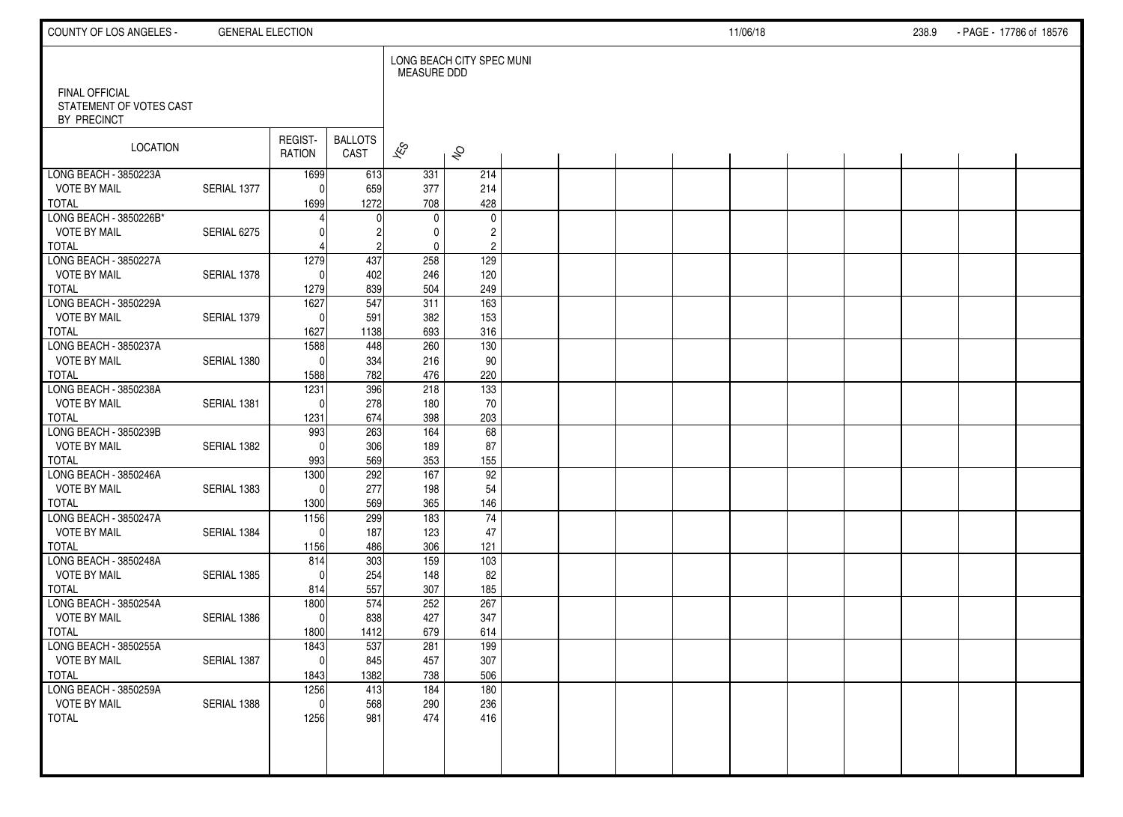| COUNTY OF LOS ANGELES -                       | <b>GENERAL ELECTION</b> |                          |                        |                             |                                           |  |  | 11/06/18 |  | 238.9 | - PAGE - 17786 of 18576 |  |
|-----------------------------------------------|-------------------------|--------------------------|------------------------|-----------------------------|-------------------------------------------|--|--|----------|--|-------|-------------------------|--|
| FINAL OFFICIAL                                |                         |                          |                        | <b>MEASURE DDD</b>          | LONG BEACH CITY SPEC MUNI                 |  |  |          |  |       |                         |  |
| STATEMENT OF VOTES CAST<br>BY PRECINCT        |                         |                          |                        |                             |                                           |  |  |          |  |       |                         |  |
| LOCATION                                      |                         | REGIST-<br><b>RATION</b> | <b>BALLOTS</b><br>CAST | $\approx$                   | $\hat{\mathcal{S}}$                       |  |  |          |  |       |                         |  |
| LONG BEACH - 3850223A<br><b>VOTE BY MAIL</b>  | SERIAL 1377             | 1699<br>$\Omega$         | 613<br>659             | 331<br>377                  | 214<br>214                                |  |  |          |  |       |                         |  |
| <b>TOTAL</b>                                  |                         | 1699                     | 1272                   | 708                         | 428                                       |  |  |          |  |       |                         |  |
| LONG BEACH - 3850226B*<br><b>VOTE BY MAIL</b> | SERIAL 6275             |                          |                        | $\mathbf 0$<br>$\mathbf{0}$ | $\mathbf 0$                               |  |  |          |  |       |                         |  |
| <b>TOTAL</b>                                  |                         |                          | $\overline{c}$         | 0                           | $\overline{\mathbf{c}}$<br>$\overline{c}$ |  |  |          |  |       |                         |  |
| LONG BEACH - 3850227A                         |                         | 1279                     | 437                    | 258                         | 129                                       |  |  |          |  |       |                         |  |
| <b>VOTE BY MAIL</b><br><b>TOTAL</b>           | SERIAL 1378             | $\Omega$<br>1279         | 402<br>839             | 246<br>504                  | 120<br>249                                |  |  |          |  |       |                         |  |
| LONG BEACH - 3850229A                         |                         | 1627                     | 547                    | 311                         | 163                                       |  |  |          |  |       |                         |  |
| <b>VOTE BY MAIL</b>                           | SERIAL 1379             | $\Omega$                 | 591                    | 382                         | 153                                       |  |  |          |  |       |                         |  |
| <b>TOTAL</b><br>LONG BEACH - 3850237A         |                         | 1627<br>1588             | 1138<br>448            | 693<br>260                  | 316<br>130                                |  |  |          |  |       |                         |  |
| <b>VOTE BY MAIL</b>                           | SERIAL 1380             | $\Omega$                 | 334                    | 216                         | 90                                        |  |  |          |  |       |                         |  |
| <b>TOTAL</b>                                  |                         | 1588                     | 782                    | 476                         | 220                                       |  |  |          |  |       |                         |  |
| LONG BEACH - 3850238A<br><b>VOTE BY MAIL</b>  | SERIAL 1381             | 1231<br>$\Omega$         | 396                    | 218<br>180                  | 133                                       |  |  |          |  |       |                         |  |
| <b>TOTAL</b>                                  |                         | 1231                     | 278<br>674             | 398                         | 70<br>203                                 |  |  |          |  |       |                         |  |
| LONG BEACH - 3850239B                         |                         | 993                      | 263                    | 164                         | 68                                        |  |  |          |  |       |                         |  |
| <b>VOTE BY MAIL</b>                           | SERIAL 1382             | $\Omega$                 | 306                    | 189                         | 87                                        |  |  |          |  |       |                         |  |
| <b>TOTAL</b><br>LONG BEACH - 3850246A         |                         | 993<br>1300              | 569<br>292             | 353<br>167                  | 155<br>92                                 |  |  |          |  |       |                         |  |
| <b>VOTE BY MAIL</b>                           | SERIAL 1383             | $\Omega$                 | 277                    | 198                         | 54                                        |  |  |          |  |       |                         |  |
| <b>TOTAL</b>                                  |                         | 1300                     | 569                    | 365                         | 146                                       |  |  |          |  |       |                         |  |
| LONG BEACH - 3850247A                         |                         | 1156<br>$\Omega$         | 299                    | 183                         | 74                                        |  |  |          |  |       |                         |  |
| <b>VOTE BY MAIL</b><br><b>TOTAL</b>           | SERIAL 1384             | 1156                     | 187<br>486             | 123<br>306                  | 47<br>121                                 |  |  |          |  |       |                         |  |
| LONG BEACH - 3850248A                         |                         | 814                      | 303                    | 159                         | $\frac{103}{2}$                           |  |  |          |  |       |                         |  |
| <b>VOTE BY MAIL</b>                           | SERIAL 1385             | $\Omega$                 | 254                    | 148                         | 82                                        |  |  |          |  |       |                         |  |
| <b>TOTAL</b><br>LONG BEACH - 3850254A         |                         | 814<br>1800              | 557<br>574             | 307<br>252                  | 185<br>267                                |  |  |          |  |       |                         |  |
| <b>VOTE BY MAIL</b>                           | SERIAL 1386             | $\Omega$                 | 838                    | 427                         | 347                                       |  |  |          |  |       |                         |  |
| <b>TOTAL</b>                                  |                         | 1800                     | 1412                   | 679                         | 614                                       |  |  |          |  |       |                         |  |
| LONG BEACH - 3850255A                         |                         | 1843                     | 537                    | 281                         | 199                                       |  |  |          |  |       |                         |  |
| <b>VOTE BY MAIL</b><br><b>TOTAL</b>           | SERIAL 1387             | $\vert 0 \vert$<br>1843  | 845<br>1382            | 457<br>738                  | 307<br>506                                |  |  |          |  |       |                         |  |
| LONG BEACH - 3850259A                         |                         | 1256                     | 413                    | 184                         | 180                                       |  |  |          |  |       |                         |  |
| <b>VOTE BY MAIL</b>                           | SERIAL 1388             | $\mathbf 0$              | 568                    | 290                         | 236                                       |  |  |          |  |       |                         |  |
| <b>TOTAL</b>                                  |                         | 1256                     | 981                    | 474                         | 416                                       |  |  |          |  |       |                         |  |
|                                               |                         |                          |                        |                             |                                           |  |  |          |  |       |                         |  |
|                                               |                         |                          |                        |                             |                                           |  |  |          |  |       |                         |  |
|                                               |                         |                          |                        |                             |                                           |  |  |          |  |       |                         |  |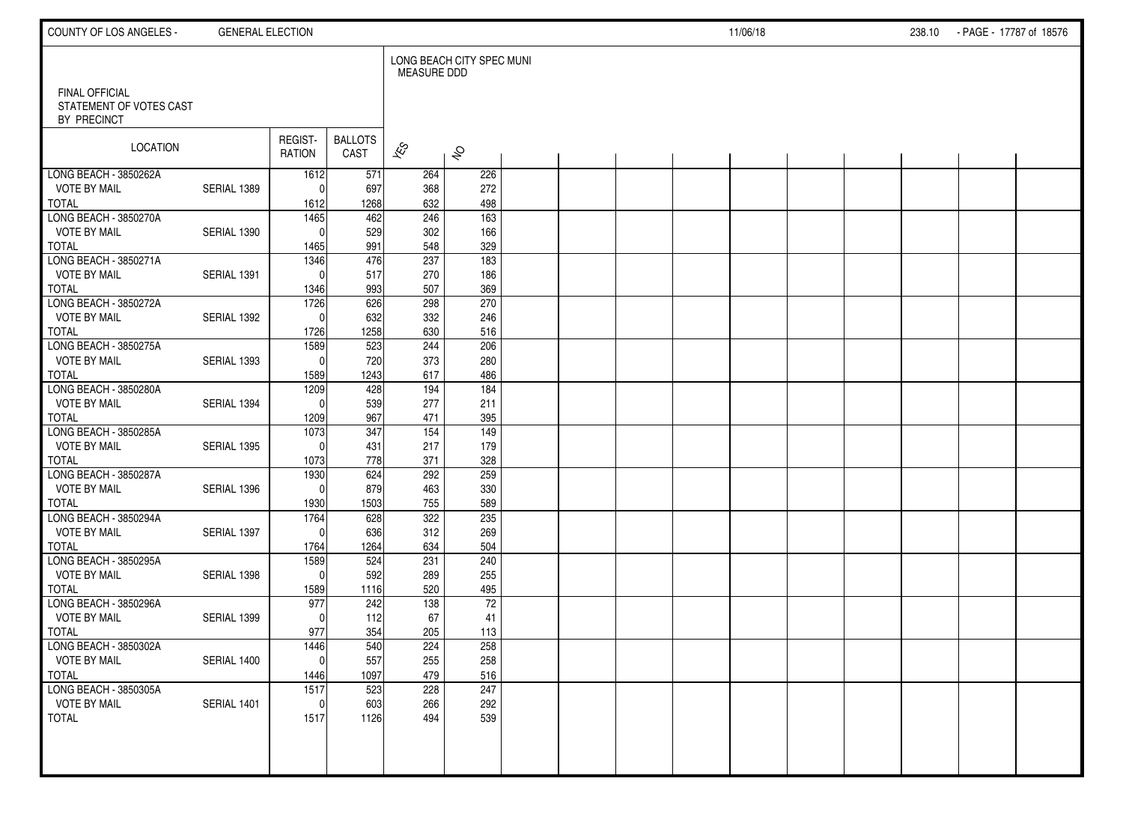| COUNTY OF LOS ANGELES -                      | <b>GENERAL ELECTION</b> |                   |                        |                          |                           |  |  | 11/06/18 |  | 238.10 - PAGE - 17787 of 18576 |  |
|----------------------------------------------|-------------------------|-------------------|------------------------|--------------------------|---------------------------|--|--|----------|--|--------------------------------|--|
| FINAL OFFICIAL                               |                         |                   |                        | <b>MEASURE DDD</b>       | LONG BEACH CITY SPEC MUNI |  |  |          |  |                                |  |
| STATEMENT OF VOTES CAST<br>BY PRECINCT       |                         |                   |                        |                          |                           |  |  |          |  |                                |  |
| LOCATION                                     |                         | REGIST-<br>RATION | <b>BALLOTS</b><br>CAST | $\overline{\mathscr{K}}$ | $\hat{\mathcal{S}}$       |  |  |          |  |                                |  |
| LONG BEACH - 3850262A<br><b>VOTE BY MAIL</b> | SERIAL 1389             | 1612<br>$\Omega$  | 571                    | 264                      | 226<br>272                |  |  |          |  |                                |  |
| <b>TOTAL</b>                                 |                         | 1612              | 697<br>1268            | 368<br>632               | 498                       |  |  |          |  |                                |  |
| LONG BEACH - 3850270A                        |                         | 1465              | 462                    | 246                      | $\frac{163}{x}$           |  |  |          |  |                                |  |
| <b>VOTE BY MAIL</b>                          | SERIAL 1390             | $\Omega$          | 529                    | 302                      | 166                       |  |  |          |  |                                |  |
| <b>TOTAL</b>                                 |                         | 1465              | 991                    | 548                      | 329                       |  |  |          |  |                                |  |
| LONG BEACH - 3850271A                        |                         | 1346              | 476                    | 237                      | 183                       |  |  |          |  |                                |  |
| <b>VOTE BY MAIL</b>                          | SERIAL 1391             | $\Omega$          | 517                    | 270                      | 186                       |  |  |          |  |                                |  |
| <b>TOTAL</b>                                 |                         | 1346              | 993                    | 507                      | 369                       |  |  |          |  |                                |  |
| LONG BEACH - 3850272A                        |                         | 1726              | 626                    | 298                      | 270                       |  |  |          |  |                                |  |
| <b>VOTE BY MAIL</b><br><b>TOTAL</b>          | SERIAL 1392             | $\Omega$<br>1726  | 632<br>1258            | 332<br>630               | 246<br>516                |  |  |          |  |                                |  |
| LONG BEACH - 3850275A                        |                         | 1589              | 523                    | 244                      | 206                       |  |  |          |  |                                |  |
| <b>VOTE BY MAIL</b>                          | SERIAL 1393             | $\mathbf{0}$      | 720                    | 373                      | 280                       |  |  |          |  |                                |  |
| <b>TOTAL</b>                                 |                         | 1589              | 1243                   | 617                      | 486                       |  |  |          |  |                                |  |
| LONG BEACH - 3850280A                        |                         | 1209              | 428                    | 194                      | 184                       |  |  |          |  |                                |  |
| <b>VOTE BY MAIL</b>                          | SERIAL 1394             | $\Omega$          | 539                    | 277                      | 211                       |  |  |          |  |                                |  |
| <b>TOTAL</b>                                 |                         | 1209              | 967                    | 471                      | 395                       |  |  |          |  |                                |  |
| LONG BEACH - 3850285A                        |                         | 1073              | 347                    | 154                      | 149                       |  |  |          |  |                                |  |
| <b>VOTE BY MAIL</b>                          | SERIAL 1395             | $\mathbf{0}$      | 431                    | 217                      | 179                       |  |  |          |  |                                |  |
| <b>TOTAL</b>                                 |                         | 1073              | 778                    | 371                      | 328                       |  |  |          |  |                                |  |
| LONG BEACH - 3850287A                        |                         | 1930              | 624                    | 292                      | 259                       |  |  |          |  |                                |  |
| <b>VOTE BY MAIL</b>                          | SERIAL 1396             | $\mathbf{0}$      | 879                    | 463                      | 330                       |  |  |          |  |                                |  |
| <b>TOTAL</b><br>LONG BEACH - 3850294A        |                         | 1930<br>1764      | 1503<br>628            | 755<br>322               | 589<br>235                |  |  |          |  |                                |  |
| <b>VOTE BY MAIL</b>                          | SERIAL 1397             | $\mathbf{0}$      | 636                    | 312                      | 269                       |  |  |          |  |                                |  |
| <b>TOTAL</b>                                 |                         | 1764              | 1264                   | 634                      | 504                       |  |  |          |  |                                |  |
| LONG BEACH - 3850295A                        |                         | 1589              | 524                    | 231                      | 240                       |  |  |          |  |                                |  |
| <b>VOTE BY MAIL</b>                          | SERIAL 1398             | $\mathbf{0}$      | 592                    | 289                      | 255                       |  |  |          |  |                                |  |
| <b>TOTAL</b>                                 |                         | 1589              | 1116                   | 520                      | 495                       |  |  |          |  |                                |  |
| LONG BEACH - 3850296A                        |                         | 977               | 242                    | 138                      | $\overline{72}$           |  |  |          |  |                                |  |
| <b>VOTE BY MAIL</b>                          | SERIAL 1399             | $\Omega$          | 112                    | 67                       | 41                        |  |  |          |  |                                |  |
| <b>TOTAL</b>                                 |                         | 977               | 354                    | 205                      | 113                       |  |  |          |  |                                |  |
| LONG BEACH - 3850302A                        |                         | 1446              | 540                    | 224                      | 258                       |  |  |          |  |                                |  |
| <b>VOTE BY MAIL</b><br><b>TOTAL</b>          | SERIAL 1400             | $\pmb{0}$<br>1446 | 557<br>1097            | 255<br>479               | 258<br>516                |  |  |          |  |                                |  |
| LONG BEACH - 3850305A                        |                         | 1517              | 523                    | 228                      | 247                       |  |  |          |  |                                |  |
| <b>VOTE BY MAIL</b>                          | SERIAL 1401             | $\mathbf 0$       | 603                    | 266                      | 292                       |  |  |          |  |                                |  |
| <b>TOTAL</b>                                 |                         | 1517              | 1126                   | 494                      | 539                       |  |  |          |  |                                |  |
|                                              |                         |                   |                        |                          |                           |  |  |          |  |                                |  |
|                                              |                         |                   |                        |                          |                           |  |  |          |  |                                |  |
|                                              |                         |                   |                        |                          |                           |  |  |          |  |                                |  |
|                                              |                         |                   |                        |                          |                           |  |  |          |  |                                |  |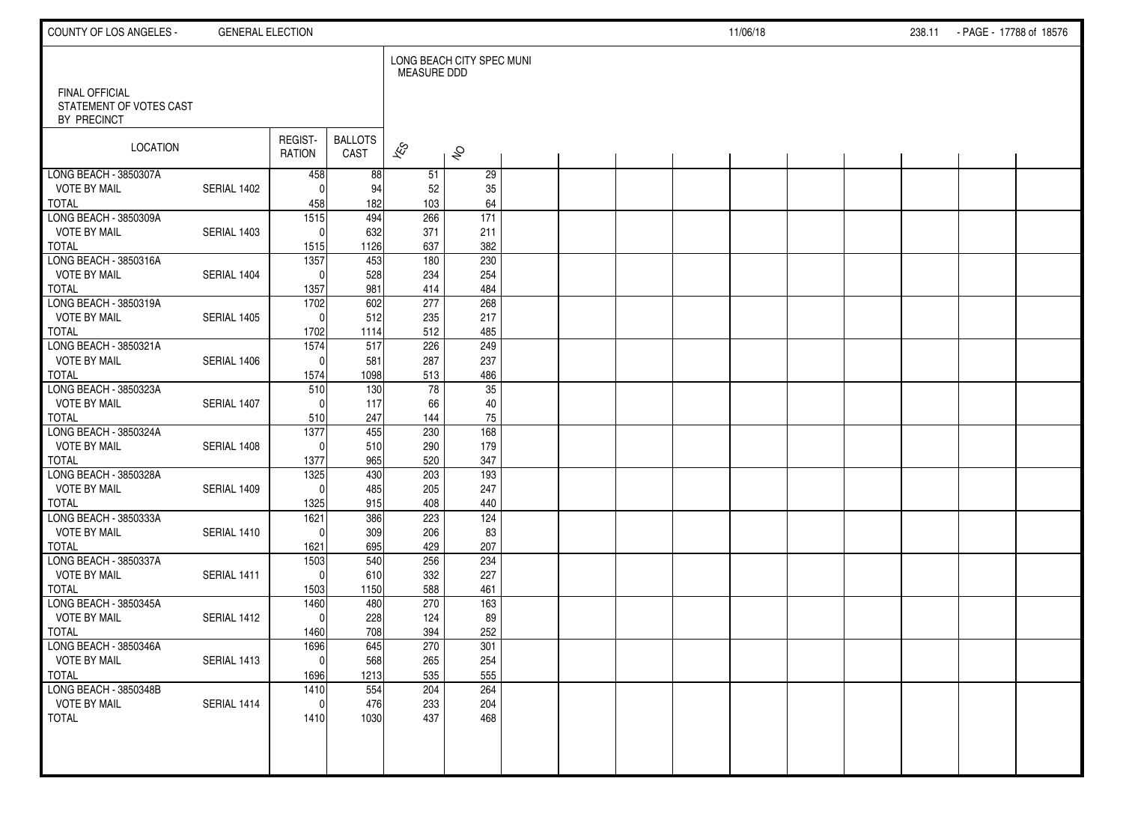| COUNTY OF LOS ANGELES -                                  | <b>GENERAL ELECTION</b> |                               |                        |                    |                           |  |  | 11/06/18 |  | 238.11 - PAGE - 17788 of 18576 |  |
|----------------------------------------------------------|-------------------------|-------------------------------|------------------------|--------------------|---------------------------|--|--|----------|--|--------------------------------|--|
|                                                          |                         |                               |                        | <b>MEASURE DDD</b> | LONG BEACH CITY SPEC MUNI |  |  |          |  |                                |  |
| FINAL OFFICIAL<br>STATEMENT OF VOTES CAST<br>BY PRECINCT |                         |                               |                        |                    |                           |  |  |          |  |                                |  |
| LOCATION                                                 |                         | REGIST-<br>RATION             | <b>BALLOTS</b><br>CAST | $\approx$          | $\hat{\mathcal{S}}$       |  |  |          |  |                                |  |
| LONG BEACH - 3850307A                                    |                         | 458                           | 88                     | 51                 | 29                        |  |  |          |  |                                |  |
| <b>VOTE BY MAIL</b>                                      | SERIAL 1402             | $\Omega$                      | 94                     | 52                 | 35                        |  |  |          |  |                                |  |
| <b>TOTAL</b><br>LONG BEACH - 3850309A                    |                         | 458                           | 182                    | 103                | 64                        |  |  |          |  |                                |  |
| <b>VOTE BY MAIL</b>                                      | SERIAL 1403             | $\overline{1515}$<br>$\Omega$ | 494                    | 266                | $\overline{171}$<br>211   |  |  |          |  |                                |  |
| <b>TOTAL</b>                                             |                         | 1515                          | 632<br>1126            | 371<br>637         | 382                       |  |  |          |  |                                |  |
| LONG BEACH - 3850316A                                    |                         | 1357                          | 453                    | 180                | 230                       |  |  |          |  |                                |  |
| <b>VOTE BY MAIL</b>                                      | SERIAL 1404             | $\Omega$                      | 528                    | 234                | 254                       |  |  |          |  |                                |  |
| <b>TOTAL</b>                                             |                         | 1357                          | 981                    | 414                | 484                       |  |  |          |  |                                |  |
| LONG BEACH - 3850319A                                    |                         | 1702                          | 602                    | 277                | 268                       |  |  |          |  |                                |  |
| <b>VOTE BY MAIL</b>                                      | SERIAL 1405             | $\Omega$                      | 512                    | 235                | 217                       |  |  |          |  |                                |  |
| <b>TOTAL</b>                                             |                         | 1702                          | 1114                   | 512                | 485                       |  |  |          |  |                                |  |
| LONG BEACH - 3850321A                                    |                         | 1574                          | 517                    | 226                | 249                       |  |  |          |  |                                |  |
| <b>VOTE BY MAIL</b>                                      | SERIAL 1406             | $\Omega$                      | 581                    | 287                | 237                       |  |  |          |  |                                |  |
| <b>TOTAL</b>                                             |                         | 1574                          | 1098                   | 513                | 486                       |  |  |          |  |                                |  |
| LONG BEACH - 3850323A                                    |                         | 510                           | 130                    | 78                 | 35                        |  |  |          |  |                                |  |
| <b>VOTE BY MAIL</b>                                      | SERIAL 1407             | $\Omega$                      | 117                    | 66                 | 40                        |  |  |          |  |                                |  |
| <b>TOTAL</b>                                             |                         | 510                           | 247                    | 144                | $75\,$                    |  |  |          |  |                                |  |
| LONG BEACH - 3850324A                                    |                         | 1377<br>$\Omega$              | 455                    | 230                | 168                       |  |  |          |  |                                |  |
| <b>VOTE BY MAIL</b><br><b>TOTAL</b>                      | SERIAL 1408             | 1377                          | 510<br>965             | 290<br>520         | 179<br>347                |  |  |          |  |                                |  |
| LONG BEACH - 3850328A                                    |                         | 1325                          | 430                    | 203                | $\overline{193}$          |  |  |          |  |                                |  |
| <b>VOTE BY MAIL</b>                                      | SERIAL 1409             | $\Omega$                      | 485                    | 205                | 247                       |  |  |          |  |                                |  |
| <b>TOTAL</b>                                             |                         | 1325                          | 915                    | 408                | 440                       |  |  |          |  |                                |  |
| LONG BEACH - 3850333A                                    |                         | 1621                          | 386                    | 223                | 124                       |  |  |          |  |                                |  |
| <b>VOTE BY MAIL</b>                                      | SERIAL 1410             | $\Omega$                      | 309                    | 206                | 83                        |  |  |          |  |                                |  |
| <b>TOTAL</b>                                             |                         | 1621                          | 695                    | 429                | 207                       |  |  |          |  |                                |  |
| LONG BEACH - 3850337A                                    |                         | 1503                          | 540                    | 256                | 234                       |  |  |          |  |                                |  |
| <b>VOTE BY MAIL</b>                                      | SERIAL 1411             | $\Omega$                      | 610                    | 332                | 227                       |  |  |          |  |                                |  |
| <b>TOTAL</b>                                             |                         | 1503                          | 1150                   | 588                | 461                       |  |  |          |  |                                |  |
| LONG BEACH - 3850345A                                    |                         | 1460                          | 480                    | 270                | 163                       |  |  |          |  |                                |  |
| <b>VOTE BY MAIL</b>                                      | SERIAL 1412             | $\Omega$                      | 228                    | 124                | 89                        |  |  |          |  |                                |  |
| <b>TOTAL</b><br>LONG BEACH - 3850346A                    |                         | 1460<br>1696                  | 708<br>645             | 394<br>270         | 252<br>301                |  |  |          |  |                                |  |
| <b>VOTE BY MAIL</b>                                      | SERIAL 1413             | 0                             | 568                    | 265                | 254                       |  |  |          |  |                                |  |
| <b>TOTAL</b>                                             |                         | 1696                          | 1213                   | 535                | 555                       |  |  |          |  |                                |  |
| LONG BEACH - 3850348B                                    |                         | 1410                          | 554                    | 204                | 264                       |  |  |          |  |                                |  |
| <b>VOTE BY MAIL</b>                                      | SERIAL 1414             | $\mathbf 0$                   | 476                    | 233                | 204                       |  |  |          |  |                                |  |
| <b>TOTAL</b>                                             |                         | 1410                          | 1030                   | 437                | 468                       |  |  |          |  |                                |  |
|                                                          |                         |                               |                        |                    |                           |  |  |          |  |                                |  |
|                                                          |                         |                               |                        |                    |                           |  |  |          |  |                                |  |
|                                                          |                         |                               |                        |                    |                           |  |  |          |  |                                |  |
|                                                          |                         |                               |                        |                    |                           |  |  |          |  |                                |  |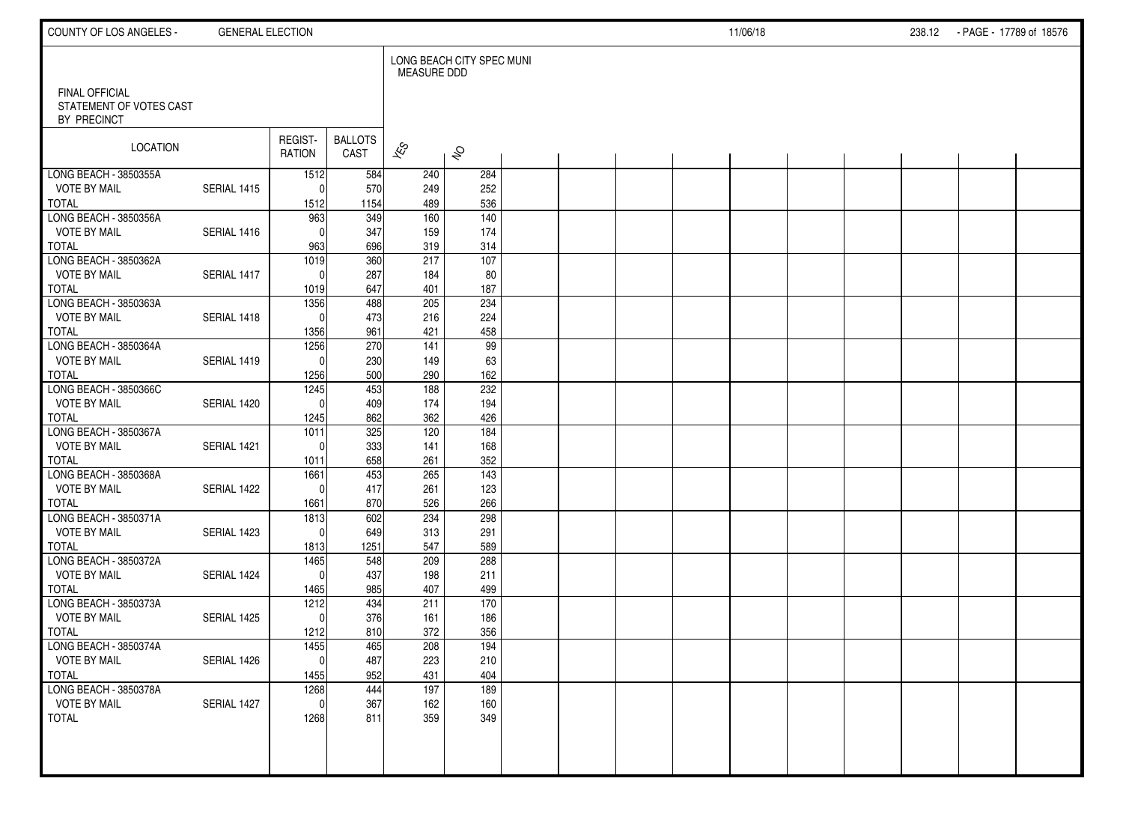| COUNTY OF LOS ANGELES -                                         | <b>GENERAL ELECTION</b> |                          |                        |                                |                                |  |  | 11/06/18 |  | 238.12 PAGE 17789 of 18576 |  |
|-----------------------------------------------------------------|-------------------------|--------------------------|------------------------|--------------------------------|--------------------------------|--|--|----------|--|----------------------------|--|
| <b>FINAL OFFICIAL</b><br>STATEMENT OF VOTES CAST<br>BY PRECINCT |                         |                          |                        | <b>MEASURE DDD</b>             | LONG BEACH CITY SPEC MUNI      |  |  |          |  |                            |  |
| LOCATION                                                        |                         | REGIST-<br>RATION        | <b>BALLOTS</b><br>CAST | $\overline{\mathscr{E}}$       | $\hat{\mathcal{S}}$            |  |  |          |  |                            |  |
| LONG BEACH - 3850355A<br><b>VOTE BY MAIL</b><br><b>TOTAL</b>    | SERIAL 1415             | 1512<br>$\Omega$<br>1512 | 584<br>570<br>1154     | 240<br>249<br>489              | 284<br>252<br>536              |  |  |          |  |                            |  |
| LONG BEACH - 3850356A<br><b>VOTE BY MAIL</b><br><b>TOTAL</b>    | SERIAL 1416             | 963<br>$\Omega$<br>963   | 349<br>347<br>696      | 160<br>159<br>319              | $\frac{140}{ }$<br>174<br>314  |  |  |          |  |                            |  |
| LONG BEACH - 3850362A<br><b>VOTE BY MAIL</b><br><b>TOTAL</b>    | SERIAL 1417             | 1019<br>$\Omega$<br>1019 | 360<br>287<br>647      | 217<br>184<br>401              | 107<br>80<br>187               |  |  |          |  |                            |  |
| LONG BEACH - 3850363A<br><b>VOTE BY MAIL</b><br><b>TOTAL</b>    | SERIAL 1418             | 1356<br>$\Omega$<br>1356 | 488<br>473<br>961      | 205<br>216<br>421              | 234<br>224<br>458              |  |  |          |  |                            |  |
| LONG BEACH - 3850364A<br><b>VOTE BY MAIL</b><br><b>TOTAL</b>    | SERIAL 1419             | 1256<br>$\Omega$<br>1256 | 270<br>230<br>500      | $\overline{141}$<br>149<br>290 | $\overline{99}$<br>63<br>162   |  |  |          |  |                            |  |
| LONG BEACH - 3850366C<br><b>VOTE BY MAIL</b><br><b>TOTAL</b>    | SERIAL 1420             | 1245<br>$\Omega$<br>1245 | 453<br>409<br>862      | $\frac{188}{ }$<br>174<br>362  | 232<br>194<br>426              |  |  |          |  |                            |  |
| LONG BEACH - 3850367A<br><b>VOTE BY MAIL</b><br><b>TOTAL</b>    | SERIAL 1421             | 1011<br>$\Omega$<br>1011 | 325<br>333<br>658      | 120<br>141<br>261              | 184<br>168<br>352              |  |  |          |  |                            |  |
| LONG BEACH - 3850368A<br><b>VOTE BY MAIL</b><br><b>TOTAL</b>    | SERIAL 1422             | 1661<br>$\Omega$<br>1661 | 453<br>417<br>870      | 265<br>261<br>526              | $\overline{143}$<br>123<br>266 |  |  |          |  |                            |  |
| LONG BEACH - 3850371A<br><b>VOTE BY MAIL</b><br><b>TOTAL</b>    | SERIAL 1423             | 1813<br>$\Omega$<br>1813 | 602<br>649<br>1251     | 234<br>313<br>547              | 298<br>291<br>589              |  |  |          |  |                            |  |
| LONG BEACH - 3850372A<br><b>VOTE BY MAIL</b><br><b>TOTAL</b>    | SERIAL 1424             | 1465<br>$\Omega$<br>1465 | 548<br>437<br>985      | 209<br>198<br>407              | 288<br>211<br>499              |  |  |          |  |                            |  |
| LONG BEACH - 3850373A<br><b>VOTE BY MAIL</b><br><b>TOTAL</b>    | SERIAL 1425             | 1212<br>$\Omega$<br>1212 | 434<br>376<br>810      | 211<br>161<br>372              | 170<br>186<br>356              |  |  |          |  |                            |  |
| LONG BEACH - 3850374A<br><b>VOTE BY MAIL</b><br><b>TOTAL</b>    | SERIAL 1426             | 1455<br> 0 <br>1455      | 465<br>487<br>952      | 208<br>223<br>431              | 194<br>210<br>404              |  |  |          |  |                            |  |
| LONG BEACH - 3850378A<br><b>VOTE BY MAIL</b><br><b>TOTAL</b>    | SERIAL 1427             | 1268<br>0l<br>1268       | 444<br>367<br>811      | 197<br>162<br>359              | 189<br>160<br>349              |  |  |          |  |                            |  |
|                                                                 |                         |                          |                        |                                |                                |  |  |          |  |                            |  |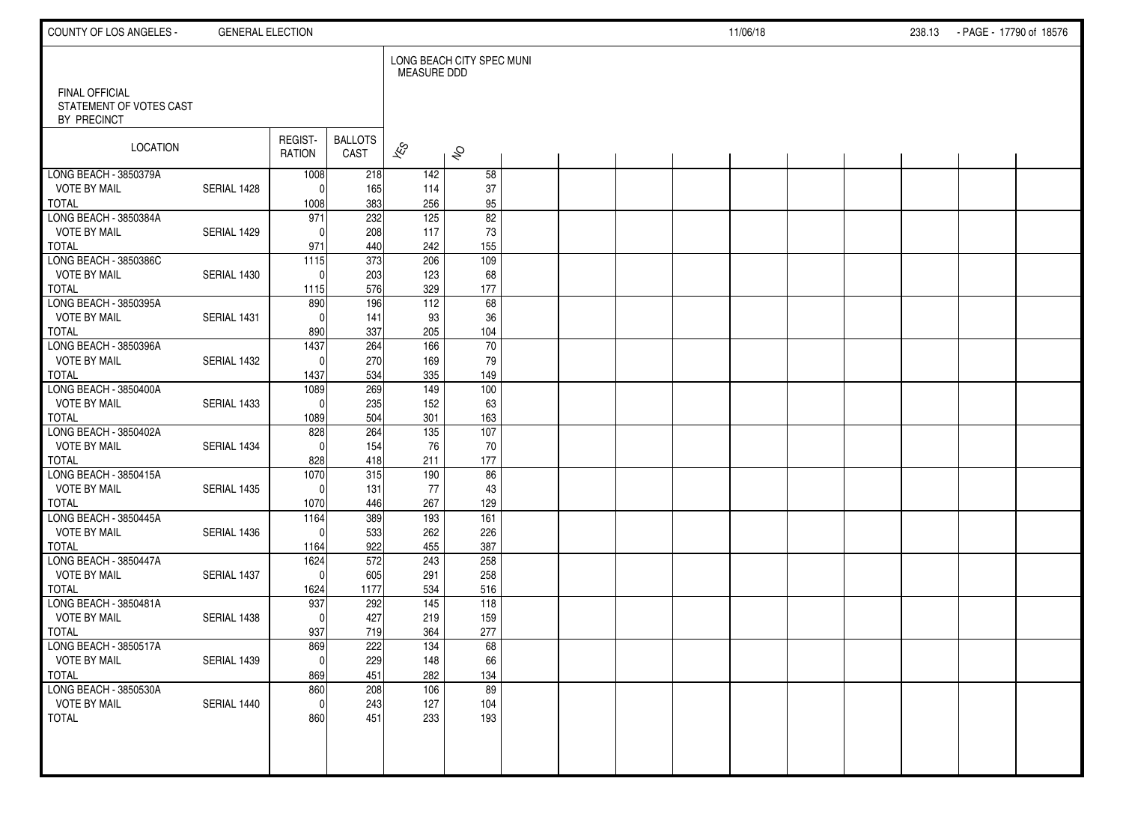| COUNTY OF LOS ANGELES -                                         | <b>GENERAL ELECTION</b> |                   |                        |                    |                           |  |  | 11/06/18 |  | 238.13 - PAGE - 17790 of 18576 |  |
|-----------------------------------------------------------------|-------------------------|-------------------|------------------------|--------------------|---------------------------|--|--|----------|--|--------------------------------|--|
|                                                                 |                         |                   |                        | <b>MEASURE DDD</b> | LONG BEACH CITY SPEC MUNI |  |  |          |  |                                |  |
| <b>FINAL OFFICIAL</b><br>STATEMENT OF VOTES CAST<br>BY PRECINCT |                         |                   |                        |                    |                           |  |  |          |  |                                |  |
| LOCATION                                                        |                         | REGIST-<br>RATION | <b>BALLOTS</b><br>CAST | $\approx$          | $\hat{\mathcal{S}}$       |  |  |          |  |                                |  |
| LONG BEACH - 3850379A                                           |                         | 1008              | 218                    | 142                | 58                        |  |  |          |  |                                |  |
| <b>VOTE BY MAIL</b>                                             | SERIAL 1428             | $\Omega$          | 165                    | 114                | 37                        |  |  |          |  |                                |  |
| <b>TOTAL</b>                                                    |                         | 1008              | 383                    | 256                | 95                        |  |  |          |  |                                |  |
| LONG BEACH - 3850384A<br><b>VOTE BY MAIL</b>                    | SERIAL 1429             | 971<br>$\Omega$   | 232                    | 125<br>117         | 82                        |  |  |          |  |                                |  |
| <b>TOTAL</b>                                                    |                         | 971               | 208<br>440             | 242                | 73<br>155                 |  |  |          |  |                                |  |
| LONG BEACH - 3850386C                                           |                         | 1115              | 373                    | 206                | 109                       |  |  |          |  |                                |  |
| <b>VOTE BY MAIL</b>                                             | SERIAL 1430             | $\Omega$          | 203                    | 123                | 68                        |  |  |          |  |                                |  |
| <b>TOTAL</b>                                                    |                         | 1115              | 576                    | 329                | 177                       |  |  |          |  |                                |  |
| LONG BEACH - 3850395A                                           |                         | 890               | 196                    | 112                | 68                        |  |  |          |  |                                |  |
| <b>VOTE BY MAIL</b>                                             | SERIAL 1431             | $\Omega$          | 141                    | 93                 | 36                        |  |  |          |  |                                |  |
| <b>TOTAL</b>                                                    |                         | 890               | 337                    | 205                | 104                       |  |  |          |  |                                |  |
| LONG BEACH - 3850396A                                           |                         | 1437              | 264                    | 166                | $\overline{70}$           |  |  |          |  |                                |  |
| <b>VOTE BY MAIL</b>                                             | SERIAL 1432             | $\Omega$          | 270                    | 169                | 79                        |  |  |          |  |                                |  |
| <b>TOTAL</b>                                                    |                         | 1437              | 534                    | 335                | 149                       |  |  |          |  |                                |  |
| LONG BEACH - 3850400A                                           |                         | 1089              | 269                    | $\frac{149}{ }$    | 100                       |  |  |          |  |                                |  |
| <b>VOTE BY MAIL</b><br><b>TOTAL</b>                             | SERIAL 1433             | $\Omega$          | 235<br>504             | 152<br>301         | 63<br>163                 |  |  |          |  |                                |  |
| LONG BEACH - 3850402A                                           |                         | 1089<br>828       | 264                    | 135                | 107                       |  |  |          |  |                                |  |
| <b>VOTE BY MAIL</b>                                             | SERIAL 1434             | $\Omega$          | 154                    | 76                 | 70                        |  |  |          |  |                                |  |
| <b>TOTAL</b>                                                    |                         | 828               | 418                    | 211                | 177                       |  |  |          |  |                                |  |
| LONG BEACH - 3850415A                                           |                         | 1070              | 315                    | 190                | 86                        |  |  |          |  |                                |  |
| <b>VOTE BY MAIL</b>                                             | SERIAL 1435             | $\Omega$          | 131                    | 77                 | 43                        |  |  |          |  |                                |  |
| <b>TOTAL</b>                                                    |                         | 1070              | 446                    | 267                | 129                       |  |  |          |  |                                |  |
| LONG BEACH - 3850445A                                           |                         | 1164              | 389                    | 193                | 161                       |  |  |          |  |                                |  |
| <b>VOTE BY MAIL</b>                                             | SERIAL 1436             | $\Omega$          | 533                    | 262                | 226                       |  |  |          |  |                                |  |
| <b>TOTAL</b>                                                    |                         | 1164              | 922                    | 455                | 387                       |  |  |          |  |                                |  |
| LONG BEACH - 3850447A                                           |                         | 1624              | 572                    | 243                | 258                       |  |  |          |  |                                |  |
| <b>VOTE BY MAIL</b>                                             | SERIAL 1437             | $\Omega$          | 605                    | 291                | 258                       |  |  |          |  |                                |  |
| <b>TOTAL</b><br>LONG BEACH - 3850481A                           |                         | 1624              | 1177                   | 534                | 516                       |  |  |          |  |                                |  |
| <b>VOTE BY MAIL</b>                                             | SERIAL 1438             | 937<br>$\Omega$   | 292<br>427             | 145<br>219         | 118<br>159                |  |  |          |  |                                |  |
| <b>TOTAL</b>                                                    |                         | 937               | 719                    | 364                | 277                       |  |  |          |  |                                |  |
| LONG BEACH - 3850517A                                           |                         | 869               | 222                    | 134                | 68                        |  |  |          |  |                                |  |
| <b>VOTE BY MAIL</b>                                             | SERIAL 1439             | 0                 | 229                    | 148                | 66                        |  |  |          |  |                                |  |
| <b>TOTAL</b>                                                    |                         | 869               | 451                    | 282                | 134                       |  |  |          |  |                                |  |
| LONG BEACH - 3850530A                                           |                         | 860               | 208                    | 106                | 89                        |  |  |          |  |                                |  |
| <b>VOTE BY MAIL</b>                                             | SERIAL 1440             | $\mathbf 0$       | 243                    | 127                | 104                       |  |  |          |  |                                |  |
| <b>TOTAL</b>                                                    |                         | 860               | 451                    | 233                | 193                       |  |  |          |  |                                |  |
|                                                                 |                         |                   |                        |                    |                           |  |  |          |  |                                |  |
|                                                                 |                         |                   |                        |                    |                           |  |  |          |  |                                |  |
|                                                                 |                         |                   |                        |                    |                           |  |  |          |  |                                |  |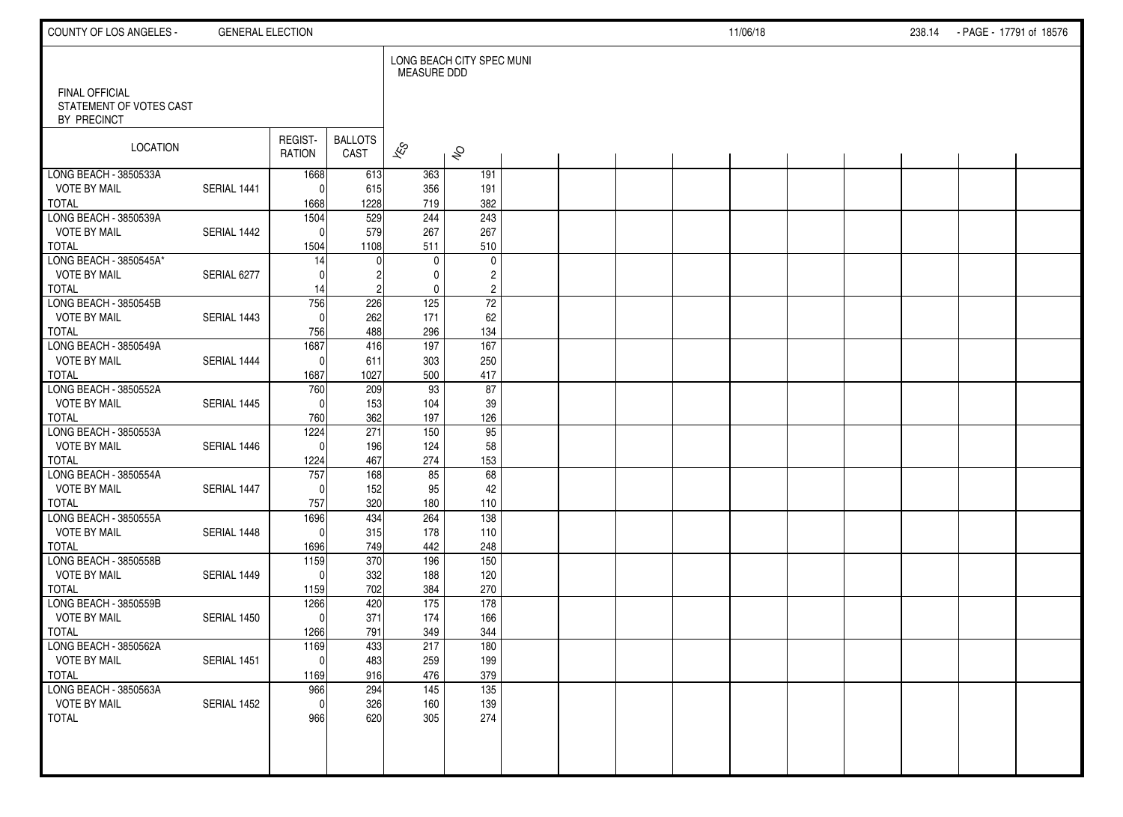| COUNTY OF LOS ANGELES -                                       | <b>GENERAL ELECTION</b> |                                     |                                |                          |                                         |  |  | 11/06/18 |  | 238.14 PAGE - 17791 of 18576 |  |
|---------------------------------------------------------------|-------------------------|-------------------------------------|--------------------------------|--------------------------|-----------------------------------------|--|--|----------|--|------------------------------|--|
|                                                               |                         |                                     |                                | <b>MEASURE DDD</b>       | LONG BEACH CITY SPEC MUNI               |  |  |          |  |                              |  |
| FINAL OFFICIAL<br>STATEMENT OF VOTES CAST<br>BY PRECINCT      |                         |                                     |                                |                          |                                         |  |  |          |  |                              |  |
| <b>LOCATION</b>                                               |                         | REGIST-<br><b>RATION</b>            | <b>BALLOTS</b><br>CAST         | $\overline{\mathscr{E}}$ | $\hat{\mathcal{S}}$                     |  |  |          |  |                              |  |
| LONG BEACH - 3850533A<br><b>VOTE BY MAIL</b><br><b>TOTAL</b>  | SERIAL 1441             | 1668<br>0<br>1668                   | 613<br>615<br>1228             | 363<br>356<br>719        | 191<br>191<br>382                       |  |  |          |  |                              |  |
| LONG BEACH - 3850539A<br><b>VOTE BY MAIL</b>                  | SERIAL 1442             | 1504<br>0                           | $\overline{529}$<br>579        | 244<br>267               | 243<br>267                              |  |  |          |  |                              |  |
| <b>TOTAL</b><br>LONG BEACH - 3850545A*<br><b>VOTE BY MAIL</b> | SERIAL 6277             | 1504<br>14<br>$\Omega$              | 1108                           | 511<br>$\mathbf 0$<br>0  | 510<br>$\mathbf 0$<br>$\overline{c}$    |  |  |          |  |                              |  |
| <b>TOTAL</b><br>LONG BEACH - 3850545B<br><b>VOTE BY MAIL</b>  | SERIAL 1443             | 14<br>756<br>$\mathbf{0}$           | 2<br>226<br>262                | 0<br>125<br>171          | $\overline{c}$<br>$\overline{72}$<br>62 |  |  |          |  |                              |  |
| <b>TOTAL</b><br>LONG BEACH - 3850549A                         |                         | 756<br>1687                         | 488<br>416                     | 296<br>197               | 134<br>167                              |  |  |          |  |                              |  |
| <b>VOTE BY MAIL</b><br><b>TOTAL</b><br>LONG BEACH - 3850552A  | SERIAL 1444             | $\mathbf 0$<br>1687<br>760          | 611<br>1027<br>209             | 303<br>500<br>93         | 250<br>417<br>87                        |  |  |          |  |                              |  |
| <b>VOTE BY MAIL</b><br><b>TOTAL</b><br>LONG BEACH - 3850553A  | SERIAL 1445             | $\mathbf{0}$<br>760<br>1224         | 153<br>362<br>$\overline{271}$ | 104<br>197<br>150        | 39<br>126<br>95                         |  |  |          |  |                              |  |
| <b>VOTE BY MAIL</b><br><b>TOTAL</b>                           | SERIAL 1446             | $\Omega$<br>1224                    | 196<br>467                     | 124<br>274               | 58<br>153                               |  |  |          |  |                              |  |
| LONG BEACH - 3850554A<br><b>VOTE BY MAIL</b><br><b>TOTAL</b>  | SERIAL 1447             | 757<br>$\mathbf{0}$<br>757          | 168<br>152<br>320              | 85<br>95<br>180          | 68<br>42<br>110                         |  |  |          |  |                              |  |
| LONG BEACH - 3850555A<br><b>VOTE BY MAIL</b><br><b>TOTAL</b>  | SERIAL 1448             | 1696<br>0<br>1696                   | 434<br>315<br>749              | 264<br>178<br>442        | 138<br>110<br>248                       |  |  |          |  |                              |  |
| LONG BEACH - 3850558B<br><b>VOTE BY MAIL</b><br><b>TOTAL</b>  | SERIAL 1449             | 1159<br>$\mathbf{0}$<br>1159        | 370<br>332<br>702              | 196<br>188<br>384        | 150<br>120<br>270                       |  |  |          |  |                              |  |
| LONG BEACH - 3850559B<br><b>VOTE BY MAIL</b><br><b>TOTAL</b>  | SERIAL 1450             | 1266<br>$\mathbf 0$<br>1266         | 420<br>371<br>791              | 175<br>174<br>349        | 178<br>166<br>344                       |  |  |          |  |                              |  |
| LONG BEACH - 3850562A<br><b>VOTE BY MAIL</b><br><b>TOTAL</b>  | SERIAL 1451             | 1169<br>$\mathsf{O}\xspace$<br>1169 | 433<br>483<br>916              | 217<br>259<br>476        | 180<br>199<br>379                       |  |  |          |  |                              |  |
| LONG BEACH - 3850563A<br><b>VOTE BY MAIL</b><br><b>TOTAL</b>  | SERIAL 1452             | 966<br>$\mathbf 0$<br>966           | 294<br>326<br>620              | 145<br>160<br>305        | 135<br>139<br>274                       |  |  |          |  |                              |  |
|                                                               |                         |                                     |                                |                          |                                         |  |  |          |  |                              |  |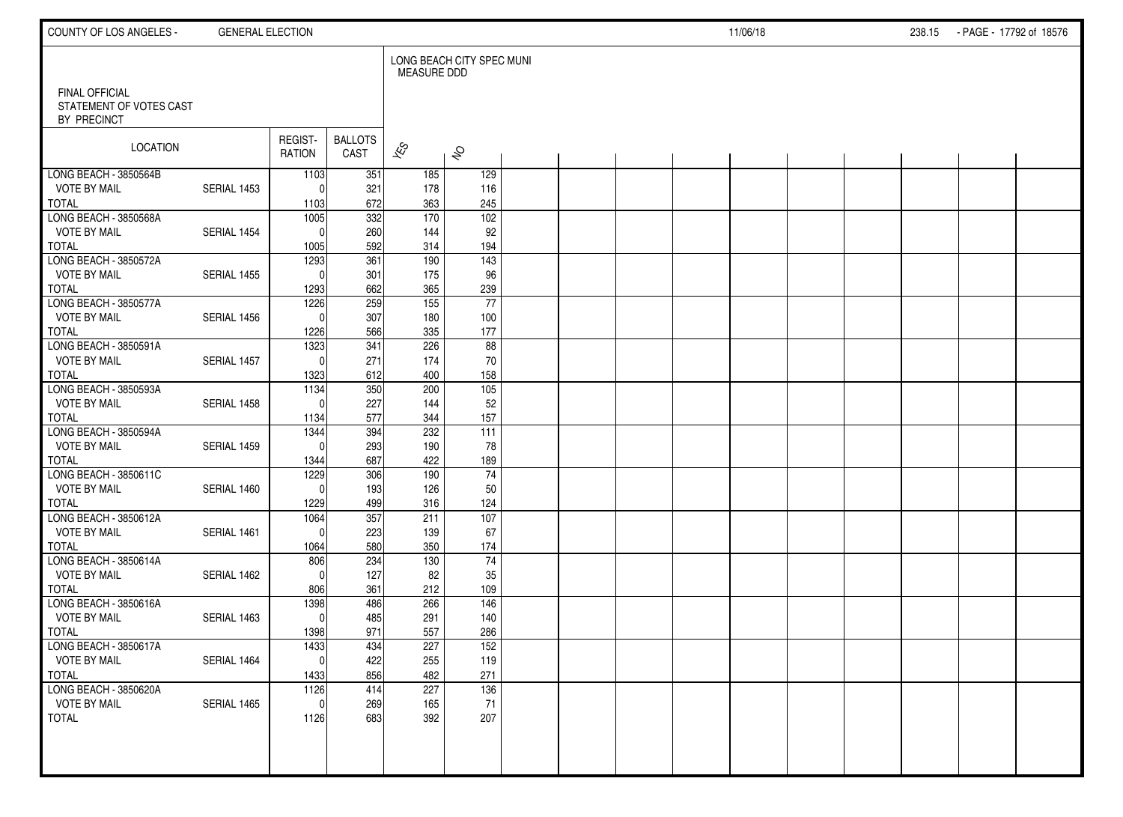| COUNTY OF LOS ANGELES -                                  | <b>GENERAL ELECTION</b> |                   |                         |                          |                           |  |  | 11/06/18 |  | 238.15 | - PAGE - 17792 of 18576 |  |
|----------------------------------------------------------|-------------------------|-------------------|-------------------------|--------------------------|---------------------------|--|--|----------|--|--------|-------------------------|--|
|                                                          |                         |                   |                         | <b>MEASURE DDD</b>       | LONG BEACH CITY SPEC MUNI |  |  |          |  |        |                         |  |
| FINAL OFFICIAL<br>STATEMENT OF VOTES CAST<br>BY PRECINCT |                         |                   |                         |                          |                           |  |  |          |  |        |                         |  |
| LOCATION                                                 |                         | REGIST-<br>RATION | <b>BALLOTS</b><br>CAST  | $\overline{\mathscr{K}}$ | $\hat{\mathcal{S}}$       |  |  |          |  |        |                         |  |
| LONG BEACH - 3850564B                                    |                         | 1103              | 351                     | 185                      | 129                       |  |  |          |  |        |                         |  |
| <b>VOTE BY MAIL</b>                                      | SERIAL 1453             | $\Omega$          | 321                     | 178                      | 116                       |  |  |          |  |        |                         |  |
| <b>TOTAL</b><br>LONG BEACH - 3850568A                    |                         | 1103<br>1005      | 672<br>$\overline{332}$ | 363<br>170               | 245<br>$\overline{102}$   |  |  |          |  |        |                         |  |
| <b>VOTE BY MAIL</b>                                      | SERIAL 1454             | $\Omega$          | 260                     | 144                      | 92                        |  |  |          |  |        |                         |  |
| <b>TOTAL</b>                                             |                         | 1005              | 592                     | 314                      | 194                       |  |  |          |  |        |                         |  |
| LONG BEACH - 3850572A                                    |                         | 1293              | 361                     | 190                      | $\frac{143}{ }$           |  |  |          |  |        |                         |  |
| <b>VOTE BY MAIL</b>                                      | SERIAL 1455             | $\Omega$          | 301                     | 175                      | 96                        |  |  |          |  |        |                         |  |
| <b>TOTAL</b>                                             |                         | 1293              | 662                     | 365                      | 239                       |  |  |          |  |        |                         |  |
| LONG BEACH - 3850577A                                    |                         | 1226              | 259                     | 155                      | 77                        |  |  |          |  |        |                         |  |
| <b>VOTE BY MAIL</b>                                      | SERIAL 1456             | $\Omega$          | 307                     | 180                      | 100                       |  |  |          |  |        |                         |  |
| <b>TOTAL</b>                                             |                         | 1226              | 566                     | 335                      | 177                       |  |  |          |  |        |                         |  |
| LONG BEACH - 3850591A                                    |                         | 1323              | 341                     | 226                      | 88                        |  |  |          |  |        |                         |  |
| <b>VOTE BY MAIL</b>                                      | SERIAL 1457             | $\Omega$          | 271                     | 174                      | 70                        |  |  |          |  |        |                         |  |
| <b>TOTAL</b>                                             |                         | 1323              | 612                     | 400                      | 158<br>$\frac{105}{105}$  |  |  |          |  |        |                         |  |
| LONG BEACH - 3850593A<br><b>VOTE BY MAIL</b>             | SERIAL 1458             | 1134<br>$\Omega$  | 350<br>227              | 200<br>144               | 52                        |  |  |          |  |        |                         |  |
| <b>TOTAL</b>                                             |                         | 1134              | 577                     | 344                      | 157                       |  |  |          |  |        |                         |  |
| LONG BEACH - 3850594A                                    |                         | 1344              | 394                     | 232                      | 111                       |  |  |          |  |        |                         |  |
| <b>VOTE BY MAIL</b>                                      | SERIAL 1459             | $\Omega$          | 293                     | 190                      | 78                        |  |  |          |  |        |                         |  |
| <b>TOTAL</b>                                             |                         | 1344              | 687                     | 422                      | 189                       |  |  |          |  |        |                         |  |
| LONG BEACH - 3850611C                                    |                         | 1229              | 306                     | 190                      | $\overline{74}$           |  |  |          |  |        |                         |  |
| <b>VOTE BY MAIL</b>                                      | SERIAL 1460             | $\Omega$          | 193                     | 126                      | 50                        |  |  |          |  |        |                         |  |
| <b>TOTAL</b>                                             |                         | 1229              | 499                     | 316                      | 124                       |  |  |          |  |        |                         |  |
| LONG BEACH - 3850612A                                    |                         | 1064              | 357                     | 211                      | 107                       |  |  |          |  |        |                         |  |
| <b>VOTE BY MAIL</b>                                      | SERIAL 1461             | $\Omega$          | 223                     | 139                      | 67                        |  |  |          |  |        |                         |  |
| <b>TOTAL</b>                                             |                         | 1064              | 580                     | 350                      | 174                       |  |  |          |  |        |                         |  |
| LONG BEACH - 3850614A                                    |                         | 806               | 234                     | 130                      | $\overline{74}$           |  |  |          |  |        |                         |  |
| <b>VOTE BY MAIL</b><br><b>TOTAL</b>                      | SERIAL 1462             | $\Omega$          | 127<br>361              | 82                       | 35<br>109                 |  |  |          |  |        |                         |  |
| LONG BEACH - 3850616A                                    |                         | 806<br>1398       | 486                     | 212<br>266               | $\frac{146}{ }$           |  |  |          |  |        |                         |  |
| <b>VOTE BY MAIL</b>                                      | SERIAL 1463             | $\mathbf{0}$      | 485                     | 291                      | 140                       |  |  |          |  |        |                         |  |
| <b>TOTAL</b>                                             |                         | 1398              | 971                     | 557                      | 286                       |  |  |          |  |        |                         |  |
| LONG BEACH - 3850617A                                    |                         | 1433              | 434                     | 227                      | 152                       |  |  |          |  |        |                         |  |
| <b>VOTE BY MAIL</b>                                      | SERIAL 1464             | $\pmb{0}$         | 422                     | 255                      | 119                       |  |  |          |  |        |                         |  |
| <b>TOTAL</b>                                             |                         | 1433              | 856                     | 482                      | 271                       |  |  |          |  |        |                         |  |
| LONG BEACH - 3850620A                                    |                         | 1126              | 414                     | 227                      | 136                       |  |  |          |  |        |                         |  |
| <b>VOTE BY MAIL</b>                                      | SERIAL 1465             | 0                 | 269                     | 165                      | 71                        |  |  |          |  |        |                         |  |
| <b>TOTAL</b>                                             |                         | 1126              | 683                     | 392                      | 207                       |  |  |          |  |        |                         |  |
|                                                          |                         |                   |                         |                          |                           |  |  |          |  |        |                         |  |
|                                                          |                         |                   |                         |                          |                           |  |  |          |  |        |                         |  |
|                                                          |                         |                   |                         |                          |                           |  |  |          |  |        |                         |  |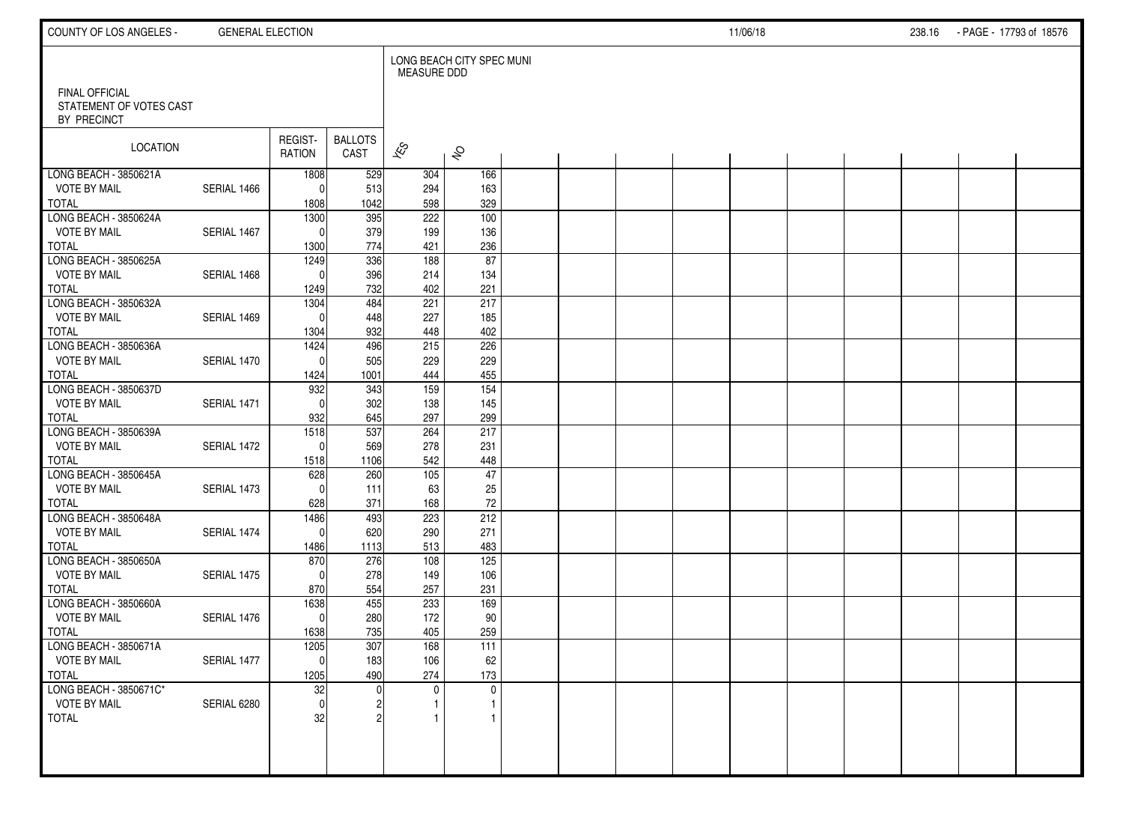| COUNTY OF LOS ANGELES -                                         | <b>GENERAL ELECTION</b> |                                |                        |                                |                           |  |  | 11/06/18 |  | 238.16 PAGE - 17793 of 18576 |  |
|-----------------------------------------------------------------|-------------------------|--------------------------------|------------------------|--------------------------------|---------------------------|--|--|----------|--|------------------------------|--|
| <b>FINAL OFFICIAL</b><br>STATEMENT OF VOTES CAST<br>BY PRECINCT |                         |                                |                        | <b>MEASURE DDD</b>             | LONG BEACH CITY SPEC MUNI |  |  |          |  |                              |  |
| LOCATION                                                        |                         | REGIST-<br>RATION              | <b>BALLOTS</b><br>CAST | $\overline{\mathscr{E}}$       | $\hat{\mathcal{S}}$       |  |  |          |  |                              |  |
| LONG BEACH - 3850621A<br><b>VOTE BY MAIL</b><br><b>TOTAL</b>    | SERIAL 1466             | 1808<br>$\Omega$<br>1808       | 529<br>513<br>1042     | 304<br>294<br>598              | 166<br>163<br>329         |  |  |          |  |                              |  |
| LONG BEACH - 3850624A<br><b>VOTE BY MAIL</b><br><b>TOTAL</b>    | SERIAL 1467             | 1300<br>$\Omega$<br>1300       | 395<br>379<br>774      | $\overline{222}$<br>199<br>421 | 100<br>136<br>236         |  |  |          |  |                              |  |
| LONG BEACH - 3850625A<br><b>VOTE BY MAIL</b><br><b>TOTAL</b>    | SERIAL 1468             | 1249<br>$\Omega$<br>1249       | 336<br>396<br>732      | 188<br>214<br>402              | 87<br>134<br>221          |  |  |          |  |                              |  |
| LONG BEACH - 3850632A<br><b>VOTE BY MAIL</b><br><b>TOTAL</b>    | SERIAL 1469             | 1304<br>$\Omega$<br>1304       | 484<br>448<br>932      | 221<br>227<br>448              | 217<br>185<br>402         |  |  |          |  |                              |  |
| LONG BEACH - 3850636A<br><b>VOTE BY MAIL</b><br><b>TOTAL</b>    | SERIAL 1470             | 1424<br>$\Omega$<br>1424       | 496<br>505<br>1001     | 215<br>229<br>444              | 226<br>229<br>455         |  |  |          |  |                              |  |
| LONG BEACH - 3850637D<br><b>VOTE BY MAIL</b><br><b>TOTAL</b>    | SERIAL 1471             | 932<br>$\Omega$<br>932         | 343<br>302<br>645      | 159<br>138<br>297              | 154<br>145<br>299         |  |  |          |  |                              |  |
| LONG BEACH - 3850639A<br><b>VOTE BY MAIL</b><br><b>TOTAL</b>    | SERIAL 1472             | 1518<br>$\overline{0}$<br>1518 | 537<br>569<br>1106     | 264<br>278<br>542              | 217<br>231<br>448         |  |  |          |  |                              |  |
| LONG BEACH - 3850645A<br><b>VOTE BY MAIL</b><br><b>TOTAL</b>    | SERIAL 1473             | 628<br>$\Omega$<br>628         | 260<br>111<br>371      | 105<br>63<br>168               | 47<br>25<br>72            |  |  |          |  |                              |  |
| LONG BEACH - 3850648A<br><b>VOTE BY MAIL</b><br><b>TOTAL</b>    | SERIAL 1474             | 1486<br> 0 <br>1486            | 493<br>620<br>1113     | 223<br>290<br>513              | 212<br>271<br>483         |  |  |          |  |                              |  |
| LONG BEACH - 3850650A<br><b>VOTE BY MAIL</b><br><b>TOTAL</b>    | SERIAL 1475             | 870<br>$\Omega$<br>870         | 276<br>278<br>554      | 108<br>149<br>257              | 125<br>106<br>231         |  |  |          |  |                              |  |
| LONG BEACH - 3850660A<br><b>VOTE BY MAIL</b><br><b>TOTAL</b>    | SERIAL 1476             | 1638<br> 0 <br>1638            | 455<br>280<br>735      | 233<br>172<br>405              | 169<br>90<br>259          |  |  |          |  |                              |  |
| LONG BEACH - 3850671A<br><b>VOTE BY MAIL</b><br><b>TOTAL</b>    | SERIAL 1477             | 1205<br> 0 <br>1205            | 307<br>183<br>490      | 168<br>106<br>274              | 111<br>62<br>173          |  |  |          |  |                              |  |
| LONG BEACH - 3850671C*<br><b>VOTE BY MAIL</b><br><b>TOTAL</b>   | SERIAL 6280             | 32<br> 0 <br>32                |                        | $\mathbf 0$                    | $\mathbf 0$               |  |  |          |  |                              |  |
|                                                                 |                         |                                |                        |                                |                           |  |  |          |  |                              |  |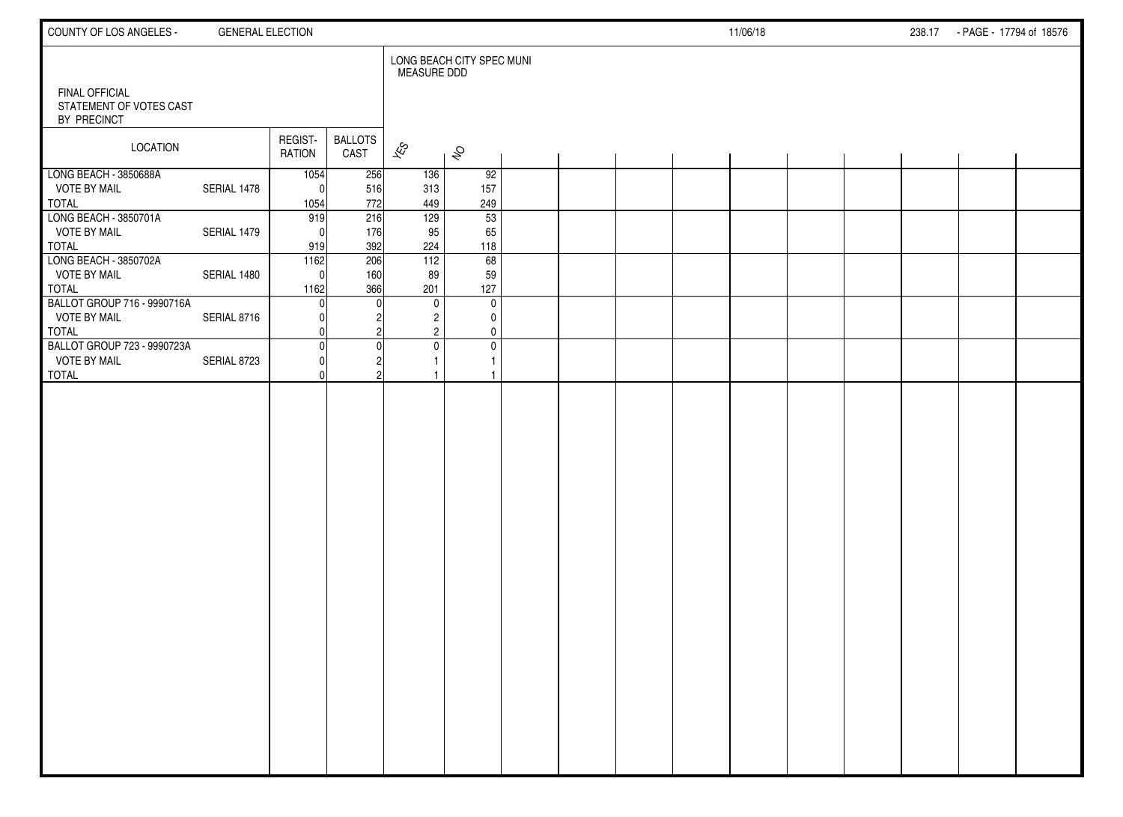| COUNTY OF LOS ANGELES -                                            | <b>GENERAL ELECTION</b> |                            |                        |                                                 |                                           |  |  | 11/06/18 |  | 238.17 - PAGE - 17794 of 18576 |  |
|--------------------------------------------------------------------|-------------------------|----------------------------|------------------------|-------------------------------------------------|-------------------------------------------|--|--|----------|--|--------------------------------|--|
| <b>FINAL OFFICIAL</b><br>STATEMENT OF VOTES CAST<br>BY PRECINCT    |                         |                            |                        | <b>MEASURE DDD</b>                              | LONG BEACH CITY SPEC MUNI                 |  |  |          |  |                                |  |
| LOCATION                                                           |                         | REGIST-<br>RATION          | <b>BALLOTS</b><br>CAST | $\overline{\mathscr{E}}$                        | $\hat{\mathcal{S}}$                       |  |  |          |  |                                |  |
| LONG BEACH - 3850688A<br><b>VOTE BY MAIL</b><br><b>TOTAL</b>       | SERIAL 1478             | 1054<br>O<br>1054          | 256<br>516<br>772      | 136<br>313<br>449                               | 92<br>157<br>249                          |  |  |          |  |                                |  |
| LONG BEACH - 3850701A<br><b>VOTE BY MAIL</b><br><b>TOTAL</b>       | SERIAL 1479             | 919<br>$\sqrt{ }$<br>919   | 216<br>176<br>392      | 129<br>95<br>224                                | 53<br>65<br>118                           |  |  |          |  |                                |  |
| LONG BEACH - 3850702A<br><b>VOTE BY MAIL</b><br><b>TOTAL</b>       | SERIAL 1480             | 1162<br>$\sqrt{ }$<br>1162 | 206<br>160<br>366      | 112<br>89<br>201                                | 68<br>59<br>127                           |  |  |          |  |                                |  |
| BALLOT GROUP 716 - 9990716A<br><b>VOTE BY MAIL</b><br><b>TOTAL</b> | SERIAL 8716             | C                          |                        | $\mathbf 0$<br>$\overline{c}$<br>$\overline{2}$ | $\mathbf 0$<br>0<br>0                     |  |  |          |  |                                |  |
| BALLOT GROUP 723 - 9990723A<br><b>VOTE BY MAIL</b><br><b>TOTAL</b> | SERIAL 8723             |                            |                        | $\mathbf 0$                                     | $\pmb{0}$<br>$\mathbf{1}$<br>$\mathbf{1}$ |  |  |          |  |                                |  |
|                                                                    |                         |                            |                        |                                                 |                                           |  |  |          |  |                                |  |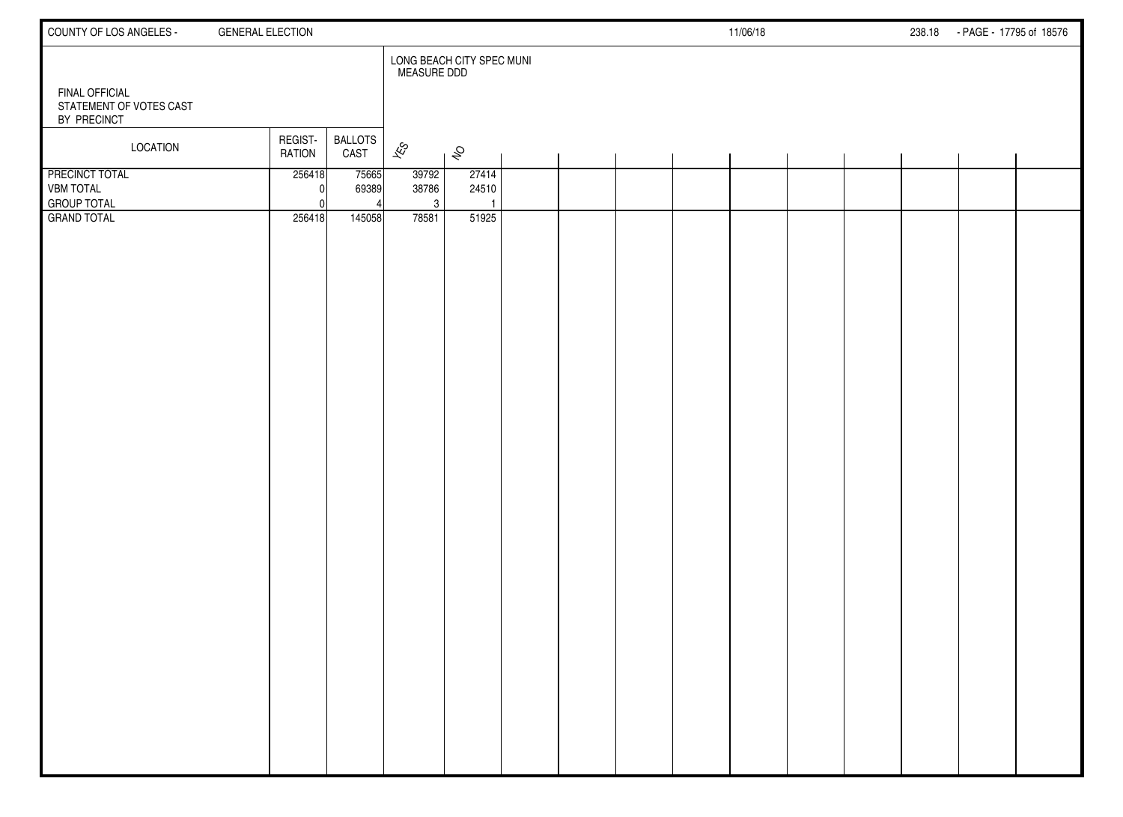| COUNTY OF LOS ANGELES -                                         | <b>GENERAL ELECTION</b>                            |                                                 | 11/06/18 | 238.18 - PAGE - 17795 of 18576 |  |
|-----------------------------------------------------------------|----------------------------------------------------|-------------------------------------------------|----------|--------------------------------|--|
| <b>FINAL OFFICIAL</b><br>STATEMENT OF VOTES CAST                |                                                    | LONG BEACH CITY SPEC MUNI<br><b>MEASURE DDD</b> |          |                                |  |
| BY PRECINCT                                                     |                                                    |                                                 |          |                                |  |
| LOCATION                                                        | REGIST-<br><b>BALLOTS</b><br><b>RATION</b><br>CAST | $\overline{\mathscr{E}}$<br>$\hat{\mathcal{S}}$ |          |                                |  |
| <b>PRECINCT TOTAL</b><br><b>VBM TOTAL</b><br><b>GROUP TOTAL</b> | 256418<br>75665<br>69389<br><sup>0</sup>           | 39792<br>27414<br>38786<br>24510<br>3           |          |                                |  |
| <b>GRAND TOTAL</b>                                              | 256418<br>145058                                   | 78581<br>51925                                  |          |                                |  |
|                                                                 |                                                    |                                                 |          |                                |  |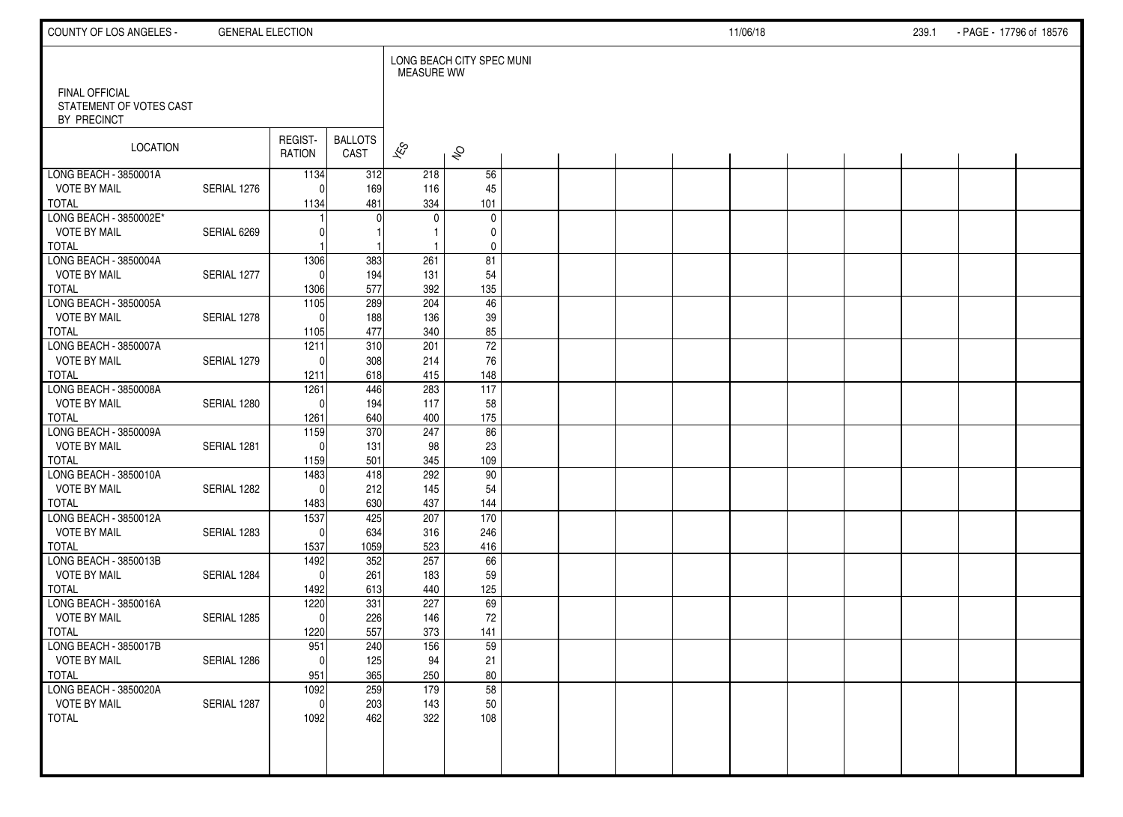| COUNTY OF LOS ANGELES -                                         | <b>GENERAL ELECTION</b> |                     |                        |                   |                           |  |  | 11/06/18 |  | 239.1 | - PAGE - 17796 of 18576 |  |
|-----------------------------------------------------------------|-------------------------|---------------------|------------------------|-------------------|---------------------------|--|--|----------|--|-------|-------------------------|--|
|                                                                 |                         |                     |                        | <b>MEASURE WW</b> | LONG BEACH CITY SPEC MUNI |  |  |          |  |       |                         |  |
| <b>FINAL OFFICIAL</b><br>STATEMENT OF VOTES CAST<br>BY PRECINCT |                         |                     |                        |                   |                           |  |  |          |  |       |                         |  |
| LOCATION                                                        |                         | REGIST-<br>RATION   | <b>BALLOTS</b><br>CAST | $\approx$         | $\hat{\mathcal{S}}$       |  |  |          |  |       |                         |  |
| LONG BEACH - 3850001A                                           |                         | 1134                | 312                    | 218               | 56                        |  |  |          |  |       |                         |  |
| <b>VOTE BY MAIL</b>                                             | SERIAL 1276             | $\Omega$            | 169                    | 116               | 45                        |  |  |          |  |       |                         |  |
| <b>TOTAL</b>                                                    |                         | 1134                | 481                    | 334               | 101                       |  |  |          |  |       |                         |  |
| LONG BEACH - 3850002E*<br><b>VOTE BY MAIL</b>                   | SERIAL 6269             |                     | $\bigcap$              | 0                 | $\mathbf 0$<br>0          |  |  |          |  |       |                         |  |
| <b>TOTAL</b>                                                    |                         |                     |                        | -1                | $\pmb{0}$                 |  |  |          |  |       |                         |  |
| LONG BEACH - 3850004A                                           |                         | 1306                | 383                    | 261               | 81                        |  |  |          |  |       |                         |  |
| <b>VOTE BY MAIL</b>                                             | SERIAL 1277             | $\Omega$            | 194                    | 131               | 54                        |  |  |          |  |       |                         |  |
| <b>TOTAL</b>                                                    |                         | 1306                | 577                    | 392               | 135                       |  |  |          |  |       |                         |  |
| LONG BEACH - 3850005A                                           |                         | $\frac{1105}{2}$    | 289                    | 204               | 46                        |  |  |          |  |       |                         |  |
| <b>VOTE BY MAIL</b>                                             | SERIAL 1278             | $\Omega$            | 188                    | 136               | 39                        |  |  |          |  |       |                         |  |
| <b>TOTAL</b>                                                    |                         | 1105                | 477                    | 340               | 85                        |  |  |          |  |       |                         |  |
| LONG BEACH - 3850007A                                           |                         | 1211                | 310                    | 201               | $\overline{72}$           |  |  |          |  |       |                         |  |
| <b>VOTE BY MAIL</b>                                             | SERIAL 1279             | $\Omega$            | 308                    | 214               | 76                        |  |  |          |  |       |                         |  |
| <b>TOTAL</b>                                                    |                         | 1211                | 618                    | 415               | 148                       |  |  |          |  |       |                         |  |
| LONG BEACH - 3850008A                                           |                         | 1261                | 446                    | 283               | $\frac{117}{117}$         |  |  |          |  |       |                         |  |
| <b>VOTE BY MAIL</b><br><b>TOTAL</b>                             | SERIAL 1280             | $\Omega$            | 194<br>640             | 117<br>400        | 58<br>175                 |  |  |          |  |       |                         |  |
| LONG BEACH - 3850009A                                           |                         | 1261<br>1159        | 370                    | 247               | $\overline{86}$           |  |  |          |  |       |                         |  |
| <b>VOTE BY MAIL</b>                                             | SERIAL 1281             | $\Omega$            | 131                    | 98                | 23                        |  |  |          |  |       |                         |  |
| <b>TOTAL</b>                                                    |                         | 1159                | 501                    | 345               | 109                       |  |  |          |  |       |                         |  |
| LONG BEACH - 3850010A                                           |                         | 1483                | 418                    | 292               | 90                        |  |  |          |  |       |                         |  |
| <b>VOTE BY MAIL</b>                                             | SERIAL 1282             | $\Omega$            | 212                    | 145               | 54                        |  |  |          |  |       |                         |  |
| <b>TOTAL</b>                                                    |                         | 1483                | 630                    | 437               | 144                       |  |  |          |  |       |                         |  |
| LONG BEACH - 3850012A                                           |                         | 1537                | 425                    | 207               | 170                       |  |  |          |  |       |                         |  |
| <b>VOTE BY MAIL</b>                                             | SERIAL 1283             | $\Omega$            | 634                    | 316               | 246                       |  |  |          |  |       |                         |  |
| <b>TOTAL</b>                                                    |                         | 1537                | 1059                   | 523               | 416                       |  |  |          |  |       |                         |  |
| LONG BEACH - 3850013B                                           |                         | 1492                | 352                    | 257               | 66                        |  |  |          |  |       |                         |  |
| <b>VOTE BY MAIL</b>                                             | SERIAL 1284             | $\Omega$            | 261                    | 183               | 59                        |  |  |          |  |       |                         |  |
| <b>TOTAL</b><br>LONG BEACH - 3850016A                           |                         | 1492                | 613<br>331             | 440<br>227        | 125<br>69                 |  |  |          |  |       |                         |  |
| <b>VOTE BY MAIL</b>                                             | SERIAL 1285             | 1220<br>$\mathbf 0$ | 226                    | 146               | 72                        |  |  |          |  |       |                         |  |
| <b>TOTAL</b>                                                    |                         | 1220                | 557                    | 373               | 141                       |  |  |          |  |       |                         |  |
| LONG BEACH - 3850017B                                           |                         | 951                 | 240                    | 156               | 59                        |  |  |          |  |       |                         |  |
| <b>VOTE BY MAIL</b>                                             | SERIAL 1286             | 0                   | 125                    | 94                | 21                        |  |  |          |  |       |                         |  |
| <b>TOTAL</b>                                                    |                         | 951                 | 365                    | 250               | 80                        |  |  |          |  |       |                         |  |
| LONG BEACH - 3850020A                                           |                         | 1092                | 259                    | 179               | 58                        |  |  |          |  |       |                         |  |
| <b>VOTE BY MAIL</b>                                             | SERIAL 1287             | $\mathbf 0$         | 203                    | 143               | 50                        |  |  |          |  |       |                         |  |
| <b>TOTAL</b>                                                    |                         | 1092                | 462                    | 322               | 108                       |  |  |          |  |       |                         |  |
|                                                                 |                         |                     |                        |                   |                           |  |  |          |  |       |                         |  |
|                                                                 |                         |                     |                        |                   |                           |  |  |          |  |       |                         |  |
|                                                                 |                         |                     |                        |                   |                           |  |  |          |  |       |                         |  |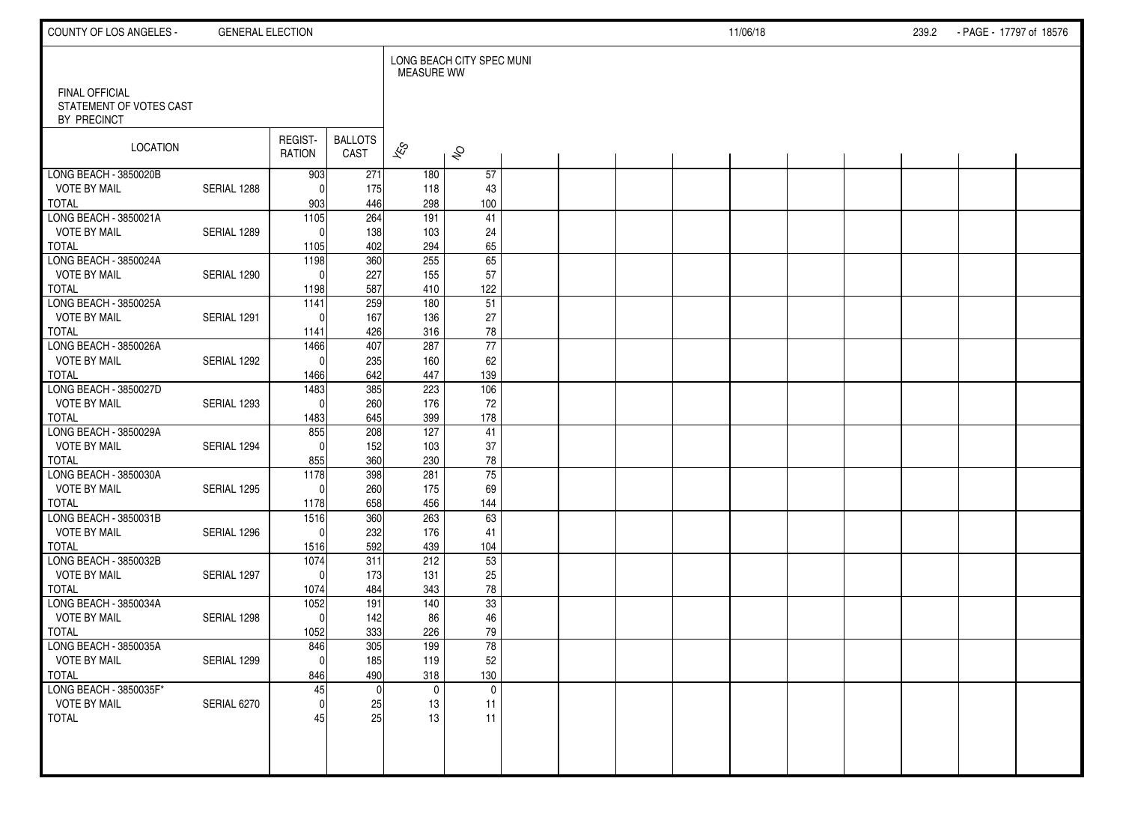| COUNTY OF LOS ANGELES -                                         | <b>GENERAL ELECTION</b> |                       |                        |                    |                           |  |  | 11/06/18 |  | 239.2 | - PAGE - 17797 of 18576 |  |
|-----------------------------------------------------------------|-------------------------|-----------------------|------------------------|--------------------|---------------------------|--|--|----------|--|-------|-------------------------|--|
|                                                                 |                         |                       |                        | <b>MEASURE WW</b>  | LONG BEACH CITY SPEC MUNI |  |  |          |  |       |                         |  |
| <b>FINAL OFFICIAL</b><br>STATEMENT OF VOTES CAST<br>BY PRECINCT |                         |                       |                        |                    |                           |  |  |          |  |       |                         |  |
| LOCATION                                                        |                         | REGIST-<br>RATION     | <b>BALLOTS</b><br>CAST | $\mathbf{\hat{z}}$ | $\hat{\mathcal{S}}$       |  |  |          |  |       |                         |  |
| LONG BEACH - 3850020B                                           |                         | 903                   | 271                    | 180                | 57                        |  |  |          |  |       |                         |  |
| <b>VOTE BY MAIL</b><br>TOTAL                                    | SERIAL 1288             | $\Omega$<br>903       | 175<br>446             | 118<br>298         | 43<br>100                 |  |  |          |  |       |                         |  |
| LONG BEACH - 3850021A                                           |                         | 1105                  | 264                    | 191                | 41                        |  |  |          |  |       |                         |  |
| <b>VOTE BY MAIL</b>                                             | SERIAL 1289             | $\Omega$              | 138                    | 103                | 24                        |  |  |          |  |       |                         |  |
| <b>TOTAL</b>                                                    |                         | 1105                  | 402                    | 294                | 65                        |  |  |          |  |       |                         |  |
| LONG BEACH - 3850024A                                           |                         | 1198                  | 360                    | 255                | 65                        |  |  |          |  |       |                         |  |
| <b>VOTE BY MAIL</b>                                             | SERIAL 1290             | $\Omega$              | 227                    | 155                | 57                        |  |  |          |  |       |                         |  |
| <b>TOTAL</b>                                                    |                         | 1198                  | 587                    | 410                | 122                       |  |  |          |  |       |                         |  |
| LONG BEACH - 3850025A                                           |                         | 1141                  | 259                    | 180                | $\overline{51}$           |  |  |          |  |       |                         |  |
| <b>VOTE BY MAIL</b>                                             | SERIAL 1291             | $\Omega$              | 167                    | 136                | 27                        |  |  |          |  |       |                         |  |
| <b>TOTAL</b><br>LONG BEACH - 3850026A                           |                         | 1141                  | 426<br>407             | 316<br>287         | 78<br>77                  |  |  |          |  |       |                         |  |
| <b>VOTE BY MAIL</b>                                             | SERIAL 1292             | 1466<br>$\Omega$      | 235                    | 160                | 62                        |  |  |          |  |       |                         |  |
| <b>TOTAL</b>                                                    |                         | 1466                  | 642                    | 447                | 139                       |  |  |          |  |       |                         |  |
| LONG BEACH - 3850027D                                           |                         | 1483                  | 385                    | 223                | 106                       |  |  |          |  |       |                         |  |
| <b>VOTE BY MAIL</b>                                             | SERIAL 1293             | $\mathbf{0}$          | 260                    | 176                | 72                        |  |  |          |  |       |                         |  |
| <b>TOTAL</b>                                                    |                         | 1483                  | 645                    | 399                | 178                       |  |  |          |  |       |                         |  |
| LONG BEACH - 3850029A                                           |                         | 855                   | 208                    | 127                | 41                        |  |  |          |  |       |                         |  |
| <b>VOTE BY MAIL</b>                                             | SERIAL 1294             | $\Omega$              | 152                    | 103                | 37                        |  |  |          |  |       |                         |  |
| <b>TOTAL</b>                                                    |                         | 855                   | 360                    | 230                | 78                        |  |  |          |  |       |                         |  |
| LONG BEACH - 3850030A                                           |                         | 1178                  | 398                    | 281                | $\overline{75}$           |  |  |          |  |       |                         |  |
| <b>VOTE BY MAIL</b>                                             | SERIAL 1295             | $\Omega$              | 260                    | 175                | 69                        |  |  |          |  |       |                         |  |
| <b>TOTAL</b><br>LONG BEACH - 3850031B                           |                         | 1178<br>1516          | 658<br>360             | 456<br>263         | 144<br>63                 |  |  |          |  |       |                         |  |
| <b>VOTE BY MAIL</b>                                             | SERIAL 1296             | $\Omega$              | 232                    | 176                | 41                        |  |  |          |  |       |                         |  |
| <b>TOTAL</b>                                                    |                         | 1516                  | 592                    | 439                | 104                       |  |  |          |  |       |                         |  |
| LONG BEACH - 3850032B                                           |                         | 1074                  | 311                    | 212                | $\overline{53}$           |  |  |          |  |       |                         |  |
| <b>VOTE BY MAIL</b>                                             | SERIAL 1297             | $\Omega$              | 173                    | 131                | 25                        |  |  |          |  |       |                         |  |
| <b>TOTAL</b>                                                    |                         | 1074                  | 484                    | 343                | 78                        |  |  |          |  |       |                         |  |
| LONG BEACH - 3850034A                                           |                         | 1052                  | 191                    | 140                | 33                        |  |  |          |  |       |                         |  |
| <b>VOTE BY MAIL</b>                                             | SERIAL 1298             | $\mathbf{0}$          | 142                    | 86                 | 46                        |  |  |          |  |       |                         |  |
| <b>TOTAL</b>                                                    |                         | 1052                  | 333                    | 226                | 79                        |  |  |          |  |       |                         |  |
| LONG BEACH - 3850035A<br><b>VOTE BY MAIL</b>                    |                         | 846                   | 305                    | 199                | 78                        |  |  |          |  |       |                         |  |
| TOTAL                                                           | SERIAL 1299             | $\overline{0}$<br>846 | 185<br>490             | 119<br>318         | $52\,$<br>130             |  |  |          |  |       |                         |  |
| LONG BEACH - 3850035F*                                          |                         | 45                    | $\mathbf 0$            | $\mathbf 0$        | $\mathbf 0$               |  |  |          |  |       |                         |  |
| <b>VOTE BY MAIL</b>                                             | SERIAL 6270             | $\mathbf{0}$          | 25                     | 13                 | 11                        |  |  |          |  |       |                         |  |
| TOTAL                                                           |                         | 45                    | 25                     | 13                 | 11                        |  |  |          |  |       |                         |  |
|                                                                 |                         |                       |                        |                    |                           |  |  |          |  |       |                         |  |
|                                                                 |                         |                       |                        |                    |                           |  |  |          |  |       |                         |  |
|                                                                 |                         |                       |                        |                    |                           |  |  |          |  |       |                         |  |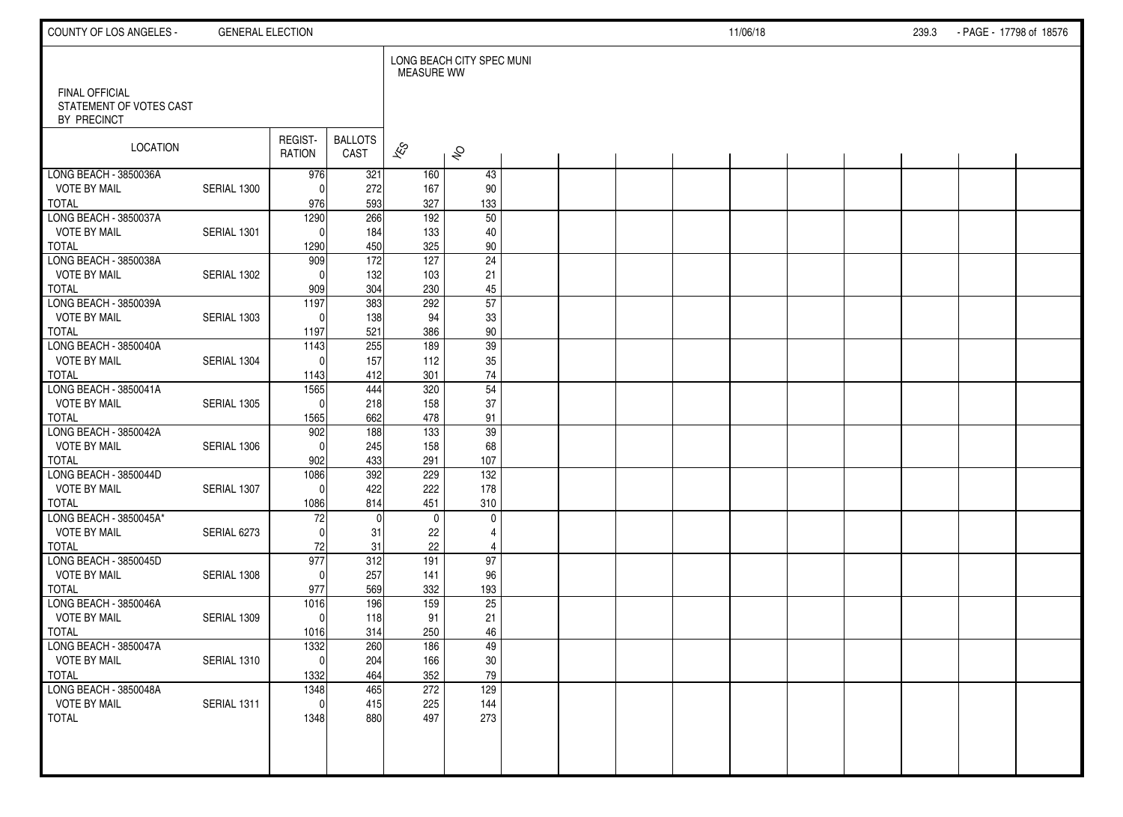| COUNTY OF LOS ANGELES -                                         | <b>GENERAL ELECTION</b> |                     |                        |                   |                           |  |  | 11/06/18 |  | 239.3 | - PAGE - 17798 of 18576 |  |
|-----------------------------------------------------------------|-------------------------|---------------------|------------------------|-------------------|---------------------------|--|--|----------|--|-------|-------------------------|--|
|                                                                 |                         |                     |                        | <b>MEASURE WW</b> | LONG BEACH CITY SPEC MUNI |  |  |          |  |       |                         |  |
| <b>FINAL OFFICIAL</b><br>STATEMENT OF VOTES CAST<br>BY PRECINCT |                         |                     |                        |                   |                           |  |  |          |  |       |                         |  |
| LOCATION                                                        |                         | REGIST-<br>RATION   | <b>BALLOTS</b><br>CAST | $\approx$         | $\hat{\mathcal{S}}$       |  |  |          |  |       |                         |  |
| LONG BEACH - 3850036A                                           |                         | 976                 | 321                    | 160               | 43                        |  |  |          |  |       |                         |  |
| <b>VOTE BY MAIL</b>                                             | SERIAL 1300             | $\Omega$            | 272                    | 167               | 90                        |  |  |          |  |       |                         |  |
| <b>TOTAL</b>                                                    |                         | 976                 | 593                    | 327               | 133                       |  |  |          |  |       |                         |  |
| LONG BEACH - 3850037A                                           |                         | 1290                | 266                    | 192               | 50                        |  |  |          |  |       |                         |  |
| <b>VOTE BY MAIL</b>                                             | SERIAL 1301             | $\Omega$            | 184                    | 133               | 40                        |  |  |          |  |       |                         |  |
| <b>TOTAL</b><br>LONG BEACH 3850038A                             |                         | 1290                | 450                    | 325               | $90\,$<br>$\overline{24}$ |  |  |          |  |       |                         |  |
| <b>VOTE BY MAIL</b>                                             | SERIAL 1302             | 909<br>$\Omega$     | 172<br>132             | 127<br>103        | 21                        |  |  |          |  |       |                         |  |
| <b>TOTAL</b>                                                    |                         | 909                 | 304                    | 230               | $45\,$                    |  |  |          |  |       |                         |  |
| LONG BEACH - 3850039A                                           |                         | 1197                | 383                    | 292               | $\overline{57}$           |  |  |          |  |       |                         |  |
| <b>VOTE BY MAIL</b>                                             | SERIAL 1303             | $\Omega$            | 138                    | 94                | 33                        |  |  |          |  |       |                         |  |
| <b>TOTAL</b>                                                    |                         | 1197                | 521                    | 386               | 90                        |  |  |          |  |       |                         |  |
| LONG BEACH - 3850040A                                           |                         | 1143                | 255                    | 189               | 39                        |  |  |          |  |       |                         |  |
| <b>VOTE BY MAIL</b>                                             | SERIAL 1304             | $\Omega$            | 157                    | 112               | 35                        |  |  |          |  |       |                         |  |
| <b>TOTAL</b>                                                    |                         | 1143                | 412                    | 301               | $74\,$                    |  |  |          |  |       |                         |  |
| LONG BEACH - 3850041A                                           |                         | 1565                | 444                    | 320               | 54                        |  |  |          |  |       |                         |  |
| <b>VOTE BY MAIL</b>                                             | SERIAL 1305             | $\Omega$            | 218                    | 158               | 37                        |  |  |          |  |       |                         |  |
| <b>TOTAL</b>                                                    |                         | 1565                | 662                    | 478               | 91                        |  |  |          |  |       |                         |  |
| LONG BEACH - 3850042A                                           |                         | 902                 | 188                    | 133               | $\overline{39}$           |  |  |          |  |       |                         |  |
| <b>VOTE BY MAIL</b>                                             | SERIAL 1306             | $\Omega$            | 245                    | 158               | 68                        |  |  |          |  |       |                         |  |
| <b>TOTAL</b>                                                    |                         | 902                 | 433                    | 291               | 107<br>$\overline{132}$   |  |  |          |  |       |                         |  |
| LONG BEACH - 3850044D<br><b>VOTE BY MAIL</b>                    | SERIAL 1307             | 1086<br>$\Omega$    | 392<br>422             | 229<br>222        | 178                       |  |  |          |  |       |                         |  |
| <b>TOTAL</b>                                                    |                         | 1086                | 814                    | 451               | 310                       |  |  |          |  |       |                         |  |
| LONG BEACH - 3850045A*                                          |                         | 72                  | $\mathbf 0$            | $\mathbf{0}$      | $\mathbf 0$               |  |  |          |  |       |                         |  |
| <b>VOTE BY MAIL</b>                                             | SERIAL 6273             | $\Omega$            | 31                     | 22                | $\overline{4}$            |  |  |          |  |       |                         |  |
| <b>TOTAL</b>                                                    |                         | 72                  | 31                     | 22                | 4                         |  |  |          |  |       |                         |  |
| LONG BEACH - 3850045D                                           |                         | 977                 | 312                    | 191               | 97                        |  |  |          |  |       |                         |  |
| <b>VOTE BY MAIL</b>                                             | SERIAL 1308             | $\Omega$            | 257                    | 141               | 96                        |  |  |          |  |       |                         |  |
| <b>TOTAL</b>                                                    |                         | 977                 | 569                    | 332               | 193                       |  |  |          |  |       |                         |  |
| LONG BEACH - 3850046A                                           |                         | 1016                | 196                    | 159               | 25                        |  |  |          |  |       |                         |  |
| <b>VOTE BY MAIL</b>                                             | SERIAL 1309             | $\mathbf 0$         | 118                    | 91                | 21                        |  |  |          |  |       |                         |  |
| <b>TOTAL</b>                                                    |                         | 1016                | 314                    | 250               | 46                        |  |  |          |  |       |                         |  |
| LONG BEACH - 3850047A                                           |                         | 1332                | 260                    | 186               | 49                        |  |  |          |  |       |                         |  |
| <b>VOTE BY MAIL</b>                                             | SERIAL 1310             | 0                   | 204                    | 166               | $30\,$                    |  |  |          |  |       |                         |  |
| <b>TOTAL</b>                                                    |                         | 1332                | 464                    | 352               | 79                        |  |  |          |  |       |                         |  |
| LONG BEACH - 3850048A                                           |                         | 1348                | 465                    | 272               | 129                       |  |  |          |  |       |                         |  |
| <b>VOTE BY MAIL</b><br><b>TOTAL</b>                             | SERIAL 1311             | $\mathbf 0$<br>1348 | 415<br>880             | 225<br>497        | 144<br>273                |  |  |          |  |       |                         |  |
|                                                                 |                         |                     |                        |                   |                           |  |  |          |  |       |                         |  |
|                                                                 |                         |                     |                        |                   |                           |  |  |          |  |       |                         |  |
|                                                                 |                         |                     |                        |                   |                           |  |  |          |  |       |                         |  |
|                                                                 |                         |                     |                        |                   |                           |  |  |          |  |       |                         |  |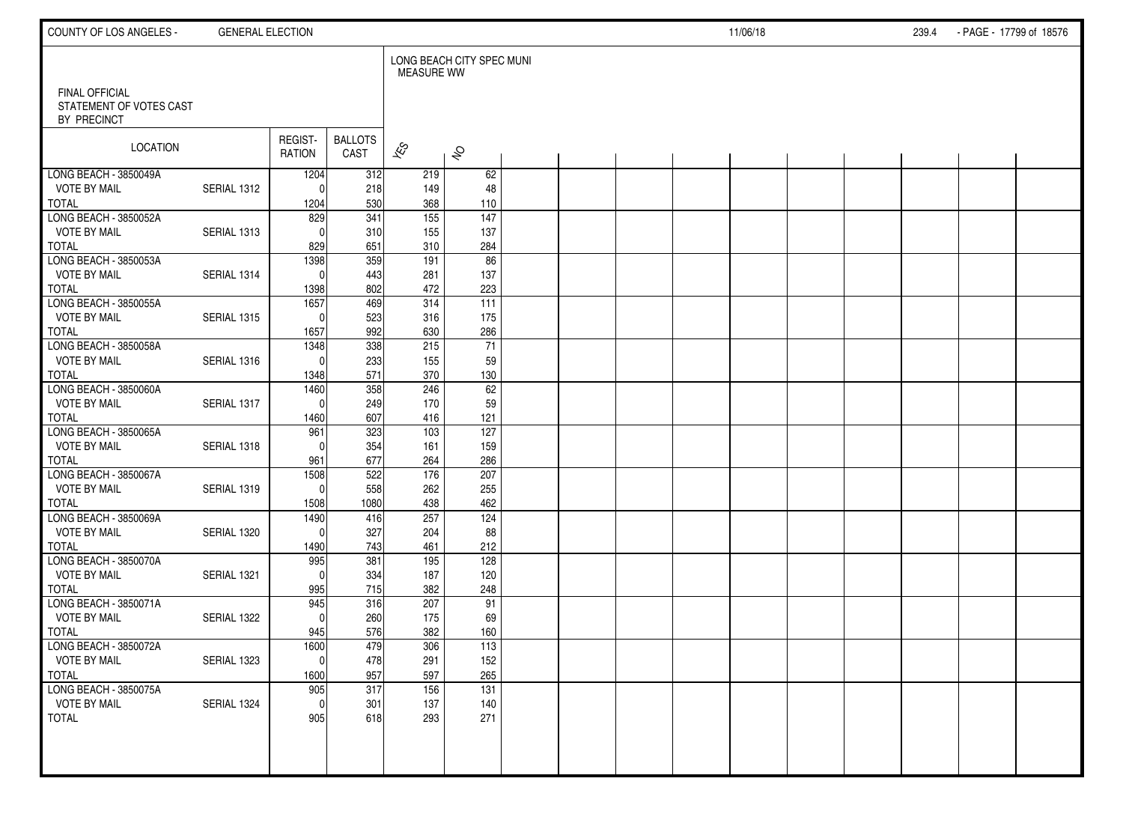| COUNTY OF LOS ANGELES -                                  | <b>GENERAL ELECTION</b> |                     |                        |                          |                           |  |  | 11/06/18 |  | 239.4 | - PAGE - 17799 of 18576 |  |
|----------------------------------------------------------|-------------------------|---------------------|------------------------|--------------------------|---------------------------|--|--|----------|--|-------|-------------------------|--|
|                                                          |                         |                     |                        | <b>MEASURE WW</b>        | LONG BEACH CITY SPEC MUNI |  |  |          |  |       |                         |  |
| FINAL OFFICIAL<br>STATEMENT OF VOTES CAST<br>BY PRECINCT |                         |                     |                        |                          |                           |  |  |          |  |       |                         |  |
| LOCATION                                                 |                         | REGIST-<br>RATION   | <b>BALLOTS</b><br>CAST | $\overline{\mathscr{K}}$ | $\hat{\mathcal{S}}$       |  |  |          |  |       |                         |  |
| LONG BEACH - 3850049A                                    |                         | 1204                | 312                    | 219                      | 62                        |  |  |          |  |       |                         |  |
| <b>VOTE BY MAIL</b><br><b>TOTAL</b>                      | SERIAL 1312             | $\Omega$            | 218<br>530             | 149<br>368               | 48<br>110                 |  |  |          |  |       |                         |  |
| LONG BEACH - 3850052A                                    |                         | 1204<br>829         | $\overline{341}$       | 155                      | $\frac{147}{147}$         |  |  |          |  |       |                         |  |
| <b>VOTE BY MAIL</b>                                      | SERIAL 1313             | $\Omega$            | 310                    | 155                      | 137                       |  |  |          |  |       |                         |  |
| <b>TOTAL</b>                                             |                         | 829                 | 651                    | 310                      | 284                       |  |  |          |  |       |                         |  |
| LONG BEACH - 3850053A                                    |                         | 1398                | 359                    | 191                      | 86                        |  |  |          |  |       |                         |  |
| <b>VOTE BY MAIL</b>                                      | SERIAL 1314             | $\Omega$            | 443                    | 281                      | 137                       |  |  |          |  |       |                         |  |
| <b>TOTAL</b>                                             |                         | 1398                | 802                    | 472                      | 223                       |  |  |          |  |       |                         |  |
| LONG BEACH - 3850055A                                    |                         | 1657                | 469                    | 314                      | 111                       |  |  |          |  |       |                         |  |
| <b>VOTE BY MAIL</b>                                      | SERIAL 1315             | $\Omega$            | 523                    | 316                      | 175                       |  |  |          |  |       |                         |  |
| <b>TOTAL</b>                                             |                         | 1657                | 992                    | 630                      | 286                       |  |  |          |  |       |                         |  |
| LONG BEACH - 3850058A                                    |                         | 1348                | 338                    | 215                      | 71                        |  |  |          |  |       |                         |  |
| <b>VOTE BY MAIL</b>                                      | SERIAL 1316             | $\Omega$            | 233                    | 155                      | 59                        |  |  |          |  |       |                         |  |
| <b>TOTAL</b>                                             |                         | 1348                | 571                    | 370                      | 130                       |  |  |          |  |       |                         |  |
| LONG BEACH - 3850060A                                    |                         | 1460                | 358                    | 246                      | 62                        |  |  |          |  |       |                         |  |
| <b>VOTE BY MAIL</b><br><b>TOTAL</b>                      | SERIAL 1317             | $\mathbf{0}$        | 249<br>607             | 170<br>416               | 59                        |  |  |          |  |       |                         |  |
| LONG BEACH - 3850065A                                    |                         | 1460<br>961         | 323                    | 103                      | 121<br>127                |  |  |          |  |       |                         |  |
| <b>VOTE BY MAIL</b>                                      | SERIAL 1318             | $\Omega$            | 354                    | 161                      | 159                       |  |  |          |  |       |                         |  |
| <b>TOTAL</b>                                             |                         | 961                 | 677                    | 264                      | 286                       |  |  |          |  |       |                         |  |
| LONG BEACH - 3850067A                                    |                         | 1508                | 522                    | 176                      | 207                       |  |  |          |  |       |                         |  |
| <b>VOTE BY MAIL</b>                                      | SERIAL 1319             | $\mathbf{0}$        | 558                    | 262                      | 255                       |  |  |          |  |       |                         |  |
| <b>TOTAL</b>                                             |                         | 1508                | 1080                   | 438                      | 462                       |  |  |          |  |       |                         |  |
| LONG BEACH - 3850069A                                    |                         | 1490                | 416                    | 257                      | 124                       |  |  |          |  |       |                         |  |
| <b>VOTE BY MAIL</b>                                      | SERIAL 1320             | $\mathbf{0}$        | 327                    | 204                      | 88                        |  |  |          |  |       |                         |  |
| <b>TOTAL</b>                                             |                         | 1490                | 743                    | 461                      | 212                       |  |  |          |  |       |                         |  |
| LONG BEACH - 3850070A                                    |                         | 995                 | 381                    | 195                      | 128                       |  |  |          |  |       |                         |  |
| <b>VOTE BY MAIL</b>                                      | SERIAL 1321             | $\Omega$            | 334                    | 187                      | 120                       |  |  |          |  |       |                         |  |
| <b>TOTAL</b>                                             |                         | 995                 | 715                    | 382                      | 248                       |  |  |          |  |       |                         |  |
| LONG BEACH - 3850071A<br><b>VOTE BY MAIL</b>             | SERIAL 1322             | 945<br>$\mathbf{0}$ | 316<br>260             | 207<br>175               | 91<br>69                  |  |  |          |  |       |                         |  |
| <b>TOTAL</b>                                             |                         | 945                 | 576                    | 382                      | 160                       |  |  |          |  |       |                         |  |
| LONG BEACH - 3850072A                                    |                         | 1600                | 479                    | 306                      | 113                       |  |  |          |  |       |                         |  |
| <b>VOTE BY MAIL</b>                                      | SERIAL 1323             | $\pmb{0}$           | 478                    | 291                      | 152                       |  |  |          |  |       |                         |  |
| <b>TOTAL</b>                                             |                         | 1600                | 957                    | 597                      | 265                       |  |  |          |  |       |                         |  |
| LONG BEACH - 3850075A                                    |                         | 905                 | 317                    | 156                      | 131                       |  |  |          |  |       |                         |  |
| <b>VOTE BY MAIL</b>                                      | SERIAL 1324             | $\mathbf 0$         | 301                    | 137                      | 140                       |  |  |          |  |       |                         |  |
| <b>TOTAL</b>                                             |                         | 905                 | 618                    | 293                      | 271                       |  |  |          |  |       |                         |  |
|                                                          |                         |                     |                        |                          |                           |  |  |          |  |       |                         |  |
|                                                          |                         |                     |                        |                          |                           |  |  |          |  |       |                         |  |
|                                                          |                         |                     |                        |                          |                           |  |  |          |  |       |                         |  |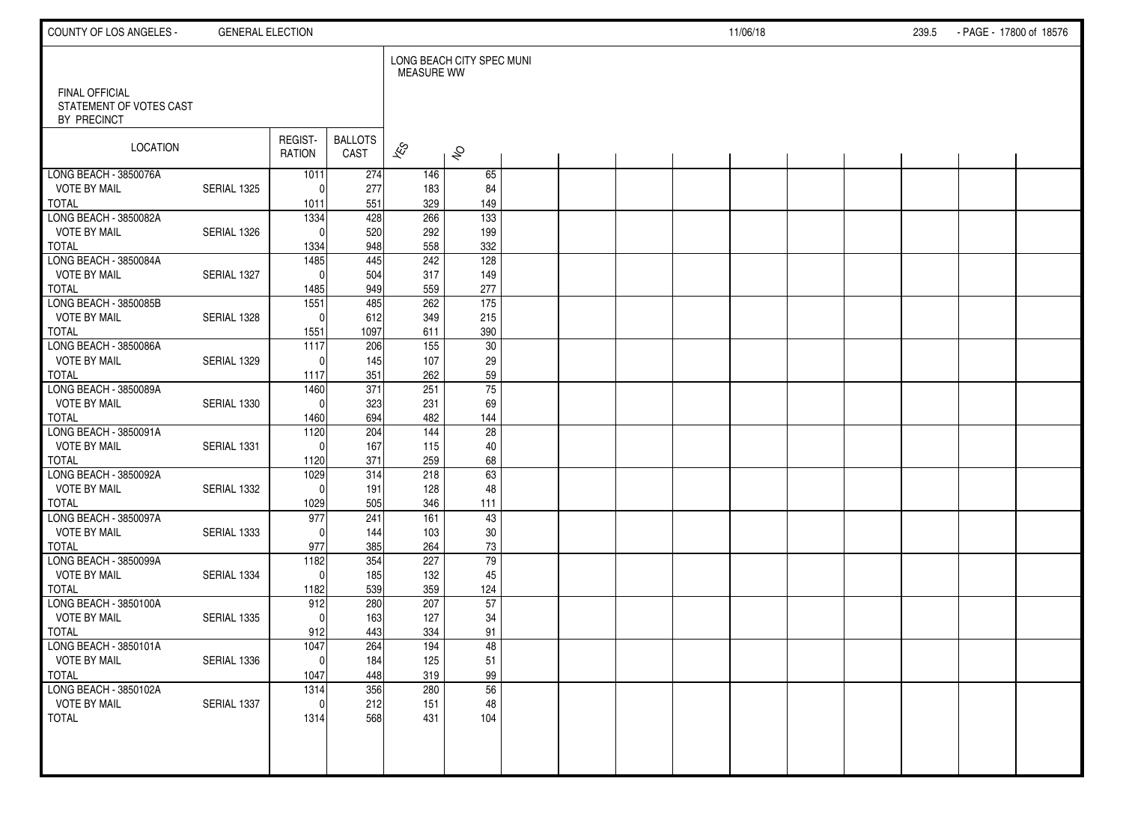| COUNTY OF LOS ANGELES -                                         | <b>GENERAL ELECTION</b> |                          |                        |                    |                           |  |  | 11/06/18 |  | 239.5 | - PAGE - 17800 of 18576 |  |
|-----------------------------------------------------------------|-------------------------|--------------------------|------------------------|--------------------|---------------------------|--|--|----------|--|-------|-------------------------|--|
|                                                                 |                         |                          |                        | <b>MEASURE WW</b>  | LONG BEACH CITY SPEC MUNI |  |  |          |  |       |                         |  |
| <b>FINAL OFFICIAL</b><br>STATEMENT OF VOTES CAST<br>BY PRECINCT |                         |                          |                        |                    |                           |  |  |          |  |       |                         |  |
| LOCATION                                                        |                         | REGIST-<br>RATION        | <b>BALLOTS</b><br>CAST | $\mathbf{\hat{z}}$ | $\hat{\mathcal{S}}$       |  |  |          |  |       |                         |  |
| LONG BEACH - 3850076A                                           |                         | 1011                     | 274                    | 146                | 65                        |  |  |          |  |       |                         |  |
| <b>VOTE BY MAIL</b>                                             | SERIAL 1325             | $\Omega$                 | 277                    | 183                | 84                        |  |  |          |  |       |                         |  |
| TOTAL                                                           |                         | 1011                     | 551                    | 329<br>266         | 149                       |  |  |          |  |       |                         |  |
| LONG BEACH - 3850082A<br><b>VOTE BY MAIL</b>                    | SERIAL 1326             | 1334<br>$\Omega$         | 428                    | 292                | $\overline{133}$<br>199   |  |  |          |  |       |                         |  |
| <b>TOTAL</b>                                                    |                         | 1334                     | 520<br>948             | 558                | 332                       |  |  |          |  |       |                         |  |
| LONG BEACH - 3850084A                                           |                         | 1485                     | 445                    | 242                | 128                       |  |  |          |  |       |                         |  |
| <b>VOTE BY MAIL</b>                                             | SERIAL 1327             | $\Omega$                 | 504                    | 317                | 149                       |  |  |          |  |       |                         |  |
| <b>TOTAL</b>                                                    |                         | 1485                     | 949                    | 559                | 277                       |  |  |          |  |       |                         |  |
| LONG BEACH - 3850085B                                           |                         | 1551                     | 485                    | 262                | 175                       |  |  |          |  |       |                         |  |
| <b>VOTE BY MAIL</b>                                             | SERIAL 1328             | $\mathbf{0}$             | 612                    | 349                | 215                       |  |  |          |  |       |                         |  |
| <b>TOTAL</b>                                                    |                         | 1551                     | 1097                   | 611                | 390                       |  |  |          |  |       |                         |  |
| LONG BEACH - 3850086A                                           |                         | 1117                     | 206                    | 155                | 30                        |  |  |          |  |       |                         |  |
| <b>VOTE BY MAIL</b>                                             | SERIAL 1329             | $\Omega$                 | 145                    | 107                | 29                        |  |  |          |  |       |                         |  |
| <b>TOTAL</b>                                                    |                         | 1117                     | 351                    | 262                | 59                        |  |  |          |  |       |                         |  |
| LONG BEACH - 3850089A                                           |                         | 1460                     | $\overline{371}$       | 251                | 75                        |  |  |          |  |       |                         |  |
| <b>VOTE BY MAIL</b><br><b>TOTAL</b>                             | SERIAL 1330             | $\mathbf{0}$             | 323<br>694             | 231<br>482         | 69                        |  |  |          |  |       |                         |  |
| LONG BEACH - 3850091A                                           |                         | 1460<br>$\frac{1120}{ }$ | 204                    | 144                | 144<br>28                 |  |  |          |  |       |                         |  |
| <b>VOTE BY MAIL</b>                                             | SERIAL 1331             | $\Omega$                 | 167                    | 115                | 40                        |  |  |          |  |       |                         |  |
| <b>TOTAL</b>                                                    |                         | 1120                     | 371                    | 259                | 68                        |  |  |          |  |       |                         |  |
| LONG BEACH - 3850092A                                           |                         | 1029                     | 314                    | 218                | 63                        |  |  |          |  |       |                         |  |
| <b>VOTE BY MAIL</b>                                             | SERIAL 1332             | $\Omega$                 | 191                    | 128                | 48                        |  |  |          |  |       |                         |  |
| <b>TOTAL</b>                                                    |                         | 1029                     | 505                    | 346                | 111                       |  |  |          |  |       |                         |  |
| LONG BEACH - 3850097A                                           |                         | 977                      | 241                    | 161                | 43                        |  |  |          |  |       |                         |  |
| <b>VOTE BY MAIL</b>                                             | SERIAL 1333             | $\Omega$                 | 144                    | 103                | 30                        |  |  |          |  |       |                         |  |
| <b>TOTAL</b>                                                    |                         | 977                      | 385                    | 264                | 73                        |  |  |          |  |       |                         |  |
| LONG BEACH - 3850099A                                           |                         | 1182                     | 354                    | 227                | $\overline{79}$           |  |  |          |  |       |                         |  |
| <b>VOTE BY MAIL</b>                                             | SERIAL 1334             | $\Omega$                 | 185                    | 132                | 45                        |  |  |          |  |       |                         |  |
| <b>TOTAL</b><br>LONG BEACH - 3850100A                           |                         | 1182<br>912              | 539<br>280             | 359<br>207         | 124<br>57                 |  |  |          |  |       |                         |  |
| <b>VOTE BY MAIL</b>                                             | SERIAL 1335             | $\Omega$                 | 163                    | 127                | 34                        |  |  |          |  |       |                         |  |
| <b>TOTAL</b>                                                    |                         | 912                      | 443                    | 334                | 91                        |  |  |          |  |       |                         |  |
| LONG BEACH - 3850101A                                           |                         | 1047                     | 264                    | 194                | 48                        |  |  |          |  |       |                         |  |
| <b>VOTE BY MAIL</b>                                             | SERIAL 1336             | 0                        | 184                    | 125                | $51\,$                    |  |  |          |  |       |                         |  |
| TOTAL                                                           |                         | 1047                     | 448                    | 319                | 99                        |  |  |          |  |       |                         |  |
| LONG BEACH - 3850102A                                           |                         | 1314                     | 356                    | 280                | $\overline{56}$           |  |  |          |  |       |                         |  |
| <b>VOTE BY MAIL</b>                                             | SERIAL 1337             | $\mathbf{0}$             | 212                    | 151                | 48                        |  |  |          |  |       |                         |  |
| TOTAL                                                           |                         | 1314                     | 568                    | 431                | 104                       |  |  |          |  |       |                         |  |
|                                                                 |                         |                          |                        |                    |                           |  |  |          |  |       |                         |  |
|                                                                 |                         |                          |                        |                    |                           |  |  |          |  |       |                         |  |
|                                                                 |                         |                          |                        |                    |                           |  |  |          |  |       |                         |  |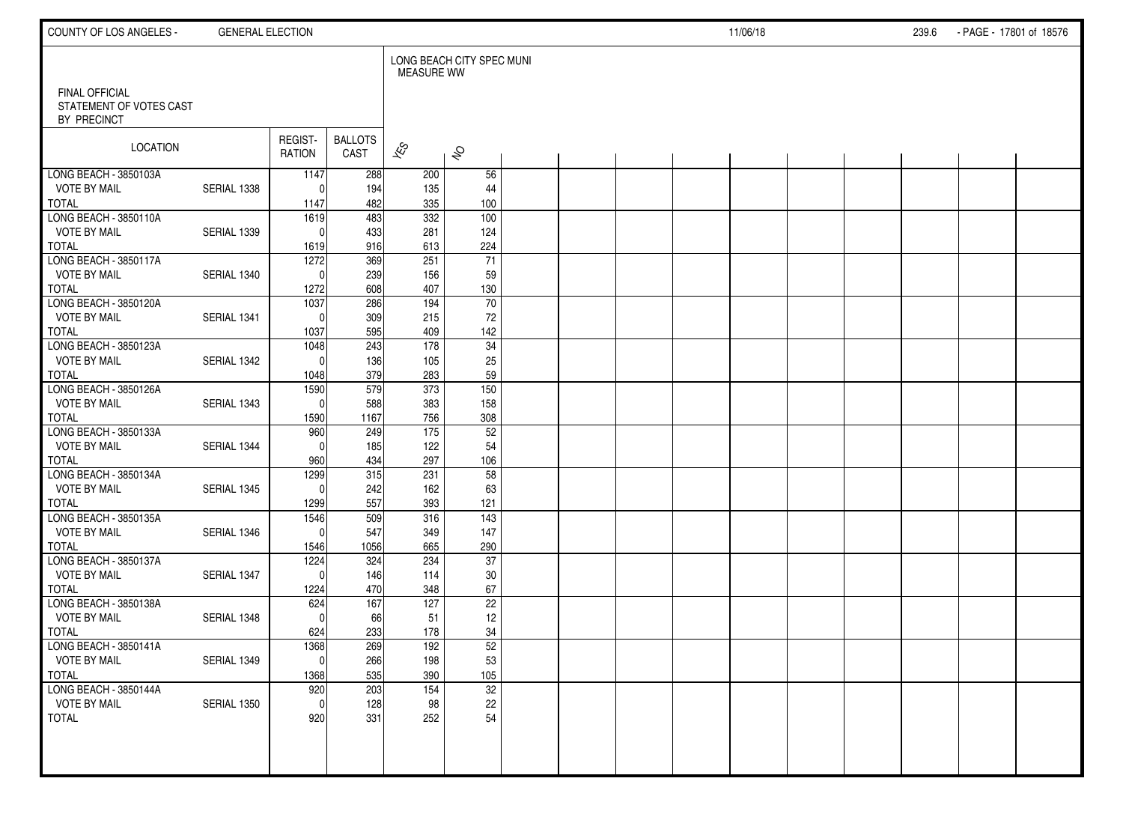| COUNTY OF LOS ANGELES -                                  | <b>GENERAL ELECTION</b> |                   |                        |                          |                           |  |  | 11/06/18 |  | 239.6 | - PAGE - 17801 of 18576 |  |
|----------------------------------------------------------|-------------------------|-------------------|------------------------|--------------------------|---------------------------|--|--|----------|--|-------|-------------------------|--|
|                                                          |                         |                   |                        | <b>MEASURE WW</b>        | LONG BEACH CITY SPEC MUNI |  |  |          |  |       |                         |  |
| FINAL OFFICIAL<br>STATEMENT OF VOTES CAST<br>BY PRECINCT |                         |                   |                        |                          |                           |  |  |          |  |       |                         |  |
| LOCATION                                                 |                         | REGIST-<br>RATION | <b>BALLOTS</b><br>CAST | $\overline{\mathscr{K}}$ | $\hat{\mathcal{S}}$       |  |  |          |  |       |                         |  |
| LONG BEACH - 3850103A                                    |                         | 1147              | 288                    | 200                      | 56                        |  |  |          |  |       |                         |  |
| <b>VOTE BY MAIL</b>                                      | SERIAL 1338             | $\Omega$          | 194                    | 135                      | 44                        |  |  |          |  |       |                         |  |
| <b>TOTAL</b><br>LONG BEACH - 3850110A                    |                         | 1147              | 482<br>483             | 335<br>332               | 100<br>100                |  |  |          |  |       |                         |  |
| <b>VOTE BY MAIL</b>                                      | SERIAL 1339             | 1619<br>$\Omega$  | 433                    | 281                      | 124                       |  |  |          |  |       |                         |  |
| <b>TOTAL</b>                                             |                         | 1619              | 916                    | 613                      | 224                       |  |  |          |  |       |                         |  |
| LONG BEACH - 3850117A                                    |                         | 1272              | 369                    | 251                      | 71                        |  |  |          |  |       |                         |  |
| <b>VOTE BY MAIL</b>                                      | SERIAL 1340             | $\Omega$          | 239                    | 156                      | 59                        |  |  |          |  |       |                         |  |
| <b>TOTAL</b>                                             |                         | 1272              | 608                    | 407                      | 130                       |  |  |          |  |       |                         |  |
| LONG BEACH - 3850120A                                    |                         | 1037              | 286                    | 194                      | 70                        |  |  |          |  |       |                         |  |
| <b>VOTE BY MAIL</b>                                      | SERIAL 1341             | $\Omega$          | 309                    | 215                      | 72                        |  |  |          |  |       |                         |  |
| <b>TOTAL</b>                                             |                         | 1037              | 595                    | 409                      | 142                       |  |  |          |  |       |                         |  |
| LONG BEACH - 3850123A                                    |                         | 1048              | 243                    | 178                      | 34                        |  |  |          |  |       |                         |  |
| <b>VOTE BY MAIL</b>                                      | SERIAL 1342             | $\Omega$          | 136                    | 105                      | 25                        |  |  |          |  |       |                         |  |
| <b>TOTAL</b>                                             |                         | 1048              | 379                    | 283                      | 59                        |  |  |          |  |       |                         |  |
| LONG BEACH - 3850126A                                    |                         | 1590              | 579                    | 373                      | 150                       |  |  |          |  |       |                         |  |
| <b>VOTE BY MAIL</b><br><b>TOTAL</b>                      | SERIAL 1343             | $\mathbf{0}$      | 588<br>1167            | 383<br>756               | 158<br>308                |  |  |          |  |       |                         |  |
| LONG BEACH - 3850133A                                    |                         | 1590<br>960       | 249                    | 175                      | 52                        |  |  |          |  |       |                         |  |
| <b>VOTE BY MAIL</b>                                      | SERIAL 1344             | $\Omega$          | 185                    | 122                      | 54                        |  |  |          |  |       |                         |  |
| <b>TOTAL</b>                                             |                         | 960               | 434                    | 297                      | 106                       |  |  |          |  |       |                         |  |
| LONG BEACH - 3850134A                                    |                         | 1299              | 315                    | 231                      | 58                        |  |  |          |  |       |                         |  |
| <b>VOTE BY MAIL</b>                                      | SERIAL 1345             | $\Omega$          | 242                    | 162                      | 63                        |  |  |          |  |       |                         |  |
| <b>TOTAL</b>                                             |                         | 1299              | 557                    | 393                      | 121                       |  |  |          |  |       |                         |  |
| LONG BEACH - 3850135A                                    |                         | 1546              | 509                    | 316                      | 143                       |  |  |          |  |       |                         |  |
| <b>VOTE BY MAIL</b>                                      | SERIAL 1346             | $\mathbf{0}$      | 547                    | 349                      | 147                       |  |  |          |  |       |                         |  |
| <b>TOTAL</b>                                             |                         | 1546              | 1056                   | 665                      | 290                       |  |  |          |  |       |                         |  |
| LONG BEACH - 3850137A                                    |                         | 1224              | 324                    | 234                      | 37                        |  |  |          |  |       |                         |  |
| <b>VOTE BY MAIL</b>                                      | SERIAL 1347             | $\Omega$          | 146                    | 114                      | 30                        |  |  |          |  |       |                         |  |
| <b>TOTAL</b><br>LONG BEACH - 3850138A                    |                         | 1224              | 470<br>167             | 348<br>127               | 67<br>$\overline{22}$     |  |  |          |  |       |                         |  |
| <b>VOTE BY MAIL</b>                                      | SERIAL 1348             | 624<br>$\Omega$   | 66                     | 51                       | 12                        |  |  |          |  |       |                         |  |
| <b>TOTAL</b>                                             |                         | 624               | 233                    | 178                      | 34                        |  |  |          |  |       |                         |  |
| LONG BEACH - 3850141A                                    |                         | 1368              | 269                    | 192                      | 52                        |  |  |          |  |       |                         |  |
| <b>VOTE BY MAIL</b>                                      | SERIAL 1349             | $\pmb{0}$         | 266                    | 198                      | 53                        |  |  |          |  |       |                         |  |
| <b>TOTAL</b>                                             |                         | 1368              | 535                    | 390                      | 105                       |  |  |          |  |       |                         |  |
| LONG BEACH - 3850144A                                    |                         | 920               | 203                    | 154                      | $\overline{32}$           |  |  |          |  |       |                         |  |
| <b>VOTE BY MAIL</b>                                      | SERIAL 1350             | $\mathbf 0$       | 128                    | 98                       | 22                        |  |  |          |  |       |                         |  |
| <b>TOTAL</b>                                             |                         | 920               | 331                    | 252                      | 54                        |  |  |          |  |       |                         |  |
|                                                          |                         |                   |                        |                          |                           |  |  |          |  |       |                         |  |
|                                                          |                         |                   |                        |                          |                           |  |  |          |  |       |                         |  |
|                                                          |                         |                   |                        |                          |                           |  |  |          |  |       |                         |  |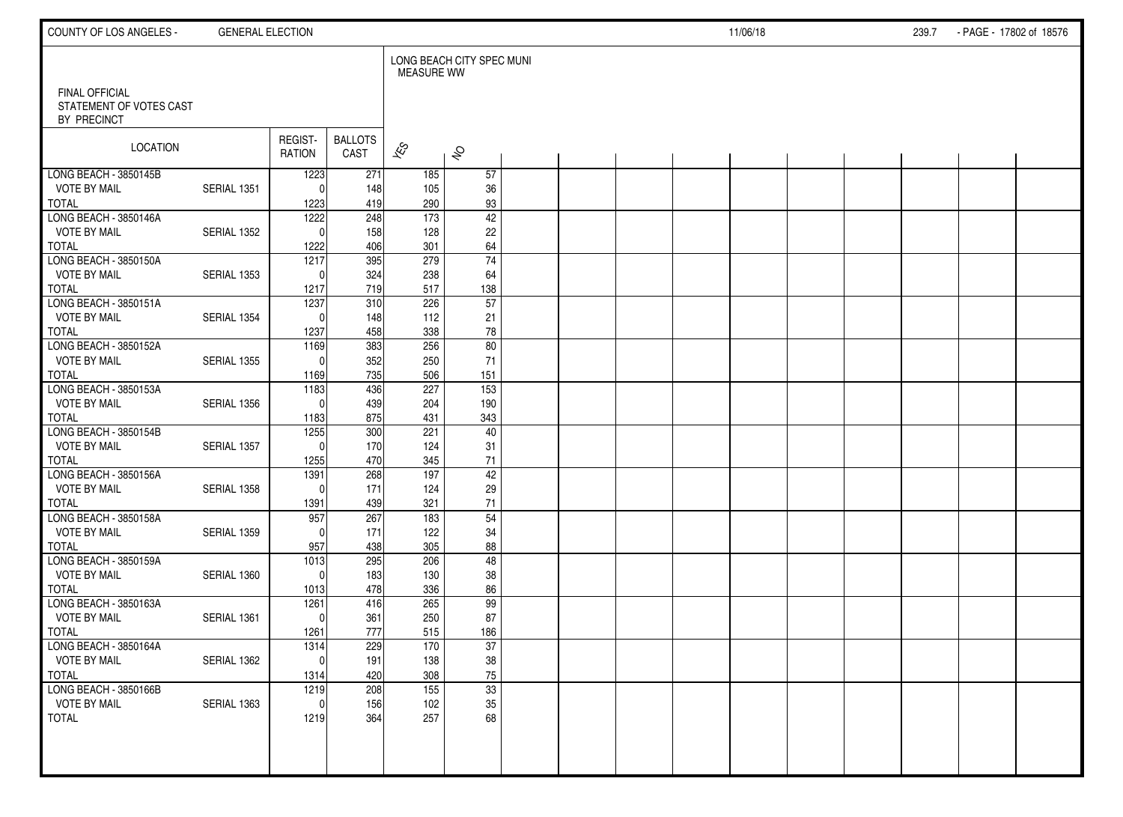| COUNTY OF LOS ANGELES -                                         | <b>GENERAL ELECTION</b> |                          |                        |                          |                           |  |  | 11/06/18 |  | 239.7 | - PAGE - 17802 of 18576 |  |
|-----------------------------------------------------------------|-------------------------|--------------------------|------------------------|--------------------------|---------------------------|--|--|----------|--|-------|-------------------------|--|
|                                                                 |                         |                          |                        | <b>MEASURE WW</b>        | LONG BEACH CITY SPEC MUNI |  |  |          |  |       |                         |  |
| <b>FINAL OFFICIAL</b><br>STATEMENT OF VOTES CAST<br>BY PRECINCT |                         |                          |                        |                          |                           |  |  |          |  |       |                         |  |
| LOCATION                                                        |                         | REGIST-<br><b>RATION</b> | <b>BALLOTS</b><br>CAST | $\overline{\mathscr{K}}$ | $\hat{\mathcal{S}}$       |  |  |          |  |       |                         |  |
| LONG BEACH - 3850145B                                           |                         | 1223                     | 271                    | 185                      | 57                        |  |  |          |  |       |                         |  |
| <b>VOTE BY MAIL</b>                                             | SERIAL 1351             | $\Omega$                 | 148                    | 105                      | 36                        |  |  |          |  |       |                         |  |
| <b>TOTAL</b><br>LONG BEACH - 3850146A                           |                         | 1223                     | 419<br>248             | 290<br>173               | 93                        |  |  |          |  |       |                         |  |
| <b>VOTE BY MAIL</b>                                             | SERIAL 1352             | 1222<br>$\Omega$         | 158                    | 128                      | 42<br>22                  |  |  |          |  |       |                         |  |
| <b>TOTAL</b>                                                    |                         | 1222                     | 406                    | 301                      | 64                        |  |  |          |  |       |                         |  |
| LONG BEACH - 3850150A                                           |                         | 1217                     | 395                    | 279                      | $\overline{74}$           |  |  |          |  |       |                         |  |
| <b>VOTE BY MAIL</b>                                             | SERIAL 1353             | $\Omega$                 | 324                    | 238                      | 64                        |  |  |          |  |       |                         |  |
| <b>TOTAL</b>                                                    |                         | 1217                     | 719                    | 517                      | 138                       |  |  |          |  |       |                         |  |
| LONG BEACH - 3850151A                                           |                         | 1237                     | 310                    | 226                      | $\overline{57}$           |  |  |          |  |       |                         |  |
| <b>VOTE BY MAIL</b>                                             | SERIAL 1354             | $\Omega$                 | 148                    | 112                      | 21                        |  |  |          |  |       |                         |  |
| <b>TOTAL</b>                                                    |                         | 1237                     | 458                    | 338                      | ${\bf 78}$                |  |  |          |  |       |                         |  |
| LONG BEACH - 3850152A                                           |                         | 1169                     | 383                    | 256                      | 80                        |  |  |          |  |       |                         |  |
| <b>VOTE BY MAIL</b>                                             | <b>SERIAL 1355</b>      | $\Omega$                 | 352                    | 250                      | 71                        |  |  |          |  |       |                         |  |
| <b>TOTAL</b>                                                    |                         | 1169                     | 735                    | 506                      | 151                       |  |  |          |  |       |                         |  |
| LONG BEACH - 3850153A<br><b>VOTE BY MAIL</b>                    | SERIAL 1356             | 1183<br>$\Omega$         | 436<br>439             | 227<br>204               | $\frac{153}{ }$<br>190    |  |  |          |  |       |                         |  |
| <b>TOTAL</b>                                                    |                         | 1183                     | 875                    | 431                      | 343                       |  |  |          |  |       |                         |  |
| LONG BEACH - 3850154B                                           |                         | 1255                     | 300                    | 221                      | 40                        |  |  |          |  |       |                         |  |
| <b>VOTE BY MAIL</b>                                             | SERIAL 1357             | $\Omega$                 | 170                    | 124                      | 31                        |  |  |          |  |       |                         |  |
| <b>TOTAL</b>                                                    |                         | 1255                     | 470                    | 345                      | $71$                      |  |  |          |  |       |                         |  |
| LONG BEACH - 3850156A                                           |                         | 1391                     | 268                    | 197                      | 42                        |  |  |          |  |       |                         |  |
| <b>VOTE BY MAIL</b>                                             | SERIAL 1358             | $\Omega$                 | 171                    | 124                      | 29                        |  |  |          |  |       |                         |  |
| <b>TOTAL</b>                                                    |                         | 1391                     | 439                    | 321                      | 71                        |  |  |          |  |       |                         |  |
| LONG BEACH - 3850158A                                           |                         | 957                      | 267                    | 183                      | 54                        |  |  |          |  |       |                         |  |
| <b>VOTE BY MAIL</b>                                             | SERIAL 1359             | $\Omega$                 | 171                    | 122                      | 34                        |  |  |          |  |       |                         |  |
| <b>TOTAL</b>                                                    |                         | 957                      | 438                    | 305                      | 88                        |  |  |          |  |       |                         |  |
| LONG BEACH - 3850159A                                           |                         | $\frac{1013}{2}$         | 295                    | 206                      | 48                        |  |  |          |  |       |                         |  |
| <b>VOTE BY MAIL</b><br><b>TOTAL</b>                             | SERIAL 1360             | $\mathbf{0}$             | 183<br>478             | 130<br>336               | 38                        |  |  |          |  |       |                         |  |
| LONG BEACH - 3850163A                                           |                         | 1013<br>1261             | 416                    | 265                      | 86<br>99                  |  |  |          |  |       |                         |  |
| <b>VOTE BY MAIL</b>                                             | SERIAL 1361             | $\mathbf{0}$             | 361                    | 250                      | 87                        |  |  |          |  |       |                         |  |
| <b>TOTAL</b>                                                    |                         | 1261                     | 777                    | 515                      | 186                       |  |  |          |  |       |                         |  |
| LONG BEACH - 3850164A                                           |                         | 1314                     | 229                    | 170                      | 37                        |  |  |          |  |       |                         |  |
| <b>VOTE BY MAIL</b>                                             | SERIAL 1362             | 0                        | 191                    | 138                      | $38\,$                    |  |  |          |  |       |                         |  |
| <b>TOTAL</b>                                                    |                         | 1314                     | 420                    | 308                      | 75                        |  |  |          |  |       |                         |  |
| LONG BEACH - 3850166B                                           |                         | 1219                     | 208                    | $\overline{155}$         | 33                        |  |  |          |  |       |                         |  |
| <b>VOTE BY MAIL</b>                                             | SERIAL 1363             | $\mathbf{0}$             | 156                    | 102                      | 35                        |  |  |          |  |       |                         |  |
| TOTAL                                                           |                         | 1219                     | 364                    | 257                      | 68                        |  |  |          |  |       |                         |  |
|                                                                 |                         |                          |                        |                          |                           |  |  |          |  |       |                         |  |
|                                                                 |                         |                          |                        |                          |                           |  |  |          |  |       |                         |  |
|                                                                 |                         |                          |                        |                          |                           |  |  |          |  |       |                         |  |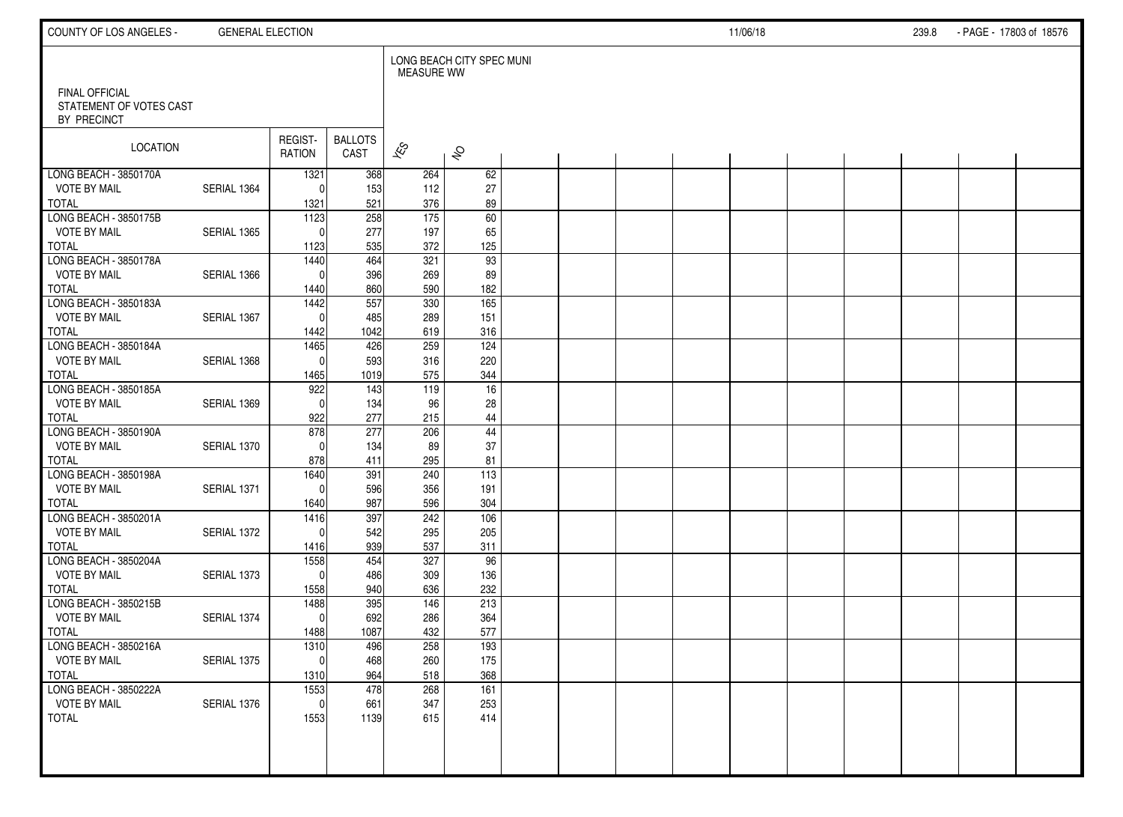| COUNTY OF LOS ANGELES -                                         | <b>GENERAL ELECTION</b> |                     |                        |                          |                           |  |  | 11/06/18 |  | 239.8 | - PAGE - 17803 of 18576 |  |
|-----------------------------------------------------------------|-------------------------|---------------------|------------------------|--------------------------|---------------------------|--|--|----------|--|-------|-------------------------|--|
|                                                                 |                         |                     |                        | <b>MEASURE WW</b>        | LONG BEACH CITY SPEC MUNI |  |  |          |  |       |                         |  |
| <b>FINAL OFFICIAL</b><br>STATEMENT OF VOTES CAST<br>BY PRECINCT |                         |                     |                        |                          |                           |  |  |          |  |       |                         |  |
| LOCATION                                                        |                         | REGIST-<br>RATION   | <b>BALLOTS</b><br>CAST | $\overline{\mathscr{K}}$ | $\hat{\mathcal{S}}$       |  |  |          |  |       |                         |  |
| LONG BEACH - 3850170A                                           |                         | 1321                | 368                    | 264                      | 62                        |  |  |          |  |       |                         |  |
| <b>VOTE BY MAIL</b>                                             | SERIAL 1364             | $\Omega$            | 153                    | 112                      | 27                        |  |  |          |  |       |                         |  |
| TOTAL<br>LONG BEACH - 3850175B                                  |                         | 1321<br>1123        | 521<br>258             | 376<br>175               | 89<br>60                  |  |  |          |  |       |                         |  |
| <b>VOTE BY MAIL</b>                                             | SERIAL 1365             | $\Omega$            | 277                    | 197                      | 65                        |  |  |          |  |       |                         |  |
| <b>TOTAL</b>                                                    |                         | 1123                | 535                    | 372                      | 125                       |  |  |          |  |       |                         |  |
| LONG BEACH - 3850178A                                           |                         | 1440                | 464                    | 321                      | 93                        |  |  |          |  |       |                         |  |
| <b>VOTE BY MAIL</b>                                             | SERIAL 1366             | $\Omega$            | 396                    | 269                      | 89                        |  |  |          |  |       |                         |  |
| <b>TOTAL</b>                                                    |                         | 1440                | 860                    | 590                      | 182                       |  |  |          |  |       |                         |  |
| LONG BEACH - 3850183A                                           |                         | 1442                | 557                    | 330                      | 165                       |  |  |          |  |       |                         |  |
| <b>VOTE BY MAIL</b>                                             | SERIAL 1367             | $\mathbf{0}$        | 485                    | 289                      | 151                       |  |  |          |  |       |                         |  |
| <b>TOTAL</b>                                                    |                         | 1442                | 1042                   | 619                      | 316                       |  |  |          |  |       |                         |  |
| LONG BEACH - 3850184A                                           |                         | 1465                | 426                    | 259                      | 124                       |  |  |          |  |       |                         |  |
| <b>VOTE BY MAIL</b>                                             | SERIAL 1368             | $\mathbf{0}$        | 593                    | 316                      | 220                       |  |  |          |  |       |                         |  |
| <b>TOTAL</b>                                                    |                         | 1465                | 1019                   | 575                      | 344                       |  |  |          |  |       |                         |  |
| LONG BEACH - 3850185A<br><b>VOTE BY MAIL</b>                    | SERIAL 1369             | 922<br>$\mathbf{0}$ | 143<br>134             | 119<br>96                | 16<br>28                  |  |  |          |  |       |                         |  |
| TOTAL                                                           |                         | 922                 | 277                    | 215                      | 44                        |  |  |          |  |       |                         |  |
| LONG BEACH - 3850190A                                           |                         | 878                 | 277                    | 206                      | $\overline{44}$           |  |  |          |  |       |                         |  |
| <b>VOTE BY MAIL</b>                                             | SERIAL 1370             | $\Omega$            | 134                    | 89                       | 37                        |  |  |          |  |       |                         |  |
| <b>TOTAL</b>                                                    |                         | 878                 | 411                    | 295                      | 81                        |  |  |          |  |       |                         |  |
| LONG BEACH - 3850198A                                           |                         | 1640                | 391                    | 240                      | 113                       |  |  |          |  |       |                         |  |
| <b>VOTE BY MAIL</b>                                             | SERIAL 1371             | $\mathbf{0}$        | 596                    | 356                      | 191                       |  |  |          |  |       |                         |  |
| <b>TOTAL</b>                                                    |                         | 1640                | 987                    | 596                      | 304                       |  |  |          |  |       |                         |  |
| LONG BEACH - 3850201A                                           |                         | 1416                | 397                    | 242                      | 106                       |  |  |          |  |       |                         |  |
| <b>VOTE BY MAIL</b>                                             | SERIAL 1372             | $\Omega$            | 542                    | 295                      | 205                       |  |  |          |  |       |                         |  |
| <b>TOTAL</b>                                                    |                         | 1416                | 939                    | 537                      | 311                       |  |  |          |  |       |                         |  |
| LONG BEACH - 3850204A                                           |                         | 1558                | 454                    | 327                      | 96                        |  |  |          |  |       |                         |  |
| <b>VOTE BY MAIL</b><br><b>TOTAL</b>                             | SERIAL 1373             | $\Omega$<br>1558    | 486<br>940             | 309<br>636               | 136<br>232                |  |  |          |  |       |                         |  |
| LONG BEACH - 3850215B                                           |                         | 1488                | 395                    | 146                      | 213                       |  |  |          |  |       |                         |  |
| <b>VOTE BY MAIL</b>                                             | SERIAL 1374             | $\mathbf 0$         | 692                    | 286                      | 364                       |  |  |          |  |       |                         |  |
| <b>TOTAL</b>                                                    |                         | 1488                | 1087                   | 432                      | 577                       |  |  |          |  |       |                         |  |
| LONG BEACH - 3850216A                                           |                         | 1310                | 496                    | 258                      | 193                       |  |  |          |  |       |                         |  |
| <b>VOTE BY MAIL</b>                                             | SERIAL 1375             | 0                   | 468                    | 260                      | 175                       |  |  |          |  |       |                         |  |
| TOTAL                                                           |                         | 1310                | 964                    | 518                      | 368                       |  |  |          |  |       |                         |  |
| LONG BEACH - 3850222A                                           |                         | 1553                | 478                    | 268                      | 161                       |  |  |          |  |       |                         |  |
| <b>VOTE BY MAIL</b>                                             | SERIAL 1376             | $\mathbf{0}$        | 661                    | 347                      | 253                       |  |  |          |  |       |                         |  |
| TOTAL                                                           |                         | 1553                | 1139                   | 615                      | 414                       |  |  |          |  |       |                         |  |
|                                                                 |                         |                     |                        |                          |                           |  |  |          |  |       |                         |  |
|                                                                 |                         |                     |                        |                          |                           |  |  |          |  |       |                         |  |
|                                                                 |                         |                     |                        |                          |                           |  |  |          |  |       |                         |  |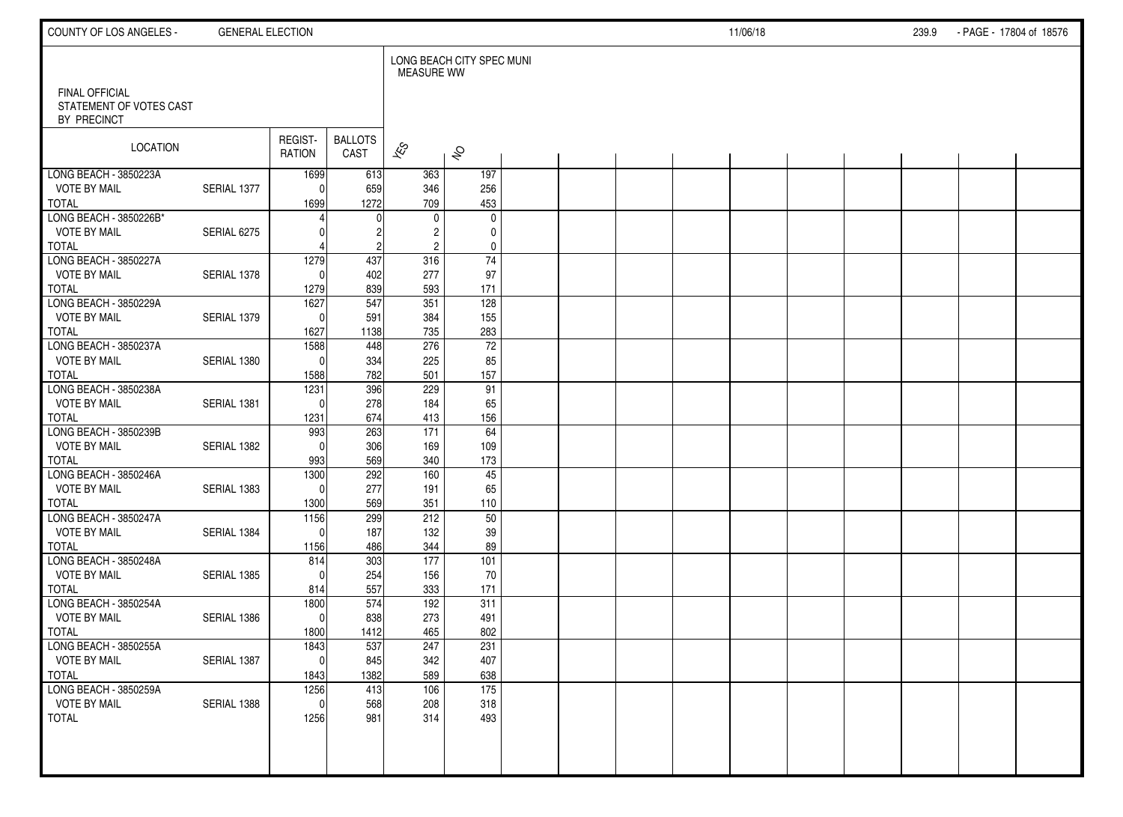| COUNTY OF LOS ANGELES -                                         | <b>GENERAL ELECTION</b> |                   |                        |                          |                           |  |  | 11/06/18 |  | 239.9 | - PAGE - 17804 of 18576 |  |
|-----------------------------------------------------------------|-------------------------|-------------------|------------------------|--------------------------|---------------------------|--|--|----------|--|-------|-------------------------|--|
|                                                                 |                         |                   |                        | <b>MEASURE WW</b>        | LONG BEACH CITY SPEC MUNI |  |  |          |  |       |                         |  |
| <b>FINAL OFFICIAL</b><br>STATEMENT OF VOTES CAST<br>BY PRECINCT |                         |                   |                        |                          |                           |  |  |          |  |       |                         |  |
| LOCATION                                                        |                         | REGIST-<br>RATION | <b>BALLOTS</b><br>CAST | $\overline{\mathscr{K}}$ | $\hat{\mathcal{S}}$       |  |  |          |  |       |                         |  |
| LONG BEACH - 3850223A                                           |                         | 1699              | 613                    | 363                      | 197                       |  |  |          |  |       |                         |  |
| <b>VOTE BY MAIL</b>                                             | SERIAL 1377             | $\mathbf{0}$      | 659                    | 346                      | 256                       |  |  |          |  |       |                         |  |
| <b>TOTAL</b><br>LONG BEACH - 3850226B*                          |                         | 1699              | 1272<br><sup>0</sup>   | 709<br>0                 | 453<br>$\mathbf 0$        |  |  |          |  |       |                         |  |
| <b>VOTE BY MAIL</b>                                             | SERIAL 6275             |                   |                        | $\overline{c}$           | 0                         |  |  |          |  |       |                         |  |
| <b>TOTAL</b>                                                    |                         |                   |                        | $\overline{2}$           | 0                         |  |  |          |  |       |                         |  |
| LONG BEACH - 3850227A                                           |                         | 1279              | 437                    | 316                      | $\overline{74}$           |  |  |          |  |       |                         |  |
| <b>VOTE BY MAIL</b>                                             | SERIAL 1378             | $\Omega$          | 402                    | 277                      | 97                        |  |  |          |  |       |                         |  |
| <b>TOTAL</b>                                                    |                         | 1279              | 839                    | 593                      | 171                       |  |  |          |  |       |                         |  |
| LONG BEACH - 3850229A                                           |                         | 1627              | 547                    | 351                      | 128                       |  |  |          |  |       |                         |  |
| <b>VOTE BY MAIL</b>                                             | SERIAL 1379             | $\mathbf 0$       | 591                    | 384                      | 155                       |  |  |          |  |       |                         |  |
| <b>TOTAL</b>                                                    |                         | 1627              | 1138                   | 735                      | 283                       |  |  |          |  |       |                         |  |
| LONG BEACH - 3850237A                                           |                         | 1588              | 448                    | 276                      | $\overline{72}$           |  |  |          |  |       |                         |  |
| <b>VOTE BY MAIL</b>                                             | SERIAL 1380             | $\mathbf 0$       | 334                    | 225                      | 85                        |  |  |          |  |       |                         |  |
| <b>TOTAL</b>                                                    |                         | 1588              | 782                    | 501                      | 157                       |  |  |          |  |       |                         |  |
| LONG BEACH - 3850238A<br><b>VOTE BY MAIL</b>                    | SERIAL 1381             | 1231<br>$\Omega$  | 396<br>278             | 229<br>184               | 91<br>65                  |  |  |          |  |       |                         |  |
| <b>TOTAL</b>                                                    |                         | 1231              | 674                    | 413                      | 156                       |  |  |          |  |       |                         |  |
| LONG BEACH - 3850239B                                           |                         | 993               | 263                    | 171                      | $\overline{64}$           |  |  |          |  |       |                         |  |
| <b>VOTE BY MAIL</b>                                             | SERIAL 1382             | $\Omega$          | 306                    | 169                      | 109                       |  |  |          |  |       |                         |  |
| <b>TOTAL</b>                                                    |                         | 993               | 569                    | 340                      | 173                       |  |  |          |  |       |                         |  |
| LONG BEACH - 3850246A                                           |                         | 1300              | 292                    | 160                      | 45                        |  |  |          |  |       |                         |  |
| <b>VOTE BY MAIL</b>                                             | SERIAL 1383             | $\Omega$          | 277                    | 191                      | 65                        |  |  |          |  |       |                         |  |
| <b>TOTAL</b>                                                    |                         | 1300              | 569                    | 351                      | 110                       |  |  |          |  |       |                         |  |
| LONG BEACH - 3850247A                                           |                         | 1156              | 299                    | 212                      | 50                        |  |  |          |  |       |                         |  |
| <b>VOTE BY MAIL</b>                                             | SERIAL 1384             | $\Omega$          | 187                    | 132                      | 39                        |  |  |          |  |       |                         |  |
| <b>TOTAL</b>                                                    |                         | 1156              | 486                    | 344                      | 89                        |  |  |          |  |       |                         |  |
| LONG BEACH - 3850248A                                           |                         | 814               | 303                    | 177                      | 101                       |  |  |          |  |       |                         |  |
| <b>VOTE BY MAIL</b><br><b>TOTAL</b>                             | SERIAL 1385             | $\Omega$          | 254                    | 156                      | 70                        |  |  |          |  |       |                         |  |
| LONG BEACH - 3850254A                                           |                         | 814<br>1800       | 557<br>574             | 333<br>192               | 171<br>311                |  |  |          |  |       |                         |  |
| <b>VOTE BY MAIL</b>                                             | SERIAL 1386             | $\mathbf 0$       | 838                    | 273                      | 491                       |  |  |          |  |       |                         |  |
| <b>TOTAL</b>                                                    |                         | 1800              | 1412                   | 465                      | 802                       |  |  |          |  |       |                         |  |
| LONG BEACH - 3850255A                                           |                         | 1843              | 537                    | 247                      | 231                       |  |  |          |  |       |                         |  |
| <b>VOTE BY MAIL</b>                                             | SERIAL 1387             | $\overline{0}$    | 845                    | 342                      | 407                       |  |  |          |  |       |                         |  |
| TOTAL                                                           |                         | 1843              | 1382                   | 589                      | 638                       |  |  |          |  |       |                         |  |
| LONG BEACH - 3850259A                                           |                         | 1256              | 413                    | 106                      | $\overline{175}$          |  |  |          |  |       |                         |  |
| <b>VOTE BY MAIL</b>                                             | SERIAL 1388             | $\mathbf 0$       | 568                    | 208                      | 318                       |  |  |          |  |       |                         |  |
| <b>TOTAL</b>                                                    |                         | 1256              | 981                    | 314                      | 493                       |  |  |          |  |       |                         |  |
|                                                                 |                         |                   |                        |                          |                           |  |  |          |  |       |                         |  |
|                                                                 |                         |                   |                        |                          |                           |  |  |          |  |       |                         |  |
|                                                                 |                         |                   |                        |                          |                           |  |  |          |  |       |                         |  |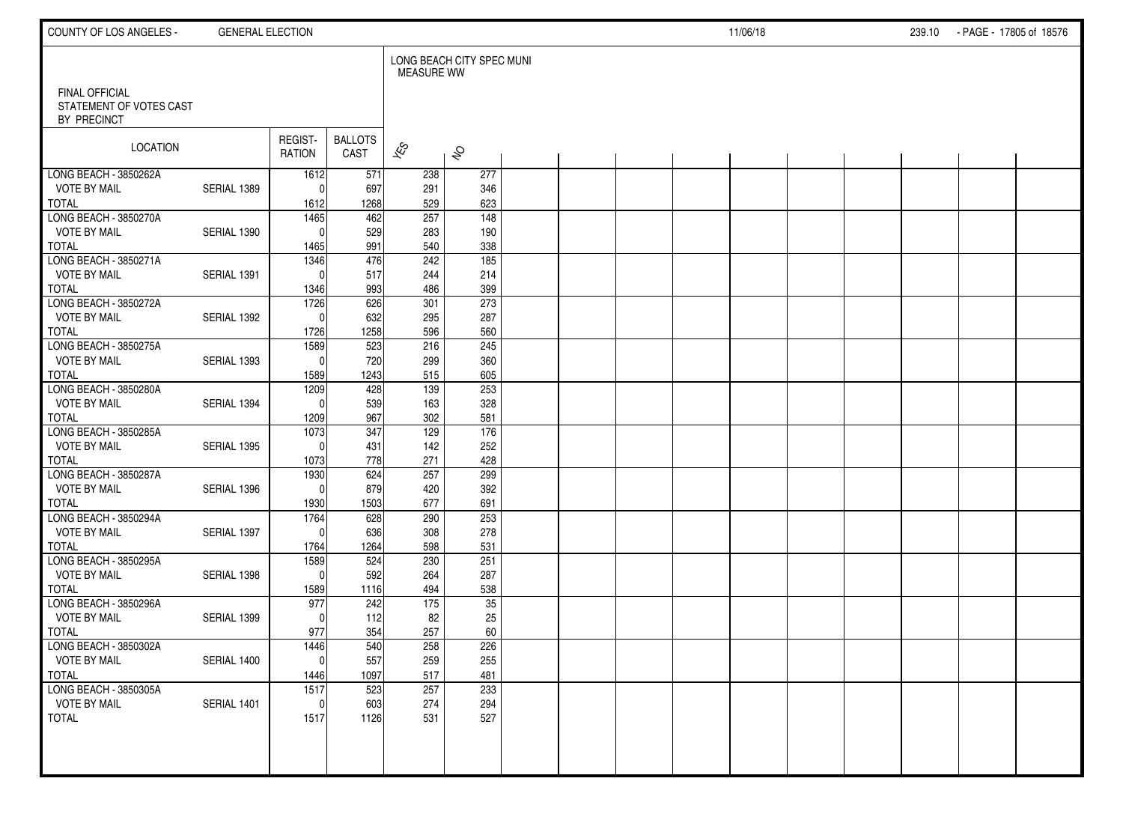| COUNTY OF LOS ANGELES -                                  | <b>GENERAL ELECTION</b> |                     |                        |                          |                           |  |  | 11/06/18 |  | 239.10 - PAGE - 17805 of 18576 |  |
|----------------------------------------------------------|-------------------------|---------------------|------------------------|--------------------------|---------------------------|--|--|----------|--|--------------------------------|--|
|                                                          |                         |                     |                        | <b>MEASURE WW</b>        | LONG BEACH CITY SPEC MUNI |  |  |          |  |                                |  |
| FINAL OFFICIAL<br>STATEMENT OF VOTES CAST<br>BY PRECINCT |                         |                     |                        |                          |                           |  |  |          |  |                                |  |
| LOCATION                                                 |                         | REGIST-<br>RATION   | <b>BALLOTS</b><br>CAST | $\overline{\mathscr{K}}$ | $\hat{\mathcal{S}}$       |  |  |          |  |                                |  |
| LONG BEACH - 3850262A                                    |                         | 1612                | 571                    | 238                      | 277                       |  |  |          |  |                                |  |
| <b>VOTE BY MAIL</b><br><b>TOTAL</b>                      | SERIAL 1389             | $\Omega$<br>1612    | 697<br>1268            | 291<br>529               | 346<br>623                |  |  |          |  |                                |  |
| LONG BEACH - 3850270A                                    |                         | 1465                | 462                    | 257                      | $\frac{1}{148}$           |  |  |          |  |                                |  |
| <b>VOTE BY MAIL</b>                                      | SERIAL 1390             | $\Omega$            | 529                    | 283                      | 190                       |  |  |          |  |                                |  |
| <b>TOTAL</b>                                             |                         | 1465                | 991                    | 540                      | 338                       |  |  |          |  |                                |  |
| LONG BEACH - 3850271A                                    |                         | 1346                | 476                    | 242                      | 185                       |  |  |          |  |                                |  |
| <b>VOTE BY MAIL</b>                                      | SERIAL 1391             | $\Omega$            | 517                    | 244                      | 214                       |  |  |          |  |                                |  |
| <b>TOTAL</b>                                             |                         | 1346                | 993                    | 486                      | 399                       |  |  |          |  |                                |  |
| LONG BEACH - 3850272A                                    |                         | 1726                | 626                    | 301                      | 273                       |  |  |          |  |                                |  |
| <b>VOTE BY MAIL</b><br><b>TOTAL</b>                      | SERIAL 1392             | $\Omega$<br>1726    | 632<br>1258            | 295<br>596               | 287<br>560                |  |  |          |  |                                |  |
| LONG BEACH - 3850275A                                    |                         | 1589                | 523                    | 216                      | 245                       |  |  |          |  |                                |  |
| <b>VOTE BY MAIL</b>                                      | SERIAL 1393             | $\mathbf{0}$        | 720                    | 299                      | 360                       |  |  |          |  |                                |  |
| <b>TOTAL</b>                                             |                         | 1589                | 1243                   | 515                      | 605                       |  |  |          |  |                                |  |
| LONG BEACH - 3850280A                                    |                         | 1209                | 428                    | 139                      | 253                       |  |  |          |  |                                |  |
| <b>VOTE BY MAIL</b>                                      | SERIAL 1394             | $\Omega$            | 539                    | 163                      | 328                       |  |  |          |  |                                |  |
| <b>TOTAL</b>                                             |                         | 1209                | 967                    | 302                      | 581                       |  |  |          |  |                                |  |
| LONG BEACH - 3850285A                                    |                         | 1073                | 347                    | 129                      | 176                       |  |  |          |  |                                |  |
| <b>VOTE BY MAIL</b>                                      | SERIAL 1395             | $\mathbf{0}$        | 431                    | 142                      | 252                       |  |  |          |  |                                |  |
| <b>TOTAL</b>                                             |                         | 1073                | 778                    | 271                      | 428                       |  |  |          |  |                                |  |
| LONG BEACH - 3850287A                                    |                         | 1930                | 624                    | 257                      | 299                       |  |  |          |  |                                |  |
| <b>VOTE BY MAIL</b>                                      | SERIAL 1396             | $\mathbf{0}$        | 879                    | 420                      | 392                       |  |  |          |  |                                |  |
| <b>TOTAL</b><br>LONG BEACH - 3850294A                    |                         | 1930<br>1764        | 1503<br>628            | 677<br>290               | 691<br>253                |  |  |          |  |                                |  |
| <b>VOTE BY MAIL</b>                                      | SERIAL 1397             | $\mathbf{0}$        | 636                    | 308                      | 278                       |  |  |          |  |                                |  |
| <b>TOTAL</b>                                             |                         | 1764                | 1264                   | 598                      | 531                       |  |  |          |  |                                |  |
| LONG BEACH - 3850295A                                    |                         | 1589                | 524                    | 230                      | 251                       |  |  |          |  |                                |  |
| <b>VOTE BY MAIL</b>                                      | SERIAL 1398             | $\mathbf{0}$        | 592                    | 264                      | 287                       |  |  |          |  |                                |  |
| <b>TOTAL</b>                                             |                         | 1589                | 1116                   | 494                      | 538                       |  |  |          |  |                                |  |
| LONG BEACH - 3850296A                                    |                         | 977                 | 242                    | 175                      | 35                        |  |  |          |  |                                |  |
| <b>VOTE BY MAIL</b>                                      | SERIAL 1399             | $\Omega$            | 112                    | 82                       | 25                        |  |  |          |  |                                |  |
| <b>TOTAL</b>                                             |                         | 977                 | 354                    | 257                      | 60                        |  |  |          |  |                                |  |
| LONG BEACH - 3850302A                                    |                         | 1446                | 540                    | 258                      | 226                       |  |  |          |  |                                |  |
| <b>VOTE BY MAIL</b>                                      | SERIAL 1400             | $\pmb{0}$           | 557                    | 259                      | 255                       |  |  |          |  |                                |  |
| <b>TOTAL</b>                                             |                         | 1446                | 1097                   | 517                      | 481                       |  |  |          |  |                                |  |
| LONG BEACH - 3850305A                                    | SERIAL 1401             | 1517                | 523                    | 257                      | 233                       |  |  |          |  |                                |  |
| <b>VOTE BY MAIL</b><br><b>TOTAL</b>                      |                         | $\mathbf 0$<br>1517 | 603<br>1126            | 274<br>531               | 294<br>527                |  |  |          |  |                                |  |
|                                                          |                         |                     |                        |                          |                           |  |  |          |  |                                |  |
|                                                          |                         |                     |                        |                          |                           |  |  |          |  |                                |  |
|                                                          |                         |                     |                        |                          |                           |  |  |          |  |                                |  |
|                                                          |                         |                     |                        |                          |                           |  |  |          |  |                                |  |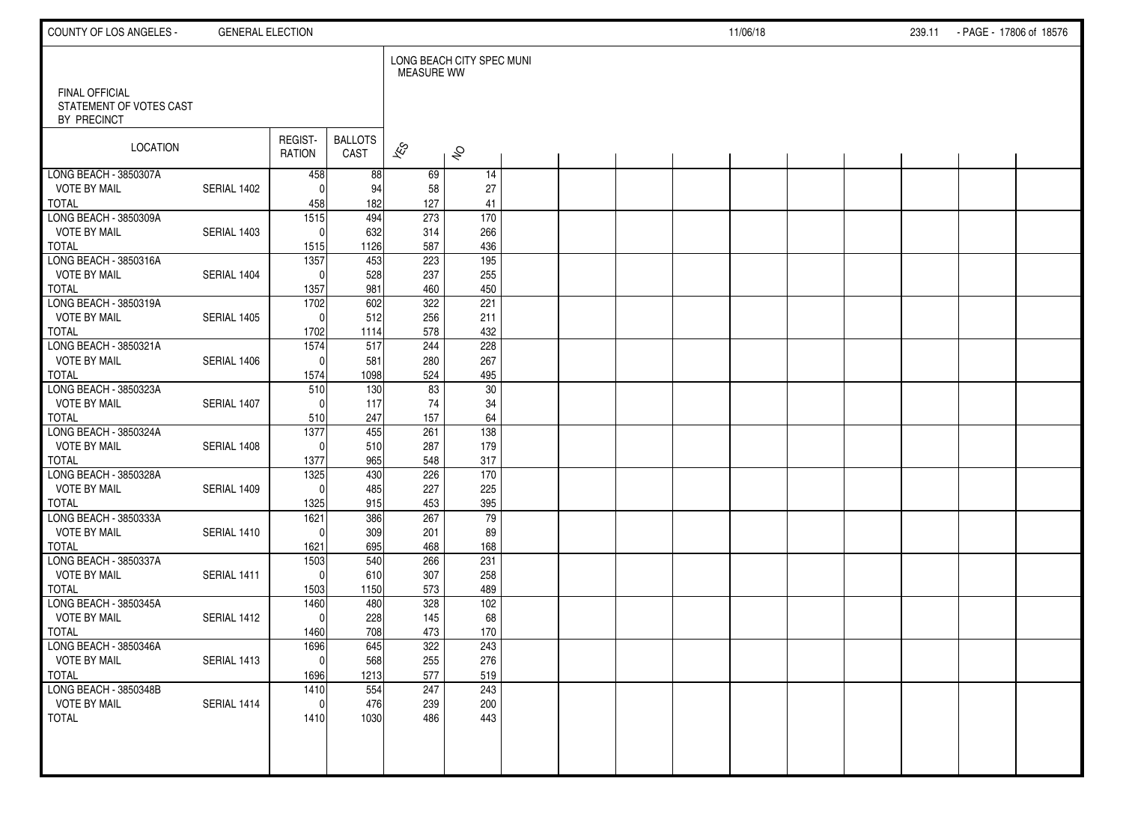| COUNTY OF LOS ANGELES -                                  | <b>GENERAL ELECTION</b> |                          |                        |                          |                           |  |  | 11/06/18 |  | 239.11 | - PAGE - 17806 of 18576 |  |
|----------------------------------------------------------|-------------------------|--------------------------|------------------------|--------------------------|---------------------------|--|--|----------|--|--------|-------------------------|--|
|                                                          |                         |                          |                        | <b>MEASURE WW</b>        | LONG BEACH CITY SPEC MUNI |  |  |          |  |        |                         |  |
| FINAL OFFICIAL<br>STATEMENT OF VOTES CAST<br>BY PRECINCT |                         |                          |                        |                          |                           |  |  |          |  |        |                         |  |
| LOCATION                                                 |                         | REGIST-<br>RATION        | <b>BALLOTS</b><br>CAST | $\overline{\mathscr{K}}$ | $\hat{\mathcal{S}}$       |  |  |          |  |        |                         |  |
| LONG BEACH - 3850307A                                    |                         | 458                      | 88                     | 69                       | 14                        |  |  |          |  |        |                         |  |
| <b>VOTE BY MAIL</b>                                      | SERIAL 1402             | $\Omega$                 | 94                     | 58                       | 27                        |  |  |          |  |        |                         |  |
| <b>TOTAL</b><br>LONG BEACH - 3850309A                    |                         | 458<br>$\overline{1515}$ | 182<br>494             | 127<br>273               | 41<br>170                 |  |  |          |  |        |                         |  |
| <b>VOTE BY MAIL</b>                                      | SERIAL 1403             | $\mathbf{0}$             | 632                    | 314                      | 266                       |  |  |          |  |        |                         |  |
| <b>TOTAL</b>                                             |                         | 1515                     | 1126                   | 587                      | 436                       |  |  |          |  |        |                         |  |
| LONG BEACH - 3850316A                                    |                         | 1357                     | 453                    | 223                      | $\frac{1}{195}$           |  |  |          |  |        |                         |  |
| <b>VOTE BY MAIL</b>                                      | SERIAL 1404             | $\mathbf{0}$             | 528                    | 237                      | 255                       |  |  |          |  |        |                         |  |
| <b>TOTAL</b>                                             |                         | 1357                     | 981                    | 460                      | 450                       |  |  |          |  |        |                         |  |
| LONG BEACH - 3850319A                                    |                         | 1702                     | 602                    | 322                      | 221                       |  |  |          |  |        |                         |  |
| <b>VOTE BY MAIL</b>                                      | SERIAL 1405             | $\mathbf{0}$             | 512                    | 256                      | 211                       |  |  |          |  |        |                         |  |
| <b>TOTAL</b>                                             |                         | 1702                     | 1114                   | 578                      | 432                       |  |  |          |  |        |                         |  |
| LONG BEACH - 3850321A                                    |                         | 1574                     | 517                    | 244                      | 228                       |  |  |          |  |        |                         |  |
| <b>VOTE BY MAIL</b>                                      | SERIAL 1406             | $\mathbf{0}$             | 581                    | 280                      | 267                       |  |  |          |  |        |                         |  |
| <b>TOTAL</b>                                             |                         | 1574                     | 1098                   | 524                      | 495                       |  |  |          |  |        |                         |  |
| LONG BEACH - 3850323A<br><b>VOTE BY MAIL</b>             | SERIAL 1407             | 510<br>$\Omega$          | 130<br>117             | 83<br>74                 | 30<br>34                  |  |  |          |  |        |                         |  |
| <b>TOTAL</b>                                             |                         | 510                      | 247                    | 157                      | 64                        |  |  |          |  |        |                         |  |
| LONG BEACH - 3850324A                                    |                         | 1377                     | 455                    | 261                      | 138                       |  |  |          |  |        |                         |  |
| <b>VOTE BY MAIL</b>                                      | SERIAL 1408             | $\Omega$                 | 510                    | 287                      | 179                       |  |  |          |  |        |                         |  |
| <b>TOTAL</b>                                             |                         | 1377                     | 965                    | 548                      | 317                       |  |  |          |  |        |                         |  |
| LONG BEACH - 3850328A                                    |                         | 1325                     | 430                    | 226                      | 170                       |  |  |          |  |        |                         |  |
| <b>VOTE BY MAIL</b>                                      | SERIAL 1409             | $\Omega$                 | 485                    | 227                      | 225                       |  |  |          |  |        |                         |  |
| <b>TOTAL</b>                                             |                         | 1325                     | 915                    | 453                      | 395                       |  |  |          |  |        |                         |  |
| LONG BEACH - 3850333A                                    |                         | 1621                     | 386                    | 267                      | 79                        |  |  |          |  |        |                         |  |
| <b>VOTE BY MAIL</b>                                      | SERIAL 1410             | $\Omega$                 | 309                    | 201                      | 89                        |  |  |          |  |        |                         |  |
| <b>TOTAL</b>                                             |                         | 1621                     | 695                    | 468                      | 168                       |  |  |          |  |        |                         |  |
| LONG BEACH - 3850337A                                    |                         | 1503                     | 540                    | 266                      | 231                       |  |  |          |  |        |                         |  |
| <b>VOTE BY MAIL</b><br><b>TOTAL</b>                      | SERIAL 1411             | $\mathbf{0}$             | 610                    | 307                      | 258<br>489                |  |  |          |  |        |                         |  |
| LONG BEACH - 3850345A                                    |                         | 1503<br>1460             | 1150<br>480            | 573<br>328               | 102                       |  |  |          |  |        |                         |  |
| <b>VOTE BY MAIL</b>                                      | SERIAL 1412             | $\mathbf{0}$             | 228                    | 145                      | 68                        |  |  |          |  |        |                         |  |
| <b>TOTAL</b>                                             |                         | 1460                     | 708                    | 473                      | 170                       |  |  |          |  |        |                         |  |
| LONG BEACH - 3850346A                                    |                         | 1696                     | 645                    | 322                      | 243                       |  |  |          |  |        |                         |  |
| <b>VOTE BY MAIL</b>                                      | SERIAL 1413             | $\overline{0}$           | 568                    | 255                      | 276                       |  |  |          |  |        |                         |  |
| <b>TOTAL</b>                                             |                         | 1696                     | 1213                   | 577                      | 519                       |  |  |          |  |        |                         |  |
| LONG BEACH - 3850348B                                    |                         | 1410                     | 554                    | 247                      | 243                       |  |  |          |  |        |                         |  |
| <b>VOTE BY MAIL</b>                                      | SERIAL 1414             | $\mathbf 0$              | 476                    | 239                      | 200                       |  |  |          |  |        |                         |  |
| <b>TOTAL</b>                                             |                         | 1410                     | 1030                   | 486                      | 443                       |  |  |          |  |        |                         |  |
|                                                          |                         |                          |                        |                          |                           |  |  |          |  |        |                         |  |
|                                                          |                         |                          |                        |                          |                           |  |  |          |  |        |                         |  |
|                                                          |                         |                          |                        |                          |                           |  |  |          |  |        |                         |  |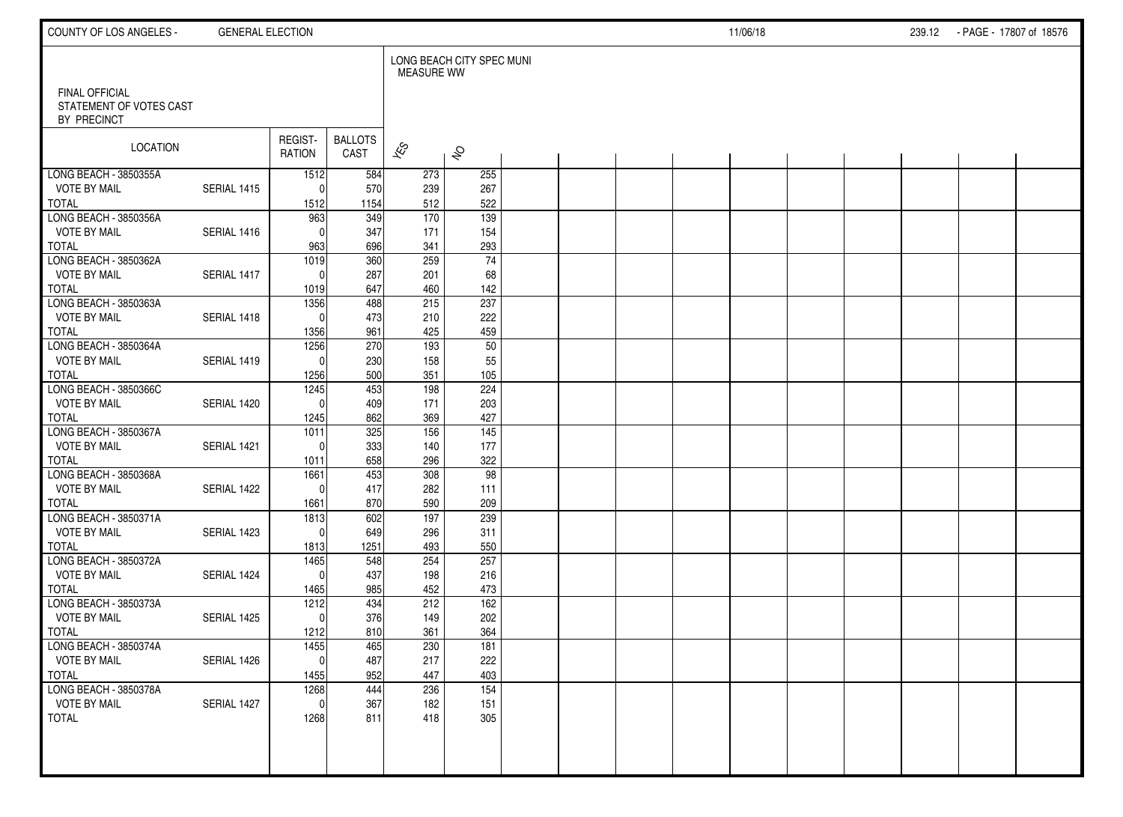| COUNTY OF LOS ANGELES -                      | <b>GENERAL ELECTION</b> |                   |                        |                          |                           |  |  | 11/06/18 |  | 239.12 - PAGE - 17807 of 18576 |  |
|----------------------------------------------|-------------------------|-------------------|------------------------|--------------------------|---------------------------|--|--|----------|--|--------------------------------|--|
| FINAL OFFICIAL                               |                         |                   |                        | <b>MEASURE WW</b>        | LONG BEACH CITY SPEC MUNI |  |  |          |  |                                |  |
| STATEMENT OF VOTES CAST<br>BY PRECINCT       |                         |                   |                        |                          |                           |  |  |          |  |                                |  |
| LOCATION                                     |                         | REGIST-<br>RATION | <b>BALLOTS</b><br>CAST | $\overline{\mathscr{K}}$ | $\hat{\mathcal{S}}$       |  |  |          |  |                                |  |
| LONG BEACH - 3850355A<br><b>VOTE BY MAIL</b> | SERIAL 1415             | 1512<br>$\Omega$  | 584<br>570             | 273<br>239               | 255<br>267                |  |  |          |  |                                |  |
| <b>TOTAL</b>                                 |                         | 1512              | 1154                   | 512                      | 522                       |  |  |          |  |                                |  |
| LONG BEACH - 3850356A                        |                         | 963               | 349                    | 170                      | $\frac{1}{139}$           |  |  |          |  |                                |  |
| <b>VOTE BY MAIL</b>                          | SERIAL 1416             | $\Omega$          | 347                    | 171                      | 154                       |  |  |          |  |                                |  |
| <b>TOTAL</b><br>LONG BEACH - 3850362A        |                         | 963<br>1019       | 696<br>360             | 341<br>259               | 293<br>$\overline{74}$    |  |  |          |  |                                |  |
| <b>VOTE BY MAIL</b>                          | SERIAL 1417             | $\Omega$          | 287                    | 201                      | 68                        |  |  |          |  |                                |  |
| <b>TOTAL</b>                                 |                         | 1019              | 647                    | 460                      | 142                       |  |  |          |  |                                |  |
| LONG BEACH - 3850363A                        |                         | 1356              | 488                    | 215                      | 237                       |  |  |          |  |                                |  |
| <b>VOTE BY MAIL</b>                          | SERIAL 1418             | $\Omega$          | 473                    | 210                      | 222                       |  |  |          |  |                                |  |
| <b>TOTAL</b><br>LONG BEACH - 3850364A        |                         | 1356<br>1256      | 961<br>270             | 425<br>193               | 459<br>50                 |  |  |          |  |                                |  |
| <b>VOTE BY MAIL</b>                          | SERIAL 1419             | $\Omega$          | 230                    | 158                      | 55                        |  |  |          |  |                                |  |
| <b>TOTAL</b>                                 |                         | 1256              | 500                    | 351                      | 105                       |  |  |          |  |                                |  |
| LONG BEACH - 3850366C                        |                         | 1245              | 453                    | 198                      | 224                       |  |  |          |  |                                |  |
| <b>VOTE BY MAIL</b>                          | SERIAL 1420             | $\Omega$          | 409                    | 171                      | 203                       |  |  |          |  |                                |  |
| <b>TOTAL</b><br>LONG BEACH - 3850367A        |                         | 1245<br>1011      | 862<br>325             | 369<br>156               | 427<br>$\overline{145}$   |  |  |          |  |                                |  |
| <b>VOTE BY MAIL</b>                          | SERIAL 1421             | $\Omega$          | 333                    | 140                      | 177                       |  |  |          |  |                                |  |
| <b>TOTAL</b>                                 |                         | 1011              | 658                    | 296                      | 322                       |  |  |          |  |                                |  |
| LONG BEACH - 3850368A                        |                         | 1661              | 453                    | 308                      | 98                        |  |  |          |  |                                |  |
| <b>VOTE BY MAIL</b><br><b>TOTAL</b>          | SERIAL 1422             | $\Omega$<br>1661  | 417<br>870             | 282<br>590               | 111<br>209                |  |  |          |  |                                |  |
| LONG BEACH - 3850371A                        |                         | 1813              | 602                    | 197                      | 239                       |  |  |          |  |                                |  |
| <b>VOTE BY MAIL</b>                          | SERIAL 1423             | $\mathbf{0}$      | 649                    | 296                      | 311                       |  |  |          |  |                                |  |
| <b>TOTAL</b>                                 |                         | 1813              | 1251                   | 493                      | 550                       |  |  |          |  |                                |  |
| LONG BEACH - 3850372A                        |                         | 1465              | 548                    | 254                      | 257                       |  |  |          |  |                                |  |
| <b>VOTE BY MAIL</b><br><b>TOTAL</b>          | SERIAL 1424             | $\Omega$<br>1465  | 437<br>985             | 198<br>452               | 216<br>473                |  |  |          |  |                                |  |
| LONG BEACH - 3850373A                        |                         | 1212              | 434                    | 212                      | 162                       |  |  |          |  |                                |  |
| <b>VOTE BY MAIL</b>                          | SERIAL 1425             | $\mathbf{0}$      | 376                    | 149                      | 202                       |  |  |          |  |                                |  |
| <b>TOTAL</b>                                 |                         | 1212              | 810                    | 361                      | 364                       |  |  |          |  |                                |  |
| LONG BEACH - 3850374A                        |                         | 1455              | 465                    | 230                      | 181                       |  |  |          |  |                                |  |
| <b>VOTE BY MAIL</b><br><b>TOTAL</b>          | SERIAL 1426             | $\pmb{0}$<br>1455 | 487<br>952             | 217<br>447               | 222<br>403                |  |  |          |  |                                |  |
| LONG BEACH - 3850378A                        |                         | 1268              | 444                    | 236                      | $\overline{154}$          |  |  |          |  |                                |  |
| <b>VOTE BY MAIL</b>                          | SERIAL 1427             | $\mathbf 0$       | 367                    | 182                      | 151                       |  |  |          |  |                                |  |
| <b>TOTAL</b>                                 |                         | 1268              | 811                    | 418                      | 305                       |  |  |          |  |                                |  |
|                                              |                         |                   |                        |                          |                           |  |  |          |  |                                |  |
|                                              |                         |                   |                        |                          |                           |  |  |          |  |                                |  |
|                                              |                         |                   |                        |                          |                           |  |  |          |  |                                |  |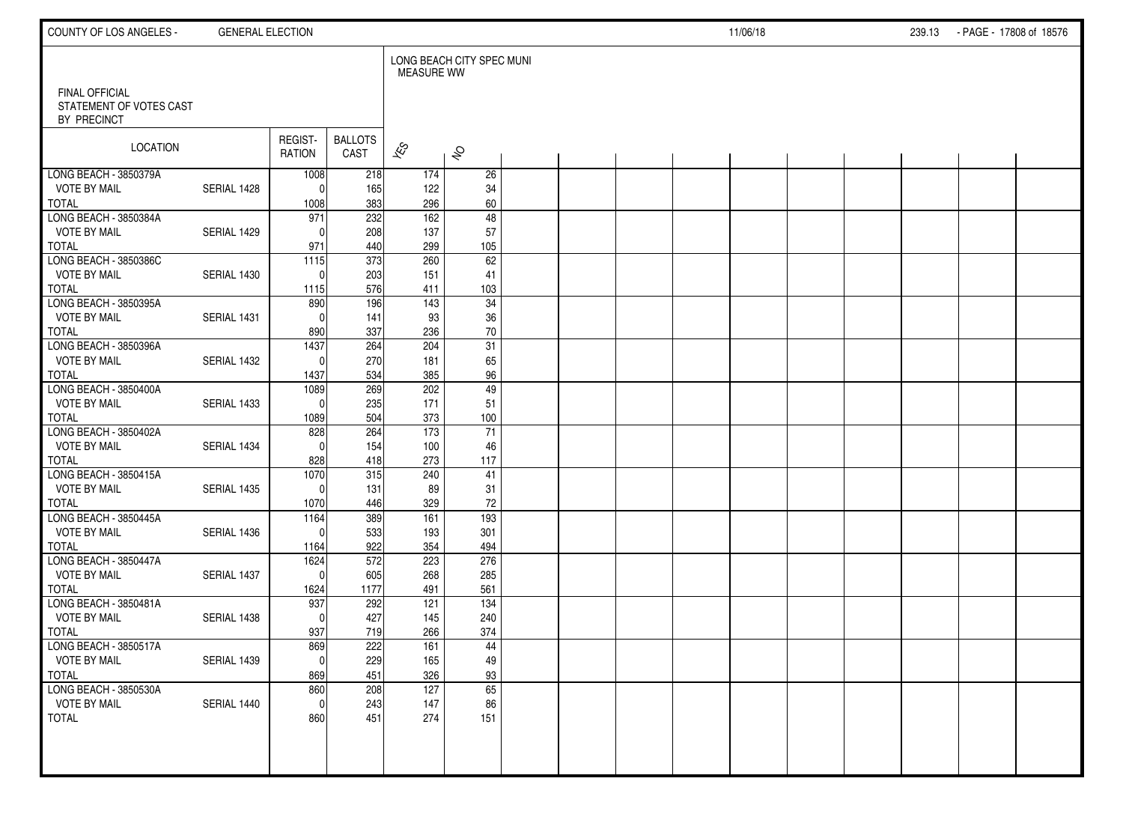| COUNTY OF LOS ANGELES -                      | <b>GENERAL ELECTION</b> |                    |                        |                   |                           |  |  | 11/06/18 |  | 239.13 - PAGE - 17808 of 18576 |  |
|----------------------------------------------|-------------------------|--------------------|------------------------|-------------------|---------------------------|--|--|----------|--|--------------------------------|--|
| FINAL OFFICIAL                               |                         |                    |                        | <b>MEASURE WW</b> | LONG BEACH CITY SPEC MUNI |  |  |          |  |                                |  |
| STATEMENT OF VOTES CAST<br>BY PRECINCT       |                         |                    |                        |                   |                           |  |  |          |  |                                |  |
| LOCATION                                     |                         | REGIST-<br>RATION  | <b>BALLOTS</b><br>CAST | $\approx$         | $\hat{\mathcal{S}}$       |  |  |          |  |                                |  |
| LONG BEACH - 3850379A                        |                         | 1008               | 218                    | 174               | 26                        |  |  |          |  |                                |  |
| <b>VOTE BY MAIL</b><br><b>TOTAL</b>          | SERIAL 1428             | $\Omega$<br>1008   | 165<br>383             | 122<br>296        | 34<br>60                  |  |  |          |  |                                |  |
| LONG BEACH - 3850384A                        |                         | 971                | 232                    | 162               | $\overline{48}$           |  |  |          |  |                                |  |
| <b>VOTE BY MAIL</b>                          | SERIAL 1429             | $\Omega$           | 208                    | 137               | 57                        |  |  |          |  |                                |  |
| <b>TOTAL</b>                                 |                         | 971                | 440                    | 299               | 105                       |  |  |          |  |                                |  |
| LONG BEACH - 3850386C                        |                         | 1115               | 373                    | 260               | 62                        |  |  |          |  |                                |  |
| <b>VOTE BY MAIL</b><br><b>TOTAL</b>          | SERIAL 1430             | $\Omega$<br>1115   | 203<br>576             | 151<br>411        | 41<br>103                 |  |  |          |  |                                |  |
| LONG BEACH - 3850395A                        |                         | 890                | 196                    | 143               | 34                        |  |  |          |  |                                |  |
| <b>VOTE BY MAIL</b>                          | SERIAL 1431             | $\Omega$           | 141                    | 93                | 36                        |  |  |          |  |                                |  |
| <b>TOTAL</b>                                 |                         | 890                | 337                    | 236               | $70\,$                    |  |  |          |  |                                |  |
| LONG BEACH - 3850396A                        |                         | 1437               | 264                    | 204               | 31                        |  |  |          |  |                                |  |
| <b>VOTE BY MAIL</b>                          | SERIAL 1432             | $\Omega$           | 270                    | 181               | 65                        |  |  |          |  |                                |  |
| <b>TOTAL</b>                                 |                         | 1437               | 534                    | 385               | 96                        |  |  |          |  |                                |  |
| LONG BEACH - 3850400A<br><b>VOTE BY MAIL</b> | SERIAL 1433             | 1089<br>$\Omega$   | 269<br>235             | 202<br>171        | 49<br>51                  |  |  |          |  |                                |  |
| <b>TOTAL</b>                                 |                         | 1089               | 504                    | 373               | 100                       |  |  |          |  |                                |  |
| LONG BEACH - 3850402A                        |                         | 828                | 264                    | 173               | 71                        |  |  |          |  |                                |  |
| <b>VOTE BY MAIL</b>                          | SERIAL 1434             | $\Omega$           | 154                    | 100               | 46                        |  |  |          |  |                                |  |
| <b>TOTAL</b>                                 |                         | 828                | 418                    | 273               | 117                       |  |  |          |  |                                |  |
| LONG BEACH - 3850415A                        |                         | 1070               | 315                    | 240               | 41                        |  |  |          |  |                                |  |
| <b>VOTE BY MAIL</b><br><b>TOTAL</b>          | SERIAL 1435             | $\Omega$<br>1070   | 131<br>446             | 89<br>329         | 31<br>$72\,$              |  |  |          |  |                                |  |
| LONG BEACH - 3850445A                        |                         | 1164               | 389                    | 161               | 193                       |  |  |          |  |                                |  |
| <b>VOTE BY MAIL</b>                          | SERIAL 1436             | $\Omega$           | 533                    | 193               | 301                       |  |  |          |  |                                |  |
| <b>TOTAL</b>                                 |                         | 1164               | 922                    | 354               | 494                       |  |  |          |  |                                |  |
| LONG BEACH - 3850447A                        |                         | 1624               | 572                    | 223               | 276                       |  |  |          |  |                                |  |
| <b>VOTE BY MAIL</b>                          | SERIAL 1437             | $\Omega$           | 605                    | 268               | 285                       |  |  |          |  |                                |  |
| <b>TOTAL</b><br>LONG BEACH - 3850481A        |                         | 1624<br>937        | 1177<br>292            | 491<br>121        | 561<br>134                |  |  |          |  |                                |  |
| <b>VOTE BY MAIL</b>                          | SERIAL 1438             | $\Omega$           | 427                    | 145               | 240                       |  |  |          |  |                                |  |
| <b>TOTAL</b>                                 |                         | 937                | 719                    | 266               | 374                       |  |  |          |  |                                |  |
| LONG BEACH - 3850517A                        |                         | 869                | 222                    | 161               | 44                        |  |  |          |  |                                |  |
| <b>VOTE BY MAIL</b>                          | SERIAL 1439             | 0                  | 229                    | 165               | 49                        |  |  |          |  |                                |  |
| <b>TOTAL</b>                                 |                         | 869                | 451                    | 326               | 93                        |  |  |          |  |                                |  |
| LONG BEACH - 3850530A<br><b>VOTE BY MAIL</b> | SERIAL 1440             | 860<br>$\mathbf 0$ | 208<br>243             | 127<br>147        | 65<br>86                  |  |  |          |  |                                |  |
| <b>TOTAL</b>                                 |                         | 860                | 451                    | 274               | 151                       |  |  |          |  |                                |  |
|                                              |                         |                    |                        |                   |                           |  |  |          |  |                                |  |
|                                              |                         |                    |                        |                   |                           |  |  |          |  |                                |  |
|                                              |                         |                    |                        |                   |                           |  |  |          |  |                                |  |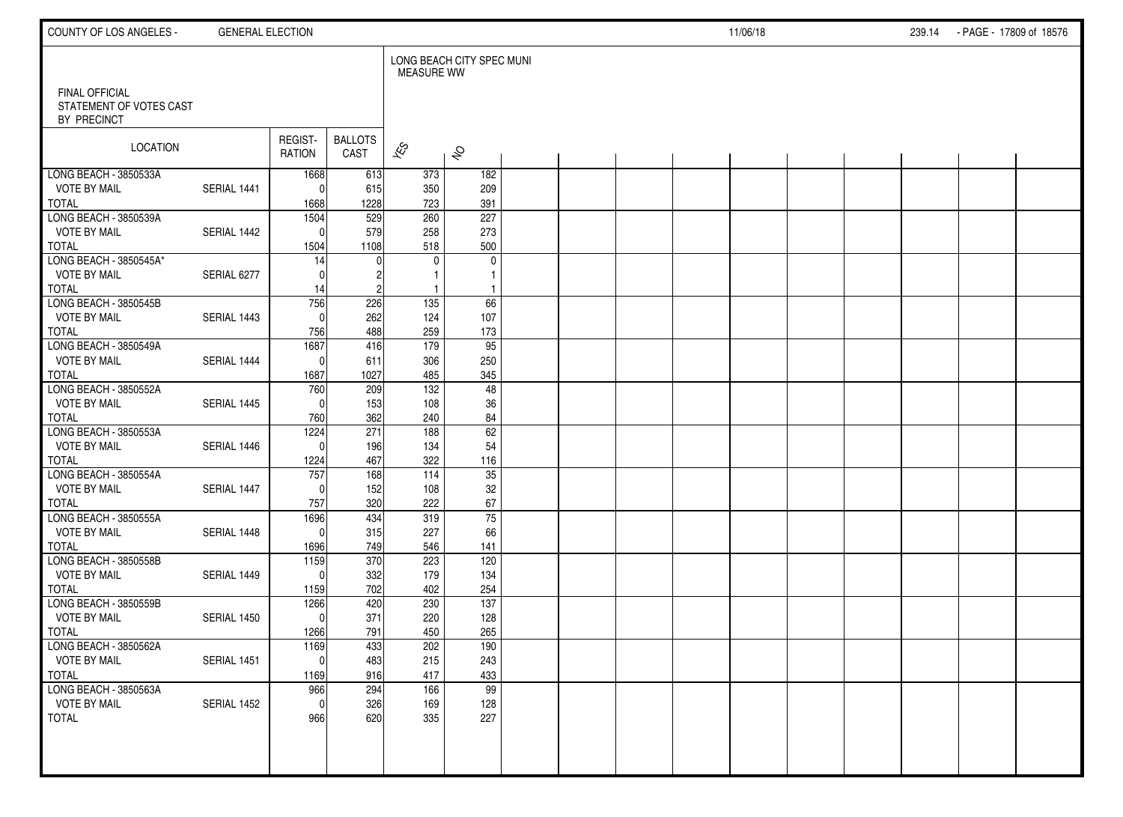| LONG BEACH CITY SPEC MUNI<br><b>MEASURE WW</b><br>FINAL OFFICIAL<br>STATEMENT OF VOTES CAST<br>BY PRECINCT<br>REGIST-<br><b>BALLOTS</b><br>LOCATION<br>$\overline{\mathscr{K}}$<br>$\hat{\mathcal{S}}$<br>CAST<br>RATION<br>LONG BEACH - 3850533A<br>613<br>373<br>182<br>1668<br><b>VOTE BY MAIL</b><br>SERIAL 1441<br>209<br>615<br>350<br>$\Omega$<br><b>TOTAL</b><br>1228<br>723<br>391<br>1668<br>LONG BEACH - 3850539A<br>1504<br>529<br>260<br>227<br><b>VOTE BY MAIL</b><br>579<br>258<br>273<br>SERIAL 1442<br>$\mathbf{0}$<br>500<br>1504<br>1108<br>518<br>14<br>$\mathbf 0$<br>$\mathbf{0}$<br><b>VOTE BY MAIL</b><br>SERIAL 6277<br>$\Omega$<br>1<br>TOTAL<br>14<br>LONG BEACH - 3850545B<br>756<br>226<br>135<br>66<br><b>VOTE BY MAIL</b><br>262<br>SERIAL 1443<br>124<br>107<br>$\Omega$<br>488<br>259<br>173<br><b>TOTAL</b><br>756<br>LONG BEACH - 3850549A<br>1687<br>416<br>179<br>95<br><b>VOTE BY MAIL</b><br>SERIAL 1444<br>250<br>611<br>306<br>$\mathbf{0}$<br>345<br><b>TOTAL</b><br>1687<br>1027<br>485<br>LONG BEACH - 3850552A<br>$\frac{132}{ }$<br>48<br>760<br>209<br><b>VOTE BY MAIL</b><br>36<br>SERIAL 1445<br>153<br>108<br>$\Omega$<br>362<br>84<br><b>TOTAL</b><br>760<br>240<br>LONG BEACH - 3850553A<br>1224<br>271<br>62<br>188<br><b>VOTE BY MAIL</b><br>54<br>SERIAL 1446<br>196<br>134<br>$\Omega$<br><b>TOTAL</b><br>467<br>322<br>116<br>1224<br>$\overline{35}$<br>LONG BEACH - 3850554A<br>757<br>168<br>$\frac{114}{114}$<br>152<br>32<br><b>VOTE BY MAIL</b><br>SERIAL 1447<br>108<br>$\Omega$<br>67<br><b>TOTAL</b><br>320<br>222<br>757<br>75<br>LONG BEACH - 3850555A<br>434<br>1696<br>319<br>315<br>66<br><b>VOTE BY MAIL</b><br>SERIAL 1448<br>227<br>$\mathbf{0}$<br><b>TOTAL</b><br>749<br>141<br>1696<br>546<br>370<br>1159<br>223<br>120<br><b>VOTE BY MAIL</b><br>332<br>SERIAL 1449<br>179<br>134<br>$\Omega$ | COUNTY OF LOS ANGELES - | <b>GENERAL ELECTION</b> |  |  |  |  | 11/06/18 |  | 239.14 | - PAGE - 17809 of 18576 |  |
|-----------------------------------------------------------------------------------------------------------------------------------------------------------------------------------------------------------------------------------------------------------------------------------------------------------------------------------------------------------------------------------------------------------------------------------------------------------------------------------------------------------------------------------------------------------------------------------------------------------------------------------------------------------------------------------------------------------------------------------------------------------------------------------------------------------------------------------------------------------------------------------------------------------------------------------------------------------------------------------------------------------------------------------------------------------------------------------------------------------------------------------------------------------------------------------------------------------------------------------------------------------------------------------------------------------------------------------------------------------------------------------------------------------------------------------------------------------------------------------------------------------------------------------------------------------------------------------------------------------------------------------------------------------------------------------------------------------------------------------------------------------------------------------------------------------------------------------------------------------------------------|-------------------------|-------------------------|--|--|--|--|----------|--|--------|-------------------------|--|
|                                                                                                                                                                                                                                                                                                                                                                                                                                                                                                                                                                                                                                                                                                                                                                                                                                                                                                                                                                                                                                                                                                                                                                                                                                                                                                                                                                                                                                                                                                                                                                                                                                                                                                                                                                                                                                                                             |                         |                         |  |  |  |  |          |  |        |                         |  |
|                                                                                                                                                                                                                                                                                                                                                                                                                                                                                                                                                                                                                                                                                                                                                                                                                                                                                                                                                                                                                                                                                                                                                                                                                                                                                                                                                                                                                                                                                                                                                                                                                                                                                                                                                                                                                                                                             |                         |                         |  |  |  |  |          |  |        |                         |  |
|                                                                                                                                                                                                                                                                                                                                                                                                                                                                                                                                                                                                                                                                                                                                                                                                                                                                                                                                                                                                                                                                                                                                                                                                                                                                                                                                                                                                                                                                                                                                                                                                                                                                                                                                                                                                                                                                             |                         |                         |  |  |  |  |          |  |        |                         |  |
|                                                                                                                                                                                                                                                                                                                                                                                                                                                                                                                                                                                                                                                                                                                                                                                                                                                                                                                                                                                                                                                                                                                                                                                                                                                                                                                                                                                                                                                                                                                                                                                                                                                                                                                                                                                                                                                                             |                         |                         |  |  |  |  |          |  |        |                         |  |
|                                                                                                                                                                                                                                                                                                                                                                                                                                                                                                                                                                                                                                                                                                                                                                                                                                                                                                                                                                                                                                                                                                                                                                                                                                                                                                                                                                                                                                                                                                                                                                                                                                                                                                                                                                                                                                                                             |                         |                         |  |  |  |  |          |  |        |                         |  |
|                                                                                                                                                                                                                                                                                                                                                                                                                                                                                                                                                                                                                                                                                                                                                                                                                                                                                                                                                                                                                                                                                                                                                                                                                                                                                                                                                                                                                                                                                                                                                                                                                                                                                                                                                                                                                                                                             |                         |                         |  |  |  |  |          |  |        |                         |  |
|                                                                                                                                                                                                                                                                                                                                                                                                                                                                                                                                                                                                                                                                                                                                                                                                                                                                                                                                                                                                                                                                                                                                                                                                                                                                                                                                                                                                                                                                                                                                                                                                                                                                                                                                                                                                                                                                             |                         |                         |  |  |  |  |          |  |        |                         |  |
|                                                                                                                                                                                                                                                                                                                                                                                                                                                                                                                                                                                                                                                                                                                                                                                                                                                                                                                                                                                                                                                                                                                                                                                                                                                                                                                                                                                                                                                                                                                                                                                                                                                                                                                                                                                                                                                                             | <b>TOTAL</b>            |                         |  |  |  |  |          |  |        |                         |  |
|                                                                                                                                                                                                                                                                                                                                                                                                                                                                                                                                                                                                                                                                                                                                                                                                                                                                                                                                                                                                                                                                                                                                                                                                                                                                                                                                                                                                                                                                                                                                                                                                                                                                                                                                                                                                                                                                             | LONG BEACH - 3850545A*  |                         |  |  |  |  |          |  |        |                         |  |
|                                                                                                                                                                                                                                                                                                                                                                                                                                                                                                                                                                                                                                                                                                                                                                                                                                                                                                                                                                                                                                                                                                                                                                                                                                                                                                                                                                                                                                                                                                                                                                                                                                                                                                                                                                                                                                                                             |                         |                         |  |  |  |  |          |  |        |                         |  |
|                                                                                                                                                                                                                                                                                                                                                                                                                                                                                                                                                                                                                                                                                                                                                                                                                                                                                                                                                                                                                                                                                                                                                                                                                                                                                                                                                                                                                                                                                                                                                                                                                                                                                                                                                                                                                                                                             |                         |                         |  |  |  |  |          |  |        |                         |  |
|                                                                                                                                                                                                                                                                                                                                                                                                                                                                                                                                                                                                                                                                                                                                                                                                                                                                                                                                                                                                                                                                                                                                                                                                                                                                                                                                                                                                                                                                                                                                                                                                                                                                                                                                                                                                                                                                             |                         |                         |  |  |  |  |          |  |        |                         |  |
|                                                                                                                                                                                                                                                                                                                                                                                                                                                                                                                                                                                                                                                                                                                                                                                                                                                                                                                                                                                                                                                                                                                                                                                                                                                                                                                                                                                                                                                                                                                                                                                                                                                                                                                                                                                                                                                                             |                         |                         |  |  |  |  |          |  |        |                         |  |
|                                                                                                                                                                                                                                                                                                                                                                                                                                                                                                                                                                                                                                                                                                                                                                                                                                                                                                                                                                                                                                                                                                                                                                                                                                                                                                                                                                                                                                                                                                                                                                                                                                                                                                                                                                                                                                                                             |                         |                         |  |  |  |  |          |  |        |                         |  |
|                                                                                                                                                                                                                                                                                                                                                                                                                                                                                                                                                                                                                                                                                                                                                                                                                                                                                                                                                                                                                                                                                                                                                                                                                                                                                                                                                                                                                                                                                                                                                                                                                                                                                                                                                                                                                                                                             |                         |                         |  |  |  |  |          |  |        |                         |  |
|                                                                                                                                                                                                                                                                                                                                                                                                                                                                                                                                                                                                                                                                                                                                                                                                                                                                                                                                                                                                                                                                                                                                                                                                                                                                                                                                                                                                                                                                                                                                                                                                                                                                                                                                                                                                                                                                             |                         |                         |  |  |  |  |          |  |        |                         |  |
|                                                                                                                                                                                                                                                                                                                                                                                                                                                                                                                                                                                                                                                                                                                                                                                                                                                                                                                                                                                                                                                                                                                                                                                                                                                                                                                                                                                                                                                                                                                                                                                                                                                                                                                                                                                                                                                                             |                         |                         |  |  |  |  |          |  |        |                         |  |
|                                                                                                                                                                                                                                                                                                                                                                                                                                                                                                                                                                                                                                                                                                                                                                                                                                                                                                                                                                                                                                                                                                                                                                                                                                                                                                                                                                                                                                                                                                                                                                                                                                                                                                                                                                                                                                                                             |                         |                         |  |  |  |  |          |  |        |                         |  |
|                                                                                                                                                                                                                                                                                                                                                                                                                                                                                                                                                                                                                                                                                                                                                                                                                                                                                                                                                                                                                                                                                                                                                                                                                                                                                                                                                                                                                                                                                                                                                                                                                                                                                                                                                                                                                                                                             |                         |                         |  |  |  |  |          |  |        |                         |  |
|                                                                                                                                                                                                                                                                                                                                                                                                                                                                                                                                                                                                                                                                                                                                                                                                                                                                                                                                                                                                                                                                                                                                                                                                                                                                                                                                                                                                                                                                                                                                                                                                                                                                                                                                                                                                                                                                             |                         |                         |  |  |  |  |          |  |        |                         |  |
|                                                                                                                                                                                                                                                                                                                                                                                                                                                                                                                                                                                                                                                                                                                                                                                                                                                                                                                                                                                                                                                                                                                                                                                                                                                                                                                                                                                                                                                                                                                                                                                                                                                                                                                                                                                                                                                                             |                         |                         |  |  |  |  |          |  |        |                         |  |
|                                                                                                                                                                                                                                                                                                                                                                                                                                                                                                                                                                                                                                                                                                                                                                                                                                                                                                                                                                                                                                                                                                                                                                                                                                                                                                                                                                                                                                                                                                                                                                                                                                                                                                                                                                                                                                                                             |                         |                         |  |  |  |  |          |  |        |                         |  |
|                                                                                                                                                                                                                                                                                                                                                                                                                                                                                                                                                                                                                                                                                                                                                                                                                                                                                                                                                                                                                                                                                                                                                                                                                                                                                                                                                                                                                                                                                                                                                                                                                                                                                                                                                                                                                                                                             |                         |                         |  |  |  |  |          |  |        |                         |  |
|                                                                                                                                                                                                                                                                                                                                                                                                                                                                                                                                                                                                                                                                                                                                                                                                                                                                                                                                                                                                                                                                                                                                                                                                                                                                                                                                                                                                                                                                                                                                                                                                                                                                                                                                                                                                                                                                             |                         |                         |  |  |  |  |          |  |        |                         |  |
|                                                                                                                                                                                                                                                                                                                                                                                                                                                                                                                                                                                                                                                                                                                                                                                                                                                                                                                                                                                                                                                                                                                                                                                                                                                                                                                                                                                                                                                                                                                                                                                                                                                                                                                                                                                                                                                                             |                         |                         |  |  |  |  |          |  |        |                         |  |
|                                                                                                                                                                                                                                                                                                                                                                                                                                                                                                                                                                                                                                                                                                                                                                                                                                                                                                                                                                                                                                                                                                                                                                                                                                                                                                                                                                                                                                                                                                                                                                                                                                                                                                                                                                                                                                                                             |                         |                         |  |  |  |  |          |  |        |                         |  |
|                                                                                                                                                                                                                                                                                                                                                                                                                                                                                                                                                                                                                                                                                                                                                                                                                                                                                                                                                                                                                                                                                                                                                                                                                                                                                                                                                                                                                                                                                                                                                                                                                                                                                                                                                                                                                                                                             |                         |                         |  |  |  |  |          |  |        |                         |  |
|                                                                                                                                                                                                                                                                                                                                                                                                                                                                                                                                                                                                                                                                                                                                                                                                                                                                                                                                                                                                                                                                                                                                                                                                                                                                                                                                                                                                                                                                                                                                                                                                                                                                                                                                                                                                                                                                             | LONG BEACH - 3850558B   |                         |  |  |  |  |          |  |        |                         |  |
|                                                                                                                                                                                                                                                                                                                                                                                                                                                                                                                                                                                                                                                                                                                                                                                                                                                                                                                                                                                                                                                                                                                                                                                                                                                                                                                                                                                                                                                                                                                                                                                                                                                                                                                                                                                                                                                                             |                         |                         |  |  |  |  |          |  |        |                         |  |
| <b>TOTAL</b><br>702<br>254<br>402<br>1159                                                                                                                                                                                                                                                                                                                                                                                                                                                                                                                                                                                                                                                                                                                                                                                                                                                                                                                                                                                                                                                                                                                                                                                                                                                                                                                                                                                                                                                                                                                                                                                                                                                                                                                                                                                                                                   |                         |                         |  |  |  |  |          |  |        |                         |  |
| $\overline{137}$<br>420<br>230<br>1266                                                                                                                                                                                                                                                                                                                                                                                                                                                                                                                                                                                                                                                                                                                                                                                                                                                                                                                                                                                                                                                                                                                                                                                                                                                                                                                                                                                                                                                                                                                                                                                                                                                                                                                                                                                                                                      | LONG BEACH - 3850559B   |                         |  |  |  |  |          |  |        |                         |  |
| <b>VOTE BY MAIL</b><br>371<br>SERIAL 1450<br>220<br>128<br>$\mathbf{0}$                                                                                                                                                                                                                                                                                                                                                                                                                                                                                                                                                                                                                                                                                                                                                                                                                                                                                                                                                                                                                                                                                                                                                                                                                                                                                                                                                                                                                                                                                                                                                                                                                                                                                                                                                                                                     |                         |                         |  |  |  |  |          |  |        |                         |  |
| <b>TOTAL</b><br>791<br>265<br>1266<br>450                                                                                                                                                                                                                                                                                                                                                                                                                                                                                                                                                                                                                                                                                                                                                                                                                                                                                                                                                                                                                                                                                                                                                                                                                                                                                                                                                                                                                                                                                                                                                                                                                                                                                                                                                                                                                                   |                         |                         |  |  |  |  |          |  |        |                         |  |
| 190<br>1169<br>433<br>202                                                                                                                                                                                                                                                                                                                                                                                                                                                                                                                                                                                                                                                                                                                                                                                                                                                                                                                                                                                                                                                                                                                                                                                                                                                                                                                                                                                                                                                                                                                                                                                                                                                                                                                                                                                                                                                   | LONG BEACH - 3850562A   |                         |  |  |  |  |          |  |        |                         |  |
| <b>VOTE BY MAIL</b><br>SERIAL 1451<br>$\overline{0}$<br>483<br>215<br>243<br><b>TOTAL</b><br>916<br>417<br>433<br>1169                                                                                                                                                                                                                                                                                                                                                                                                                                                                                                                                                                                                                                                                                                                                                                                                                                                                                                                                                                                                                                                                                                                                                                                                                                                                                                                                                                                                                                                                                                                                                                                                                                                                                                                                                      |                         |                         |  |  |  |  |          |  |        |                         |  |
| $\overline{99}$<br>966<br>294<br>166                                                                                                                                                                                                                                                                                                                                                                                                                                                                                                                                                                                                                                                                                                                                                                                                                                                                                                                                                                                                                                                                                                                                                                                                                                                                                                                                                                                                                                                                                                                                                                                                                                                                                                                                                                                                                                        | LONG BEACH - 3850563A   |                         |  |  |  |  |          |  |        |                         |  |
| 326<br><b>VOTE BY MAIL</b><br>SERIAL 1452<br>$\mathbf 0$<br>169<br>128                                                                                                                                                                                                                                                                                                                                                                                                                                                                                                                                                                                                                                                                                                                                                                                                                                                                                                                                                                                                                                                                                                                                                                                                                                                                                                                                                                                                                                                                                                                                                                                                                                                                                                                                                                                                      |                         |                         |  |  |  |  |          |  |        |                         |  |
| 620<br>227<br>966<br>335                                                                                                                                                                                                                                                                                                                                                                                                                                                                                                                                                                                                                                                                                                                                                                                                                                                                                                                                                                                                                                                                                                                                                                                                                                                                                                                                                                                                                                                                                                                                                                                                                                                                                                                                                                                                                                                    | <b>TOTAL</b>            |                         |  |  |  |  |          |  |        |                         |  |
|                                                                                                                                                                                                                                                                                                                                                                                                                                                                                                                                                                                                                                                                                                                                                                                                                                                                                                                                                                                                                                                                                                                                                                                                                                                                                                                                                                                                                                                                                                                                                                                                                                                                                                                                                                                                                                                                             |                         |                         |  |  |  |  |          |  |        |                         |  |
|                                                                                                                                                                                                                                                                                                                                                                                                                                                                                                                                                                                                                                                                                                                                                                                                                                                                                                                                                                                                                                                                                                                                                                                                                                                                                                                                                                                                                                                                                                                                                                                                                                                                                                                                                                                                                                                                             |                         |                         |  |  |  |  |          |  |        |                         |  |
|                                                                                                                                                                                                                                                                                                                                                                                                                                                                                                                                                                                                                                                                                                                                                                                                                                                                                                                                                                                                                                                                                                                                                                                                                                                                                                                                                                                                                                                                                                                                                                                                                                                                                                                                                                                                                                                                             |                         |                         |  |  |  |  |          |  |        |                         |  |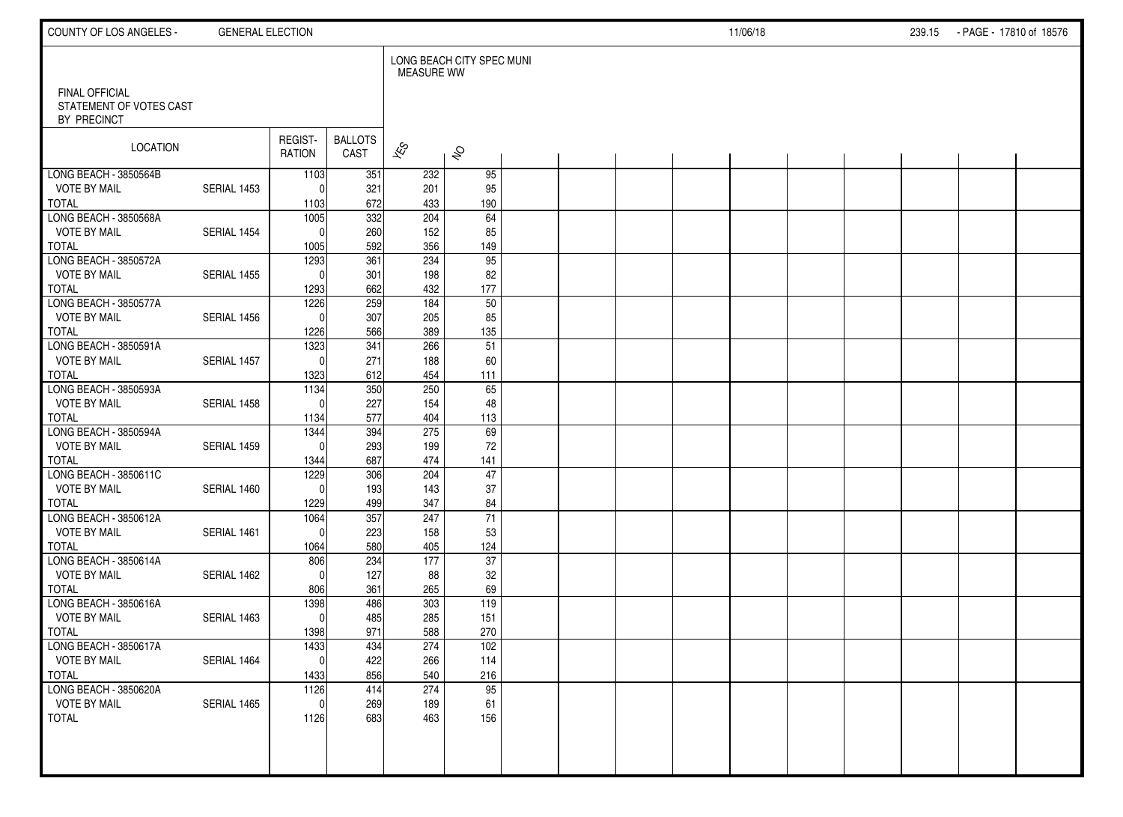| COUNTY OF LOS ANGELES -                      | <b>GENERAL ELECTION</b> |                   |                        |                   |                           |  |  | 11/06/18 |  | 239.15 - PAGE - 17810 of 18576 |  |
|----------------------------------------------|-------------------------|-------------------|------------------------|-------------------|---------------------------|--|--|----------|--|--------------------------------|--|
| FINAL OFFICIAL<br>STATEMENT OF VOTES CAST    |                         |                   |                        | <b>MEASURE WW</b> | LONG BEACH CITY SPEC MUNI |  |  |          |  |                                |  |
| BY PRECINCT                                  |                         |                   |                        |                   |                           |  |  |          |  |                                |  |
| LOCATION                                     |                         | REGIST-<br>RATION | <b>BALLOTS</b><br>CAST | $\approx$         | $\hat{\mathcal{S}}$       |  |  |          |  |                                |  |
| LONG BEACH - 3850564B<br><b>VOTE BY MAIL</b> | SERIAL 1453             | 1103<br>$\Omega$  | 351                    | 232               | 95                        |  |  |          |  |                                |  |
| <b>TOTAL</b>                                 |                         | 1103              | 321<br>672             | 201<br>433        | 95<br>190                 |  |  |          |  |                                |  |
| LONG BEACH - 3850568A                        |                         | 1005              | $\overline{332}$       | 204               | $\overline{64}$           |  |  |          |  |                                |  |
| <b>VOTE BY MAIL</b><br><b>TOTAL</b>          | SERIAL 1454             | $\Omega$<br>1005  | 260<br>592             | 152<br>356        | 85<br>149                 |  |  |          |  |                                |  |
| LONG BEACH - 3850572A                        |                         | 1293              | 361                    | 234               | 95                        |  |  |          |  |                                |  |
| <b>VOTE BY MAIL</b>                          | SERIAL 1455             | $\Omega$          | 301                    | 198               | 82                        |  |  |          |  |                                |  |
| <b>TOTAL</b><br>LONG BEACH - 3850577A        |                         | 1293<br>1226      | 662<br>259             | 432<br>184        | 177<br>$\overline{50}$    |  |  |          |  |                                |  |
| <b>VOTE BY MAIL</b>                          | SERIAL 1456             | $\Omega$          | 307                    | 205               | 85                        |  |  |          |  |                                |  |
| <b>TOTAL</b>                                 |                         | 1226              | 566                    | 389               | 135                       |  |  |          |  |                                |  |
| LONG BEACH - 3850591A                        |                         | 1323              | 341                    | 266               | 51                        |  |  |          |  |                                |  |
| <b>VOTE BY MAIL</b><br><b>TOTAL</b>          | SERIAL 1457             | $\Omega$<br>1323  | 271<br>612             | 188<br>454        | 60<br>111                 |  |  |          |  |                                |  |
| LONG BEACH - 3850593A                        |                         | 1134              | 350                    | 250               | 65                        |  |  |          |  |                                |  |
| <b>VOTE BY MAIL</b>                          | SERIAL 1458             | $\Omega$          | 227                    | 154               | 48                        |  |  |          |  |                                |  |
| <b>TOTAL</b><br>LONG BEACH - 3850594A        |                         | 1134<br>1344      | 577<br>394             | 404<br>275        | 113<br>69                 |  |  |          |  |                                |  |
| <b>VOTE BY MAIL</b>                          | SERIAL 1459             | $\Omega$          | 293                    | 199               | 72                        |  |  |          |  |                                |  |
| <b>TOTAL</b>                                 |                         | 1344              | 687                    | 474               | 141                       |  |  |          |  |                                |  |
| LONG BEACH - 3850611C<br><b>VOTE BY MAIL</b> | SERIAL 1460             | 1229<br>$\Omega$  | 306<br>193             | 204<br>143        | 47<br>37                  |  |  |          |  |                                |  |
| <b>TOTAL</b>                                 |                         | 1229              | 499                    | 347               | 84                        |  |  |          |  |                                |  |
| LONG BEACH - 3850612A                        |                         | 1064              | 357                    | $\overline{247}$  | 71                        |  |  |          |  |                                |  |
| <b>VOTE BY MAIL</b><br><b>TOTAL</b>          | SERIAL 1461             | $\Omega$<br>1064  | 223<br>580             | 158<br>405        | 53<br>124                 |  |  |          |  |                                |  |
| LONG BEACH - 3850614A                        |                         | 806               | 234                    | 177               | $\overline{37}$           |  |  |          |  |                                |  |
| <b>VOTE BY MAIL</b>                          | SERIAL 1462             | $\Omega$          | 127                    | 88                | 32                        |  |  |          |  |                                |  |
| <b>TOTAL</b><br>LONG BEACH - 3850616A        |                         | 806<br>1398       | 361<br>486             | 265<br>303        | 69<br>119                 |  |  |          |  |                                |  |
| <b>VOTE BY MAIL</b>                          | SERIAL 1463             | $\Omega$          | 485                    | 285               | 151                       |  |  |          |  |                                |  |
| <b>TOTAL</b>                                 |                         | 1398              | 971                    | 588               | 270                       |  |  |          |  |                                |  |
| LONG BEACH - 3850617A<br><b>VOTE BY MAIL</b> | SERIAL 1464             | 1433<br> 0        | 434<br>422             | 274<br>266        | 102<br>114                |  |  |          |  |                                |  |
| <b>TOTAL</b>                                 |                         | 1433              | 856                    | 540               | 216                       |  |  |          |  |                                |  |
| LONG BEACH - 3850620A                        |                         | 1126              | 414                    | 274               | 95                        |  |  |          |  |                                |  |
| <b>VOTE BY MAIL</b>                          | SERIAL 1465             | $\mathbf 0$       | 269                    | 189               | 61                        |  |  |          |  |                                |  |
| <b>TOTAL</b>                                 |                         | 1126              | 683                    | 463               | 156                       |  |  |          |  |                                |  |
|                                              |                         |                   |                        |                   |                           |  |  |          |  |                                |  |
|                                              |                         |                   |                        |                   |                           |  |  |          |  |                                |  |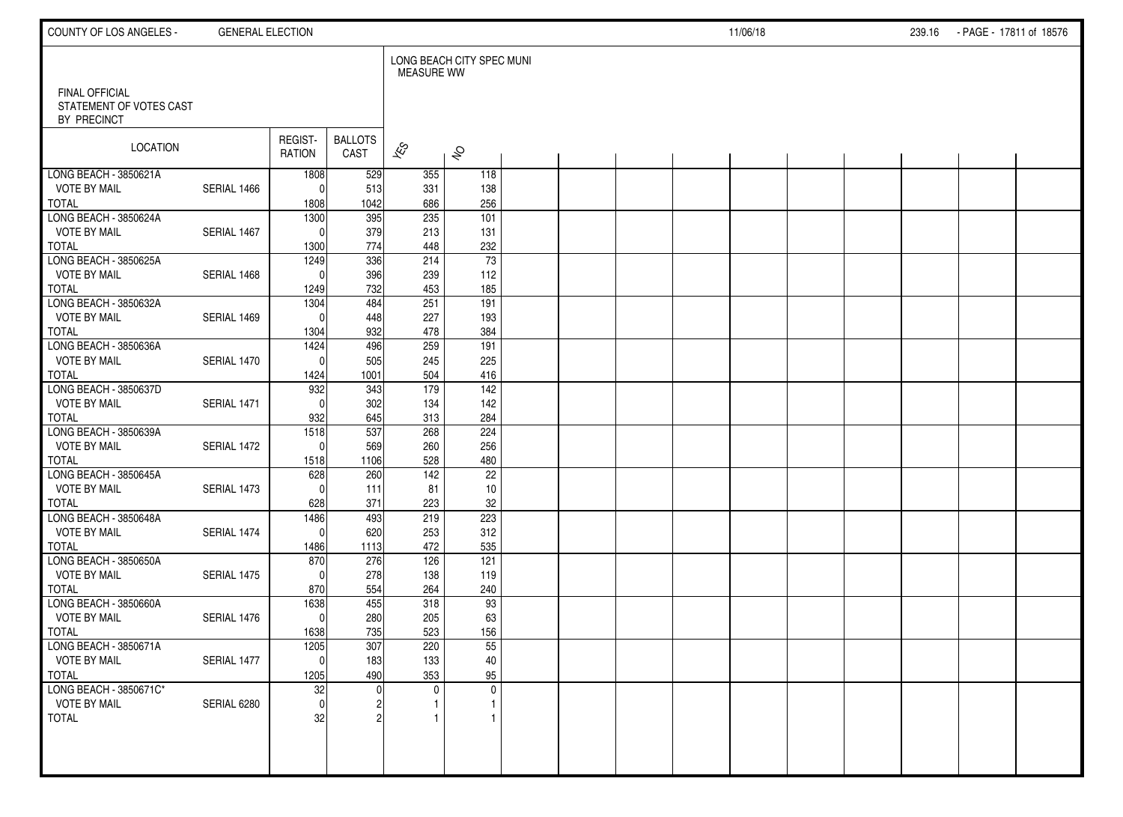| COUNTY OF LOS ANGELES -                                         | <b>GENERAL ELECTION</b> |                          |                        |                              |                                 |  |  | 11/06/18 |  | 239.16 - PAGE - 17811 of 18576 |  |
|-----------------------------------------------------------------|-------------------------|--------------------------|------------------------|------------------------------|---------------------------------|--|--|----------|--|--------------------------------|--|
| <b>FINAL OFFICIAL</b><br>STATEMENT OF VOTES CAST<br>BY PRECINCT |                         |                          |                        | <b>MEASURE WW</b>            | LONG BEACH CITY SPEC MUNI       |  |  |          |  |                                |  |
| LOCATION                                                        |                         | REGIST-<br>RATION        | <b>BALLOTS</b><br>CAST | $\overline{\mathscr{E}}$     | $\hat{\sigma}$                  |  |  |          |  |                                |  |
| LONG BEACH - 3850621A<br><b>VOTE BY MAIL</b><br>TOTAL           | SERIAL 1466             | 1808<br>$\Omega$<br>1808 | 529<br>513<br>1042     | 355<br>331<br>686            | 118<br>138<br>256               |  |  |          |  |                                |  |
| LONG BEACH - 3850624A<br><b>VOTE BY MAIL</b><br><b>TOTAL</b>    | SERIAL 1467             | 1300<br>$\Omega$<br>1300 | 395<br>379<br>774      | 235<br>213<br>448            | 101<br>131<br>232               |  |  |          |  |                                |  |
| LONG BEACH - 3850625A<br><b>VOTE BY MAIL</b><br><b>TOTAL</b>    | SERIAL 1468             | 1249<br>$\Omega$<br>1249 | 336<br>396<br>732      | 214<br>239<br>453            | $\overline{73}$<br>112<br>185   |  |  |          |  |                                |  |
| LONG BEACH - 3850632A<br><b>VOTE BY MAIL</b><br><b>TOTAL</b>    | SERIAL 1469             | 1304<br>$\Omega$<br>1304 | 484<br>448<br>932      | 251<br>227<br>478            | 191<br>193<br>384               |  |  |          |  |                                |  |
| LONG BEACH - 3850636A<br><b>VOTE BY MAIL</b><br><b>TOTAL</b>    | SERIAL 1470             | 1424<br>$\Omega$<br>1424 | 496<br>505<br>1001     | 259<br>245<br>504            | 191<br>225<br>416               |  |  |          |  |                                |  |
| LONG BEACH - 3850637D<br><b>VOTE BY MAIL</b><br><b>TOTAL</b>    | SERIAL 1471             | 932<br>$\Omega$<br>932   | 343<br>302<br>645      | 179<br>134<br>313            | $\frac{142}{ }$<br>142<br>284   |  |  |          |  |                                |  |
| LONG BEACH - 3850639A<br><b>VOTE BY MAIL</b><br><b>TOTAL</b>    | SERIAL 1472             | 1518<br> 0 <br>1518      | 537<br>569<br>1106     | 268<br>260<br>528            | 224<br>256<br>480               |  |  |          |  |                                |  |
| LONG BEACH - 3850645A<br><b>VOTE BY MAIL</b><br><b>TOTAL</b>    | SERIAL 1473             | 628<br>$\Omega$<br>628   | 260<br>111<br>371      | $\frac{142}{ }$<br>81<br>223 | $\overline{22}$<br>10<br>$32\,$ |  |  |          |  |                                |  |
| LONG BEACH - 3850648A<br><b>VOTE BY MAIL</b><br><b>TOTAL</b>    | SERIAL 1474             | 1486<br> 0 <br>1486      | 493<br>620<br>1113     | 219<br>253<br>472            | 223<br>312<br>535               |  |  |          |  |                                |  |
| LONG BEACH - 3850650A<br><b>VOTE BY MAIL</b><br><b>TOTAL</b>    | SERIAL 1475             | 870<br>$\Omega$<br>870   | 276<br>278<br>554      | 126<br>138<br>264            | 121<br>119<br>240               |  |  |          |  |                                |  |
| LONG BEACH - 3850660A<br><b>VOTE BY MAIL</b><br><b>TOTAL</b>    | SERIAL 1476             | 1638<br> 0 <br>1638      | 455<br>280<br>735      | 318<br>205<br>523            | 93<br>63<br>156                 |  |  |          |  |                                |  |
| LONG BEACH - 3850671A<br><b>VOTE BY MAIL</b><br><b>TOTAL</b>    | SERIAL 1477             | 1205<br> 0 <br>1205      | 307<br>183<br>490      | 220<br>133<br>353            | 55<br>40<br>95                  |  |  |          |  |                                |  |
| LONG BEACH - 3850671C*<br><b>VOTE BY MAIL</b><br><b>TOTAL</b>   | SERIAL 6280             | 32<br> 0 <br>32          |                        | $\mathbf 0$                  | $\mathbf 0$                     |  |  |          |  |                                |  |
|                                                                 |                         |                          |                        |                              |                                 |  |  |          |  |                                |  |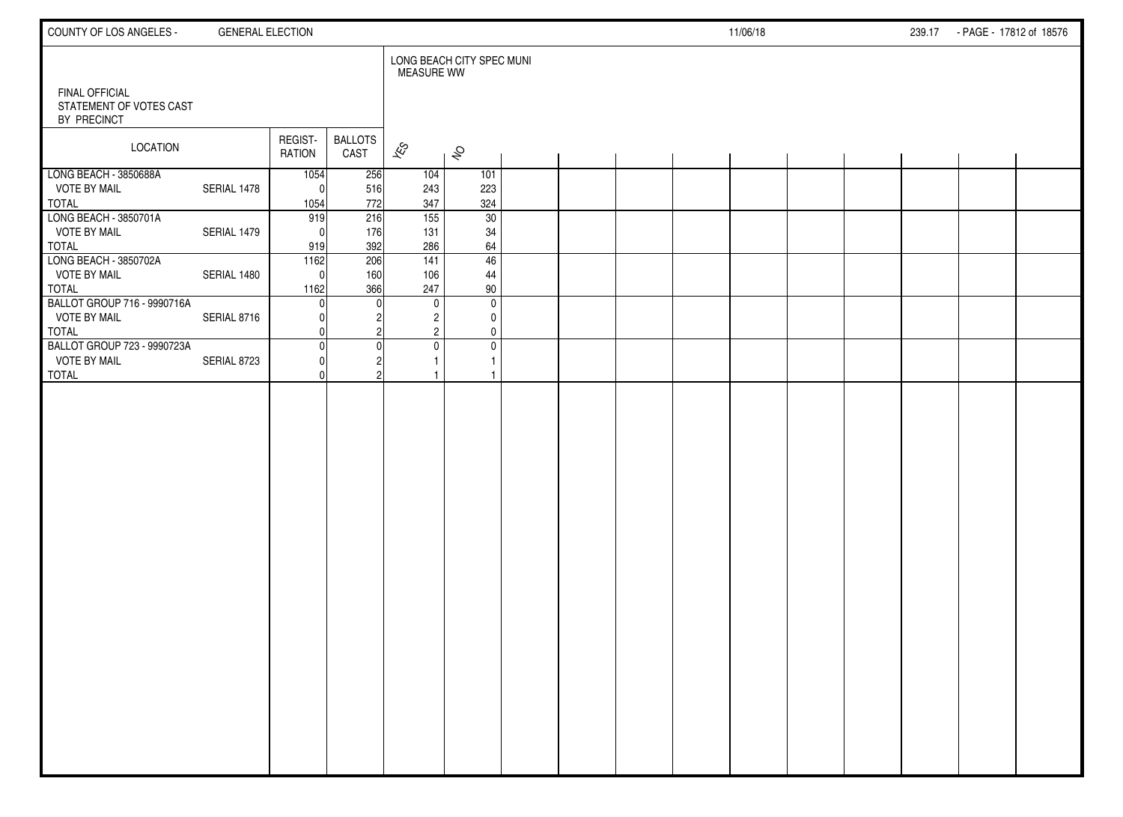| COUNTY OF LOS ANGELES -                                            | <b>GENERAL ELECTION</b> |                          |                        |                                |                                                                                    |  |  | 11/06/18 |  | 239.17 - PAGE - 17812 of 18576 |  |
|--------------------------------------------------------------------|-------------------------|--------------------------|------------------------|--------------------------------|------------------------------------------------------------------------------------|--|--|----------|--|--------------------------------|--|
| <b>FINAL OFFICIAL</b><br>STATEMENT OF VOTES CAST<br>BY PRECINCT    |                         |                          |                        | <b>MEASURE WW</b>              | LONG BEACH CITY SPEC MUNI                                                          |  |  |          |  |                                |  |
| <b>LOCATION</b>                                                    |                         | REGIST-<br>RATION        | <b>BALLOTS</b><br>CAST | $\mathscr{E}_{\mathcal{S}}$    | $\hat{\mathcal{S}}$                                                                |  |  |          |  |                                |  |
| LONG BEACH - 3850688A<br><b>VOTE BY MAIL</b><br><b>TOTAL</b>       | SERIAL 1478             | 1054<br>$\Omega$<br>1054 | 256<br>516<br>772      | 104<br>243<br>347              | 101<br>223<br>324                                                                  |  |  |          |  |                                |  |
| LONG BEACH - 3850701A<br><b>VOTE BY MAIL</b><br>TOTAL              | SERIAL 1479             | 919<br>$\Omega$<br>919   | 216<br>176<br>392      | $\overline{155}$<br>131<br>286 | 30<br>34<br>64                                                                     |  |  |          |  |                                |  |
| LONG BEACH - 3850702A<br><b>VOTE BY MAIL</b><br>TOTAL              | SERIAL 1480             | 1162<br>$\Omega$<br>1162 | 206<br>160<br>366      | 141<br>106<br>247              | 46<br>44<br>90                                                                     |  |  |          |  |                                |  |
| BALLOT GROUP 716 - 9990716A<br><b>VOTE BY MAIL</b><br><b>TOTAL</b> | SERIAL 8716             | <sup>0</sup>             |                        |                                | $\mathbf 0$<br>$\mathbf 0$<br>$\overline{2}$<br>0<br>$\overline{2}$<br>$\mathbf 0$ |  |  |          |  |                                |  |
| BALLOT GROUP 723 - 9990723A<br><b>VOTE BY MAIL</b><br><b>TOTAL</b> | SERIAL 8723             | $\Omega$<br>O<br>U       |                        |                                | $\mathbf 0$<br>$\mathbf 0$<br>$\mathbf{1}$<br>$\mathbf{1}$                         |  |  |          |  |                                |  |
|                                                                    |                         |                          |                        |                                |                                                                                    |  |  |          |  |                                |  |